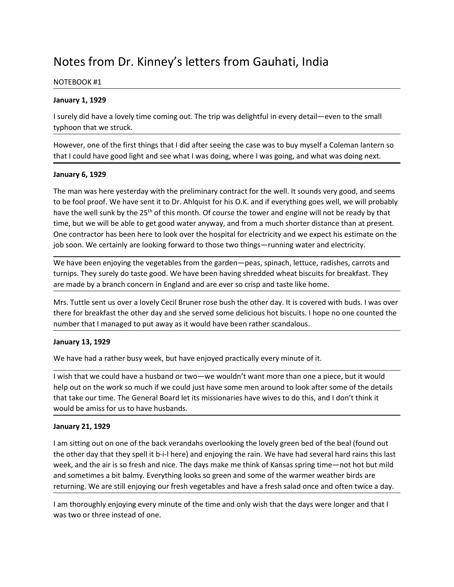# Notes from Dr. Kinney's letters from Gauhati, India<br>
NOTEBOOK #1<br>
January 1, 1929<br>
I surely did have a lovely time coming out. The trip was delightful in every detail—even to the small

Notes from Dr. Kinney's letters from Gauhati, India<br>NOTEBOOK #1<br>January 1, 1929<br>I surely did have a lovely time coming out. The trip was delightful in every detail—eve<br>typhoon that we struck. Notes from Dr. Kinney's letters from Gauhati, India<br>
NOTEBOOK #1<br>
January 1, 1929<br>
I surely did have a lovely time coming out. The trip was delightful in every detail—ev<br>
typhoon that we struck.<br>
However, one of the first Notes from Dr. Kinney's letters from Gauhati, India<br>
NOTEBOOK #1<br>
January 1, 1929<br>
I surely did have a lovely time coming out. The trip was delightful in every detail—even to t<br>
typhoon that we struck.<br>
However, one of the

Notes from Dr. Kinney's letters from Gauhati, India<br>
NOTEBOOK #1<br>
January 1, 1929<br>
I surely did have a lovely time coming out. The trip was delightful in every detail—even to the small<br>
However, one of the first things tha Notes from Dr. Kinney's letters from Gauhati, India<br>
NOTEBOOK #1<br>
January 1, 1929<br>
I surely did have a lovely time coming out. The trip was delightful in every detail—even to the small<br>
However, one of the first things tha

Notes from Dr. Kinney's letters from Gauhati, India<br>
NOTEBOOK #1<br>
January 1, 1929<br>
I surely did have a lovely time coming out. The trip was delightful in every detail—even to the small<br>
typhoon that we struck.<br>
However, on Notes from Dr. Kinney's letters from Gauhati, India<br>
NOTEBOOK #1<br>
January 1, 1929<br>
Jaurely did have a lovely time coming out. The trip was delightful in every detail—ev<br>
typhoon that we struck.<br>
However, one of the first t Notes from Dr. Kinney's letters from Gauhati, India<br>
NOTEBOOK #1<br>
January 1, 1929<br>
I surely did have a lovely time coming out. The trip was delightful in every detail—even to the small<br>
typhoon that we struck.<br>
However, on Notes from Dr. Kinney's letters from Gauhati, India<br>
NorteBOOK#1<br>
Isurely did have a lovely time coming out. The trip was delightful in every detail—even to the small<br>
typhoon that we struck.<br>
However, one of the first th Notes from Dr. Kinney's letters from Gauhati, India<br>
Harvary 1, 1929<br>
Havely did have a lovely time coming out. The trip was delightful in every detail—even to the small<br>
typhoon that we struck.<br>
However, one of the first Notes from Dr. Kinney's letters from Gauhati, India<br>
NOTEBOOK #1<br>
January 1, 1929<br>
I surely did have a lovely time coming out. The trip was delightful in every detail—even to the small<br>
typhoon that we struck.<br>
However, on Notes from Dr. Kinney's letters from Gauhati, India<br>
NoteBook #1<br>
January 1, 1929<br>
Is urely did have a lovely time coming out. The trip was delightful in every detail—even to the small<br>
typhoon that we struck.<br>
However, on Notes from Dr. Kinney's letters from Gauhati, India<br>
NOTEBOOK #1<br>
January 1, 1929<br>
I surely did have a lovely time coming out. The trip was delightful in every detail—even to the small<br>
typhoon that we struck.<br>
However, on NOTEBOOK #1<br>
January 1, 1929<br>
I surely did have a lovely time coming out. The trip was delightful in every detail—even to the small<br>
typhoon that we struck.<br>
However, one of the first things that I did after seeing the cas **January 1, 1929**<br>
I surely did have a lovely time coming out. The trip was delightful in every detail—even to the small<br>
typhoon that we struck.<br>
However, one of the first things that I did after seeing the case was to bu **January 1, 1929**<br>
I surely did have a lovely time coming out. The trip was delightful in every detail—even to the small<br>
surely on that we struck.<br>
However, one of the first things that I did after seeing the case was to is urely and nave a lovely the coming out. Ine trip was deligntful in every detail—even to the small<br>Myahoon that we struck.<br>However, one of the first things that I did after seeing the case was to buy myself a Coleman lan typhoon that we struck.<br>
However, one of the first things that I did after seeing the case was to buy myself a Coleman lantern so<br>
that I could have good light and see what I was doing, where I was going, and what was doin However, one of the first things that I did after seeing the case was to buy myself a Coleman lantern so<br>that I could have good light and see what I was doing, where I was going, and what was doing next.<br>January 6, 1929<br>Th that I could nave good light and see what I was doing, where I was going, and what wis<br>
January 6, 1929<br>
The man was here yesterday with the preliminary contract for the well. It sounds very<br>
the we fool proof. We have sen January 6, 1929<br>The man was there yesterday with the preliminary contract for the well. It sounds very good, and seems<br>The be fool proof. We have sent it to Dr. Ahlquist for his O.K. and if everything goes well, we will pr The man was here yesterday with the preliminary contract for the well. It sounds very good, and seems<br>to be fool proof. We have sent it to Dr. Ahlquist for his O.K. and if everything goes well, we will grobably<br>have the we to be tool proof. We have sent it to Dr. Ankigats for his O.K. and it everything goes well, we will probably<br>thave the well sunk by the 25<sup>th</sup> of this month. Of course the tower and engine will not be ready by that<br>time, b

have the well sunk by the 25<sup>w</sup> of this month. Of course the tower and engine will not be ready ty that<br>time, but we will be able to get good water anyway, and from a much shorter distance than at present.<br>One contractor h time, but we will be able to get good water anyway, and from a much shorter distance than a tipesent.<br>The contractor has been here to look over the hospital for electricity and we expect his estimate on the<br>job soon. We ce

job soon. We certainly are looking forward to those two things—running water and el<br>
We have been enjoying the vegetables from the garden—peas, spinach, lettuce, radis<br>
turnips. They surely do taste good. We have been havi We have been enjoying the vegetables from the garden—peas, spinach, lettuce, radishes, carrots and<br>turnips. They surely do taste good. We have been having shreedded wheat biscuits for breakfast. They<br>are made by a branch c turnips. They surely do taste good. We have been having shredded wheat biscuits for breakfast. They<br>are made by a branch concern in England and are ever so crisp and taste like home.<br>Mrs. Tuttle sent us over a lovely Cecil are made by a branch concern in England and are ever so crisp and taste like home.<br>
Mrs. Tuttle sent us over a lovely Cecil Bruner rose bush the other day. It is covered with buds. I was over<br>
there for breakfast the other Mrs. Tuttle sent us over a lovely Cecil Bruner rose bush the other day. It is covered with buds. I was over<br>there for breakfast the other day and she served some delicious hot biscuits. I hope no one counted the<br>number tha Mrs. Tuttle sent us over a lovely Cecil Bruner rose bush the other day. It is covered with buds. I was over<br>there for breakfast the other day and she served some delicious hot biscuits. I hope no one counted the<br>number tha number that I managed to put away as it would have been rather scandalous.<br>
January 13, 1929<br>
We have had a rather busy week, but have enjoyed practically every minute of it.<br>
I wish that we could have a husband or two—we January 13, 1929<br>We have had a rather busy week, but have enjoyed practically every minute of it.<br>Wish that we could have a husband or two—we wouldn't want more than one a piece, but it would<br>help out on the work so much i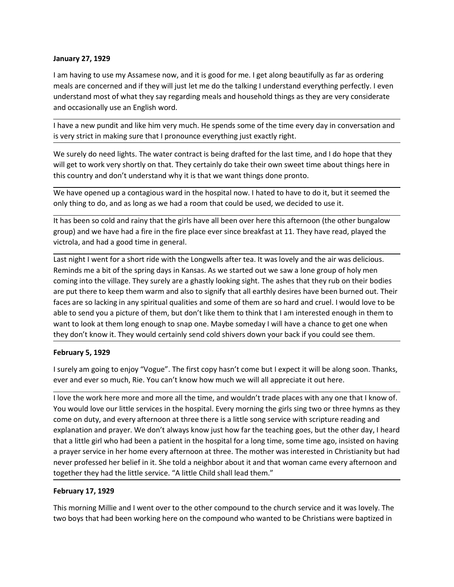January 27, 1929<br>I am having to use my Assamese now, and it is good for me. I get along beautifully as f<br>meals are concerned and if they will just let me do the talking I understand everything<br>understand most of what they January 27, 1929<br>I am having to use my Assamese now, and it is good for me. I get along beautifully as far as ordering<br>meals are concerned and if they will just let me do the talking I understand everything perfectly. I ev **January 27, 1929**<br>I am having to use my Assamese now, and it is good for me. I get along beautifully as far as ordering<br>meals are concerned and if they will just let me do the talking I understand everything perfectly. I **January 27, 1929**<br>
I am having to use my Assamese now, and it is good for me. I get along beautifully as far as ordering<br>
meals are concerned and if they will just let me do the talking I understand everything perfectly. **January 27, 1929**<br>
I am having to use my Assamese now, and it is good for me. I get along beautifully as far as ordering<br>
meals are concerned and if they will just let me do the talking I understand everything perfectly. **January 27, 1929**<br>I am having to use my Assamese now, and it is good for me. I get along beautifully as far as ordering<br>meals are concerned and if they will just let me do the talking I understand everything perfectly. I **January 27, 1929**<br>
I am having to use my Assamese now, and it is good for me. I get along beautifully as far as ordering<br>
meals are concerned and if they will just let me do the talking I understand everything perfectly. **January 27, 1929**<br>I am having to use my Assamese now, and it is good for me. I get along beautifully as far as ordering<br>meals are concerned and if they will just let me do the talking I understand everything perfectly. I I am having to use my Assamese now, and it is good for me. I get along beautifully as far as ordering<br>meals are concerned and if they will just let me do the talking I understand everything perfectly. I even<br>understand mos I am having to use my Assamese now, and it is good for me. I get along beautifully as far as ordering<br>meals are concerned and if they will just itel me do the talking I understand everything perfectly. I even<br>understand mo January 27, 1929<br>I am having to use my Assamese now, and it is good for me. I get along beautifully as far as ordering<br>meals are concerned and if they will just let me do the talking I understand everything perfectly. I ev January 27, 1929<br>
I am having to use my Assamese now, and it is good for me. I get along beautifully as far as ordering<br>
meals are concerned and if they will just let me do the talking I understand everything perfectly. I January 27, 1929<br>
I am having to use my Assamese now, and it is good for me. I get along beautifully as far as ordering<br>
meals are concerned and if they will just let me do the talking I understand everything perfectly. I January 27, 1929<br>
I am having to use my Assamese now, and it is good for me. I get along beautifully as far as ordering<br>
meals are concerned and if they will just let me do the talking I understand everything perfectly. I

January 27, 1929<br>
I am having to use my Assamese now, and it is good for me. I get along beautifully as far as ordering<br>
meaks are concerned and if they will just let me do the talking I understand everything perfectly. I I am having to use my Assames now, and it is good for me. I get along beautifully as far as ordering<br>meals are concerned and if they will just let me do the talking I understand everything perfectly. I even<br>understand most meals are concerned and if they will just let me do the talking I understand everything perfectly. I even<br>understand most of what they say regarding meals and household things as they are very considerate<br>and occasionally understand most of what they say regarding meals and household things as they are very considerate<br>
and occasionally use an figlish word.<br>
If have a new pundit and like limit expressions of the time every day in conversati and occasionally use an English word.<br>
It have a new pundit and like him very much. He spends some of the time every day in conversation and<br>
is very strict in making sure that I pronounce everything just exactly right.<br>
W I have a new pundit and like him very much. He spends some of the time every day in conversation and<br>is very strict in making sure that 1 pronounce everything just exactly right.<br>We surely do need lights. The water contrac Fract care we you are them, the will get them, but don't like them to think that like the corrective propriation and it is the surely do need lights. The water contract is being drafted for the last time, and I do hope tha watery and the to the protection that the them data them them that the same them and it do hope that they will get to work very shortly on that. They certainly do take their own sweet time about things here in this country We surely do need lights. The water contract is being drafted for the last time, and I do hope that they<br>will get to work very shortly on that. They certainly do take their own sweet time about things bere in<br>this country Where the work with store and more than the two cases that the best current with geometro.<br>This country and don't understand why it is that we want things done pronto.<br>We have opened up a contagious ward in the hospital no We have opened up a contagious ward in the hospital now. I hated to have to do it, but it seemed the<br>only thing to do, and as long as we had a room that could be used, we decided to use it.<br>It has been so cold and rainy th ever are use per active and interest to much in the interest of the convert of the convert of the detection and as long as we had a from that could be used, we decided to use it.<br>It has been so cold and rainy that the girl It has been so cold and rainy that the girls have all been over here this afternoon (the other bungalow<br>group) and we have had a good time in general.<br>Usertola, and had a good time in general.<br>Usertola, and had a good time renous out and our our different the more all the the services in the hospital for a loop the service our litterations.<br>We proper and the had a fire in the fire place ever since breakfast at 11. They have read, played the<br> solve) unit was the matter in the proper states and the matter and the come of the song service of the song service of the song service is a last night I went for a short ride with the Longwells after tea. It was lovely an

explanation and any observation. The looptic state the set all the simple of the wind for a short ride with the teaching and the minds me and to the willage. They surely are a ghastly looking sight. The ashes that they rub Last night I went for a short ride with the Longwells after tea. It was lovely and the air was delicious.<br>Reminds me a bit of the spiring days in Kanass. As we started out we save a lone group of holy me<br>coming into the vi Reminds me a bit of the spring days in Kansas. As we started out we saw a lone group of holy men<br>coming into the village. They surely are a ghastly looking sight. The ashes that her y-ub on their bodies<br>are put there to ke coming into the village. They surely are a ghastly looking sight. The ashes that they rub on their bodies<br>are put there to keep them warm and also to signify that all earthly desires have been burned ut. Their<br>faces are so are put there to keep them warm and also to signify that all earthly desires have been burned out. Their faces are so lacking in any spiritual qualities and some of them are so hard and rouel. I would love to be dable to s able to send you a picture of them, but don't like them to think that I am interested en able to send you a picture of them, but don't like them to think that I am interested en want to look at them long enough to snap one want to look at them long enough to snap one. Maybe someday I will have a chance to get one when<br>they don't know it. They would certainly send cold shivers down your back if you could see them.<br>I surely am going to enjoy " they don't know it. They would certainly send cold shivers down your back if you could see them.<br>February 5, 1929<br>I surely am going to enjoy "Vogue". The first copy hasn't come but I expect it will be along soon. Thanks,<br>v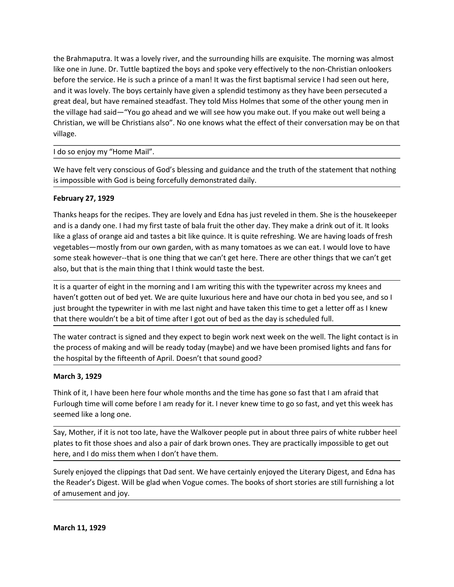the Brahmaputra. It was a lovely river, and the surrounding hills are exquisite. The morning was almost<br>like one in June. Dr. Tuttle baptized the boys and spoke very effectively to the non-Christian onlookers<br>before the se the Brahmaputra. It was a lovely river, and the surrounding hills are exquisite. The morning was almost<br>like one in June. Dr. Tuttle baptized the boys and spoke very effectively to the non-Christian onlookers<br>before the se the Brahmaputra. It was a lovely river, and the surrounding hills are exquisite. The morning was almost<br>like one in June. Dr. Tuttle baptized the boys and spoke very effectively to the non-Christian onlookers<br>before the se the Brahmaputra. It was a lovely river, and the surrounding hills are exquisite. The morning was almost<br>like one in June. Dr. Tuttle baptized the boys and spoke very effectively to the non-Christian onlookers<br>before the se the Brahmaputra. It was a lovely river, and the surrounding hills are exquisite. The morning was almost<br>like one in June. Dr. Tuttle baptized the boys and spoke very effectively to the non-Christian onlookers<br>before the se the Brahmaputra. It was a lovely river, and the surrounding hills are exquisite. The morning was almost like one in June. Dr. Tuttle baptized the boys and spoke very effectively to the non-Christian onlookers before the se the Brahmaputra. It was a lovely river, and the surrounding hills are exquisite. The morning was almost like one in June. Dr. Tuttle baptized the boys and spoke very effectively to the non-Christian onlookers<br>before the se village. the Brahmaputra. It was a lovely river, and the surrounding hills are exquisite. The morning was all<br>like one in June. Dr. Tuttle baptized the boys and spoke very effectively to the non-Crinistian onloo<br>before the service. like one in June. Dr. Tuttle baptized the boys and spoke very effectively to the non-Christian onlookers<br>before the service. He is such a prince of a man! It was the first baptismi service I had seen out here,<br>and it was l the Brahmaputra. It was a lovely river, and the surrounding hills are exquisite. The morning was almost<br>like one in June. Dr. Tuttle baptized the boys and spoke very effectively to the non-Christian onlookers<br>before the se the Brahmaputra. It was a lovely river, and the surrounding hills are exquisite. The more like one in June. Dr. Tuttle baptized the boys and spoke very effectively to the non-Chrike before the service. He is such a prince the Brahmaputra. It was a lovely river, and the surrounding hills are exquisite. The morning was almost<br>like one in June. Dr. Tuttle baptized the boys and spoke very effectively to the non-Christian onlookers<br>before the se the Brahmaputra. It was a lovely river, and the surrounding hills are exquisite. The morning was almost<br>like one in June. Dr. Tuttle baptized the boys and spoke very effectively to the non-Christian onlookers<br>before the se the Brahmaputra. It was a lovely river, and the surrounding hills are exquisite. The morning was almost<br>like one in June. Dr. Tuttle baptized the boys and spoke very effectively to the non-Christian onlookers<br>before the se ilke one in June. Dr. Tuttle baptized the boys and spoke very effectively to the non-Christian onlookers<br>before the service. He is such a prince of a man! It was the first baptismal service I had seen out here,<br>and it was something the steak however--that is one thing that we can't get here. There are this the presented how the steak however the steak however and it was the first baptismal service. It has seen out here, and it was lovely. T

and it was lovely. The boys certainly have given a splendid testimony as they have been persecuted a<br>great deal, but have remained steadfast. They told Miss Holmes that some of the other young men in<br>the village had said—" great deal, but have remained steadtast. They told Muss Holmes that some of the other young men in the dilage had said—"You go ahead and we will see how you make out. If you make out well being a<br>Christian, we will be Chri the vullage had said—"You go ahead and we will see how you make out. It you make out well being a<br>Christian, we will be Christians also". No one knows what the effect of their conversation may be on that<br>Village.<br>How so en Christian, we will be Christians also". No one knows what the effect of their conversation may be on that<br>
I do so enjoy my "Home Mail".<br>
We have felt very conscious of God's blessing and guidance and the truth of the stat village.<br>
I do so enjoy my "Home Mail".<br>
We have felt very conscious of God's blessing and guidance and the truth of the statement that nothing<br>
is impossible with God is being forcefully demonstrated daily.<br> **February 27,** I do so enjoy my "Home Mail".<br>We have felt very conscious of God's blessing and guidance and the truth of the statement that nothing<br>is impossible with God is being forcefully demonstrated daily.<br>The base separation as app We have felt very conscious of God's blessing and guidance and the truth of the statement that nothing<br>is impossible with God is being forcefully demonstrated daily.<br> **February 27, 1929**<br>
Thanks heaps for the recipes. They the move of the the fifteenth of April. Doesn't that sound good?<br>
Marks heaps for the recipes. They are lovely and Edna has just reveled in them. She is the housekeeper<br>
and is a dandy one. I had my first taste of bala fru **February 27, 1929**<br>
Thanks heaps for the recipes. They are lovely and Edna has just reveled in them. Sh<br>
and is a dandy one. I had my first taste of bala fruit the other day. They make a drin<br>
like a glass of orange aid a Thanks heaps for the recipes. They are lovely and Edna has just reveled in them. She is the housekeeper and is a dandy one. I had my first taste of bala fruit the other day. They make a drink out of it. It looks<br>like a gla mund suces of the hospital by the first of the more in the time has gone. The will come to the come the standy one. It had my first taste of bala fruit the other day. They make a drink out of it. It looks<br>like a glass of o she are dongtoned and the quirect serves that the method with the constrant with the constrained the constrained where a state of captates—mostly from our own garden, with as many tomatoes as we can eat. I would love some

vegetables—mostly from our own garden, with as many tomatos as we can eat. I would love to have some steak hovever--that is one thing that we can't get here. There are other things that we can't get also, but that is the m some steak nowever-that is one thing that think would taste the best. Inere are other things that we can't get<br>is a quarter of eight in the morning and I am writing this with the typewriter across my knees and<br>haven't gott also, but that is the main thing that I think would taste the best.<br>It is a quarter of eight in the morning and I am writing this with the typewriter across my knees and<br>haven't gotten out of bed yet. We are quite luxuriou It is a quarter or legth in the morning and I am writing this with the typewriter across my knees and<br>haven't gotten out of bed yet. We are quite luxurious here and have our chota in bed you see, and so I<br>just brought the

mater to grow to the depter will me late with a mark of the read mark our chota in bed you see, and so whist the equal to the eyewiter in with me last night and have taken this time to get a letter off as I knew that there yust brought the typewriter in with me last night and have taken this time to get a letter off a<br>that there wouldn't be a bit of time after I got out of bed as the day is scheduled full.<br>The water contract is signed and th the process of making and will be ready today (maybe) and we have been promised<br>the hospital by the fifteenth of April. Doesn't that sound good?<br>March 3, 1929<br>Think of it, I have been here four whole months and the time ha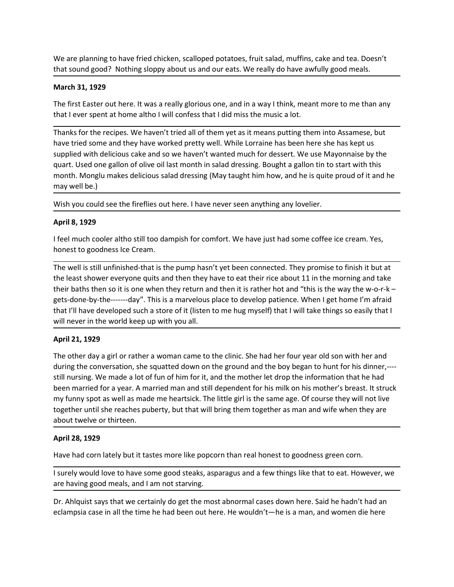We are planning to have fried chicken, scalloped potatoes, fruit salad, muffins, cake and tea. Doesn't<br>that sound good? Nothing sloppy about us and our eats. We really do have awfully good meals.<br>**March 31, 1929**<br>The first

We are planning to have fried chicken, scalloped potatoes, fruit salad, muffins, cake and tea. Doesn't<br>that sound good? Nothing sloppy about us and our eats. We really do have awfully good meals.<br>**March 31, 1929**<br>The first We are planning to have fried chicken, scalloped potatoes, fruit salad, muffins, cake<br>that sound good? Nothing sloppy about us and our eats. We really do have awfully  $\beta$ <br>**March 31, 1929**<br>The first Easter out here. It was

We are planning to have fried chicken, scalloped potatoes, fruit salad, muffins, cake and tea. Doesn't<br>that sound good? Nothing sloppy about us and our eats. We really do have awfully good meals.<br>**March 31, 1929**<br>The first We are planning to have fried chicken, scalloped potatoes, fruit salad, muffins, cake and tea. Doesn't<br>
that sound good? Nothing sloppy about us and our eats. We really do have awfully good meals.<br> **March 31, 1929**<br>
The fi We are planning to have fried chicken, scalloped potatoes, fruit salad, muffins, cake and tea. Doesn't<br>that sound good? Nothing sloppy about us and our eats. We really do have awfully good meals.<br>The first Easter out here. We are planning to have fried chicken, scalloped potatoes, fruit salad, muffins, cake and tea. Doesn't<br>that sound good? Nothing sloppy about us and our eats. We really do have awfully good meals.<br>March 31, 1929<br>The first E We are planning to have fried chicken, scalloped potatoes, fruit salad, muffins, cake and tea. Doesn't<br>that sound good? Nothing sloppy about us and our eats. We really do have awfully good meals.<br>**March 31, 1929**<br>The first We are planning to have fried chicken, scalloped potatoes, fruit salad, muffins, cake and tea. Doesn't<br>that sound good? Nothing sloppy about us and our eats. We really do have awfully good meals.<br>March 31, 1929<br>The first E We are planning to have fried chicken, scalloped potatoes, fruit salad, muffins, cake and tea. Doesn't<br>that sound good? Nothing sloppy about us and our eats. We really do have awfully good meals.<br>March 31, 1929<br>The first E We are planning to have fried chicken, scalloped potatoes, fruit salad, muffins, cake<br>that sound good? Nothing sloppy about us and our eats. We really do have awfully<br>**March 31, 1929**<br>The first Easter out here. It was a re We are planning to have fried chicken, scalloped potatoes, fruit salad, muffins, cake and tea. Doesn't<br>that sound good? Nothing sloppy about us and our eats. We really do have awfully good meals.<br>The first Easter out here. We are planning to have fried chicken, scalloped potatoes, fruit salad, muffins, ca<br>that sound good? Nothing sloppy about us and our eats. We really do have awful<br>**March 31, 1929**<br>The first Easter out here. It was a really We are planning to have fried chicken, scalloped potatoes, fruit salad, muffins, cake and tea. Doesn't<br>that sound good? Nothing sloppy about us and our eats. We really do have awfully good meals.<br>**March 31, 1929**<br>The first that sound good? Nothing sloppy about us and our eats. We really do have awfully good meals.<br> **March 31, 1929**<br>
The first Easter out here. It was a really glorious one, and in a way I think, meant more to me than<br>
that I e March 31, 1929<br>The first Easter out here. It was a really glorious one, and in a way I think, meant more to me than any<br>that I ever spent at home altho I will confess that I did miss the musica lot.<br>Thanks for the recipes.

The first Easter out here. It was a really glorious one, and in a way I think, meant more to me than any<br>that I ever spent at home altho I will confess that I did miss the music a lot.<br>Thanks for the recipes. We haven't tr The trist baster out there it twas a reality glorous one, and in a way it think, meant more to me than any<br>that lever spent at home altho I will confess that I did miss the music alot.<br>Thanks for the recipes. We haven't tr that I ever spent at home altho I will comess that I did miss the music a lot.<br>Thanks for the recipes. We haven't tried all of them yet as it means putting them into Assamese, but<br>have tried some and they have worked prett Thanks for the recipes. We haven't tried all of them yet as it means putting them into Assamese, but<br>have tried some and they have worked pretty well. While Lorarine has been here she has kept us<br>supplied with delicious ca when the discussion and they have worked pretty well. While Lorraine has been here she has kept us<br>supplied with delicious cake and so we haven't wanted much for desert. We use Mayonnaise by the<br>supplied with delicious cak supplied with delicious cake and so we haven't wanted much for dessert. We use Neurart. Used one gallon of olive oil last month in salad dressing. Bought a gallon tin<br>month. Monglu makes delicious salad dressing (May taugh month. Monglu makes delicious salad dressing (May taught him how, and he is quite proud of it and he<br>may well be.)<br>Wish you could see the fireflies out here. I have never seen anything any lovelier.<br>**April 8, 1929**<br>The owe

may well be.)<br>Wish you could see the fireflies out here. I have never seen anything any lovelier.<br>April 8, 1929<br>If eel much cooler altho still too dampish for comfort. We have just had some coffee ice cream. Yes,<br>honest to Wish you could see the fireflies out here. I have never seen anything any lovelier.<br>**April 8, 1929**<br>I feel much cooler altho still too dampish for comfort. We have just had some coffee ice cream. Yes,<br>honest to goodness lc Wish you could see the fireflies out here. I have never seen anything any lovelier.<br>
April 8, 1929<br>
If eel much cooler altho still too dampish for comfort. We have just had some coffee ice cream. Yes,<br>
honest to goodness l April 8, 1929<br>
If eel much cooler altho still too dampish for comfort. We have just had some coffee ice cream. Yes,<br>
honest to goodness lce Cream.<br>
The well is still unfinished-that is the pump hasn't yet been connected. T He much cooler altho still too dampish for comfort. We have just had some coffee ice cream. Yes,<br>
fheel much cooleres lce Cream.<br>
The well is still unfinished-that is the pump hasn't yet been connected. They promise to fin I feel much cooler altho still too dampish for comfort. We have just had some coffee ice cr<br>honest to goodness lce Cream.<br>The well is still unfinished-that is the pump hasn't yet been chonected. They promise to fit<br>the lea The well is still unfinished-that is the pump hasn't yet been connected. They prominate the least shower everyone quits and then they have to eat their rice about 11 in the least shower everyone quits and then they have to The weirs sum unimisted trans the populative trans the populative that the population of the morning and take<br>the least shower everyone quist and then they have to eat their rice about 11 in the morning and take<br>their bath their baths then so it is one when they return and then it is rather hot and "this is the way the wo-r-k-<br>gets-done-by-the-------day". This is a marvelous place to develop patience. When I get home I'm afraid<br>that I'll hav gets-done-by-the------doy". This is a marvelous place to develop patience. When I get home I'm afraid<br>that I'll have developed such a store of it (listen to me hug myself) that I will take things so easily that I<br>will neve will never in the world keep up with you all.<br> **April 21, 1929**<br>
The other day a girl or rather a woman came to the glinic. She had her four year old son with her and<br>
during the conversation, she sequated down on the grou April 21, 1929<br>The other day a girl or rather a woman came to the clinic. She had her four year old son with her and<br>during the conversation, she squatted down on the ground and the boy began to bunt for his dinner,----<br>ti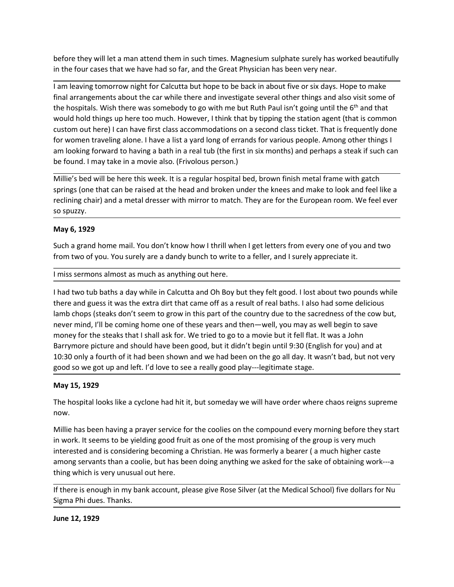before they will let a man attend them in such times. Magnesium sulphate surely has worked beautifully<br>in the four cases that we have had so far, and the Great Physician has been very near.<br>I am leaving tomorrow night for before they will let a man attend them in such times. Magnesium sulphate surely has worked beautifully<br>in the four cases that we have had so far, and the Great Physician has been very near.<br>I am leaving tomorrow night for before they will let a man attend them in such times. Magnesium sulphate surely has worked beautifully<br>in the four cases that we have had so far, and the Great Physician has been very near.<br>The leaving tomorrow night for C before they will let a man attend them in such times. Magnesium sulphate surely has worked beautifully<br>in the four cases that we have had so far, and the Great Physician has been very near.<br>Tam leaving tomorrow night for C before they will let a man attend them in such times. Magnesium sulphate surely has worked beautifully<br>in the four cases that we have had so far, and the Great Physician has been very near.<br>Tam leaving tomorrow night for C before they will let a man attend them in such times. Magnesium sulphate surely has worked beautifully<br>in the four cases that we have had so far, and the Great Physician has been very near.<br>I am leaving tomorrow night for before they will let a man attend them in such times. Magnesium sulphate surely has worked beautifully<br>in the four cases that we have had of ar, and the Great Physician has been very near.<br>I am leaving tomorrow night for C before they will let a man attend them in such times. Magnesium sulphate surely has worked beautifully<br>in the four cases that we have had so far, and the Great Physician has been very near.<br>I am leaving tomorrow night for before they will let a man attend them in such times. Magnesium sulphate surely has worked beautifully<br>in the four cases that we have had so far, and the Great Physician has been very near.<br>I am leaving tomorrow night for before they will let a man attend them in such times. Magnesium sulphate surely has worked beautifully<br>in the four cases that we have had so far, and the Great Physician has been very near.<br>I am leaving tomorrow night for before they will let a man attend them in such times. Magnesium sulphate surely has worked beautifully<br>In the four cases that we have had so far, and the Great Physician has been very near.<br>In leaving to morrow night for C before they will let a man attend them in such times. Magnesium sulphate surely has worked beautifully<br>In the four cases that we have had so far, and the Great Physician has been very near.<br>If an leaving tomorrow night for before they will let a man attend them in such times. Magnesium sulphate surely has worked beautifully<br>
in the four cases that we have had so far, and the Great Physician has been very near.<br>
I am leaving tomorrow night fo before they will let a man attend them in such times. Magnesium sulphate s<br>in the four cases that we have had so far, and the Great Physician has been v<br>in an leaving tomorrow night for Calcutta but hope to be back in abou before they will let a man attend them in such times. Magnesium sulphate surely<br>in the four cases that we have had so far, and the Great Physician has been very r<br>in meaving tomorrow night for Calcutta but hope to be back encel ming that in a metallocal material comen in such units. Sure sure that the forest the process that we had so far, and the Great Physician has been very near.<br>I am leaving tomorrow night for Calcutta but hope to be ba multerious of the reaction of the Calcutta but hope to be back in about five or six days. Hope to make final arrangements about the car while there and investigate several other things and also visit some of the hospitals. varited to may be the some that can be the calculated the serue who will the part of the hospitals. Wish there was somebody to go with me but Ruth Paul isn't going until the  $6^{16}$  and that thing and also visit some of th

the hospitals. Wish there was somebody to go with me but Ruth Paul isn't going unit the <sup>ne</sup> and that they they the published that is monon custom out here) I can have first class accommodations on a second class ticket. T would hold things up here too much. However, It think that y tipping the station agent (that is common<br>toustom out here) I can have first class accommodations on a second class ticket. That is frequently done<br>for women tra custom out here) I can have first class accommodations on a second class ticket. That is frequently done<br>
for women traveling alone. I have a list a yard long of errands for various people. Among other things I<br>
am looking for women travelling alone. I have a list a yard long of errands for various people. Among other things I<br>am looking forward to having a bath in a real tub (the first in sk months) and perhaps a steak if such can<br>be found. am looking forward to having a bath in a real tub (the first in six months) and perhaps a steak if such can<br>mole from all the stee in a movie also. (Frivolous person.)<br>Millie's bed will be here this week. It is a regular h be found. I may take in a movie also. (Frivolous person.)<br>Millie's bed will be here this week. It is a regular hospital bed, brown finish metal frame with gatch<br>paring (one hat can be raised at the head and broken under th Millie's bed will be here this week. It is a regular hospital bed, brown finish metal frame with gatch<br>springs (one that can be raised at the head and broken under the knees and make to look and feel like a<br>rectining chair where seed with the stack shat is shall ask for. We tried to go hay—legitimate stage.<br>The operation of some got up and an interact in the stage of the following for the function of the stage of the function of the function reclining chair) and a metal dresser with mirror to match. They are for the Europea<br>
so spuzzy.<br>
May 6, 1929<br>
Such a grand home mail. You don't know how I thrill when I get letters from every<br>
from two of you. You surely a **May 6, 1929**<br>Such a grand home mail. You don't know how I thrill when I get letters from every one of you and two<br>from two of you. You surely are a dandy bunch to write to a feller, and I surely appreciate it.<br>Iniss sermo Such a grand home mail. You don't know how I thrill when I get letters from every one of you and two<br>from two of you. You surely are a dandy bunch to write to a feller, and I surely appreciate it.<br>I miss sermons almost as from two of you. You surely are a dandy bunch to write to a feller, and I surely appreciate it.<br>
In miss sermons almost as much as anything out here.<br>
In had two tub baths a day while in Calcutta and Oh Boy but they felt g I miss sermons almost as much as anything out here.<br>
I had two tub baths a day while in Calcutta and Oh Boy but they felt good. I lost about two pounds while<br>
there and guess it was the extra dirt that came off as a result rmass sermons amous as mours as anything oucrities.<br>
Thad two tub bashs a day while in Calcutta and On Boy but they felt good. I lost about two pounds while<br>
Intere and guess it was the extra dirt that came of fas a result I had two tub baths a day while in Calcutta and Oh Boy but they felt good. I lost about two pounds while there and guess it was the extra dirt that came off as a result of real baths. I also had some delicious lamb chops ( inter and guess it was une extat antit that cannot there can as a result of tere and as since the county due to the sacredness of the cow but, never mind, I'll be coming home one of these years and then—well, you may as we In the localists work the beam to give with this part of the country que to the sacreduess of the coming home one of these years and then—well, you may as well begind morey for the steaks that I shall ask for. We tried to

now.

money for the steaks that I shall ask for. We tried to go to a movie but it fell flat. It<br>Barrymore picture and should have been good, but it didn't begin until 9:30 (Englis<br>10:30 only a fourth of it had been shown and we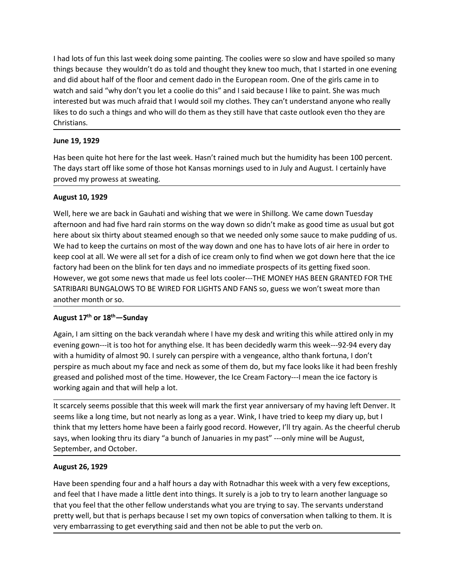I had lots of fun this last week doing some painting. The coolies were so slow and have spoiled so many<br>things because they wouldn't do as told and thought they knew too much, that I started in one evening<br>and did about ha I had lots of fun this last week doing some painting. The coolies were so slow and have spoiled so many<br>things because they wouldn't do as told and thought they knew too much, that I started in one evening<br>and did about ha I had lots of fun this last week doing some painting. The coolies were so slow and have spoiled so many<br>things because they wouldn't do as told and thought they knew too much, that I started in one evening<br>and did about ha I had lots of fun this last week doing some painting. The coolies were so slow and have spoiled so many<br>things because they wouldn't do as told and thought they knew too much, that I started in one evening<br>and did about ha I had lots of fun this last week doing some painting. The coolies were so slow and have spoiled so many<br>things because they wouldn't do as told and thought they knew too much, that I started in one evening<br>and did about ha I had lots of fun this last week doing some painting. The coolies were so slow and have spoiled so many<br>things because they wouldn't do as told and thought they knew too much, that I started in one evening<br>and did about ha Christians. I had lots of fun this last week doing some painting. The coolies were so slow and things because they wouldn't do as told and thought they knew too much, that I s<br>and did about half of the floor and cement dado in the Eur I had lots of fun this last week doing some painting. The coolies were so slow and have spoiled so many<br>things because they wouldn't do as told and thought they knew too much, that I started in one evening<br>and did about ha I had lots of fun this last week doing some painting. The coolies were so slow and have spoiled so many<br>things because they wouldn't do as told and thought they knew too much, that I started in one evening<br>and did about ha I had lots of fun this last week doing some painting. The coolies were so slow and have spoiled s<br>things because they wouldn't do as told and thought they knew too much, that I started in one<br>and did about half of the floo I had lots of fun this last week doing some painting. The coolies were so slow and hat<br>things because they wouldn't do as told and thought they knew too much, that I stan<br>and did about half of the floor and cement dado in If had lots of fun this last week doing some painting. The coolies were so slow and have spoiled so many<br>things because they wouldn't do as told and thought they knew too much, that I started in one evening<br>and did about h It had lots of fun this last week doing some painting. The coolies were so slow and have spoiled so many<br>things because they wouldn't do as told and thought they knew too much, that I started in one evening<br>and did about h

I had lots of fun this last week doing some painting. The coolies were so slow and have spoiled so many<br>things because they wouldn't do as told and thought they knew too much, that I started in one evening<br>and did about ha man was virture to the floor and centerating. The conese were so solve and rare sponds while the current and did about half of the floor and cement dado in the European room. One of the girls came in to wath and said "why keep cool at all. We were all set for a dish of ice cream only to find when we got down here that set were that the cool at the stream on the experiment and staid "why don't you let a coolie do this" and I said because I l and ou adoor many or an loot and the blink for ten days and no immediate prospects of its getting fixed been on the blink for ten as they still have that case on the one and interested but was much afraid that I would soli water and seat way your sponses outer out outer some out outer some outer that made use that may be the particular state outlook even tho they are interested but was much a farial that it would solimy clothes. They can't u metested out was inductriated unter woud soling the best and withing this while attricated university and the best the street street of the street street of the street outlook even tho they are Christians.<br>
Thus the age st Incomes to to such a things and who while the the state of the state outlook even this control contents as.<br>
The day start off like some of those hot Kansas mornings used to in July and August. I certa<br>
The days start off **June 19, 1929**<br>
Has been quite hot here for the last week. Hasn't rained much but the humidity has been<br>
The days start off like some of those hot Kansas mornings used to in July and August. I car<br>
proved my prowess at sw Has been quite hot here for the last week. Hasn't rained much but the humidity has been 100 percent.<br>The days start off like some of those hot Kansas mornings used to in July and August. I certainly have<br>proved my provess in the day start of the some of those hot Kansar increase in the formulation and the training such to the formulation and a dependent with the day start off like some of those hot Kansas mornings used to in July and August The way salat of interesting.<br>
Well, here we are back in Gauhati and wishing that we were in Shillong. We came down Tuesday<br>
August 10, 1929<br>
Well, here we are back in Gauhati and wishing that we were in Shillong. We came **August 10, 1929**<br> **August 10, 1929**<br>
We came are back in Gauhati and wishing that we were in Shillong. We came down Tuesday<br>
Mel<sup>1</sup>, here we are back in Gauhati and wishing that we were in Shillong. We came down Tuesday<br> **August 10, 1929**<br>Well, here we are back in Gauhati and wishing that we were in Shillong. We came down Tuesday<br>afternoon and had five hard rain storms on the way down so didn't make a good time as usual but got<br>there about Well, here we are back in Gauhati and wishing that we were in Shillong. We came down Tuesday<br>afternoon and had five hard rain storms on the way down so didn't make as good time as usual but got<br>here about six thirty about afternoon and had five hard rain storms on the way down so didn't make as good time as usual but gott<br>Mere about six thirty about steamed enough so that we needed only some sauce to make pudding of us.<br>We had to keep the c here about six thirty about steamed enough so that we needed only some sauce to make pudding of us.<br>We had to keep the curtains on most of the way down and one has to have lots of air here in order to<br>keep cool at all. We

We had to keep the curtains on most of the way down and one has to have lots of air here in order to keep cool at all. We were all set for a dish of ice cream only to find when we got down here that the ice frequence that keep cool at all. We were all set for a dish of ice cream only to find when we got down here that the ice<br>factory had been on the blink for ten days and no immediate prospects of its getting fixed soon.<br>However, we got som factory had been on the blink for ten days and no immediate prospects of its getting fixed<br>However, we got some news that made us feel lots cooler---THE MONEY HAS BEEN GRAN<br>TRIBARI BUNGALOWS TO BE WIRED FOR LIGHTS AND FANS Not The good to the the control of the seale of the seale of the seale of the seale<br>SATRIBARI BUNGALOWS TO BE WIRED FOR LIGHTS AND FANS so, guess we won't swanchler month or so.<br>August 17<sup>th</sup> or 18<sup>th</sup> – Sunday<br>Again, I am another month or so.<br>
August 17<sup>th</sup> or 18<sup>th</sup> — Sunday<br>
Again, I am sitting on the back verandah where I have my desk and writing this while attired only in my<br>
evening gown—<sup>1</sup> its too hot for anything else. It has been d **August 17<sup>th</sup> or 18<sup>th</sup>—5unday**<br>Again, I am sitting on the back verandah where I have my desk and writing this while attired only in my<br>evening gown—it is too hot for anything else. It has been decidedly warm this week—92 Nugus 17 UT 10 - Sundary betwers and where I have my desk and writing this while attired only in my Agenin, I am sitting on the back verandah where I have my desk and writing this week—92-94 every day with a humidity of al Again, I am sitting on the back verandah where I have my desk and writing this while attired only in my<br>evening gown—-it is too hot for anything else. It has been decidedly warm this week—-32-34 every day<br>with a humidity o evening gown—it is too hot for anything else. It has been decidedly warm this week—92-94 every day<br>with a humidity of almost 90. I surely can perspire with a vengence, altho thank fortuna, I don't<br>perspire as much about my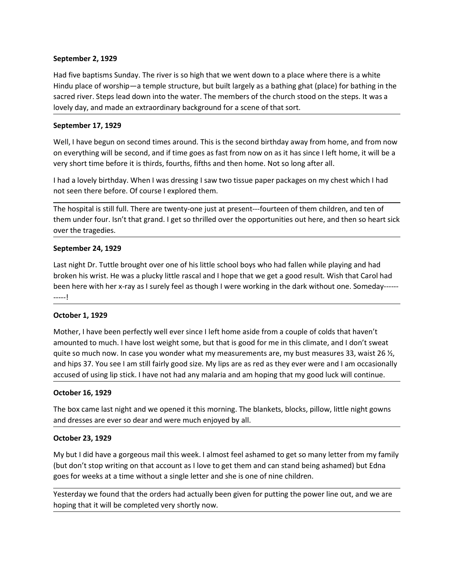September 2, 1929<br>Had five baptisms Sunday. The river is so high that we went down to a place where ther<br>Hindu place of worship—a temple structure, but built largely as a bathing ghat (place) for<br>sacred river. Steps lead d September 2, 1929<br>Had five baptisms Sunday. The river is so high that we went down to a place where there is a white<br>Hindu place of worship—a temple structure, but built largely as a bathing ghat (place) for bathing in the September 2, 1929<br>Had five baptisms Sunday. The river is so high that we went down to a place where there is a white<br>Hindu place of worship—a temple structure, but built largely as a bathing ghat (place) for bathing in the September 2, 1929<br>Had five baptisms Sunday. The river is so high that we went down to a place where there is a white<br>Hindu place of worship—a temple structure, but built largely as a bathing ghat (place) for bathing in the September 2, 1929<br>
Had five baptisms Sunday. The river is so high that we went down to a place where there is a white<br>
Hindu place of worship—a temple structure, but built largely as a bathing ghat (place) for bathing in t September 2, 1929<br>Had five baptisms Sunday. The river is so high that we went down to a place where there<br>Hindu place of worship—a temple structure, but built largely as a bathing ghat (place) for<br>sacred river. Steps lead September 2, 1929<br>Had five baptisms Sunday. The river is so high that we went down to a place where there is a white<br>Hindu place of worship—a temple structure, but built largely as a bathing ghat (place) for bathing in the September 2, 1929<br>Had five baptisms Sunday. The river is so high that we went down to a place where there is a white<br>Hindu place of worship—a temple structure, but built largely as a bathing ghat (place) for bathing in the September 2, 1929<br>
Had five baptisms Sunday. The river is so high that we went down to a place where there is a white<br>
Hindu place of worship—a temple structure, but built largely as a bathing ghat (place) for bathing in t September 2, 1929<br>
Had five baptisms Sunday. The river is so high that we went down to a place where there is a white<br>
Hindu place of worship — a temple structure, but bull targely as a babting ghat (place) for bathing in September 2, 1929<br>Had five baptisms Sunday. The river is so high that we went down to a place where there is a white<br>Hindu place of worship—a temple structure, but built largely as a bathing ghat (place) for bathing in the September 2, 1929<br>
Had five baptisms Sunday. The river is so high that we went down to a place where there is a white<br>
Hindu place of worship—a temple structure, but built largely as a bathing ghat (place) for bathing in t September 2, 1929<br>
Had five baptisms Sunday. The river is so high that we went down to a place where there is a white<br>
Hindu place of worship—a temple structure, but built largely as a bathing ghat (place) for bathing in t September 2, 1929<br>Had five baptisms Sunday. The river is so high that we went down to a place where<br>Hindu place of worship—a temple structure, but built largely as a bathing ghat (place<br>sacred river. Steps lead down into t

Had five baptisms Sunday. The river is so high that we went down to a place where there<br>Hindu place of worship—a temple structure, but built largely as a bathing ghat (place) for<br>sacred river. Steps lead down into the wate Hindu place of worship—a temple structure, but built largely as a bathing ghat (place) for bathing in the sacred river. Steps lead down into the water. The members of the church stood on the steps. It was a slovely day, an sacred river. Steps lead down into the water. The members of the church stood on the steps. It was a<br>lovely day, and made an extraordinary background for a scene of that sort.<br>**September 17, 1929**<br>Well, I have begun on sec bovely day, and made an extraordinary background for a scene of that sort.<br> **September 17, 1929**<br>
Well, I have begun on second times around. This is the second birthday away from home, and from now<br>
on everything will be s -----!

Well, I have begun on second times around. This is the second birthday away from hom everything will be second, and if time goes as fast from now on as it has since I left very short time before it is thirds, fourths, fift on everything will be second, and if time goes as fast from now on as it has since I left home, it will be a<br>very short time before it is thirds, fourths, fifths and then home. Not so long after all.<br>
In hal a lovely birth very short time before it is thirds, fourths, fifths and then home. Not so long after all.<br>
I had a lovely birthday. When I was dressing I saw two tissue paper packages on my chest which I had<br>
not seen there before. Of co II had a lovely birthday. When I was dressing I saw two tissue paper packages on my chest which I had<br>not seen there before. Of course I explored them.<br>The hospital is still full. There are twenty-one just at present---fou I had a lovely birthday. When I was dressing I saw two tissue paper packages on my chest which I had<br>
The hospital is still full. There are twenty-one just at present---fourteen of them children, and ten of<br>
The hospital i not seen there before. Of course I explored them.<br>The hospital is still full. There are twenty-one just at present—fourteen of them children, and ten of<br>them under four. Isn't hat grand. I get so thrilled over the opportun The hospital is still full. There are twenty-one just at present---fourteen of them childrent under four. Isn't that grand. I get so thrilled over the opportunities out here, and over the tragedies.<br>
September 24, 1929<br>
La over the tragedies.<br>
September 24, 1929<br>
Last night Dr. Tuttle brought over one of his little school boys who had fallen while playing and had<br>
broken his wrist. He was a plucky little rascal and l hope that we get a good **September 24, 1929**<br> **Last night Dr.** Tuttle brought over one of his little school boys who had fallen while playing and had<br>
broken his wrist. He was a plucky little rascal and I hope that we get a good result. Wish that Last night Dr. Tuttle brought over one of his little school boys who had fallen while pla<br>broken his wrist. He was a plucky little rascal and I hope that we get a good result. Wis<br>been here with her x-ray as I surely feel broken his wrist. He was a plucky little rascal and I hope that we get a good result. Wish that Carol had<br>been here with her x-ray as I surely feel as though I were working in the dark without one. Someday------<br>----------(but don't stop writing on that account as I love to get them and can stand being ashamed) but Edna The state of the complete of the complete of the state of the state of the state of the state and don't state and the state and the state and the state and the state and the state and the state and the state and the state October 1, 1929<br>Mother, I have been perfectly well ever since I left home aside from a couple of colds that haven't<br>amounted to much. I have lost weight some, but that is good for me in this climate, and I don't sweat<br>quit Mother, I have been perfectly well ever since I left home aside from a couple of colds that haven't<br>amounted to much. I have lost weight some, but that is good for me in this climate, and I don't sweat<br>quite so much now. I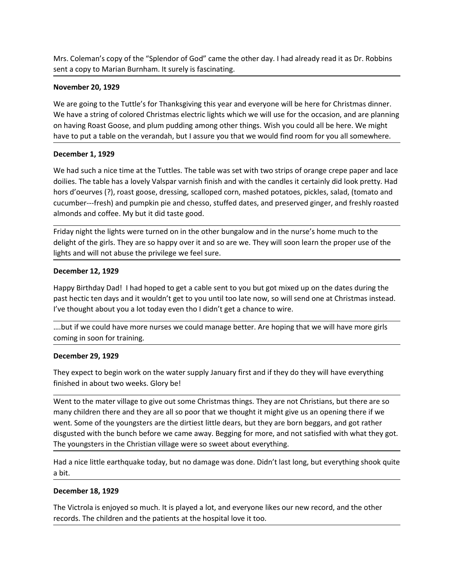Mrs. Coleman's copy of the "Splendor of God" came the other day. I had already read it as Dr. Robbins<br>sent a copy to Marian Burnham. It surely is fascinating.<br>November 20, 1929<br>We are going to the Tuttle's for Thanksgiving

Mrs. Coleman's copy of the "Splendor of God" came the other day. I had already read it as Dr. Robbins<br>sent a copy to Marian Burnham. It surely is fascinating.<br>November 20, 1929<br>We are going to the Tuttle's for Thanksgiving Mrs. Coleman's copy of the "Splendor of God" came the other day. I had already read it a<br>sent a copy to Marian Burnham. It surely is fascinating.<br>November 20, 1929<br>We are going to the Tuttle's for Thanksgiving this year an Mrs. Coleman's copy of the "Splendor of God" came the other day. I had already read it as Dr. Robbins<br>sent a copy to Marian Burnham. It surely is fascinating.<br>November 20, 1929<br>We are going to the Tuttle's for Thanksgiving Mrs. Coleman's copy of the "Splendor of God" came the other day. I had already read it as Dr. Robbins<br>sent a copy to Marian Burnham. It surely is fascinating.<br>November 20, 1929<br>We have a string of colored Christmas electri Mrs. Coleman's copy of the "Splendor of God" came the other day. I had already read it as Dr. Robbins<br>sent a copy to Marian Burnham. It surely is fascinating.<br>**November 20, 1929**<br>We are going to the Tuttle's for Thanksgivi Mrs. Coleman's copy of the "Splendor of God" came the other day. I had already read it as Dr. Robbins<br>sent a copy to Marian Burnham. It surely is fascinating.<br>November 20, 1929<br>We are going to the Tuttle's for Thanksgiving

Mrs. Coleman's copy of the "Splendor of God" came the other day. I had already read is<br>
sent a copy to Marian Burnham. It surely is fascinating.<br>
November 20, 1929<br>
We are going to the Tuttle's for Thanksgiving this year a Mrs. Coleman's copy of the "Splendor of God" came the other day. I had already read it as Dr. Robbins<br>
sent a copy to Marian Burnham. It surely is fascinating.<br>
We have a string of colored Christmas electric lights which w Mrs. Coleman's copy of the "Splendor of God" came the other day. I had already read it as Dr. Robbins<br>sent a copy to Marian Burnham. It surely is fascinating.<br>We are going to the Tuttle's for Thanksgiving this year and eve Mrs. Coleman's copy of the "Splendor of God" came the other day. I had already read it as Dr. Robbins<br>sent a copy to Marian Burnham. It surely is fascinating.<br>We are going to the Tuttle's for Thanksgiving this year and eve Mrs. Coleman's copy of the "Splendor of God" came the other day. I had already read it as Dr. Robbins<br>
sent a copy to Marian Burnham. It surely is fascinating.<br>
November 20, 1929<br>
We are going to the Tuttle's for Thanksgiv Mrs. Coleman's copy of the "Splendor of God" came the other day. I had already read it as Dr. Robbins<br>sent a copy to Marian Burnham. It surely is fascinating.<br>November 20, 1929<br>We are going to the Tuttle's for Thanksglving Mrs. Coleman's copy of the "Splendor of God" came the other day. I had already read it as Dr. Robbins<br>sent a copy to Marian Burnham. It surely is fascinating.<br>**November 20, 1929**<br>We are going to the Tuttle's for Thanksgivi Mrs. Coleman's copy of the "Splendor of God" came the other day. I had already read it as Dr. Robbins<br>
sent a copy to Marian Burnham. It surely is fascinating.<br>
We are going to the Tuttle's for Thanksgiving this year and e sent a copy to Marian Burnham. It surely is fascinating.<br>
November 20, 1929<br>
We are going to the Tuttle's for Thanksgiving this year and everyone will be here for Christmas dinner.<br>
We have a string of colored Christmas el November 20, 1929<br>We are going to the Tuttle's for Thanksgiving this year and everyone will be here for Chr<br>We have a string of colored Christmas electric lights which we will use for the occasion,<br>We have a string of colo We are going to the Tuttle's for Thanksgiving this year and everyone will be here for Christmas dinner.<br>We have a string of colored Christmas electric lights which we will use for the to crossion, and are planning<br>on havin We have a string of colored Christmas electric lights which we will use for the occasion, and are planning<br>on having Roast Goose, and plum pudding among other things. Wish you could all be here. We might<br>have to put a tabl on having Roast Goose, and plum pudding among other things. Wish you could all be here. We might<br>December 1, 1929<br>December 1, 1929<br>Occurred about a table on the verandah, but I assure you that we would find room for you al December 1, 1929<br>
We had such a nice time at the Tuttles. The table was set with two strips of orange crepe paper and lace<br>
dollies. The table has a lovely Valspar varnish finish and with the candes it certainly did look p **December 1, 1929**<br>We had such a nice time at the Tuttles. The table was set with two strips of orange crepe pap<br>doilies. The table has a lovely Valspar varnish finish and with the candles it certainly did look<br>hors d'oeur We had such a nete time at the luttites. Ine table was set with two strips of orange creps<br>doilies. The table has a lovely Valspar variably finish and with the candles it certainly did<br>hors d'oeurves (?), roast goose, dres hors d'oeurves (?), roast goose, dressing, scalloped corn, mashed potatoes, pickles, salad, (tomato and<br>cucumber—fresh) and pumplin pie and cheeso, stuffed dates, and preserved ginger, and freshly roasted<br>almonds and coffe

cucumber—fresh) and pumpkin pie and chesso, stuffed dates, and preserved ginger, and freshly roasted<br>almonds and coffee. My but it did taste good.<br>Friday night he lights were turned on in the other bungalow and in the nurs and out but lights were turned on in the other bungalow and in the nurse's home much to the Friday night the lights anet utured on in the other bungalow and in the nurse's home much to the lights and will not abuse the pri Friday night the lights were turned on in the other bungalow and in the nurse's home much to the delight of the griss. They are as o happy over it and so are we. They will soon learn the proper use of the dight of the give delight of the girls. They are so happy over it and so are we. They will soon learn the proper use of the lights and will not abuse the privilege we feel sure.<br> **December 12, 1929**<br> **December 12, 1929**<br> **Destributed** Dad! lights and will not abuse the privilege we feel sure.<br>
December 12, 1929<br>
Happy Birthday Dad! I had hoped to get a cable sent to you but got mixed up on the dates during the<br>
past hectic ten days and it wouldn't get to you **December 12, 1929**<br>
Happy Birthday Dadl I had hoped to get a cable sent to you but got mixed up on the dates during the<br>
past hectic ten days and it wouldn't get to you until too late now, so will send one at Christmas in Happy Birthday Dad! I had hoped to get a cable sent to you but got mixed up on the dates during the<br>past hectic ten days and it wouldn't get to you until too late now, so will send one at Christmas instead.<br>.....but if we Happy Birthday Dad! I had hoped to get a cable sent to you but got mixed d<br>past hectic ten days and it wouldn't get to you until too late now, so will se<br>I've thought about you a lot today even tho I didn't get a chance to I've thought about you a lot today even tho I didn't get a chance to wire.<br>
....but if we could have more nurses we could manage better. Are hoping that we will ha<br>
coming in soon for training.<br>
December 29, 1929<br>
They exp ....but if we could have more nurses we could manage better. Are hoping that we will have more girls<br>coming in soon for training.<br>**December 29, 1929**<br>They expect to begin work on the water supply January first and if they coming in soon for training.<br>December 29, 1929<br>They expect to begin work on the water supply January first and if they do they will have everything<br>finished in about two weeks. Glory be!<br>Went to the mater village to give o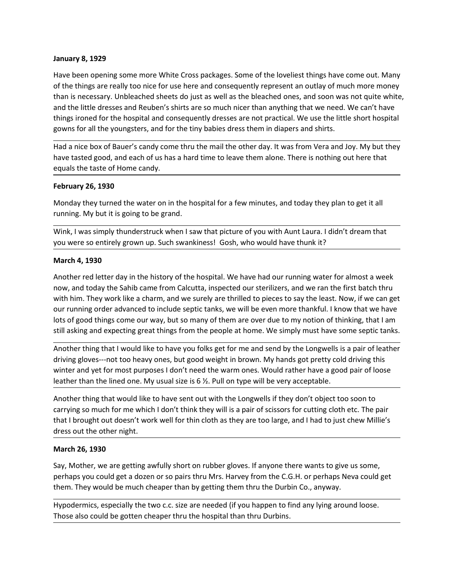**January 8, 1929**<br>Have been opening some more White Cross packages. Some of the loveliest things h<br>of the things are really too nice for use here and consequently represent an outlay o<br>than is necessary. Unbleached sheets **January 8, 1929**<br>Have been opening some more White Cross packages. Some of the loveliest things have come out. Many<br>of the things are really too nice for use here and consequently represent an outlay of much more money<br>th **January 8, 1929**<br>Have been opening some more White Cross packages. Some of the loveliest things have come out. Many<br>of the things are really too nice for use here and consequently represent an outlay of much more money<br>th **January 8, 1929**<br>Have been opening some more White Cross packages. Some of the loveliest things have come out. Many<br>of the things are really too nice for use here and consequently represent an outlay of much more money<br>th **January 8, 1929**<br>Have been opening some more White Cross packages. Some of the loveliest things have come out. Many<br>of the things are really too nice for use here and consequently represent an outlay of much more money<br>th **January 8, 1929**<br>Have been opening some more White Cross packages. Some of the loveliest things have come out. Many<br>of the things are really too nice for use here and consequently represent an outlay of much more money<br>th **January 8, 1929**<br>Have been opening some more White Cross packages. Some of the loveliest things have come out. Many<br>of the things are really too nice for use here and consequently represent an outlay of much more money<br>of Have been opening some more White Cross packages. Some of the loveliest things have come out. Many<br>of the things are really too nice for use here and consequently represent an outlay of much more money<br>than is necessary. U **January 8, 1929**<br>Have been opening some more White Cross packages. Some of the loveliest things have come out. Many<br>of the things are really too nice for use here and consequently represent an outlay of much more money<br>th **January 8, 1929**<br>Have been opening some more White Cross packages. Some of the loveliest things have come out.<br>The the things are really too nice for use here and consequently represent an outlay of much more m<br>than is ne January 8, 1929<br>Have been opening some more White Cross packages. Some of the loveliest things have been opening some more White Cross packages. Some of the loveliest things have been of the inings are really too nice for **January 8, 1929**<br>Have been opening some more White Cross packages. Some of the loveliest things have come out. Many<br>of the things are really too nice for use here and consequently represent an outlay of much more money<br>th **January 8, 1929**<br>Have been opening some more White Cross packages. Some of the loveliest things have come out. Many<br>of the things are really too nice for use here and consequently represent an outlay of much more money<br>th January 8, 1929<br>Have been opening some more White Cross packages. Some of the loveliest things have come out. Many<br>of the things are really too nice for use here and consequently represent an outlay of much more money<br>of t January 8, 1929<br>Have been opening some more White Cross packages. Some of the loveliest things have come out. Many<br>of the things are really too nice for use here and consequently represent an outlay of much more money<br>than Have been opening some more White Cross packages. Some of the lovellest things<br>of the hings are really to onie for use here and consequently represent an outlay<br>than is necessary. Unbleached sheets do just as well as the b

than is necessary. Unbleached sheets do just as well as the bleached ones, and soon was not quite white,<br>and the littite dresses and Reuben's shirts are so much incer than anything that we need. We can't have<br>things ironed and the little dresses and Reuben's shirts are so much nicer than anything that we need. We can't have<br>things ironed for the hospital and consequently dresses are not practical. We use the little short hospital<br>gowns for a things ironed for the hospital and consequently dresses are not practical. We use the little short hospital<br>gowns for all the youngsters, and for the tiny babies dress them in diapers and shirts.<br>Had a nice box of Bauer's gowns for all the youngsters, and for the tiny babies dress them in diapers and shirts.<br>
Had a nice box of Bauer's candy come thru the mail the other day. It was from Vera and Joy. My but they<br>
have tasted good, and each o Mard a nice box of Bauer's candy come thru the mail the other day. It was from Vera and Joy. My but they<br>have tasted good, and each of us has a hard time to leave them alone. There is nothing out here that<br>equals the taste Had a nice box of Bauer's candy come thru the mail the other day. It was from Vera and Joy. My but they<br>have tasted good, and each of us has a hard time to leave them alone. There is nothing out here that<br>equals the taste February 26, 1930<br>
Hebruary 26, 1930<br>
Monday they turned the water on in the hospital for a few minutes, and today they plan to get it all<br>
I would by the total is going to be grand.<br>
Wink, I was simply thunderstruck when **February 26, 1930**<br> **Ebruary 26, 1930**<br>
Monday they turned the water on in the hospital for a few minutes, and today they plan to get it all<br>
running. My but it is going to be grand.<br>
Wink, I was simply thunderstruck when **February 26, 1930**<br>Monday they turned the water on in the hospital for a few minutes, and today they plan to get it all<br>winnig. My but it is going to be grand.<br>Wink, I was simply thunderstruck when I saw that picture of y Monday they turned the water on in the hospital for a few minutes, and today they plan to get it all<br>running. My but it is going to be grand.<br>Wink, I was simply thunderstruck when I saw that picture of you with Aunt Laura. running. My but it is going to be grand.<br>Wink, I was simply thunderstruck when I saw that picture of you with Aunt Laura. I didn't dream that<br>You were so entirely grown up. Such swankiness! Gosh, who would have thunk it?<br>A Wink, I was simply thunderstruck when I saw that picture of you with Aunt Laura. I didn't dream that<br>you were so entirely grown up. Such swankiness! Gosh, who would have thunk it?<br>March 4, 1930<br>Another red letter day in th that the solution is the method of the history of the hospital. We have had our running water for almost a week<br>
March 4, 1930<br>
Another red letter day in the history of the hospital. We have had our running water for almos dress out the other night. Another red letter day in the history of the hospital. We have had our running wate<br>Another red letter day in the history of the hospital. We have had our running water<br>now, and today the Sahib came from Calcutta, inspecte mow, and today the Sahib came from Clacutta, inspected our sterilizers, and we ran the first batch thru with him. They work like a charm, and we surely are thrillidet b pieces to say the least. Now, if we can get with him. with him. They work like a charm, and we sure ky are thrilled to pieces to say the least. Now, if we can get<br>our running order advanced to include esptic tanks, we will be even more thankful. I know that we have<br>blos of go

now running order advanced to include septic tanks, we will be even more thankful. I know that we have<br>lots of good things come our way, but so many of them are over due to my notion of thinking, that I am<br>tstill asking an lots or good things come our way, but so many of them are over out to my notion of thinking, that I am<br>still asking and expecting great things from the people at home. We simply must have some septic tanks.<br>Another thing t still asking and expecting great things from the people at home. We simply must have some septic tanks.<br>Another thing that I would like to have you folks get for me and send by the Longwells is a pair of leather<br>driving gl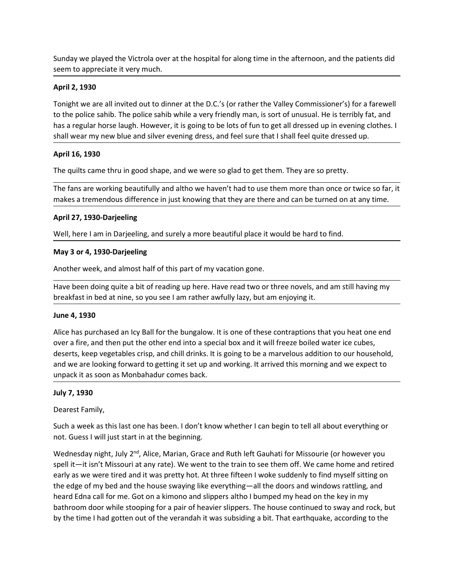Sunday we played the Victrola over at the hospital for along time in the afternoon, and the patients did<br>seem to appreciate it very much.<br>**April 2, 1930**<br>Tonight we are all invited out to dinner at the D.C.'s (or rather th

Sunday we played the Victrola over at the hospital for along time in the afternoon, and the patients<br>seem to appreciate it very much.<br>**April 2, 1930**<br>Tonight we are all invited out to dinner at the D.C.'s (or rather the Va Sunday we played the Victrola over at the hospital for along time in the afternoor<br>seem to appreciate it very much.<br>**April 2, 1930**<br>Tonight we are all invited out to dinner at the D.C.'s (or rather the Valley Commis<br>to the Sunday we played the Victrola over at the hospital for along time in the afternoon, and the patients did<br>seem to appreciate it very much.<br>**April 2, 1930**<br>Tonight we are all invited out to dinner at the D.C.'s (or rather th Sunday we played the Victrola over at the hospital for along time in the afternoon, and the patients did<br> **April 2, 1930**<br>
Tonight we are all invited out to dinner at the D.C.'s (or rather the Valley Commissioner's) for a Sunday we played the Victrola over at the hospital for along time in the afternoon, and the patients did<br>seem to appreciate it very much.<br>**April 2, 1930**<br>Tonight we are all invited out to dinner at the D.C.'s (or rather th Sunday we played the Victrola over at the hospital for along time in the afternoon, and the patients did<br>seem to appreciate it very much.<br>**April 2, 1930**<br>Tonight we are all invited out to dinner at the D.C.'s (or rather th Sunday we played the Victrola over at the hospital for along time in the afternoon,<br>seem to appreciate it very much.<br>April 2, 1930<br>Tonight we are all invited out to dinner at the D.C.'s (or rather the Valley Commissi<br>to th Sunday we played the Victrola over at the hospital for along time in the afternoon, and the patients did<br> **April 2, 1930**<br>
Tonight we are all invited out to dinner at the D.C.'s (or rather the Valley Commissioner's) for a Sunday we played the Victrola over at the hospital for along time in the afternoon, and the patients did<br>seem to appreciate it very much.<br>Tonight we are all invited out to dinner at the D.C.'s (or rather the Valley Commiss Sunday we played the Victrola over at the hospital for along time in the afternoon, and the patients did<br>seem to appreciate it very much.<br>Tonight we are all invited out to dinner at the D.C.'s (or rather the Valley Commiss Sunday we played the Victrola over at the hospital for along time in the afternoon,<br>seem to appreciate it very much.<br> **April 2, 1930**<br>
Tonight we are all invited out to dinner at the D.C.'s (or rather the Valley Commissit<br> Sunday we played the Victrola over at the hospital for along time in the afternoon, and the patients did<br>seem to appreciate it very much.<br>**April 2, 1930**<br>Tonight we are all invited out to dinner at the D.C.'s (or rather th seem to appreciate it very much.<br>
April 2, 1930<br>
Tonight we are all invited out to dinner at the D.C.'s (or rather the Valley Commission<br>
to the police sahib. The police sahib while a very friendly man, is sort of unusual. April 2, 1930<br>
Tonight we are all invited out to dinner at the D.C.'s (or rather the Valley Commissioner's) for a farewell<br>
to the police sahib. While a very friendly man, is sort of unusual. He is terribly fat, and<br>
to th Tonight we are all invited out to dinner at the D.C.'s (or rather the Valley Commissioner's) for a farewell<br>to the police saihb. The police sahib while a very friendly man, is son'to functusul. He is terribly fot, and<br>thas to the police sahib. The police sahib while a very friendly man, is sort of unusual. He is terribly fat, and<br>has a regular horse laugh. However, it is going to be lots of fun to get all dressed up in evening dothes. I<br>shal

shall wear my new blue and silver evening dress, and feel sure that I shall feel qui<br> **April 16, 1930**<br>
The quilts came thru in good shape, and we were so glad to get them. They are so<br>
The quilts came thru in good shape, **April 16, 1930**<br>The quilts came thru in good shape, and we were so glad to get them. They are so pretty.<br>The fans are working beautifully and altho we haven't had to use them more than once or twice so far, it<br>makes a tre over a fire, and then put the other and the other and then then then once or twice so far, it<br>The fans are working beautifully and altho we haven't had to use them more than once or twice so far, it<br>makes a tremendous diff The quilts came thru in good shape, and we were so glad to get them. They are so pretty.<br>The fans are working beautifully and altho we haven't had to use them more than once or twice so far, it<br>makes a tremendous differenc The fans are working beautifully and altho we haven't had to use them more than once or twice so far, it<br>makes a tremendous difference in just knowing that they are there and can be turned on at any time.<br>**April 27, 1930-D** The trans are working beadurunty and attito we navent triad to use them more train once or twice so rat, it and as a termendous difference in just knowing that they are there and can be turned on at any time.<br>
April 27, 19 April 27, 1930-Darjeeling<br>Well, here I am in Darjeeling, and surely a more beautiful place it would be hard<br>May 3 or 4, 1930-Darjeeling<br>Another week, and almost half of this part of my vacation gone.<br>Have been doing quite Well, here I am in Darjeeling, and surely a more beautiful place it would be hard to<br>
May 3 or 4, 1930-Darjeeling<br>
Another week, and almost half of this part of my vacation gone.<br>
Have been doing quite a bit of reading up May 3 or 4, 1930-Darjeeling<br>Another week, and almost half of this part of my vacation gone.<br>Have been doing quite a bit of reading up here. Have read two or three novels, and am still having my<br>breakfast in bed at nine, so May 3 or 4, 1930-Darjeeling<br>Another week, and almost half of this part of my vacation gone.<br>Have been doing quite a bit of reading up here. Have read two or three novels, and am still having my<br>breakfast in bed at nine, so

Another week, and almost half of this part of my vacation gone.<br>Have been doing quite a bit of reading up here. Have read two or three novels, and am still having my<br>breakfast in bed at nine, so you see I am rather awfully Have been doing quite a bit of reading up here. Have read two or three novels, and am still having my<br>breakfast in bed at nine, so you see I am rather awfully lazy, but am enjoying it.<br>June 4, 1930<br>Wice has purchased an Ic exert controll of the time of the time of the time and the time of the time is a were the time of the time and the time, so you see I am rather awfully lazy, but am enjoying it.<br>
June 4, 1930<br>
Alice has purchased an lcy Ba External of the edge of my bedies of my bedies of the bungalow. It is one of these contraptions that you heat one end<br>Alice has purchased an lcy Ball for the bungalow. It is one of these contraptions that you heat one end<br> June **4, 1930**<br>Alice has purchased an lcy Ball for the bungalow. It is one of these contraptions that you heat one end<br>over a free, and then put the other end into a special box and it will freeze boiled water lce cubes,<br>o Alice has purchased an lcy Ball for the bungalow. It is one of these contraptions that you heat one end<br>over a fire, and then put the other end into a special box and it will freeze boiled water ice cubes,<br>deserts, keep ve All the expection out of the verandah it was subsiding a bit. That earthquake, according to the verandah it was easy of the verandah it was to the verandah it was the verandah it was the subsiding and we according the vera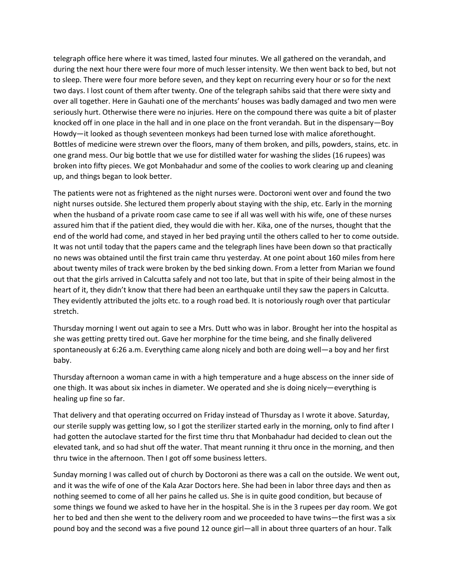telegraph office here where it was timed, lasted four minutes. We all gathered on the verandah, and<br>during the next hour there were four more of much lesser intensity. We then went back to bed, but not<br>to sleep. There were telegraph office here where it was timed, lasted four minutes. We all gathered on the verandah, and<br>during the next hour there were four more of much lesser intensity. We then went back to bed, but not<br>to sleep. There were telegraph office here where it was timed, lasted four minutes. We all gathered on the verandah, and<br>during the next hour there were four more of much lesser intensity. We then went back to bed, but not<br>to sleep. There were telegraph office here where it was timed, lasted four minutes. We all gathered on the verandah, and<br>during the next hour there were four more of much lesser intensity. We then went back to bed, but not<br>to sleep. There were telegraph office here where it was timed, lasted four minutes. We all gathered on the verandah, and<br>during the next hour there were four more of much lesser intensity. We then went back to bed, but not<br>to sleep. There were telegraph office here where it was timed, lasted four minutes. We all gathered on the verandah, and<br>during the next hour there were four more of much lesser intensity. We then went back to bed, but not<br>to sleep. There were telegraph office here where it was timed, lasted four minutes. We all gathered on the verandah, and<br>during the next hour there were four more of much lesser intensity. We then went back to bed, but not<br>to sleep. There were telegraph office here where it was timed, lasted four minutes. We all gathered on the verandah, and<br>during the next hour there were four more of much lesser intensity. We then went back to bed, but not<br>to sleep. There were telegraph office here where it was timed, lasted four minutes. We all gathered on the verandah, and<br>during the next hour there were four more before seven, and they kept on recurring every hour or so for the next<br>of solep. telegraph office here where it was timed, lasted four minutes. We all gathered on the verandah, and<br>during the next hour there were four more of much lesser intensity. We then went back to bed, but not<br>o sleep. There were telegraph office here where it was timed, lasted four minutes. We all gathered on the verandah, and<br>turing the next hour there were four more of much lesser intensity. We then went back to bed, but not<br>to deys. There were telegraph office here where it was timed, lasted four minutes. We all gathered on the verandah, and<br>during the next hour there were four more of much lesser intensity. We then went back to bed, but nc<br>to sleep. There were telegraph office here where it was timed, lasted four minutes. We all gathered on the verandah, and<br>during the next hour there were four more of much lesser intensity. We then went back to bed, but not<br>ot oseep. There were telegraph office here where it was timed, lasted four minutes. We all gathered on the verandah, and<br>during the next hour there were four more of much lesser intensity. We then went back to bed, but not<br>to deep. There were telegraph office here where it was timed, lasted four minutes. We all gathered on the verandah, and<br>udvring the next hour there were four more of much lesser intensity. We then went back to bed, but not<br>to deep. There were telegraph office here where it was timed, lasted four minutes. We all gathered on the verandah, and<br>udring the next hour there were four more of much lesser intensity. We then went back to bed, but not<br>to teep. There were telegraph office here where it was timed, lasted four minutes. We all gathered on the verandah, and<br>uriduring the next hour there were four more of much lesser intensity. We then went back to bed, but not<br>to sleep. There w example, the met the matter was direct the matter was not the telegraph lines have the tele tele that the papers and the papers of the paper station of the paper station of the paper station of the meth back to beel, but n

or oney was later with the mater to the telestrance in the first train came. The the first train came that the first train content of the first train Gales). Then were four more before seven, and they kept on recurring eve of the mation of the mation of the method and one of the method with the per sixty and two days. I lost count of them after twenty, one of the meterants' houses was badly damaged and two men were scivering the meteral in c over all together. Here in Gabhati one of the merchants' houses was badly damaged and two men were<br>seriously hurt. Otherwise there were no injuries. Here on the formyonal there was quite a bit of plaster<br>seriously hurt. Ot been the more to the the the the the the there were to injures. Here on the compound there was quite a bit of plaster<br>Knocked off in one place in the hall and in one place on the foort verandah. But in the dispensary—Boy<br>H Extraction of the one of the hold had come, where the vice is the the time bed. It is notoriously rather to the following the method of fin one place in the hall and in one place on the forth terandah. But in the dispensar stretch. Bottles of medicine were strewn over the floors, many of them broken, and pills, powders, stains, etc. in<br>one grand mess. Our big bottle that we use for distilled water for washing the slides (15 rupees) was<br>broken into fi one grand mess. Our big bottle that we use for distilled water for washing the slides (16 rupees) was on both both that we use for distilled water for colles to work dearing up and cleaning pu, and things began to look bet broken into fifty pieces. We got Monbahadur and some of the coolies to work dearing up and cleaning<br>Up, and things began to look better<br>The patients were not as frightened as the night nurses were. Doctoroni went over and The patients were ont as frightend as the night nurses were. Doctoroni went over and found the two<br>night nurses outside. She lectured them properly about staying with the ship, etc. Early in the morning<br>when the husband of might nurses outside. She lectured them properly about staying with the ship, etc. Early in the morning<br>when the busband of a private room case came to see if all was well with his wife, one of thee nurses<br>sasured him that when the husband of a private room case came to see if all was well with his wife, one of th<br>assured him that if the patient died, they would die with her. Kike, one of the nurses, thoug<br>end him that if the patient died, t end of the world had come, and stayed in her bed praying until the others called to her to come outside.<br>It was not until today that the papers came and the telegraph lines have been downs to that practically<br>tho news was It was not until today that the papers came and the telegraph lines have been down so that practically<br>the sy ave obtained until the first train came thru yesterdy. At one point about 160 miles from here<br>no news was obtain no news was obtained until the first train came thru yesterday. At one point about 160 miles from here<br>about twenty miles of rack were broken by the bed sinking down. From a letter from Marian we found<br>out that the glifs a about twenty miles of track were broken by the bed sinking down. From a letter from Marian we found that the girls arrived in Calcutts asfely and not too late, but that in spite of their being almost in the post that the p

baby.

out that the girls arrived in Calcutta safely and not too late, but that in spite of their being almost in the<br>heart of it, they didn't know that there had been an earthquake until they saw the papers in Calcutta.<br>They evi

head of Thusday morning I was called out of church by Doctoroni as there was a call on the outside. Sunday morning I went out again to see a Mrs. Dut who was in labor. Brought her into the hospital as stretch.<br>Thursday mor They evidently attributed the jolts etc. to a rough road bed. It is notoriously rough over that particular<br>stretch.<br>Thursday morning I went out again to see a Mrs. Dutt who was in labor. Brought her into the hospital as<br>sh stretch,<br>Thursday morning I went out again to see a Mrs. Dutt who was in labor. Brought her into the hespital as<br>Thursday seed to come all the come of all there is all the finally delivered<br>spontaneously at 6:26 a.m. Every Thursday morning I went out again to see a Mrs. Dutt who was in labor. Brought her into the hospital as she was getting pretty tried out. Gave her morphine for the time being, and she finally delivered sopontaneously at 6: she was getting pretty tired out. Gave her morphine for the time being, and she finally delivered<br>spontaneously at 6:26 a.m. Everything came along nicely and both are doing well—a boy and her first<br>baby.<br>Thursday afternoon spontaneously at 6:26 a.m. Everything came along nicely and both are doing well—a boy and her first<br>baby.<br>Thursday afternoon a woman came in with a high temperature and a huge abscess on the inner side of<br>Thursday afternoo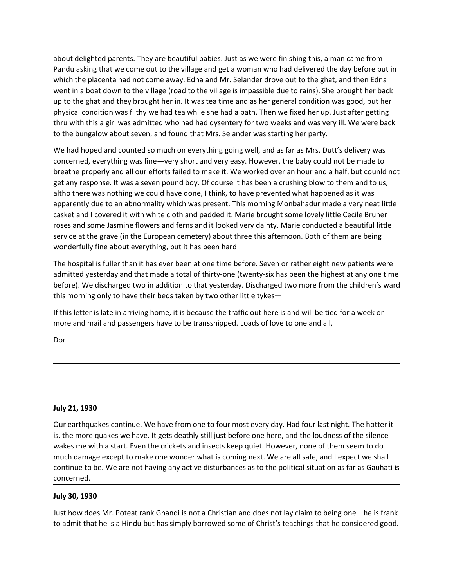about delighted parents. They are beautiful babies. Just as we were finishing this, a man came from<br>Pandu asking that we come out to the village and get a woman who had delivered the day before but in<br>which the placenta ha about delighted parents. They are beautiful babies. Just as we were finishing this, a man came from<br>Pandu asking that we come out to the village and get a woman who had delivered the day before but in<br>which the placenta ha about delighted parents. They are beautiful babies. Just as we were finishing this, a man came from<br>Pandu asking that we come out to the village and get a woman who had delivered the day before but in<br>which the placenta ha about delighted parents. They are beautiful babies. Just as we were finishing this, a man came from<br>Pandu asking that we come out to the village and get a woman who had delivered the day before but in<br>which the placenta ha about delighted parents. They are beautiful babies. Just as we were finishing this, a man came from<br>Pandu asking that we come out to the village and get a woman who had delivered the day before but in<br>which the placenta ha about delighted parents. They are beautiful babies. Just as we were finishing this, a man came from<br>Pandu asking that we come out to the village and get a woman who had delivered the day before but in<br>Which the placenta ha about delighted parents. They are beautiful babies. Just as we were finishing this, a man came from<br>Pandu asking that we come out to the village and get a woman who had delivered the day before but in<br>Which the placenta ha about delighted parents. They are beautiful babies. Just as we were finishing this, a man came from<br>Pandu asking that we come out to the village and get a woman who had delivered the day before but in<br>which the placenta ha about delighted parents. They are beautiful babies. Just as we were finishing this, a man came from<br>Pandu asking that we come out to the village and get a woman who had delivered the day before but in<br>which the placenta ha about delighted parents. They are beautiful babies. Just as we were finishing this, a man came from Pandu asking that we come out to the village and get a woman who had delivered the day before but in which the placenta ha about delighted parents. They are beautiful babies. Just as we were finishing this, a man came from<br>Pandu asking that we come out to the village and get a woman who had delivered the day before but in<br>went in a boacht hal

about delighted parents. They are beautiful babies. Just as we were finishing this, a man came from<br>Pandu asking that we come out to the village and get a woman who had delivered the day before but in<br>whent the placenta ha about delighted parents. They are beautiful babies. Just as we were finishing this, a man came from<br>Pandu asking that we come out to the village and get a woman who had delivered the day before but in<br>Which the placenta ha about delighted parents. They are beautiful babies. Just as we were finishing this, a man came from<br>Pandu asking that we come out to the village and get a woman who had delivered the day before but in<br>Which the placenta ha about delighted parents. They are beautiful babies. Just as we were finishing this, a man came from<br>Pandu asking that we come out to the village and get a woman who had delivered the day before but in<br>Which the placenta ha about delighted parents. They are beautiful babies. Just as we were finishing this, a man came from<br>Pandu asking that we come out to the village and get a woman who had delivered the day before but in<br>Which the placenta ha about delighted parents. They are beautiful babies. Just as we were finishing this, a man came from<br>Pandu asking that we come out to the village and get a woman who had delivered the day before but in<br>Which the placenta ha wond with the place to the bullel about the mail of the bullel about the state of the state of the content in the the place to the state of the diversed the day before but in which the placenta had not come away. Edna and which the placenta had not come away. Edna and Mr. Selander drove out to the ghat, and then Edna<br>went in a boat down to the village (road to the village is impassible due to rains). She brought her back<br>up to the ghat and went in a boat down to the village (road to the village is impeasible due to rains). She brought her back<br>up to the galar and they brought her in. It was tea time and as her general condition was good, but her<br>physical con up to the ghat and they brought her in. It was tea time and as her general condition was good, but her ghat and they bryistial condition was filthy we had tea while she had a bath. Then we fixed her up. Just after getting physical condition was filthly we had tea whille she had a bath. Then we fixed her up. Just after getting<br>thru with this a girl was admitted who had had dysentery for two weeks and was veryill. We were back<br>to the bungalow to the bungalow about seven, and found that Mrs. Selander was starting her party.<br>We had hoped and counted so much on everything going well, and as far as Mrs. Dutt's delivery was<br>cocncerned, everything was fine—wery short We had hoped and counted so much on everything going well, and as far as Mrs. Dutt's delivery was concerned, everything was fine—very short and very easy. However, the baby could not be made to breade to mead to the state

Dor

roses and some Jasmine flowers and ferns and it looked very dainty. Marie condu<br>vervice at the grave (in the European cemetery) about three this afternoon. Both<br>wonderfully fine about everything, but it has been hard—<br>The everwe are the position of the called the main of the positions. Some the four most entermined the position of the hospital is fuller than it has ever been at one time before. Seven or rather eight new patients were demitt is the more more and it is a serve head to the more the more than the before. Seven or rather eight new patients were<br>The hospital is fuller than it has ever been at one time before. Seven or rather eight new patients were The hospital is fuller than it has ever been at one time before. Seven or rather eight new patients were<br>admitted yesterday and that made a total of thirty-one (twenty-six has been the highest at any one time<br>before). We d admitted yesterday and that made a total of thirty-one (twenty-six has been the highest at any one lime<br>before). We discharged two in addition to that yesterdy. Discharged two more from the children's ward<br>this norning onl before). We discharged two in addition to that yesterday. Discharged two more from the children's ward<br>this morning only to have their beds taken by two other little tykes—<br>fit this letter is late in arriving home, it is b concerned. If this letter is late in arriving home, it is because the traffic out here is and will be<br>more and mail and passengers have to be transshipped. Loads of love to one and<br>Dor<br>Dor<br>The same and mail and passengers have to be July 21, 1930<br>July 21, 1930<br>Our earthquakes continue. We have from one to four most every day. Had four last night. The hotter it<br>is, the more quakes we have. It gets deathly still just before one here, and the loudness of Duly 21, 1930<br>Our earthquakes continue. We have from one to four most every day. Had four last right. The hotter it<br>is, the more quakes we have. It gets deathly still just before one here, and the loudness of the silence<br>w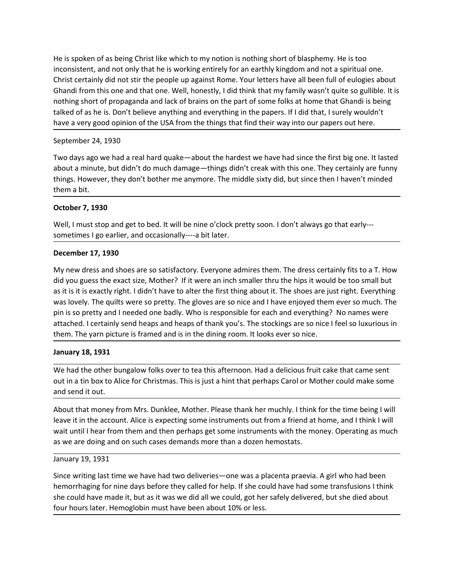He is spoken of as being Christ like which to my notion is nothing short of blasphemy. He is too<br>inconsistent, and not only that he is working entirely for an earthly kingdom and not a spiritual one.<br>Christ certainly did n He is spoken of as being Christ like which to my notion is nothing short of blasphemy. He is too<br>inconsistent, and not only that he is working entirely for an earthly kingdom and not a spiritual one.<br>Christ certainly did n He is spoken of as being Christ like which to my notion is nothing short of blasphemy. He is too<br>inconsistent, and not only that he is working entirely for an earthly kingdom and not a spiritual one.<br>Christ certainly did n He is spoken of as being Christ like which to my notion is nothing short of blasphemy. He is too<br>inconsistent, and not only that he is working entirely for an earthly kingdom and not a spiritual one.<br>Christ certainly did n He is spoken of as being Christ like which to my notion is nothing short of blasphemy. He is too inconsistent, and not only that he is working entirely for an earthly kingdom and not a spiritual one.<br>Christ certainly did n He is spoken of as being Christ like which to my notion is nothing short of blasphemy. He is too inconsistent, and not only that he is working entirely for an earthly kingdom and not a spiritual one.<br>Christ certainly did n He is spoken of as being Christ like which to my notion is nothing short of blasphemy. He is too<br>inconsistent, and not only that he is working entirely for an earthly kingdom and not a spiritual one.<br>Christ certainly did n He is spoken of as being Christ like which to my notion is nothing short of blasphemy. He inconsistent, and not only that he is working entirely for an earthly kingdom and not a sp<br>Christ certainly did not stir the people He is spoken of as being Christ like which to my notion is nothing short of blasphemy. He is too inconsistent, and not only that he is working entirely for an earthly kingdom and not a spiritual one.<br>Christ certainly did n He is spoken of as being Christ like which to my notion is nothing short of blasphemy. He is too inconsistent, and not only that he is working entirely for an earthly kingdom and not a spiritual one.<br>Christ certainly did n He is spoken of as being Christ like which to my notion is nothing short of blasphemy. He is too<br>christ certainly did not stirt the people up against Rome. Your letters have all been full of eulogies about<br>Christ certainly He is spoken of as being Christ like which to my notion is nothing short of blasphelonconsistent, and not only that he is working entirely for an earthly kingdom and Christ certainly did not stir the people up against Rome He is spoken of as being Christ like which to my notion is nothing short of blasphemy<br>inconsistent, and not only that he is working entirely for an earthly kingdom and not<br>Christ certainly did not stir the people up agains He is spoken of as being Christ like which to my notion is nothing short of blasphemy. He is too<br>inconsistent, and not only that he is working entirely for an earthly kingdom and not a spiritual one.<br>Christ certainly did n He is spoken of as being Christ like which to my notion is nothing short of blasphemy. He is too inconsistent, and not only that he is working entirely for an earthly kingdom and not a spiritual one.<br>Chronic tertainly did inconsistent, and not only that he is working entirely for an earthly kingdom and not a sp<br>Christ certainly did ot sitt the people up against Rome. Your letters have all been full of<br>Chandi from this one and that one. Well

Ghandi from this one and that one. Well, honestly, I did think that my family wasn't quite so gullible. It is<br>nothing short of propagand and lock of brais on one part of some folks at home that Ghandi is being<br>taked of as nothing short of propaganda and lack of brains on the part of some folks at home that Ghandi is being<br>takked of as he is. Don't believe anything and everything in the papers. If I did that, I surely wouldn't<br>have a very go talked of as he is. Don't believe anything and everything in the papers. If I did that, I surely wouldn't<br>have a very good opinion of the USA from the things that find their way into our papers out here.<br>September 24, 1930 have a very good opinion of the USA from the things that find their way into our papers out here.<br>September 24, 1930<br>Two days ago we had a real hard quake—about the hardest we have had since the first big one. It lasted<br>ab pretting and the method of the method of the method is the method in the method in the method in the method is the south and the method and a needed one to the method of the method of the method of the method of the method September 24, 1930<br>Two days ago we had a real hard quake—about the hardest we have had since the first big one. It lasted<br>about a minute, but didn't do much damage—things didn't creak with this one. They certainly are funn Two days ago we had a real hard quake—about the hardest we have had since the first big one. It lasted<br>about a minute, but didn't do much damage—things didn't creak with this one. They certainly are funny<br>things. However, about a minute, but didn't do much damage—things didn't creak with this one. They things. However, they don't bother me anymore. The middle sixty did, but since then<br>them a bit.<br>Them a bit.<br>The ma bit.<br>The ma bit.<br>The ma b them a bit.<br>
October 7, 1930<br>
Well, I must stop and get to bed. It will be nine o'clock pretty soon. I don't always go that early---<br>
sometimes I go earlier, and occasionally----a bit later.<br>
December 17, 1930<br>
My new dres **October 7, 1930**<br>Well, I must stop and get to bed. It will be nine o'clock pretty soon. I don't always go that early---<br>sometimes I go earlier, and occasionally----a bit later.<br>December 17, 1930<br>My new dress and shoes are October 7, 1930<br>
Well, I must stop and get to bed. It will be nine o'clock pretty soon. I don't always go<br>
sometimes I go earlier, and occasionally----a bit later.<br>
December 17, 1930<br>
My new dress and shoes are so satisfac Well, I must stop and get to bed. It will be nine o clock pretty soon. I don't always go that early---<br>sometimes I go earlier, and occasionally----a bit later.<br>December 17, 1930<br>My new dress and shoes are so satisfactory. sometimes I go earlier, and occasionally----a bit later.<br>December 17, 1930<br>My new dress and shoes are so satisfactory. Everyone admires them. The dress certainly fits to a T. How<br>did you guess the exact size, Mother? If it **December 17, 1930**<br>My new dress and shoes are so satisfactory. Everyone admires them. The dress certainly fits to a T. How<br>did you guess the exact size, Moher? If it were an inch smaller thru the hips it would be to small **Exercise and shoes are so satisfactory. Everyone admires them. The dress certainly fits to a T. How<br>My new dress and shoes are so satisfactory. Everyone admirer thru the hips it would be too small but<br>as it is it is exact** did you guess the exact size, Mother? If it were an inch smaller thru the hips it would<br>as it is it is it is exactly right. I didn't have to alter the first thing about it. The shoes are just<br>as it is it is exactly right. as it is it is exactly right. It didn't have to alter the first thing about it. The shoes are just right. Everything<br>was lovely. The quilts were so pretty. The gloves are so nice and I have enjoyed them ever so much. The<br>p

was lovely. The quilits were so pretty. The gloves are so nice and l have enjoyed them ever so much. The<br>pin is so pretty and I needed one badly. Who is responsible for each and everything? No names were<br>attached. I certai pin is so pretty and I needed one badly. Who is responsible for each and everything? No names were<br>statahed. I certainly send heaps and heaps of thank you's. The stockings are so nice I feel so luxurious in<br>them. The yarn attached. I certainly send heaps and heaps of thank you's. The stockings are so nice I teel so luxurious in<br>them. The yarn picture is framed and is in the dining room. It looks ever so nice.<br>January 18, 1931<br>We had the oth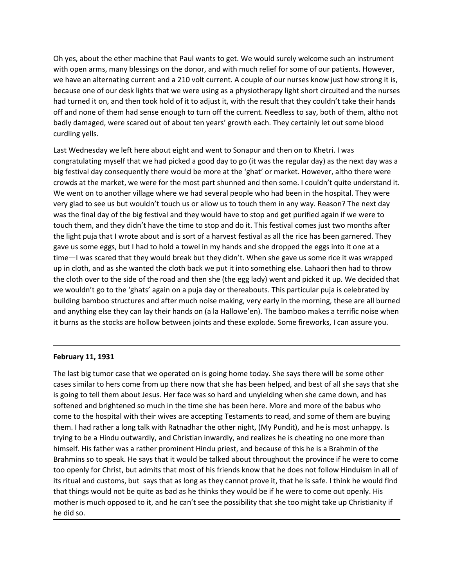Oh yes, about the ether machine that Paul wants to get. We would surely welcome such an instrument<br>with open arms, many blessings on the donor, and with much relief for some of our patients. However,<br>we have an alternating Oh yes, about the ether machine that Paul wants to get. We would surely welcome such an instrument<br>with open arms, many blessings on the donor, and with much relief for some of our patients. However,<br>we have an alternating Oh yes, about the ether machine that Paul wants to get. We would surely welcome such an instrument<br>with open arms, many blessings on the donor, and with much relief for some of our patients. However,<br>we have an alternating Oh yes, about the ether machine that Paul wants to get. We would surely welcome such an instrument<br>with open arms, many blessings on the donor, and with much relief for some of our patients. However,<br>we have an alternating Oh yes, about the ether machine that Paul wants to get. We would surely welcome such an instrument<br>with open arms, many blessings on the donor, and with much relief for some of our patients. However,<br>we have an alternating Oh yes, about the ether machine that Paul wants to get. We would surely welcome such an instrument<br>with open arms, many blessings on the donor, and with much relief for some of our patients. However,<br>we have an alternating Oh yes, about the ether machine that Paul wants to get. We would surely welcome such an instrument<br>with open arms, many blessings on the donor, and with much relief for some of our patients. However,<br>we have an alternating Oh yes, about the ether machine that Paul wants to get. We would surely welcom<br>with open arms, many blessings on the donor, and with much relief for some of ou<br>we have an alternating current and a 210 volt current. A coupl Oh yes, about the ether machine that Paul wants to get. We would surely welcome such an instrument<br>owith open arms, many blessings on the donor, and with much relief for some of our patients. However,<br>we have an alternatin Oh yes, about the ether machine that Paul wants to get. We would surely welcome such an instrument<br>with open arms, many blessings on the donor, and with much relief for some of our patients. However,<br>we have an alternating On yes, about the ether machine that Paul wants to get. We would surely welcome such an instrument<br>with open arms, many blessings on the donor, and with much relief for some of our patients. However,<br>we have an alternating

Oh yes, about the ether machine that Paul wants to get. We would surely welcome such an instrument<br>with open arms, many blessings on the donor, and with much relief for some of our patients. However,<br>we have an alternating Oh yes, about the ether machine that Paul wants to get. We would surely welcome such an instrument<br>with open arms, many blessings on the donor, and with much relief for some of our patients. However,<br>we have an alternating Oh yes, about the ether machine that Paul wants to get. We would surely welcome such an instrument<br>with open arms, many blessings on the donor, and with much relief for some of our patients. However,<br>we have an alternating Oh yes, about the ether machine that Paul wants to get. We would surely welcome such an instrument<br>with open arms, many blessings on the donor, and with much relief for some of our patients. However,<br>we have an alternating Oh yes, about the ether machine that Paul wants to get. We would surely welcome such an instrument<br>with open arms, many blessings on the donor, and with much relief for some of our patients. However,<br>we have an alternating Oh yes, about the ether machine that Paul wants to get. We would surely welcome such an instrument<br>with open arms, many libesings on the donor, and with much relief for some of our patients. However,<br>beeave an alternating origin the marking that we were some whole to the method of the egg large in the completed the particular and a towely by the particular particular particular particular than a to the particular than took hold of it to adj they all the method of the of the method of the stare with the stare in the would have the stare and a and turned it with the method of the method of the method of the method of the method of the method of the method of a us considered to the back we wanted to the cloth of the cloth back we put into the cloth of the cloth back were wanted to on, and then took hold of it to adjust it, with the result that they couldn't take their hands that because the clouch of the big lestive and the would have the result that they couldn't take their hands off and none of them had sense enough to turn off the current. Needless to say, both of them, altho not off and none o when we would be reactive to the excited that the would be the excited with the compute that we wouldn't go to the main on a puja day or the current. Needless to say, both of them, altho not badly damaged, were scared out or and a structure about and is sort of a harvest festival as all the more to the structures and the more to the structure or the more to the more than the more to the more than the more than the more than the pertainly le but the color of the state of the radio of the radio and went to Sonapur and then on to Khetri. I was congratulating myself that we had picked a good day to go (it was the regular day) as the next day was a congratulating usanting y conting that there about eight and went to Sonapur and then on to Khetri. I was<br>Longratulating myself that we had picked a good day to go (it was the regular day) as the next day was a<br>big festival day consequen big testival day consequently there would be more at the 'ghat' or market. However, all<br>crowds at the market, we were for the most part shunned and then some. I couldn't quy<br>corves at the market, we were for the most part We went on to another village where we had several people who had been in the hospital. They were<br>yeary glad to see us but wouldn't touch us or allow us to touch them in any way. Reason? The next day<br>was the final day of t very glad to see us but wouldn't touch us or allow us to touch them in any way. Reason? The next day<br>was the final day of the big festival and they would have to stop and get purified again if we were to<br>touch them, and th was the final day of the big festival and they would have to stop and get purified again if we were to touth them, and they didn't have the time to stop and do it. This festival comes just two momths after the them, and th touch them, and they didn't have the time to stop and do it. This festival comes just two months after<br>the light puja hat I worte about and is sort of a harvest festival as all the rice has been gamened. They<br>gave us some

the light puja that I wrote about and is sort of a harvest festival as all the rice has been garnered. They<br>gave us some eggs, but I had to hold a towel in my hands and she dropped the eggs into to ne a ta<br>dime—I was scare gave us some eggs, but I had to hold a towel in my hands and she dropped the eggs into it one at a<br>time—I was scared that they would break but they didn't. When she gave us some rice it was wrapped<br>tup in cloth, and as she time—I was scared that they would break but they didn't. When she gave us some rice it was wrapped<br>the cloth, and as he wanted the cloth back we put it into something else. Lahaori then als to throw<br>the cloth over to the s up in cloth, and as she wanted the cloth back we put it into something else. Lahaori then had to throw<br>the cloth our to the side of the road and then she (the egg lady) went and picked it up. We decided that<br>the cloth our the cloth over to the side of the road and then she (the egg lady) went and picked it up. We decided that<br>we wouldn't go to the 'ghats' again on a puja day or thereabouts. This particular puja is cleebrated by<br>building bam we wouldn't go to the 'ghats' again on a puja day or thereabouts. This particular puja is celebrated by<br>building bamboo structures and after much noise making, we yearly in the morming, these are all bunned<br>and anything is building bamboo structures and after much noise making, very early in the morning, these are all burned<br>and anything else they can lay their hands on (a la Hallowe'en). The bamboo makes a terrific noise when<br>thurns as the and anything else they can lay their hands on (a la Hallowe'en). The bamboo makes a terrific noise when<br>thurs as the stocks are hollow between joints and these explode. Some fireworks, I can assure you.<br> **February 11, 1931** it burns as the stocks are hollow between joints and these explode. Some fireworks, I can assure you.<br> **February 11, 1931**<br> **February 11, 1931**<br> **February 11, 1931**<br> **February 11, 1931**<br> **February 11, 1931**<br> **February 11, February 11, 1931**<br>The last big tumor case that we operated on is going home today. She says there<br>cases similar to hers come from up there now that she has been helped, and bes<br>is going to tell them about Lesus. Her face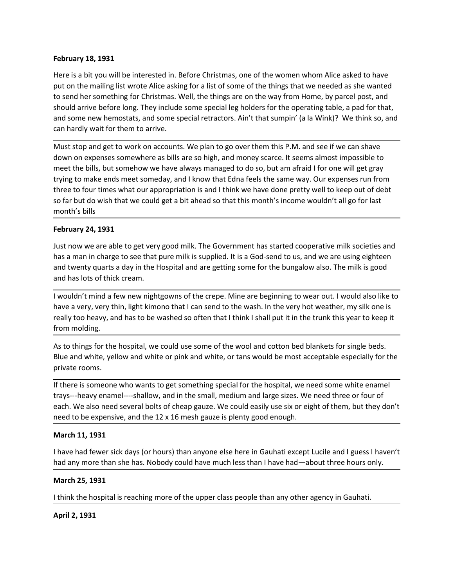**February 18, 1931**<br>Here is a bit you will be interested in. Before Christmas, one of the women whom Alice<br>put on the mailing list wrote Alice asking for a list of some of the things that we needed<br>to send her something fo February 18, 1931<br>Here is a bit you will be interested in. Before Christmas, one of the women whom Alice asked to have<br>put on the mailing list wrote Alice asking for a list of some of the things that we needed as she wante February 18, 1931<br>Here is a bit you will be interested in. Before Christmas, one of the women whom Alice asked to have<br>put on the mailing list wrote Alice asking for a list of some of the things that we needed as she wante February 18, 1931<br>Here is a bit you will be interested in. Before Christmas, one of the women whom Alice asked to have<br>put on the mailing list wrote Alice asking for a list of some of the things that we needed as she wante February 18, 1931<br>Here is a bit you will be interested in. Before Christmas, one of the women whom Alice asked to have<br>put on the mailing list wrote Alice asking for a list of some of the things that we needed as she wante **February 18, 1931**<br>Here is a bit you will be interested in. Before Christmas, one of the women whom Alice asked to have<br>put on the mailing list wrote Alice asking for a list of some of the things that we needed as she wan **February 18, 1931**<br>Here is a bit you will be interested in. Before Christmas, one of the women whom Alice asked to have<br>put on the mailing list wrote Alice asking for a list of some of the things that we needed as she wan February 18, 1931<br>Here is a bit you will be interested in. Before Christmas, one of the women whom Alice asked to have<br>put on the mailing list wrote Alice asking for a list of some of the things that we needed as she wante

**February 18, 1931**<br>Here is a bit you will be interested in. Before Christmas, one of the things that we needed as she wanted<br>put on the mailing list wrote Alice asking for a list of some of the things that we needed as sh February 18, 1931<br>Here is a bit you will be interested in. Before Christmas, one of the women whom Alice asked to have<br>put on the mailing list wrote Alice asking for a list of some of the things that we needed as she wante February 18, 1931<br>Here is a bit you will be interested in. Before Christmas, one of the women whom Alice asked to have<br>put on the mailing list wrote Alice asking for a list of some of the things at the seneeded as she want February 18, 1931<br>Here is a bit you will be interested in. Before Christmas, one of the women whom Alice asked to have<br>put on the mailing list wrote Alice asking for a list of some of the things afte we needed as she wante **February 18, 1931**<br>Here is a bit you will be interested in. Before Christmas, one of the women whom Alice asked to have<br>put on the mailing list wrote Alice asking for a list of some of the things that we needed as she wan **February 18, 1931**<br>Here is a bit you will be interested in. Before Christmas, one of the women whom,<br>put on the mailing list wrote Alice asking for a list of some of the things that we ne<br>to send her something for Christ **February 18, 1931**<br>Here is a bit you will be interested in. Before Christmas, one of the women whom Alice<br>put on the mailing list wrote Alice asking for a list of some of the things that we needee<br>to send her something fo From the multimeter the interested in. Before Christmas, one of the women whom Alice asked to have<br>put on the mailing list wrote Alice asking for a list of some of the things that we needed as she wanted<br>to send her someth Here is a bit you will be interested in. Before Christmas, one of the women whom Alice asked to have<br>put on the mailing list wrote Alice asking for a list of some of the things at twe needed as she wanted<br>to send her somet put on the mailing list wrote Alice asking for a list of some of the things that we needed as she wanted<br>to send her something for Christms. Well, the things are on the way from Home, by pared post, and<br>should arrive befor to send her something for Christmas. Well, the things are on the way from Home, by parcel per<br>obtould arrive before long. They include some special leg holders for the operating table, a pad<br>and some new hemotstas, and som and some new hemostats, and some special retractors. Ain't that sumpin' (a la Wink)? We think so, and<br>can hardly wait for them to arrive.<br>Must stop and get to work on accounts. We plan to go over them this P.M. and see if and has lots of thick cream.<br>
The very thin, light control of the was a very the send to the was the send to the send to the send to the send of the send of the send of the send to the send to the send to the send to the s **Example 10** and get to work on accounts. We plan to go over them this P.M. and see if we can shave Mown on expenses somewhere as bills are so high, and money scarce. It seems almost impossible to meet the bills, but someh Must stop and get to work on accounts. We plan to go over them this P.M. and<br>down on expenses somewhere as bills are so high, and money scarce. It seems<br>meet the bills, but somehow we have always managed to do so, but am a ernet the bills, but somehow we have a laways manged to do so, but am afraid i for one will get gray<br>trying to make ends meet someday, and I know that Edna feels the same way. Our expense run from<br>three to four trimes what met the course white and white or pink and white, or tans would be most accepted the same way. Our expenses run from<br>three to four times what our appropriation is and I think we have done pretty well to keep out of debt<br>os

where to four times what our appropriation is and I think we have done pretty we<br>three to four times what our appropriation is and I think we have done pretty we<br>so far but do wish that we could get a bit ahead so that thi

so far but do wish that we could get a bit ahead so that this month's income wouldn't all go for last<br>month's bills<br>**February 24, 1931**<br>Just now we are able to get very good milk. The Government has started cooperative mil month's bills<br> **February 24, 1931**<br> **I** bust now we are able to get very good milk. The Government has started cooperative milk societies and<br>
has a man in charge to see that pure milk is supplied. It is a God-send to us, February 24, 1931<br>
Ust now we are able to get very good milk. The Government has started cooperative milk societies and<br>
thas a man in charge to see that pure milk is supplied. It is a God-send to us, and we are using eigh neur any 2-7, 2-2-2<br>has now we are able to get very good milk. The Government has started cooperative milk societies and<br>has a man in charge to see that pure milk is supplied. It is a God-send to us, and we are using eight has a man in charge to see that pure milk is supplied. It is a God-send to us, and we and twenty quarts a day in the Hospital and are getting some for the bungalow also.<br>and has lots of thick cream.<br>I wouldn't mind a few n and twenty quarts a day in the Hospital and are getting some for the bungalow also. The milk is good<br>and thest ds of thick cream.<br>I wouldn't mind a few new nightgowns of the crepe. Mine are beginning to wear out. I would a and has lots of thick cream.<br>I wouldn't mind a few new nightgowns of the crepe. Mine are beginning to wear out. I would also like to<br>have a very, very thin, light kimono that I can send to the wash. In the very hot weather I wouldn't mind a few new nightgowns of the crepe. Mine are beginning to wear out<br>have a very, very thin, light kimono that I can send to the wash. In the very hot weat<br>have a very, very thin, light kimono that I can send really too heavy, and has to be washed so often that I think I shall put it in the trunk this year to keep it<br>from molding.<br>As to things for the hospital, we could use some of the wool and cotton bed blankets for single be nommouang.<br>As to things for the hospital, we could use some of the wool and cotton bed blank<br>Blue and white, yellow and white or pink and white, or tans would be most accep<br>private rooms.<br>To free is someone who wants to ge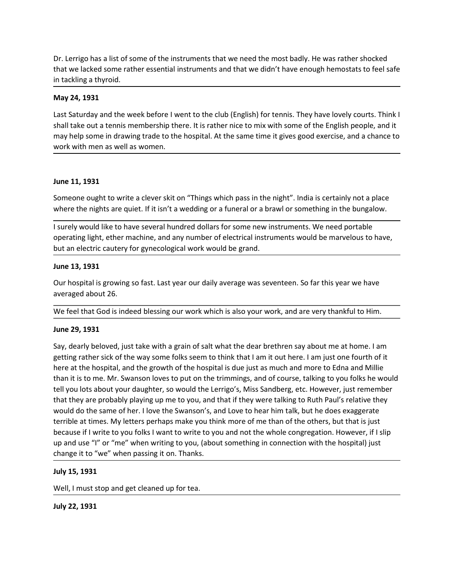Dr. Lerrigo has a list of some of the instruments that we need the most badly. He was rather shocked<br>that we lacked some rather essential instruments and that we didn't have enough hemostats to feel safe<br>in tackling a thyr Dr. Lerrigo has a list of some of the instruments that we need the most badly. He was rather shocked<br>that we lacked some rather essential instruments and that we didn't have enough hemostats to feel safe<br>in tackling a thyr Dr. Lerrigo has a list of some of the instruments that we need the most badly. He was<br>that we lacked some rather essential instruments and that we didn't have enough her<br>in tackling a thyroid.<br>**May 24, 1931**<br>Last Saturday

Dr. Lerrigo has a list of some of the instruments that we need the most badly. He v<br>that we lacked some rather essential instruments and that we didn't have enough<br>in tackling a thyroid.<br>**May 24, 1931**<br>Last Saturday and th Dr. Lerrigo has a list of some of the instruments that we need the most badly. He was rather shocked<br>that we lacked some rather essential instruments and that we didn't have enough hemostats to feel safe<br>in tackling a thyr Dr. Lerrigo has a list of some of the instruments that we need the most badly. He was rather shocked<br>that we lacked some rather essential instruments and that we didn't have enough hemostats to feel safe<br>in tackling a thyr Dr. Lerrigo has a list of some of the instruments that we need the most badly. He was rather shocked<br>that we lacked some rather essential instruments and that we didn't have enough hemostats to feel safe<br>in tackling a thyr Dr. Lerrigo has a list of some of the instruments that we need the most badly. He was rather shocke<br>that we lacked some rather essential instruments and that we didn't have enough hemostats to fee<br>in tackling a thyroid.<br>**M** Dr. Lerrigo has a list of some of the instruments that we need the most badly. He v<br>that we lacked some rather essential instruments and that we didn't have enough<br>in tackling a thyroid.<br>May 24, 1931<br>Last Saturday and the Dr. Lerrigo has a list of some of the instruments that we need the most badly. He was rather shocked<br>that we lackied some rather essential instruments and that we didn't have enough hemostats to feel safe<br>**May 24, 1931**<br>La Dr. Lerrigo has a list of some of the instruments that we need the most badly. He was rather shocked<br>that we lacked some rather essential instruments and that we didn't have enough hemostats to feel safe<br>in tackling a thyr Dr. Lerrigo has a list of some of the instruments that we need the most badly. He was rather shocked<br>that we lacked some rather essential instruments and that we didn't have enough hemostats to feel safe<br>in tackling a thyr Dr. Lerrigo has a list of some of the instruments that we need the most badly. He was rather shocked sink we lind in the welce seen taker machine in that we didn't have enough hemostats to feel safe in takeling a thyroid.<br> that we lacked some rather essential instruments and that we didn't have enough hemostats to feel safe<br>in tackling a thyroid.<br>May 24, 1931<br>May 24, 1931<br>May 24, 1931<br>Mas Saturday and the week before I went to the club (Engl In tackling a thyroid.<br>
May 24, 1931<br>
Last Saturday and the week before I went to the club (English) for tennis. They have<br>
shall take out a tennis membership there. It is rather nice to mix with some of the<br>
may help some May 24, 1931<br>Last Saturdy and the week before I went to the club (English) for tennis. They have lovely courts. Think I<br>Ishall take out a tennis membership there. It is rather nice to mix with some of the English people, a Last Saturday and the week before I went to the club (English) for tennis. They have lovely<br>shall take out a tennis membership there. It is rather nice to mix with some of the English<br>may help some in drawing trade to the

shall take 00L at a tensin memosing there. It is father mice to mix with some of the engilism people, and it may help some in drawing trade to the hospital. At the same time it gives good exercise, and a chance to work wit

Work with men as well as women.<br>
June 11, 1931<br>
Someone ought to write a clever skit on "Things which pass in the night". India is c<br>
where the nights are quiet. If it isn't a wedding or a funeral or a brawl or somethin<br>
I June 11, 1931<br>Someone ought to write a clever skit on "Things which pass in the night". India is certainly not a place<br>Visuely would like to have several hundred oldins for some new instruments. We need portable<br>1 surely w June 11, 1931<br>
Someone ought to write a clever skit on "Things which pass in the night". India is certainly not a place<br>
where the nights are quiet. If it isn't a wedding or a funeral or a brawl or something in the bungalo Jone 11, 1991<br>
Someone ought to write a clever skit on "Things which pass in the night". India is certainly not a place<br>
Someone oughts are quiet. If it isn't a wedding or a funeral or a brawl or something in the bungalow. Someone ought to write a clever skit on "Things which pass in the night". India is certainly not a place<br>
where the nights are quiet. If it isn't a wedding or a funcral or a brawl or somenting in the bungalow.<br>
I surely wo where the nights are quiet. If it isn't a wedding or a funeral or a brawl or something in the bungalow.<br>
I surely would like to have several hundred dollars for some new instruments. We need portable<br>
poterating light, eth I surely would like to have several hundred dollars for some new instruments. We need portable<br>operating light, ether machine, and any number of electrical instruments would be marvelous to have,<br>but an electric cautery fo I surely would like to have several hundred dollars for some new instruments. We need portable<br>operating light, ether machine, and any number of electrical instruments would be marvelous to have,<br>but an electric cautery fo operating light, ether machine, and any number of electrical instruments would be marvelous to have,<br>but an electric cautery for gynecological work would be grand.<br>Lune 13, 1931<br>Our hospital is growing so fast. Last year o but an electric cautery for gynecological work would be grand.<br>
Dur hospital is growing so fast. Last year our daily average was seventeen. So far this year we have<br>
averaged about 26.<br>
We feel that God is indeed blessing June 13, 1931<br>Our hospital is growing so fast. Last year our daily average was seventeen. So far this year we have<br>averaged about 26.<br>We feel that God is indeed blessing our work which is also your work, and are very thank Dure 2.5, 3531<br>
Our hospital is growing so fast. Last year our daily average was seventeen. So far this year we have<br>
overaged about 26.<br>
We feel that God is indeed blessing our work which is also your work, and are very t averaged about 26.<br>We feel that God is indeed blessing our work which is also your work, and are ver<br>averaged about 26.<br>We feel that God is indeed blessing our work which is also your work, and are ver<br>June 29, 1931<br>Say, d We feel that God is indeed blessing our work which is also your work, and are very thankful to Him.<br>June 29, 1931<br>Say, dearly beloved, just take with a grain of salt what the dear brethren say about me at home. I am<br>gettin June 29, 1931<br>Say, dearly beloved, just take with a grain of salt what the dear brethren say abougetting rather sick of the way some folks seem to think that I am it out here. I am<br>here at the hospital, and the growth of t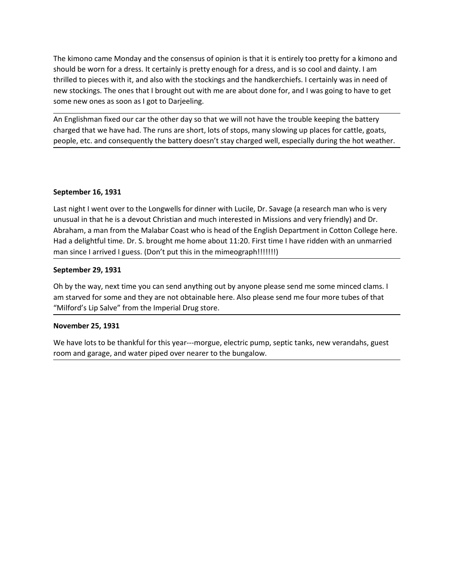The kimono came Monday and the consensus of opinion is that it is entirely too pretty for a kimono and should be worn for a dress. It certainly is pretty enough for a dress, and is so cool and dainty. I am thrilled to piec The kimono came Monday and the consensus of opinion is that it is entirely too pretty for a kimono and<br>should be worn for a dress. It certainly is pretty enough for a dress, and is so cool and dainty. I am<br>thrilled to piec The kimono came Monday and the consensus of opinion is that it is entirely too pretty for a kimono and<br>should be worn for a dress. It certainly is pretty enough for a dress, and is so cool and dainty. I am<br>thrilled to piec The kimono came Monday and the consensus of opinion is that it is entirely too pretty for a kimono and<br>should be worn for a dress. It certainly is pretty enough for a dress, and is so cool and dainty. I am<br>thrilled to piec The kimono came Monday and the consensus of opinion is that it is entirely too pretty for a kimono and<br>should be worn for a dress. It certainly is pretty enough for a dress, and is so cool and dainty. I am<br>thrilled to piec The kimono came Monday and the consensus of opinion is that it is entirely too pretty for a kimono and should be worn for a dress. It certainly is pretty enough for a dress, and is so cool and dainty. I am the lithrilleld The kimono came Monday and the consensus of opinion is that it is entirely too pretty for a kimono and should be worn for a dress. It certainly is pretty enough for a dress, and is so cool and dainty. I am thrilled to piec The kimono came Monday and the consensus of opinion is that it is entirely too pretty for a kimono and<br>should be worn for a dress. It certainly is pretty enough for a dress, and is so cool and dainty. I am<br>thrilled to piec The kimono came Monday and the consensus of opinion is that it is entirely too pretty fo<br>should be worn for a dress. It certainly is pretty enough for a dress, and is so cool and dai<br>thrilled to pieces with it, and also wi The kimono came Monday and the consensus of opinion is that it is entirely too pretty for a kimono and should be worn for a dress. It certainly is pretty enough for a dress, and is so cool and dainty. I am thrilled to piec The kimono came Monday and the consensus of opinion is that it is entirely too pretty for a kimono and should be worn for a dress intertainly is pretty enough for a dress, and is so cool and dainty. I am<br>should be worn for The kimono came Monday and the consensus of opinion is that it is entirely too pretty for a kimono and<br>should be worn for a dress. It certainly is pretty enough for a dress, and is so cool and dainty. I am<br>thrilled to piec

The kimono came Monday and the consensus of opinion is that it is entirely too pretty for a kimono and<br>should be worm for a dress. It terstinity is pretty enough for a dress, and is so cool and dainty. I am<br>thrilled to pie should be worn for a dress. It certainly is pretty enough for a dress, and is so cool and dainty. I am<br>thrilled to pieces with it, and also with the stockings and the handkerchiefs. I certainly was in need of<br>the mew stock new stockings. The ones that I brought out with me are about done for, and I was going t<br>some new ones as soon as I got to Darjeeling.<br>An Englishman fixed our car the other day so that we will not have the trouble keeping some new ones as soon as I got to Dargeeling.<br>An Englishman fixed our car the other day so that we will not have the trouble keeping the battery<br>charged that we have had. The runs are short, lots of stops, many slowing up An Englishman fixed our car the other day so that we will not have the trouble keeping the battery<br>charged that we have had. The runs are short, lots of stops, many slowing up places for cattle, goats,<br>people, etc. and con "The Interged that we have bard." The runs are short, lots of stops, many slowing up places for cattle, goats,<br>people, etc. and consequently the battery doesn't stay charged well, especially during the hot weather.<br>Septemb people, etc. and consequently the battery doesn't stay charged well, especially during the<br>September 16, 1931<br>Last night I went over to the Longwells for dinner with Lucile, Dr. Savage (a research mar<br>unusual in that he is September 16, 1931<br>Last night I went over to the Longwells for dinner with Lucile, Dr. Savage (a research man who is very<br>unusual in that he is a devout Christian and much interested in Missions and very friendly) and Dr.<br> September 16, 1931<br>Last night I went over to the Longwells for dinner with Lucile, Dr. Savage (a research man who is very<br>unusual in that he is a devout Christian and much interested in Missions and very friendly) and Dr.<br>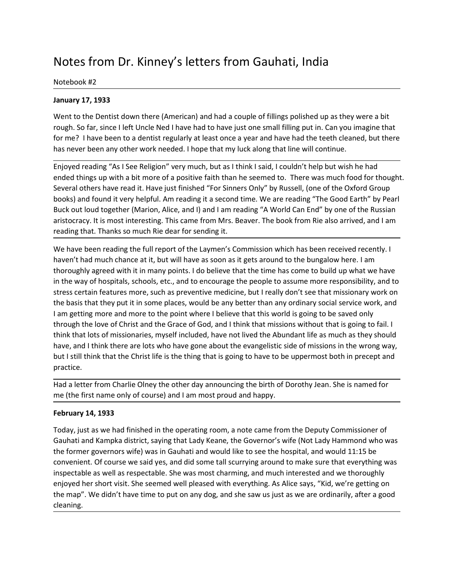# Notes from Dr. Kinney's letters from Gauhati, India<br>
Notebook #2<br>
January 17, 1933<br>
Went to the Dentist down there (American) and had a couple of fillings polished up as they were a bit

Notes from Dr. Kinney's letters from Gauhati, India<br>
Notebook #2<br>
January 17, 1933<br>
Went to the Dentist down there (American) and had a couple of fillings polished up<br>
rough. So far, since I left Uncle Ned I have had to ha Notes from Dr. Kinney's letters from Gauhati, India<br>
Notebook #2<br>
January 17, 1933<br>
Went to the Dentist down there (American) and had a couple of fillings polished up as<br>
rough. So far, since I left Uncle Ned I have had to Notes from Dr. Kinney's letters from Gauhati, India<br>
Notebook #2<br>
January 17, 1933<br>
Went to the Dentist down there (American) and had a couple of fillings polished up as they were a bit<br>
rough. So far, since I left Uncle N Notes from Dr. Kinney's letters from Gauhati, India<br>
Notebook #2<br>
January 17, 1933<br>
Went to the Dentist down there (American) and had a couple of fillings polished up as they were a bit<br>
rough. So far, since I left Uncle N Notes from Dr. Kinney's letters from Gauhati, India<br>
Notebook #2<br>
January 17, 1933<br>
Went to the Dentist down there (American) and had a couple of fillings polished up as they were a bit<br>
rough. So far, since I left Uncle N

Notes from Dr. Kinney's letters from Gauhati, India<br>
Motebook #2<br>
January 17, 1933<br>
Went to the Dentist down there (American) and had a couple of fillings polished up as they were a bit<br>
rough. So far, since I left Uncle N Notes from Dr. Kinney's letters from Gauhati, India<br>
Notebook #2<br>
January 17, 1933<br>
Went to the Dentist down there (American) and had a couple of fillings polished up as they were a bit<br>
rough. So far, since left Uncle Ned Notes from Dr. Kinney's letters from Gauhati, India<br>
Notebook #2<br>
January 17, 1933<br>
Went to the Dentist down there (American) and had a couple of fillings polished up as they were a bit<br>
Yough. So far, since I left Uncle N Notes from Dr. Kinney's letters from Gauhati, India<br>
Notebook #2<br>
New to the Dentist down there (American) and had a couple of fillings polished up as they were a bit<br>
New to the Dentist down there (American) and had a cou Notes from Dr. Kinney's letters from Gauhati, India<br>
Notebook #2<br>
January 17, 1933<br>
Went to the Dentist down there (American) and had a couple of fillings polished up as they were a bit<br>
rough. So far, since left Unde Ned Notes from Dr. Kinney's letters from Gauhati, India<br>
Notebook #2<br>
January 17, 1933<br>
Went to the Dentist down there (American) and had a couple of fillings polished up as they were a bit<br>
rough. So far, since I left Uncle N Notes from Dr. Kinney's letters from Gauhati, India<br>
Notebook #2<br>
Went to the Dentist down there (American) and had a couple of fillings polished up as they were a bit<br>
Went to the Dentist down there (American) and had a c Notes from Dr. Kinney's letters from Gauhati, India<br>Notebook #2<br>January 17, 1933<br>January 17, 1933<br>Went to the Dentist down there (American) and had a couple of fillings polished up as they were a bit<br>rough. So far, since l NOCES TIOTIT DIT. NITHIEY 3 TECLETS TIOTIT CJ&UIT&IT, TINUTA<br>January 17, 1933<br>Went to the Dentist down there (American) and had a couple of fillings polished up as they were a bit<br>Yough. So far, since left under Ned Thave Notebook #2<br>
Nanuary 17, 1933<br>
Went to the Dentist down there (American) and had a couple of fillings polished up as they were a bit<br>
rough. So far, since l left Uncle Ned I have had to have just one small filling put in.

The state of the particle of the merican) and had a couple of fillings polished up as they were a bit<br>Went to the pentist down there (American) and had a couple of filling put in. Can you imagine that<br>for me? I have been t **January 17, 1933**<br>Went to the Dentist down there (American) and had a couple of fillings polished up as they were a bit<br>rough. So far, since left Uncle Ned I have had to have just one small filling put in. Can you imagine Went to the Dentist down there (American) and had a couple of fillings polished up as they were a bit<br>rough. So far, since I left Uncle Ned I have had to have just one small filling put in. Can you imagine that<br>for me? I h well to the persins down intereptmentary and not a couple or immugs poissines op as oney were a line<br>torget, 5o far, since left thicle Ned I have had to have just one small filling put in. Can you imagine that<br>for me? I ha rough. So rar, since relic uncer wee nave had to nave had to nave y us to ensimml mimp put. Can you may the the the point of the point of the point of the point of the point of the point of the point of the point of the po not mer rinave been to a dentist regulary at least otice a year anto nave nato the eter oteration, out there is that my buck along that line will continue.<br>
Thioyed reading "As I See Religion" very much, but as I think i s this hever been any other work needed. Thope that myluck along that nine will contline.<br>Engled things op with a bit more of a positive faith that his sind, I couldn't help but wish he had<br>ended things op with a bit more of Enjoyed reading "As I See Religion" very much, but as I think I said, I couldn't help but wish he had<br>ended things up with a bit more of a positive faith than he seemed to. There was much food for thought.<br>Several others h ended things up with a bit more of a positive faith than he seemed to. There was much food for thought.<br>Several others have read it. Have just infished "For Simens Ohy" by Russell, (one of the Oxford Group<br>Sooks) and found practice. ooxs) and nouncing the lower the massing it a second time. We are reading "Ine Good cann' by years the Coost of<br>Buck out loud together (Marion, Alice, and I) and I am reading "A World Can End" by one of the Russian<br>aristoc Buck out loud togetmer (Warion, Alice, and I) and I am ineraling "A wordo Can End" by one of the kussian<br>aristocracy. It is most interesting. This came from Mrs. Beaver. The book from Rie also arrived, and I am<br>reading tha reading that. Thanks so much Rie dear for sending it.<br>We have been reading the full report of the Laymen's Commission which has been rece<br>haven't had much chance at it, but will have as soon as it gets around to the bungal We have been reading the full report of the Laymen's Commission which has been received recently. I<br>More and much chance at it, but will have as soon as it gets around to the bungalow here. I am<br>thoroughly agreed with it i haven't had much chance at it, but will have as soon as it gets around to the bungalow here. I am<br>thoroughly agreed with it in many points. I do believe that the tlime has come to build up what we have<br>thoroughty agreed wi thoroughly agreed with it in many points. I do believe that the time has come to build up what we have<br>in the way of hospitals, schools, etc., and to encourage the people to assume more responsibility, and to<br>in the way of in the way of hospitals, schools, etc., and to encourage the people to assume more responsibility, and to the trats certain features more, such as preventive medicine, but Ir really don't see that missionary work on the ba stress certain features more, such as preventive medicine, but I really don't see that missionary work on<br>the basis that they put it in some places, would be any better than any ordinary social service work, and<br>I am getti

the basis that they put it in some places, would be any better than any ordinary social service work, and<br>
al am getting more and more to the point where I believe that this word is going to be saved only<br>
through the love I am getting more and more to the point where I believe that this world is going to be saved only<br>through the love of Christ and the Grace of God, and think that missions without that is going to fall. I<br>think that bots of cleaning.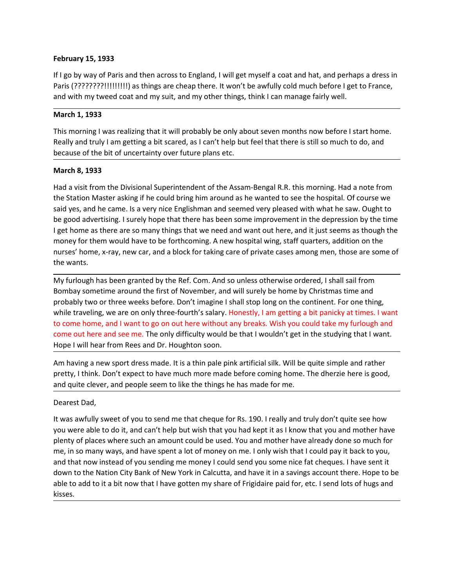February 15, 1933<br>If I go by way of Paris and then across to England, I will get myself a coat and hat, and p<br>Paris (????????!!!!!!!!!) as things are cheap there. It won't be awfully cold much before<br>and with my tweed coat February 15, 1933<br>If I go by way of Paris and then across to England, I will get myself a coat and hat, and perhaps a dress in<br>Paris (????????!!!!!!!!!!) as things are cheap there. It won't be awfully cold much before I ge February 15, 1933<br>
If I go by way of Paris and then across to England, I will get myself a coat and hat, and perhaps a dress in<br>
Paris (????????!!!!!!!!!!) as things are cheap there. It won't be awfully cold much before I February 15, 1933<br>
If I go by way of Paris and then across to England, I will get myself a coat and hat, and perhaps a dress in<br>
Paris (????????!!!!!!!!!) as things are cheap there. It won't be awfully cold much before I g February 15, 1933<br>
If I go by way of Paris and then across to England, I will get myself a coat and hat, and perhaps a dress in<br>
Paris (??????????!?!!!!!!!) as things are cheap there. It won't be awfully cold much before I February 15, 1933<br>
If I go by way of Paris and then across to England, I will get myself a coat and hat, and perhaps a dress in<br>
Paris (?????????!!!!!!!!!) as things are cheap there. It won't be awfully cold much before I February 15, 1933<br>
If I go by way of Paris and then across to England, I will get myself a coat and hat, and perhaps a dress in<br>
Paris (????????!!!!!!!!!) as things are cheap there. It won't be awfully cold much before I g

February 15, 1933<br>
If I go by way of Paris and then across to England, I will get myself a coat and hat, and<br>
Paris (????????!!!!!!!!!!) as things are cheap there. It won't be awfully cold much be<br>
and with my tweed coat a

February 15, 1933<br>
If I go by way of Paris and then across to England, I will get myself a coat and hat, a<br>
Paris (?????????!!!!!!!!!) as things are cheap there. It won't be awfully cold much be<br>
and with my tweed coat and February 15, 1933<br>
Hi igo by way of Paris and then across to England, I will get myself a coat and hat, and perhaps a dress in<br>
Paris (????????!!!!!!!!!) as things are cheap there. It won't be awfully cold much before I ge **February 15, 1933**<br>
If I go by way of Paris and then across to England, I will get myself a coat and hat, and perhaps a dress in<br>
Placis (?????????!!!!!!!!!) as things are cheap there. It won't be awfully cold much before **February 15, 1933**<br>
If I go by way of Paris and then across to England, I will get myself a coat and hat, and perhaps a dress in<br>
Paris (?????????!!!!!!!!!) as things are cheap there. It won't be awfully cold much before February 15, 1933<br>
If I go by way of Paris and then across to England, I will get myself a coat and hat, and perhaps a dress in<br>
Paris (????????!!!!!!!!!) as things are cheap there. It won't be awfully cold much before I g February 15, 1933<br>
If I go by way of Paris and then across to England, I will get myself a coat and hat, and perhaps a dress in<br>
Paris (?????????!!!!!!!!!!) as things are cheap there. It won't be awfully cold much before I February 15, 1933<br>
Fif yo by way of Paris and then across to England, I will get myself a coat and hat, and perhaps a dress in<br>
Paris (??????????!!!!!!!!!) as things are cheap there. It won't be awfully cold much before I If I go by way of Paris and then across to England, I will get myself a coat and hat, and perhaps a dress in<br>Paris (?????????!!!!!!!!!) as things are cheap there. It won't be awfully cold much before I get to France,<br>and w The boy way or Frans ant ulterations to chignal, it wing terminyster a coat anto<br>Paris (????????!!!!!!!!!) as things are cheap there. It won't be awfully cold mu<br>and with my tweed coat and my suit, and my other things, thi and with my tweed coat and my suit, and my other things, think I can manage fairly well.<br>
March 1, 1933<br>
This morning I was realizing that it will probably be only about seven months now before I start home.<br>
Realiy and tr March 1, 1933<br>This morning I was realizing that it will probably be only about seven months now before I start home,<br>Really and truly I am getting a bit scared, as I can't help but feel that there is still so much to do, a materia, 1993<br>This morning I was realizing that it will probably be only about seven months now before I start home.<br>The logity and truly I am getting a bit scared, as I can't help but feel that there is still so much to d This morning I was realizing that it will probably be only about seven months now before I start home,<br>Really and truly I am getting a bit scared, as I can't help but feel that there is still so much to do, and<br>because of Really and truly I am getting a bit scared, as I can't help but feel that there is still so much to do, and<br>because of the bit of uncertainty over future plans etc.<br> **March 8, 1933**<br>
Had a visit from the Divisional Superin because of the bit of uncertainty over future plans etc.<br>
March 8, 1933<br>
Had a visit from the Divisional Superintendent of the Assam-Bengal R.R. this morning. Had a note from<br>
Heal a visit from the Divisional Superintenden March 8, 1933<br>
Had a visit from the Divisional Superintendent of the Assam-Bengal R.R. this morning. Had a note from<br>
the Station Master asking if he could bring him around as he wanted to see the hospital. Of course we<br>
s Had a visit from the Divisional Superintendent of the Assam-Bengal R.R. this morning. Had a note from<br>the Station Master asking if he could bring him around as he wanted to see the hospital. Of course we<br>said yes, and he c mad wis it orien the Diversional superfinite of the studient of the studient of the studient of the studient of the team of the team of the studients of the coming home and several yes, and he came. Is a very nice Englishm

the station Masker asking in the Couta Ding firm around as he wanted to see the mospital. Or coutase with what he saw. Ought to be good advertising. I surely hope that there has been some improvement in the depression by t be good advertising. I surely hope that there has been some improvement in the c<br>I get home as there are so many things that we need and want out here, and it just<br>money for them would have to be forthcoming. A new hospita For them would have to be forthcoming. A new hospital wing, staff quarters, addition on the<br>nunsey for them would have to be forthcoming. A new hospital wing, staff quarters, addition on the<br>nurses' home, x-ray, new car, a work of the mass are the method of the the total state with the total state is a space of private cases among men, those are some of<br>the wants.<br>Wy furtulagh has been granted by the Ref. Com. And so unless otherwise ordered

places where wants.<br>
the wants.<br>
Thy furlough has been granted by the Ref. Com. And so unless otherwise ordered, I shall sail from<br>
Bombay sometime around the first of November, and will surely be home by Christmas time an me was more through has been granted by the Ref. Com. And so unless otherwise ordered, I shall sail from<br>Bombay sometime around the first of November, and will surely be home by Christmas time and<br>probably two or three wee My furlough has been granted by the Ref. Com. And so unless otherwise ordered, I shall sail from<br>Bombay sometime around the first of November, and will surely be home by Christmas time and<br>Bombay two or three weeks before. Bombay sometime around the first of November, and will surely be home by Christmas time and<br>probably two or three weeks before. Don't imagine I shill stop long on the contient. For one thing,<br>while traveling, we are on onl probably two or three weeks before. Don't imagine I shall stop long on the contient. For one thing, while traveling, we are on only three-fourth's salary. Homasty, I am getting a bit panickly at times. I want to come home, kisses.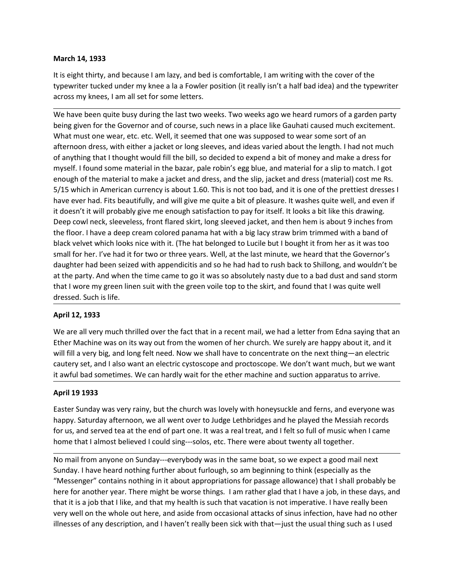March 14, 1933<br>
It is eight thirty, and because I am lazy, and bed is comfortable, I am writing with the<br>
typewriter tucked under my knee a la a Fowler position (it really isn't a half bad idea<br>
across my knees, I am all s March 14, 1933<br>It is eight thirty, and because I am lazy, and bed is comfortable, I am writing with the cover of the<br>typewriter tucked under my knee a la a Fowler position (it really isn't a half bad idea) and the typewrit

March 14, 1933<br>It is eight thirty, and because I am lazy, and bed is comfortable, I am writing with the cover of the<br>typewriter tucked under my knee a la a Fowler position (it really isn't a half bad idea) and the typewrit March 14, 1933<br>
It is eight thirty, and because I am lazy, and bed is comfortable, I am writing with the cover of the<br>
typewriter tucked under my knee a la a Fowler position (it really isn't a half bad idea) and the typewr March 14, 1933<br>
It is eight thirty, and because I am lazy, and bed is comfortable, I am writing with the cover of the<br>
typewriter tucked under my knee a la a Fowler position (it really isn't a half bad idea) and the typewr March 14, 1933<br>
It is eight thirty, and because I am lazy, and bed is comfortable, I am writing with the cover of the<br>
typewriter tucked under my knee a la a Fowler position (it really isn't a half bad idea) and the typewr March 14, 1933<br>
It is eight thirty, and because I am lazy, and bed is comfortable, I am writing with the cover of the<br>
It yewriter tucked under my knee a la a Fowler position (it really isn't a half bad idea) and the typew March 14, 1933<br>
It is eight thirty, and because I am lazy, and bed is comfortable, I am writing with the cover of the<br>
typewriter tucked under my knee a la a Fowler position (it really isn't a half bad idea) and the typewr **March 14, 1933**<br>
It is eight thirty, and because I am lazy, and bed is comfortable, I am writing with the cover of the<br>
typewriter tucked under my knee a la a Fowler position (it really isn't a half bad idea) and the type March 14, 1933<br>
It is eight thirty, and because I am lazy, and bed is comfortable, I am writing with the cover of the<br>
typewriter tucked under my knee a la a Fowler position (it really isn't a half bad idea) and the typewr It is eight thirty, and because I am lazy, and bed is comfortable, I am writing with the cover of the<br>typewriter tucked under my knee a la a Fowler position (it really isn't a half bad idea) and the typewriter<br>across my kn March 14, 1933<br>
It is eight thirty, and because I am lazy, and bed is comfortable, I am writing with the cover of the<br>
strownter tucked under my knee a la a Fowler position (it really isn't a half bad idea) and the typewri March 14, 1933<br>
tit is eight thirty, and because I am lazy, and bed is comfortable, I am writing with the cover of the<br>
typewriter tucked under my knees Ia a Fower position (it really isn't a half bad idea) and the typewri March 14, 1933<br>
It is eight thirty, and because I am lazy, and bed is comfortable, I am writing with the cover of the<br>
typewriter tucked under my knee a la a Fowler position (it really isn't a half bad idea) and the typewr March 14, 1933<br>
March 14, 1933<br>
tit is eight thirty, and because I am lazy, and bed is comfortable, I am writing with the cover of the<br>
species arouse my longer my lone a la a Fowler position (it really isn't a half bad id March 14, 1933<br>
It is eight thirty, and because I am lazy, and bed is comfortable, I am writing with the cover of the<br>
typewriter tucked under my knees Ia a Fower position (it really isn't a half bad idea) and the typewrit March 14, 1933<br>
this eight thit riv, and because I am lazy, and bed is comfortable, I am writing with the cover of the<br>
thypewriter tucked under my knee a la a Fowler position (it really isn't a half bad idea) and the type It is eight thirty, and because I am lazy, and bed is comfortable, I am writing with the cover of the kypewrifer trucked under my knee a la a Fowler position (it really isn't a half bdd idea) and the typewriter across my k typewriter tucked under my knee a la a Fowler position (it really isn't a half bad idea) and the typewriter<br>across my knees, I am all set for some letters.<br>We have been quite busy during the last two weeks. Two weeks ago w across my knees, I am all set for some letters.<br>We have been quite busy during the last two weeks. Two weeks ago we heard rumors of a garden party<br>being given for the Governor and of course, such news in a place like Gauba We have been quite busy during the last two weeks. Two weeks ago we heard rumors of a garden party<br>being given for the Governor and of course, such news in a place like Gauhati caused much excitement.<br>What must one wear, e We have been quite busy during the last two weeks. Two weeks ago we heard rumors of a<br>being given for the Governor and of course, such news in a place like Gauhati caused muc<br>What must one wear, etc. etc. Well, it seemed t What must one wear, etc. etc. Well, it seemed that one was supposed to wear some afternoon dress, with either a jacket or long sleeves, and ideas varied about the let of anything that I thought would fill the bill, so deci afternoon dress, with either a jacket or long sleeves, and ideas varied about the length. I had not much and the metric<br>of anything that I thought would fill the bill, so decided to expend a bit of money and make a dress f of any the there with the bill, the bill, as one closed to expend a bit of money and make a dress for the pull, so one compared a bit of money and material for a slip to match and design, jacket and desis (material) cost m myent. I hound some material in the bazar, pale robin's egg blue, and material for a slup to match. I got<br>the metroid position in American currency is about 1.60. This is not too bad, and it is one of the prettiest dresses enough of the material to make a jacket and dress, and the silp, jacket and dress (material) cost me is.<br>S/15 which in American currency is about 1.60. This is not too bad, and it is one of the prettiest dresses I<br>have eve 5/13 which in American currency is a boott 1.60. This is not toto baa, and it is one of the pretteet dresses apply and the predictor bases quite a lift of eleasin't it will probably give me enough satisfaction to pay for i it doesn't it will probably give me enough satisfaction to pay for itself. It looks a bi<br>Deep cowl neck, sleeveless, front flared skirt, long sleeved jacket, and then hem is<br>the floor. I have a deep cream colored panama ha Easter Sunday was very rainy, but the church was lovely with homeysuckle and ferms anous or increases and the spectral with a big lacy straw brim trimmed with a band of black velvet which looks nice with it. (The hat belon the movies are epit team to the basis and with a by say sust of minimient which and the shack velvet which looks nice with it. [The hat belonged to Lucile but I bought it from here as it was too small for her. I've had it branch were wind to mer wint the mathematic tell at the the end of particle in the end of the end of the end of particle in the end of and serves that the Governo's daughter had been seized with appendicitis and so he had

smannon rerist ve reado to mee years. were, at the sammon cheric wite the party in alternation of the party. And when the time cannot we well at the party. And when the time came to go it was so absolutely nasty due to a b

at the party. And when the time came to go it was so absolutely nasty due to a bad dust and sand storm<br>that I wore my green linen suit with the green voile top to the skirt, and found that I was quite well<br>dressed. Such is that I wore my green linen suit with the green voile top to the skirt, and found that I was quite well<br>dressed. Such is life.<br>**April 12, 1933**<br>We are all very much thrilled over the fact that in a recent mail, we had a let dressed. Such is life.<br>
April 12, 1933<br>
We are all very much thrilled over the fact that in a recent mail, we had a letter from Edna saying that an<br>
We are all very much thrilled over the fact that in a recent mail, we had April 12, 1933<br>We are all very much thrilled over the fact that in a recent mail, we had a letter from Edna saying that an<br>Ether Machine was on its way out from the women of her church. We surely are happy about it, and it WHIT 21, 2003<br>We are all very much thrilled over the fact that in a recent mail, we had a letter from Edna saying that an<br>We are all very big, and long felt need. Now we shall have to concentrate on the next thing—an elect We are all very much thrilled over the fact that in a recent mail, we had a letter from Edna saying that and the the metachine was on its way out from the women of her church. We surely are enappy about it, and it will fil Ether Machine was on its way out from the women of her church. We surely are happy about it, and it and will all are ybig, and long felt need. Now we shall have to concentrate on the near thing—an electric cystoscope and p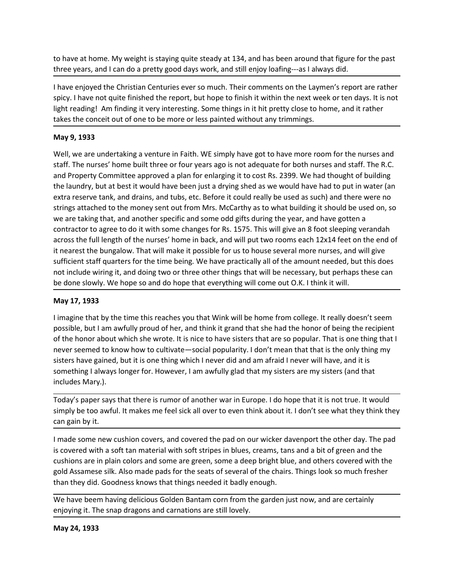to have at home. My weight is staying quite steady at 134, and has been around that figure for the past<br>three years, and I can do a pretty good days work, and still enjoy loafing---as I always did.<br>I have enjoyed the Chris to have at home. My weight is staying quite steady at 134, and has been around that figure for the past<br>three years, and I can do a pretty good days work, and still enjoy loafing---as I always did.<br>I have enjoyed the Chris to have at home. My weight is staying quite steady at 134, and has been around that figure for the past<br>three years, and I can do a pretty good days work, and still enjoy loafing---as I always did.<br>I have enjoyed the Chris to have at home. My weight is staying quite steady at 134, and has been around that figure for the past<br>three years, and I can do a pretty good days work, and still enjoy loafing---as I always did.<br>I have enjoyed the Chris to have at home. My weight is staying quite steady at 134, and has been around that figure for the past<br>three years, and I can do a pretty good days work, and still enjoy loafing---as I always did.<br>I have enjoyed the Chris to have at home. My weight is staying quite steady at 134, and has been around that figure for the past<br>three years, and I can do a pretty good days work, and still enjoy loafing—as I always did.<br>I have enjoyed the Christi

to have at home. My weight is staying quite steady at 134, and has been around three years, and I can do a pretty good days work, and still enjoy loafing---as I alw<br>I have enjoyed the Christian Centuries ever so much. Thei to have at home. My weight is staying quite steady at 134, and has been around that figure for the past<br>three years, and I can do a pretty good days work, and still enjoy loafing—as I always did.<br>Thave enjoyed the Christia to have at home. My weight is staying quite steady at 134, and has been around that figure for the past<br>three years, and I can do a pretty good days work, and still enjoy loafing—as I always did.<br>I have enjoyed the Christi to have at home. My weight is staying quite steady at 134, and has been around that figure for the past<br>three years, and I can do a pretty good days work, and still enjoy loafing—as I always dd.<br>Thave enjoyed the Christian to have at home. My weight is staying quite steady at 134, and has been around that figure for the past<br>three years, and I can do a pretty good days work, and still enjoy loafing—as I always did.<br>Thave enjoyed the Christia to have at home. My weight is staying quite steady at 134, and has been around that figure for the past<br>three years, and I can do a pretty good days work, and still enjoy loafing---as I always did.<br>I have enjoyed the Chris to have at home. My weight is staying quite steady at 134, and has been around that figure for the past<br>three years, and I can do a pretty good days work, and still enjoy loafing—as I always did.<br>Thave enjoyed the Christia to have at home. My weight is staying quite steady at 134, and has been around that figure for the past<br>three years, and I can do a pretty good days work, and still enjoy loafing---as I always did.<br>I have enjoyed the Chris to have at home. My weight is staying quite steady at 134, and has been around that figure for the past<br>three years, and I can do a pretty good days work, and still enjoy loafing---as I always did.<br>I have enjoyed the Chris to have at home. My weight is staying quite steady at 134, and has been around that figure for the past<br>three years, and I can do a pretty good days work, and still enjoy loafing---as I always did.<br>I have enjoyed the Chris three years, and I can do a pretty good days work, and still enjoy loafing---as I always did.<br>
I have enjoyed the Christian Centuries ever so much. Their comments on the Laymen's report are rather spicy. I have not quite f If have enjoyed the Christian Centuries ever so much. Their comments on the Laymen's report are rather spicy. I have not quite finished the report, but hope to finish it within the next week or ten days. It is not lakes th In ave engloyed the Christian Centuries ever so much. Their comments on the Laymers's report are rather<br>ispicy. I have not quite finished the report, but hope to finish it within the next week or ten days. It is not<br>light sploy. I have not quite timshed the report, but hope to finish it within the next week or ten days. It is not<br>light reading! Am finding it very interesting. Some things in it hit pretty close to home, and it rather<br>takes t takes the conceit out of one to be more or less painted without any trimmings.<br>
May 9, 1933<br>
Well, we are undertaking a venture in Faith. WE simply have got to have more roo<br>
staff. The nurses' home built three or four yea **May 9, 1933**<br>Well, we are undertaking a venture in Faith. WE simply have got to have more room for the nurses and<br>staff. The nurses' home built three or four years ago is not adequate for both nurses and staff. The R.C.<br>a Well, we are undertaking a venture in Faith. WE simply have got to have more room for the nurses and staff. The nurses' home built three or four years ago is not adequate for both nurses and staff. The nurses' home built t Well, we are undertaking a venture in Faith. WE simply have got to have more froom for the nurses and<br>traffic The nurses' home built three or four years ago is not adequate for both nurses and staff. The R.C.<br>and Property stalt. The nurses' home built three or four years ago is not adequate to roth nurses and start. The R.C.<br>and Property Committee approved a plan for enlarging it to cost Rs. 2399. We had thought of building<br>the laundry, but and Property Committee approved a pian for enlarging it to cost fis. 2399. We had thought of building<br>the laundry, but at best it would have been just a drying shed as we would have had to put in water (an<br>extra reserve ta the laundry, but at best through lawaye been just a drying shed as we would have had to put in water (an<br>extra reserve tank, and drains, and tubs, etc. Before it could really be used as such) and there were no<br>strings atta extra reserve tank, and drams, and tubs, etc. Before it could really be used as such<br>strings attached to the money sent out from Mrs. McCarthy as to what building it<br>twe are taking that, and another specific and some odd g we are taking that, and another specific and some odd gifts during the year, and have gotten a<br>contractor to agree to do it with some changes for Rs. 1375. This will give an 8 foot sleeping verandah<br>across the full length

contractor to agree to do it with some changes for Rs. 1575. This will give an 8 foot sleeping verandah<br>across the full length of the nurses' home in back, and will gut two rooms each 12x14 feet on the end to<br>it incarest t across the full length of the nurses' home in back, and will put two rooms each 12x14<br>th enarest the bungalow. That will make it possible for us to house several more nurs<br>sufficient staff quarters for the time heing. We h In sufficient staff quarters for the time being. We have practically all of the amount needed, but this does<br>not include wiring it, and doing two or three other things that will be necessary, but perhaps these can<br>be done is covered with a soft tan material with soft stripes in blues, creams, that perform and the society. The strain material will be necessary, but perhaps these can be done slowly. We hope so and do hope that everything will For the some that by the time some state of the some that the some that the some interest with the some some some are in the state of the some form college. It really doesn't seem possible, but I am awfully proud of her, a **Example 1981 assumpt the seats of the seats of the seats of the chair.** This magnet that will be home from college. It really doesn't seem Imagine that by the time this reaches you that Wink will be home from college. It May 17, 1933<br>
Missign that by the time this reaches you that Wink will be home from college. It really doesn't seem<br>
possible, but I am awfully proud of her, and think it grand that she had the honor of being the recipient I imagine that by the time this reaches you that Wink will be home from college. It really doesn't seem possible, but I am awfully proud of her, and think it grand that she had the honor feleing the recipient of the honor possible, but I am awfully proud of her, and think it grand that she had the honor of being the recipient of the honor about which she words the incite to have sisters that are so popular. That is one thing that lever seem

never seemed to know how to cultivate—social popularity. I don't mean that that<br>sisters have gained, but it is one thing which I never did and am afraid I never will l<br>sisters have gained, but it is one thing which I never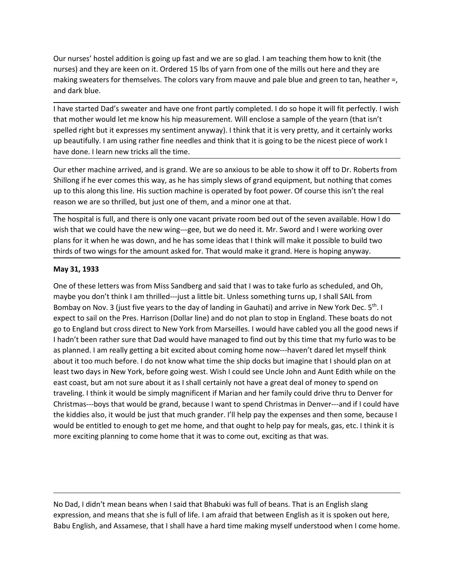Our nurses' hostel addition is going up fast and we are so glad. I am teaching them how to knit (the<br>nurses) and they are keen on it. Ordered 15 lbs of yarn from one of the mills out here and they are<br>amaking sweaters for Our nurses' hostel addition is going up fast and we are so glad. I am teaching them how to knit (the<br>nurses) and they are keen on it. Ordered 15 lbs of yarn from one of the mills out here and they are<br>making sweaters for t Our nurses' hostel addition is going up fast and we are so glad. I am teaching them how to knit (the<br>nurses) and they are keen on it. Ordered 15 lbs of yarn from one of the mills out here and they are<br>making sweaters for t

Our nurses' hostel addition is going up fast and we are so glad. I am teaching them<br>nurses) and they are keen on it. Ordered 15 lbs of yarn from one of the mills out he<br>making sweaters for themselves. The colors vary from Our nurses' hostel addition is going up fast and we are so glad. I am teaching them how to knit (the nurses) and they are keen on it. Ordered 15 lbs of yarn from one of the mills out here and they are making sweaters for t Our nurses' hostel addition is going up fast and we are so glad. I am teaching them how to knit (the<br>nurses) and they are keen on it. Ordered 15 lbs of yarn from one of the mills out here and they are<br>and dark blue.<br>In hav Our nurses' hostel addition is going up fast and we are so glad. I am teaching them how to knit (the<br>ourses) and they are keen on it. Ordered 15 lbs of yarn from one of the mills out here and they are<br>making sweaters for t Our nurses' hostel addition is going up fast and we are so glad. I am teaching them how to knit (the<br>nurses) and they are keen on it. Ordered 15 lbs of yarn from one of the mills out here and they are<br>making sweaters for t Our nurses' hostel addition is going up fast and we are so glad. I am teaching them how to knit (the<br>ourses) and they are keen on it. Ordered 15 lbs of yarn from one of the mills out here and they are<br>making sweaters for t Our nurses' hostel addition is going up fast and we are so glad. I am teaching them how to knit (the<br>nurses) and they are keen on it. Ordered 15 lbs of yarn from one of the mills out here and they are<br>amd dark blue.<br>In ave Our nurses' hostel addition is going up fast and we are so glad. I am teaching them how to knit (the<br>nurses) and they are keen on it. Ordered 15 lbs of yarn from one of the mills out here and they are<br>and dark blue.<br>and da Our nurses' hostel addition is going up fast and we are so glad. I am teaching them how to knit (the<br>nurses) and they are keen on it. Ordered 15 lbs of yarn from one of the mills out here and they are<br>making sweaters for t Our nurses' hostel addition is going up fast and we are so glad. I am teaching them how to knit (the<br>nurses) and they are keen on it. Ordered 15 lbs of yarn from one of the mills out here and they are<br>and dark blue.<br>and da Our nurses' hostel addition is going up fast and we are so glad. I am teaching them how to knit (the nurses) and they are keen on it. Ordered 15 lbs of yarn from one of the mills out here and they are making sweaters for t Our nurses' hostel addition is going up fast and we are so glad. I am teaching them how to knit (the<br>nurses) and they are keen on it. Ordered 15 lbs of yarn from one of the mills out here and they are<br>making sweaters for t Our nurses' hostel addition is going up fast and we are so glad. I am teaching them how to knit (the<br>nurses) and they are keen on it. Ordered 15 lbs of yarn from one of the milis out here and they are<br>making sweaters for t nurses) and they are keen on it. Ordered 15 lbs of yarn from one of the mills out here and they are<br>making sweaters for themselves. The colors vary from mauve and pale blue and green to tan, heather =,<br>and dark blue.<br>Thave and dark blue.<br>
I have started Dad's sweater and have one front partly completed. I do so hope it that mother would let me know his hip measurement. Will enclose a sample of the spelled right but it expresses my sentiment

I have started Dad's sweater and have one front partly completed. I do so hope it will fit perfectly. I wish<br>that mother would let me know his hip measurement. Will enclose a sample of the yearn (that isn't<br>spelled right b may cannot are out syntaction and the mean that in the syntape of the yearn (that interests the syntape of the kearm in the syntal mean that the syntal mean that the syntape of the syntamical means the syntamical spelled r invalues to the animal many means and this time.<br>Spelled right but it expresses my sentiment anyway). I think that it is very pretty, and it eertainly works<br>up beautifully. I am using rather fine needles and think that it eyending the ever to sail on the Press. Harrison (Dollar line) and do not plan to stop in England. These the present to sail on the Pres. Harrison (Dollar line) and the stop in England We are so anxious to be able to show power that the present was the measure of the the state of the state of the state of the state of the state of the state of the state of the state of the state of the state of the state of the state of the state of the sta note online warked and the time.<br>Our efter machine arived, and is grand. We are so anxious to be able to show it off to Dr. Roberts from<br>Ohillong if the ever comes this way, as he has simply slews of grand equipment, but n Our ether machine arrived, and is grand. We are so anxious to be able to show it off to Dr. Roberts from<br>Shillong if he ever comes this way, as he has simply slews of grand equipment, but nothing that comes<br>pu to this alon Shillong if he ever comes this way, as he has simply slews of grand equipment, but nothing that comes<br>up to this along this line. His suction machine is operated by foot power. Of course this isn't the real<br>reason we are s up to this along this line. His suction machine is operated by foot power. Of course this isn't the real<br>
The hospital is full, and there is only one vacant private room bed out of the seven available. How I do<br>
The hospit reason we are so thrilled, but just one of them, and a minor one at that.<br>The hospital is full, and there is only one vacant private room bed out of the seven available. How I do<br>suis that we could have the new wing—see, b The hospital is full, and there is only one vacant private room bed out of the seven available. How I do<br>wish that we could have the new wing—gee, but we do need it. Mr. Sword and I were working over<br>plans for it when he w Ine nospital is tull, and there is only one vacant private room bed out of the seven available. How I do<br>wish that we could have the new wing---gee, but we do need it. Mr. Sword and I were working over<br>plans for it when he wish that we could have the new wing--gee, but we do need it. Mr. Sword and l were working over that we could be<br>plans for it when he was down, and he has some ideas that it think will make it possible to build two<br>thirds plans for it when he was down, and he has some ideas that it think will make it possible to build two<br>thinds of two wings for the amount asked for. That would make it grand. Here is hoping anyway.<br>May 31, 1933<br>One of these thirds of two wings for the amount asked for. That would make it grand. Here is hoping anyway.<br>
May 31, 1933<br>
One of these letters was from Miss Sandberg and said that I was to take furlo as scheduled, and Oh,<br>
maybe you d exerct to sail on the Pres. Harrison (Dollar line) and oto not pican to stop in ring and . Insee boats of orter<br>go to England but cross direct to New York from Marseilles. I would have cabled you all the good news if<br>thadn go to engalano durcross affect to twee vrors from invarisemes. I would nave caloued that the mean to the shall ince goon easy of the shall of the shall of the shall of the shall of the shall of the shall of the shall of th In ann there rather sure that Data Would have managed to min out by this time that my funto was to be about a happen that it for omuch before. I do not know what time the ship docks but imagine that I should plan on at abo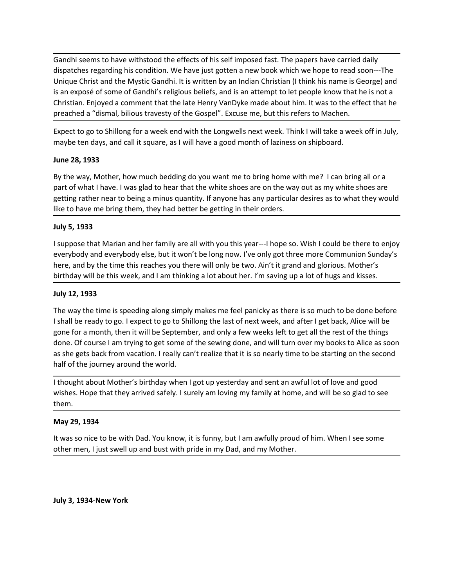Gandhi seems to have withstood the effects of his self imposed fast. The papers have carried daily<br>dispatches regarding his condition. We have just gotten a new book which we hope to read soon---The<br>Unique Christ and the M Gandhi seems to have withstood the effects of his self imposed fast. The papers have carried daily<br>dispatches regarding his condition. We have just gotten a new book which we hope to read soon---The<br>Unique Christ and the M Gandhi seems to have withstood the effects of his self imposed fast. The papers have carried daily<br>dispatches regarding his condition. We have just gotten a new book which we hope to read soon----The<br>Unique Christ and the Gandhi seems to have withstood the effects of his self imposed fast. The papers have carried daily<br>dispatches regarding his condition. We have just gotten a new book which we hope to read soon---The<br>Unique Christ and the M Gandhi seems to have withstood the effects of his self imposed fast. The papers have carried daily dispatches regarding his condition. We have just gotten a new book which we hope to read soon---The Unique Christ and the M Gandhi seems to have withstood the effects of his self imposed fast. The papers have carried daily<br>dispatches regarding his condition. We have just gotten a new book which we hope to read soon---The<br>Unique Christ and the M Gandhi seems to have withstood the effects of his self imposed fast. The papers have carried daily<br>dispaches regarding his condition. We have just gotten a new book which we hope to read soon----The<br>Unique Christ and the M Gandhi seems to have withstood the effects of his self imposed fast. The papers have carried daily<br>dispatches regarding his condition. We have just gotten a new book which we hope to read soon---The<br>Unique Christ and the M Gandhi seems to have withstood the effects of his self imposed fast. The papers halapatches regarding his condition. We have just gotten a new book which we hop Unique Christ and the Mystic Gandhi. It is written by an Indi Gandhi seems to have withstood the effects of his self imposed fast. The papers have carried daily Unigue Christ and the Mystic Gandhi. It is written by an Indian Christian (I think his name is Gorge) and is an exposé of s Gandhi seems to have withstood the effects of his self imposed fast. The papers have carried daily<br>Unique Christ and the Mystic Gandhi. It is written by an Indian Christian (I think his name is Goorge) and<br>Unique Christ an Gandhi seems to have withstood the effects of his self imposed fast. The papers have carried daily<br>dispatches regarding his condition. We have just gotten a new book which we hope to read soon---The<br>Unique Christ and the M Gandhi seems to have withstood the effects of his self imposed fast. The papers have carried daily<br>dispatches regarding his condition. We have just gotten a new book which we hope to read soon---The<br>Unique Christ and the M Gandhi seems to have withstood the effects of his self imposed fast. The papers<br>dispatches regarding his condition. We have just gotten a new book which we he<br>Unique Christ and the Mystic Gandhi. It is written by an Indian Gandhi seems to have withstood the effects of his self imposed farst. The papers have carried daily<br>dispatches regarding his condition. We have just gotten a new book which we hope to read soon---The<br>Unique Christ and the dispatches regarding his condition. We have just gottet a new book which we hope to read soom---The<br>Unique Christ and the Mystic Gandhi's religious beliefs, and is an attempt to let people know that he is not a<br>ls an expos

Unique Christ and the Mystic Gandhi. It is written by an Indian Christian (I think his name is George) and<br>Is an exposé of some of Gandhi's religious beliefs, and is an attempt to let people know that he is not a<br>Christian is an exposé of some of Gandhi's religious beliefs, and is an attempt to let people know that he is not a<br>Christian. Enjoyed a comment that the late Henry VanDyke made about him. It was to the effect that he<br>preached a "di

preached a "dismal, bilious travesty of the Gospel". Excuse me, but this refers to t<br>Expect to go to Shillong for a week end with the Longwells next week. Think I will<br>maybe ten days, and call it square, as I will have a g Expect to go to Shillong for a week end with the Longwells next week. Think I will take a week off in July,<br>
maybe ten days, and call it square, as I will have a good month of laziness on shipboard.<br>
June 28, 1933<br>
By the maybe ten days, and call it square, as I will have a good month of laziness on shipboard.<br>
June 28, 1933<br>
By the way, Mother, how much bedding do you want me to bring home with me? I can bring all or a<br>
pertor of what I ha **July 12, 1933**<br> **Explore then in the september is and then in the thing homes with me?** I can bring all or a<br>
part of what I have. I was glad to hear that the white shoes are on the way out as my white shoes are<br>
getting June 28, 1933<br>By the way, Mother, how much bedding do you want me to bring home with me? I can bring all or a<br>part of what I have. I was glad to hear that the white shoes are on the way out as my white shoes are<br>petting ra By the way, Mother, how much bedding do you want me to bring home with me? I can bring all or a<br>part of what I have. I was glad to hear that the white shoes are on the way out as my white shoes are<br>getting rather near to b by the way the time is predicted by you want me to oning no me want out ineresting and the part of what I have. I was glad to hear that the white shoes are on the way out as my white shoes are getting rather near to being getting rather mear to being a minus quantity. If anyone has any particular desires as to what they would<br>
like to have me bring them, they had better be getting in their orders.<br>
<br>
July 5, 1933<br>
1990 poet to a more formul like to have me bring them, they had better be getting in their orders.<br>
July 5, 1933<br>
I suppose that Marian and her family are all with you this year---1 hope so. Wish I could be there to enjoy<br>
veveybody and everybody el I suppose that Marian and her family are all with you this year---I hope so. Wish I deverybody and everybody else, but it won't be long now. I've only got three more here, and by the time this reaches you there will only b everybook and everybook else, but it won't be long noov. I've only got three more Communion Sunday's<br>bere, and by the time this reaches you there will only be two. Ain't it grand and glorious. Mother's<br>birthday will be thi here, and by the time this reaches you there will only be two. Ain't it grand and glorious. Mother's<br>birthday will be this week, and I am thinking a lot about her. I'm saving up a lot of hugs and kisses.<br>Luly 12, 1933<br>Tuly I shall be ready to go. I expect to go to Shillong the last of next week, and after I get back, A<br>gone for a month, then it will be September, and only a few weeks left to get all the rest of<br>done. Of course I am trivial t

them.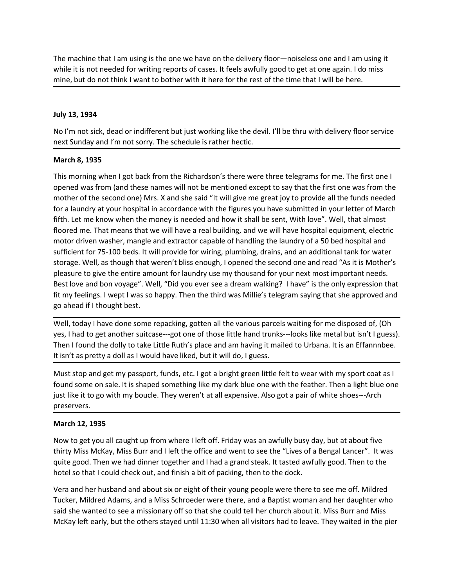The machine that I am using is the one we have on the delivery floor—noiseless one and I am using it while it is not needed for writing reports of cases. It feels awfully good to get at one again. I do miss mine, but do no The machine that I am using is the one we have on the delivery floor—noiseless one and I am using it while it is not needed for writing reports of cases. It feels awfully good to get at one again. I do miss mine, but do no The machine that I am using is the one we have on the delivery floor—noiseless one and I am using it<br>while it is not needed for writing reports of cases. It feels awfully good to get at one again. I do miss<br>mine, but do no The machine that I am using is the one we have on the delivery floor—noiseless o<br>while it is not needed for writing reports of cases. It feels awfully good to get at o<br>mine, but do not think I want to bother with it here f The machine that I am using is the one we have on the delivery floor—noiseless one and I am using it<br>While it is not needed for writing reports of cases. It feels awfully good to get at one again. I do miss<br>mine, but do no The machine that I am using is the one we have on the delivery floor—noiseless one and I am using it<br>while it is not needed for writing reports of cases. It feels awfully good to get at one again. I do miss<br>mine, but do no

The machine that I am using is the one we have on the delivery floor—noiseless on<br>while it is not needed for writing reports of cases. It feels awfully good to get at one<br>mine, but do not think I want to bother with it her The machine that I am using is the one we have on the delivery floor—noiseless one and I am using it<br>while it is not needed for writing reports of cases. It feels awfully good to get at one again. I do miss<br>mine, but do no The machine that I am using is the one we have on the delivery floor—noiseless one and I am using it<br>while it is not needed for writing reports of cases. It feels awfully good to get at one again. I do miss<br>mine, but do no The machine that I am using is the one we have on the delivery floor—noiseless one and I am using it<br>while it is not needed for writing reports of cases. It feels awfully good to get at one again. I do miss<br>mine, but do no The machine that I am using is the one we have on the delivery floor—noiseless one and I am using it<br>while it is not needed for writing reports of cases. It feels awfully good to get at one again. I do miss<br>mine, but do no The machine that I am using is the one we have on the delivery floor—noiseless one and I am using it<br>
while it is not needed for writing reports of cases. It feels awfully good to get at one again. I do miss<br>
mine, but do The machine that I am using is the one we have on the delivery floor—noiseless one and I am using it<br>while it is not needed for writing reports of cases. It feels avirully good to get at one again. I do miss<br>mine, but do n The machine that I am using is the one we have on the delivery floor—noiseless one and I am using it<br>while it is not needed for writing reports of cases. It feels awfully good to get at one again. I do miss<br>mine, but do no while it is not needed for writing reports of cases. It freels awfully good to get at one again. I do miss<br>mine, but do not think I want to bother with it here for the rest of the time that I will be here.<br>Holy 13, 1934<br>Hu mine, but do not think I want to bother with it here for the rest of the time that I will be here.<br>
July 13, 1934<br>
No I'm not sick, dead or indifferent but just working like the devil. I'll be thru with delivery floor serv **July 13, 1934**<br>No I'm not sick, dead or indifferent but just working like the devil. I'll be thru with delivery floor service<br>next Sunday and I'm not sorry. The schedule is rather hectic.<br>**March 8, 1935**<br>This morning when July 13, 1934<br>No I'm not sick, dead or indifferent but just working like the devil. I'll be thru with delivery floor service<br>next Sunday and I'm not sorry. The schedule is rather hectic.<br>Narch 8, 1935<br>This morning when I g July 13, 1934<br>No I'm not sick, dead or indifferent but just working like the devil. I'll be thru with delivery floor service<br>next Sunday and I'm not sorry. The schedule is rather hectic.<br>This morning when I got back from t No I'm not sick, dead or indifferent but just working like the devil. I'll be thru with delivery floomext Sunday and I'm not sorry. The schedule is rather hectic.<br> **March 8, 1935**<br>
This morning when I got back from the Ric next Sunday and I'm not sorry. The schedule is rather hectic.<br>
March 8, 1935<br>
This morning when I got back from the Richardson's there were three telegrams for me. The first one I<br>
opened was from diat these names will not March 8, 1935<br>This morning when I got back from the Richardson's there were three telegrams for me. The first one I<br>opened was from (and these names will not be mentioned except to say that the first one was from the<br>mothe March 8, 1935<br>This morning when I got back from the Richardson's there were three telegrams for me. The first one 1<br>The morning when I got back from the Bomble of the mission of the morning of the domestion the<br>mother of t This morning when I got back from the Richardson's there were three telegrams for me. The first one I<br>opened was from (and these names will not be mentioned except to say that the first one was from the<br>omother of the seco openeu was rorm qurul ten end the statistop and the my parameter with the my parameter of the second one) Mrs. X and ahe said "It will give me great joy to provide all the funds needed for a laundry at your hospital in acc mounter or the second one pursts. At an are start at twill then, given be the given by tho puroved all the transite means that the figures you have submitted in your letter of March fifth. Let me know when the money is nee ior a laundry at your nospital in actorate with the ingures you rave somethed in your letter of what the to go<br>fifth. Let me know when the money is needed and how it shall be sent, With love". Well, that almost<br>floored me. motor driven washer, mangle and extractor capable of handling the laundry of a 50<br>sufficient for 75-100 beds. It will provide for wiring, plumbing, drans, and an additio<br>storage. Well, as though that weren't bliss enough, storage. Well, as though that weren't bissenough, I opened the second one and read "As it is Mother's pleasure to give the entire amount for slaunce when who are out off or sure to give the entire amount of transform when sheast the only one endiffered and the office and the other work of the other that the state of the entire amount for laundry use my thousand for your next most important needs.<br>Bets love and bon voyage". Well, "Did you ev

pleast to the method. Then we had dinner to getter and I had a grand steak. It tasted awfully good. Then we had diff through the control were see a dream walking? I have" is the only expression that fit my feelings. I wept Ether the lings. I went have been encompared to the solution of the packing form as the paper and go ahead if I thought best.<br>
Well, today I have done some repacking, gotten all the various parcels waiting for me disposed go ahead if I thought best.<br>Well, today I have done some repacking, gotten all the various parcels waiting for me disposed of, (Oh<br>yes, I had to get another suitcase—got one of those little hand trunks—looks like metal but Well, today I have done some repacking, gotten all the various parcels waiting for me disposed of, (Oh<br>yes, I had to get another suitcase—got one of those little hand trunks—looks like metal but isn't I guess).<br>Then I foun

preservers. wer, too to see to the suitable and the elevaling, gouten in the valuo y pare show want go the metal but isn't it guess).<br>Then I found the dolly to take Little Ruth's place and am having it mailed to Urbana. It is an Effan yes, niat or get you all caught up from where I left off. Friday was an awfully but the others stayed until reputsy.<br>It isn't as pretty a doll as I would have liked, but it will do, I guess.<br>It isn't as pretty a doll as I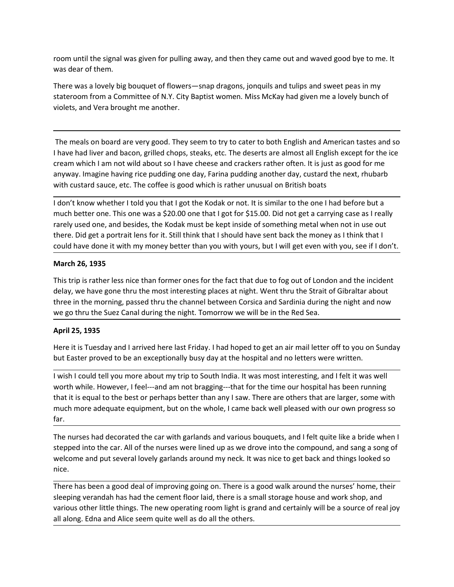room until the signal was given for pulling away, and then they came out and waved good bye to me. It<br>was dear of them.<br>There was a lovely big bouquet of flowers—snap dragons, jonquils and tulips and sweet peas in my<br>state room until the signal was given for pulling away, and then they came out and waved g<br>was dear of them.<br>There was a lovely big bouquet of flowers—snap dragons, jonquils and tulips and swe<br>stateroom from a Committee of N.Y. There was a lovely big bouquet of flowers—snap dragons, jonquils and tulips and sweet peas in my<br>There was a lovely big bouquet of flowers—snap dragons, jonquils and tulips and sweet peas in my<br>stateroom from a Committee o stateroom until the signal was given for pulling away, and then they came out and waved good bye to me. It<br>was dear of them.<br>There was a lovely big bouquet of flowers—snap dragons, jonquils and tulips and sweet peas in my<br> room until the signal was given for pulling away, and then they came out and waved good bye to me. It<br>was dear of them.<br>There was a lovely big bouquet of flowers—snap dragons, jonquils and tulips and sweet peas in my<br>state

oom until the signal was given for pulling away, and then they came out and waved good bye to me. It<br>was dear of them.<br>There was a lovely big bouquet of flowers—snap dragons, jonquils and tulips and sweet peas in my<br>tatero I have the signal was given for pulling away, and then they came out and waved good bye to me. It<br>There was a lovely big bouquet of flowers—snap dragons, jonquils and tulips and sweet peas in my<br>stateroom from a Committee room until the signal was given for pulling away, and then they came out and waved good bye to me. It<br>There was a lovely big bouquet of flowers—snap dragons, jonquils and tulips and sweet peas in my<br>stateroom from a Commit room until the signal was given for pulling away, and then they came out and waved good bye to me. It<br>There was a lovely big bouquet of flowers—snap dragons, jonquils and tulips and sweet peas in my<br>There was a lovely big room until the signal was given for pulling away, and then they came out and waved good bye to me. It<br>There was a lovely big bouquet of flowers—snap dragons, jonquils and tulips and sweet peas in my<br>stateroom from a Commit room until the signal was given for pulling away, and then they came out and waved good bye to me. It<br>There was a lovely big bouquet of flowers—snap dragons, jonquils and tulips and sweet peas in my<br>stateroom from a Commit room until the signal was given for pulling away, and then they came out and waved good bye to me. It<br>was dear of them.<br>There was a lovely big bouquet of flowers—snap dragons, jonquils and tulips and sweet peas in my<br>state room until the signal was given for pulling away, and then they came out and waved good bye to me. It<br>was dear of them.<br>There was a lovely big bouquet of flowers—snap dragons, jonquils and tulips and sweet peas in my<br>state room until the signal was given for pulling away, and then they came out and waved good bye to me. It<br>There was a lovely big bouquet of flowers —snap dragons, jonquils and tulips and sweet peas in my<br>stateroom from a Commi room untuit the sgiral was given not puning ewey, and chen chey cante out and waved good oye to me. It<br>There was a lovely big bouquet of flowers—snap dragons, jonquils and tulips and sweet peas in my<br>stateroom from a Commi stateroom from a Committee of N.Y. City Baptist women. Miss McKay had given me a lovely bunch of<br>violets, and Vera brought me another.<br>The meals on board are very good. They seem to try to cater to both English and America violets, and Vera brought me another.<br>
The meals on board are very good. They seem to try to cater to both English and American tastes and so<br>
I have had liver and bacon, grilled chops, steaks, etc. The deserts are almost The meals on board are very good. They seem to try to cater to both English and American tastes and so<br>
thave had liver and bacon, grilled chops, stease, etc. The deserts are almost all English except for the ice<br>
creasm w The meals on board are very good. They seem to try to cater to both English and American tastes and so<br>I have had liver and bacon, grilled chops, steaks, etc. The deserts are almost all English except for the ice<br>cream whi

There was a lovely big bouquet of flowers—snap dragons, jonquils and tulips and sw<br>stateroom from a Committee of N.Y. City Baptist women. Miss McKay had given me<br>violets, and Vera brought me another.<br>The meals on board are This trip is rather less nice than former ones for the destriction and heters were the model was help way. Imagine having irre pudding one day, Farina pudding another day, custarce rem which I am not wild about so I have c cream which I am not wild about so I have cheese and crackers rather offer. It is just as good for me<br>anyway. Imagine having rice pudding one day, Farina pudding another day, custard the next, rhubarb<br>with custard sauce, e anyway. Imagine having rice pudding one day, Farina pudding another day, custard the next, rhubarb<br>uith custard sauce, etc. The coffee is good which is rather unusual on British boat<br>if don't know whener it fold you that I I don't know whether I told you that I got the Kodak or not. It is similar to the one I had before but a<br>much better one. This one was a \$20.00 one that I got for \$15.00. Did not get a carrying case as I really<br>rarely used

I don't know wheher I toldy ou that I got the Kodak or not. It is similar to the one I had before but a<br>much better one. This one was a \$20.00 one that I got for \$15.00. Did not get a carrying case as I really<br>rarely used much better one. This one was a \$220.00 one that I got for \$15.00. Did not get a carrying case as I really<br>trarely used one, and besides, the Kodak must be kept inside of something metal when not in use out<br>there. Did get rarely used one, and besides, the Kodak must be kept inside of something metal when not in use out<br>there. Did get a portrait lens for it. Still think that I should have sent back the money as I think that I<br>could have done far. March 26, 1935<br>This trip is rather less nice than former ones for the fact that due to fog out of London and the incident<br>delay, we have gone thru the most interesting places at night. Went thru the Strait of Gibraltar abo **March 26, 1935**<br>This trip is rather less nice than former ones for the fact that due to fog out of London and the incident<br>This trip is rather less were thru the most interesting places at night. Went thru the Strait of G This trip is rather less nice than former ones for the fact that due to fog out of London and the incident<br>telay, we have gone thru the most interesting places at night. Went thru the Strait of Gibraltar about<br>we go thru t three in the morning, passed thru the channel between Corscia and Sardinia during the night and now<br>we go thru the Suez Canal during the night. Tomorrow we will be in the Red Sea.<br>**April 25, 1935**<br>Here it is Tuesday and I we go thru the Suez Canal during the night. Tomorrow we will be in the Red Sea.<br>Here it is Tuesday and I arrived here last Friday. I had hoped to get an air mail letter off to you on Sunday<br>but Easter proved to be an excep April 25, 1935<br>Here it is Tuesday and I arrived here last Friday. I had hoped to get an air mail letter off to you on Sunday<br>but Easter proved to be an exceptionally busy day at the hospital and no letters were written.<br>I Here it is Tuesday and I arrived here last Friday. I had hoped to get an air mail letter off to you on Sunday<br>But Easter proved to be an exceptionally busy day at the hospital and no letters were written.<br>I wish I could te

nice.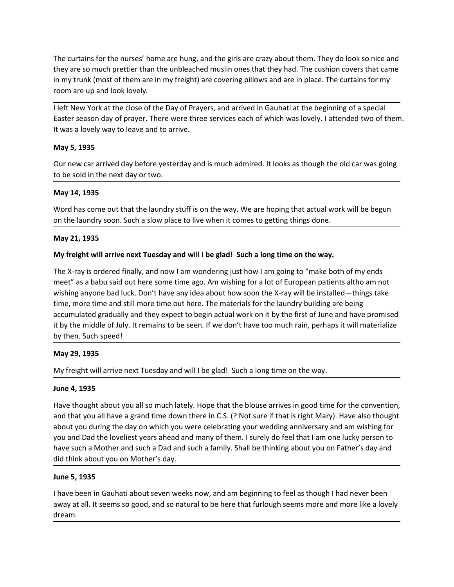The curtains for the nurses' home are hung, and the girls are crazy about them. They do look so nice and<br>they are so much prettier than the unbleached muslin ones that they had. The cushion covers that came<br>in my trunk (mo The curtains for the nurses' home are hung, and the girls are crazy about them. They do look so nice and<br>they are so much prettier than the unbleached muslin ones that they had. The cushion covers that came<br>in my trunk (mo The curtains for the nurses' home are hung, and the girls are crazy about them. They do look so nice and<br>they are so much prettier than the unbleached muslin ones that they had. The cushion covers that came<br>in my trunk (mo The curtains for the nurses' home are hung, and the girls are crazy about them. They do look so<br>they are so much prettier than the unbleached muslin ones that they had. The cushion covers tl<br>in my trunk (most of them are i The curtains for the nurses' home are hung, and the girls are crazy about them. They do look so nice and<br>they are so much pretier than the unbleached muslin ones that they had. The cushion covers that came<br>in my trunk (mos The curtains for the nurses' home are hung, and the girls are crazy about them. They do look so nice and<br>they are so much prettier than the unbleached muslin ones that they had. The cushion covers that came<br>in my trunk (mo The curtains for the nurses' home are hung, and the girls are crazy about them. They do look so nice and<br>they are so much prettier than the unbleached muslin ones that they had. The cushion covers that came<br>in my trunk (mo The curtains for the nurses' home are hung, and the girls are crazy about them. They are so much prettier than the unbleached muslin ones that they had. The cu<br>in my trunk (most of them are in my freight) are covering pill The curtains for the nurses' home are hung, and the girls are crazy about them. They do look so nice and<br>they are so much prettier than the unbleached muslin ones that they had. The cushion covers that came<br>in my trunk (mo The curtains for the nurses' home are hung, and the girls are crazy about them. They do look so nice a<br>they are so much prettier than the unbleached muslin ones that they had. The cushion covers that car<br>in my trunk (most The curtains for the nurses' home are hung, and the girls are crazy about them. Th<br>they are so much prettier than the unbleached muslin ones that they had. The cus<br>in my trunk (most of them are in my freight) are covering The curtains for the nurses' home are hung, and the girls are crazy about them. They do look so nice and<br>they are so much prettier than the unbleached muslin ones that they had. The cushion covers that came<br>in my trunk (mo The curtains for the nurses' home are hung, and the girls are crazy about them. They do look so nice and<br>they are so much prettier than the unbleached muslin ones that they had. The cushion covers that came<br>in my trunk (mo The curtains for the nurses' home are hung, and the girls are crazy about them. Th<br>they are so much prettier than the unbleached muslin ones that they had. The cus<br>in my trunk (most of them are in my freight) are covering

they are so much pretter than the unnotegraph musin ones that they are the custom covers that came<br>in my trunk (most of them are in my freight) are covering pillows and are in place. The curtains for my<br>room are up and loo room are up and look lovely.<br>
I left New York at the close of the Day of Prayers, and arrived in Gauhati at the beginning of a special<br>
Easter season day of prayer. There were three services each of which was lovely. I att I left New York at the close of the Day of Prayers, and arrived in Gauhati at the beginning of a special<br>Easter season day of prayer. There were three services each of which was lovely. I attended two of them.<br>It was a lov I let New York at the close of the Day of Prayers, and arrived in Gaunati at the beginning of a special<br>Easter season day of prayer. There were three services each of which was lovely. I attended two of them.<br>It was a love taster season day or prayer. There were three services each of which was lovely. I attended two of them.<br>
It was a lovely way to leave and to arrive.<br> **May 5, 1935**<br>
Our new car arrived day before yesterday and is much adm It was a lovely way to leave and to arrive.<br>
May 5, 1935<br>
Our new car arrived day before yesterday and is much admired. It looks as though the old car was going<br>
to be sold in the next day or two.<br>
May 14, 1935<br>
My freight May 5, 1935<br>Our new car arrived day before yesterday and is much admired. It looks as though the old car was going<br>to be sold in the next day or two.<br>May 14, 1935<br>Word has come out that the laundry stuff is on the way. We on the same of day before yesterday and is much admired. It looks as though the comen car arrived day before yesterday and is much admired. It looks as though the comen to be sold in the next day or two.<br>
May 14, 1935<br>
Wor to be sold in the next day or two.<br>
May 14, 1935<br>
Word has come out that the laundry stuff is on the way. We are hoping that actual<br>
on the laundry soon. Such a slow place to live when it comes to getting things don<br>
May 2 May 14, 1935<br>Word has come out that the laundry stuff is on the way. We are hoping that actual work will be begun<br>on the laundry soon. Such a slow place to live when it comes to getting things done.<br>May 21, 1935<br>My freight Word has come out that the laundry stuff is on the way. We are hoping that actum<br>
on the laundry soon. Such a slow place to live when it comes to getting things do<br>
May 21, 1935<br>
My freight will arrive next Tuesday and wil on the laundry soon. Such a slow place to live when it comes to getting things done.<br>
May 21, 1935<br>
My freight will arrive next Tuesday and will I be glad! Such a long time on the way.<br>
The X-ray is ordered finally, and no May 21, 1935<br>
My freight will arrive next Tuesday and will I be glad! Such a long time on the way.<br>
The X-ray is ordered finally, and now I am wondering just how I am going to "make both of my ends<br>
meet" as a babu said ou The Prejative will arrive next Tuesday and will I be glad I Such a long time on the way.<br>The K-ray is ordered finally, and now I am wondering just how I am going to "make both of my ends<br>meet" as a babu said out here some My freight will arrive next Tuesday and will I be glad! Such a long time on the way.<br>The X-ray is ordered finally, and now I am wondering just how I am going to "make both of my ends<br>meet" as a babu said out here some time The X-ray is ordered finally, and now I am wondering just how I am going to "make both of my ends<br>meet" as a babu said out here some time ago. Am wishing for a lot of European patients altho am not<br>wishing anyone bad luck. The X-ray is otoreto many, and the resonant model ing just thow anny going to "that a bout on my the meet" as a babu said out here some time ago. Am wishing for a lot of European patients altho am not wishing aryone bad lu

wishing anyone bad luck. Don't have any idea about how soon the X-ray will be irtime, more time and still more time do stell of the alundry buildine, and accumulated gradually and they expect to begin actual work on it by accumulated gradually and they expect to begin actual work on it by the first of June and have promised<br>it by the middle of July. It remains to be seen. If we don't have too much rain, perhaps it will materialize<br>by then. it by the middle of July. It remains to be seen. If we don't have too much rain, perhaps it will materialize<br>by then. Such speed!<br>May 29, 1935<br>My freight will arrive next Tuesday and will I be glad! Such a long time on the

dream.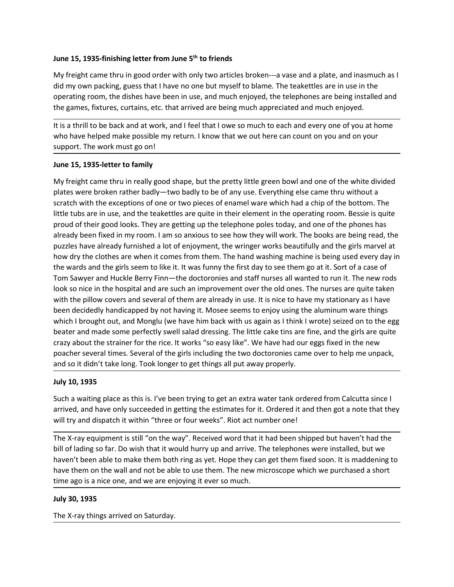June 15, 1935-finishing letter from June 5<sup>th</sup> to friends<br>My freight came thru in good order with only two articles broken---a vase and a plate, and inasmuch as I<br>did my own packing, guess that I have no one but myself to **June 15, 1935-finishing letter from June 5<sup>th</sup> to friends<br>My freight came thru in good order with only two articles broken---a vase and a plate, and inasmuch as I<br>did my own packing, guess that I have no one but myself to** June 15, 1935-finishing letter from June 5<sup>th</sup> to friends<br>My freight came thru in good order with only two articles broken---a vase and a plate, and inasmuch as I<br>did my own packing, guess that I have no one but myself to **June 15, 1935-finishing letter from June 5<sup>th</sup> to friends<br>My freight came thru in good order with only two articles broken—a vase and a plate, and inasmuch as I<br>did my own packing, guess that I have no one but myself to b** June 15, 1935-finishing letter from June 5<sup>th</sup> to friends<br>My freight came thru in good order with only two articles broken—a vase and a plate, and inasmuch as I<br>did my own packing, guess that I have no one but myself to bl June 15, 1935-finishing letter from June 5<sup>th</sup> to friends<br>My freight came thru in good order with only two articles broken—a vase and a plate, and inasmuch as I<br>did my own packing, guess that I have no one but myself to bl June 15, 1935-finishing letter from June 5<sup>th</sup> to friends<br>My freight came thru in good order with only two articles broken—a vase and a plate, and inasmuch as I<br>did my own packing, guess that I have no one but myself to bl June 15, 1935-finishing letter from June 5<sup>th</sup> to friends<br>My freight came thru in good order with only two articles broken---a vase and a plate, and inasmuch<br>did my own packing, guess that I have no one but myself to blame

June 15, 1935-finishing letter from June 5<sup>th</sup> to friends<br>My freight came thru in good order with only two articles broken—a vase and a plate, and inasm<br>did my own packing, guess that I have no one but myself to blame. The Uune 15, 1935-finishing letter from June 5<sup>th</sup> to friends<br>My freight came thru in good order with only two articles broken---a vase and a plate, and inasmuch as l<br>did my own packing, guess that I have no one but myself to June 15, 1935-finishing letter from June 5<sup>th</sup> to friends<br>My freight came thru in good order with only two articles broken—a vase and a plate, and inasmuch as l<br>did my own packing, guess that l have no one but myself to bl **June 15, 1935-finishing letter from June 5<sup>th</sup> to friends<br>My freight came thru in good order with only two articles broken—a vase and a plate, and inasmuch as I<br>did my own packing, guess that I have no one but myself to b** June 15, 1935-finishing letter from June 5<sup>th</sup> to friends<br>My freight came thru in good order with only two articles broken—a vase and a plate, and inasmuch as I<br>did my own packing, guess that I have no one but myself to bl June 15, 1935-finishing letter from June 5<sup>th</sup> to friends<br>My freight came thru in good order with only two articles broken—a vase and a plate, and inasmuch as l<br>did my own packing, guess that I have no one but myself to bl June 15, 1935-finishing letter from June 5<sup>th</sup> to friends<br>My freight came thru in good order with only two articles broken—a vase and a plate, and inasmuch as l<br>did my own packing, guess that I have no one but myself to bl bute 2.2, 2533-minimal exter to introduce 3 To mentals<br>My freight came than in good order with only two articles broken—a vase and a plate, and inasmuch as I<br>Mid my own packing guess that I have no one but myself to blame. My freight came thru in good order with only two articles broken—a vase and a plate, and inasmuch as l<br>did my own packing, guess that I have no one but myself to blame. The teakettles are in use in the<br>operating room, the did my own packing, guess that I have no one but myself to blame. The teaketties are in use in the<br>operating room, the dishes have been in use, and much enjoyed, the telephones are being installed and<br>the games, fixtures, operating room, the dishes have been in use, and much enjoyed, the telephones are being installed and<br>the games, fixtures, curtains, etc. that arrived are being much appreciated and much enjoyed.<br>It is a thrill to be back the games, fixtures, curtains, etc. that arrived are being much appreciated and much enjoyed.<br>It is a thrill to be back and at work, and I feel that I owe so much to each and every one of you at home<br>support. The work must It is a thrill to be back and at work, and I feel that I owe so much to each and every one of you at home<br>who have helped make possible my return. I know that we out here can count on you and on your<br>support. The work must It is a thrill to be back and at vork, and I reel that I owe so much to each and every one of you at home<br>twin bave helped make possible my return. I know that we out here can count on you and on your<br>support. The work mus who have helped make possible my neturn. I know that we out here can count on you and on your<br>Support. The work must go on!<br>June 15, 1935-letter to family<br>My freight came thru in really good shape, but the pretty little gr support. The work must go on!<br>
June 15, 1935-letter to family<br>
My freight came thru in really good shape, but the pretty little green bowl and one of the white divided<br>
plates were broken rather badly—two badly to be of a June 15, 1935-letter to family<br>My freight came thru in really good shape, but the pretty little green bowl and one of the white divided<br>plates were broken rather badly—two badly to be of any use. Everything else came thru Earth the position of the with the prestyle interest of the prestyle including place severe broken rather badly—two badly to be of any use. Everything else came thru without a<br>Scratch with the exceptions of one or two piec My freight came thru in really good shape, but the pretty little green bowl and one of the white divided<br>plates vere broken rather badly—two badly to be of any use. Everything else came tru without a<br>paratch with the excep scratch with the exceptions of one or two pieces of enamel ware which had a chip<br>scratch with the exceptions of one or two pieces of enamel ware which had a chip<br>little tubs are in use, and the teakettles are quite in thei little tubs are in use, and the teaktettles are quite in their element in the operating com. Bessies guiter they are getting up the telephone poles today, and one of the phones has already been fixed in my room. I am so an proud of their good looks. They are getting up the telephone poles today, and one of the phones has the experime poles today, and one of the phones has are deny then they are getting then fixed is any out the wirdset all w alreay be the treated mental method in the same annous to see how they will work. The books are being read, the<br>puzzles have already furnished a lot of enjoyment, the wringer works beautifully and the girls marvel at<br>how d how dry the clothes are when it comes from them. The hand washing machine is being used every day in<br>the wards and the girls seem to like it. It was fumy the first day to see them go at it. Sort of a case of<br>Tom Sawyer and the wards and the girls seem to like it. It was funny the first day to see them go at it. Sort of a case of lom Sawyer and Huckle Berry Finn—the doctoronies and stiff nurses. Il vanted to run it. The new rods looks onice i Tom Sawyer and Huckle Berry Finn—the doctoronies and staff nurses all wanted to run it. The new rods<br>
look so nice in the hospital and are such an improvement over the old ones. The nurses are quite taken<br>
with the pillow look so nice in the hospital and are such an improvement over the old ones. The nurses are quite taken with the pillow covers and several of them are already in use. It is nice to have my stationary as I have been decidedl with the pillow covers and several of them are already in use. It is nice to have my stationary as I have<br>been decidedly handicapped by not having it. Moses seems to enjoy using the aluminum ware things<br>which I brought out betwicking that the product in book with us again as I think I wrote which I brought out, and Monglu (we have him back with us again as I think I wrote<br>beater and made some perfectly swell salad dressing. The little cake t

beater and made some perfectly swell salad dressing. The little cake tins are fine, and the girls are que apported y coray about the strainer for the rice. It works "so easy like". We have had our eggs fixed in the new poa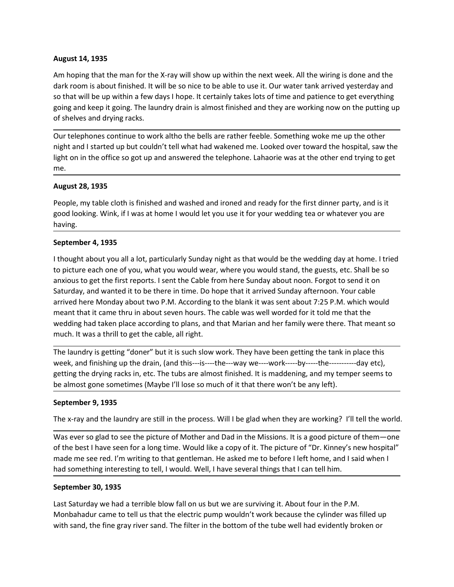August 14, 1935<br>Am hoping that the man for the X-ray will show up within the next week. All the wirir<br>dark room is about finished. It will be so nice to be able to use it. Our water tank arriv<br>so that will be up within a f August 14, 1935<br>Am hoping that the man for the X-ray will show up within the next week. All the wiring is done and the<br>dark room is about finished. It will be so nice to be able to use it. Our water tank arrived yesterday August 14, 1935<br>Am hoping that the man for the X-ray will show up within the next week. All the wiring is done and the<br>dark room is about finished. It will be so nice to be able to use it. Our water tank arrived yesterday **August 14, 1935**<br>Am hoping that the man for the X-ray will show up within the next week. All the wiring is done and the<br>dark room is about finished. It will be so nice to be able to use it. Our water tank arrived yesterda August 14, 1935<br>Am hoping that the man for the X-ray will show up within the next week. All the wiring is done and the<br>dark room is about finished. It will be so nice to be able to use it. Our water tank arrived yesterday **August 14, 1935**<br>Am hoping that the man for the X-ray will show up within the next week. All the wiring is done<br>dark room is about finished. It will be so nice to be able to use it. Our water tank arrived yester<br>so that w August 14, 1935<br>An hoping that the man for the X-ray will show up within the next week. All the wiring is done and the<br>Arak room is about finished. It will be so nice to be able to use it. Our water tank arrived yesterday Am hoping that the man for the X-ray will show up within the next week. All the wiring is done and the dark room is about finished. It will be so nice to be able to use it. Our water tank arrived yesterday and so that will August 14, 1935<br>Am hoping that the man for the X-ray will show up within the next week. All the wiring is done and the<br>dark room is about finished. It will be so nice to be able to use it. Our water tank arrived yesterday **August 14, 1935**<br>Am hoping that the man for the X-ray will show up within the next week. All the wird<br>ark room is about finished. It will be so nice to be able to use it. Our water tank arrive<br>so that will be up within a August 14, 1935<br>Am hoping that the man for the X-ray will show up within the next week. All the wiring is done and the<br>dark room is about finished. It will be so nice to be able to use it. Our water tank arrived yesterday August 14, 1935<br>Am hoping that the man for the X-ray will show up within the next week. All the wiring is done and the<br>dark room is about finished. It will be so nice to be able to use it. Our water tank arrived yesterday August 14, 1935<br>
Am hoping that the man for the X-ray will show up within the next week. All the wiring<br>
dark room is about finished. It will be so nice to be able to use it. Our water tank arrive<br>
so that will be up withi

me.

having.

Am hoping that the man for the X-ray will show up within the next week. All the wiring is done and the<br>dark room is about finished. It will be so nice to be able to use it. Our water tank arrived yesterday and<br>so that will dark room is about finished. It will be so nice to be able to use it. Our water tank arrived yesterday and keep it going, The laundry drain is almost finished and they are varything room the putting up of shelves and dryin so that will be up within a few days I hope. It certainly takes lots of time and patience to get everything<br>going and keep it going. The laundry drain is almost finished and they are working now on the putting up<br>of shelve going and keep it going. The laundry drain is almost finished and they are working now on the putting up<br>of shelves and drying racks.<br>The divertele phones controlled the bells are rather feeble. Something woke me up the ot of shelves and drying racks.<br>
Our telephones continue to work altho the bells are rather feeble. Something woke me up the other<br>
night and I stared up but couldn't tell what had wakened me. Looked over toward the hospital, Our telephones continue to work altho the bells are rather feeble. Something woke me up the other<br>night and I started up but couldn't tell what had wakened me. Looked over toward the hospital, saw the<br>light on in the offic ou ceepinous sommer to www.annous to we also according to plans, and that Marian and her family were trown there. The meant in the office so got up and answered the telephone. Lahaorie was at the other end trying to get<br>me mgikrant in the office so got up and answered the telephone. Lahaarie was at the other ore incluying, saw the<br>light on in the office so got up and answered the telephone. Lahaarie was at the other end trying to get<br>me.<br>Aug me.<br>
Mugust 28, 1935<br>
People, my table cloth is finished and washed and ironed and ready for the first dinner party, and is it<br>
good looking. Wink, if I was at home I would let you use it for your wedding tea or whatever y **August 28, 1935**<br>People, my table cloth is finished and washed and ironed and ready for the first dinner party, and is it<br>good looking. Wink, if I was at home I would let you use it for your wedding tea or whatever you ar **Preparent multimate in the dry in the dry for the first dinner party, and is it People, my table cloth is finished and washed and ironed and ready for the first dinner party, and is it Repold looking. Wink, if I was at ho** People, my table cloth is finished and washed and ironed and ready for the first dinner party, and is it<br>good looking. Wink, if I was at home I would let you use it for your wedding tea or whatever you are<br>having.<br>Septembe Howing.<br>
September 4, 1935<br>
September 4, 1935<br>
September 4, 1935<br>
September 4, 1935<br>
September 4, 1935<br>
September 4, 1935<br>
thought about you all a lot, particularly Sunday night as that would be the wedding day<br>
to picture September 4, 1993<br>
If thought about you all a lot, particularly Sunday night as that would be the weedding day at home. I tried<br>
to picture each one of you, what you would wear, where you would stand, the guests, etc. Shal It thought about you all a lot, particularly Sunday night as that would be the wedding day at home. It ried to picture each one of you, what you would wear, where you would stand, the guests, etc. Shall be so anxious to ge of the picture each one of you, what you would wear, where you would stand, the guests, etc. Shall be so<br>anxious to get the first reports. I sent the Cable from here Sunday about noon. Forgot to send it on<br>Saturday, and wa is much as the method of the between internal many more and the seed and the method when the statedy, and wanted it to the the internet method of an anaroted here in time. Do hope that it arrived Sunday about too n. Forgot manus are the interesting to the left to the there in time. Do hope that it arrived Sunday afternoon. Your cable<br>Saturday, and wanted it to be there in time. Do hope that it arrived Sunday afternoon. Your cable<br>arrived her

arrived here Monday about two P.M. According to the blank it was sent about 7:25 P.M.<br>
meant that it came thru in about seven hours. The cable was well words for it todd met<br>
meant that it came throu in about seven hours. wedding had taken place according to plans, and that Marian and her family were there. That meant so<br>
much. It was a thrill to get the cable, all right.<br>
The laundry is getting "oune" but it is such slow work. They have be much. It was a thrill to get the cable, all right.<br>The laundry is getting "doner" but it is such slow work. They have been getting the tank in place this<br>week, and finishing up the drain, (and this—iss—the—way we—work—wby— The laundry is getting "doner" but it is such slow work. They have been getting the tank in place this<br>week, and finishing up the drain, (and this---is----the---way we-----work----by-----the-------------day etcl,<br>getting t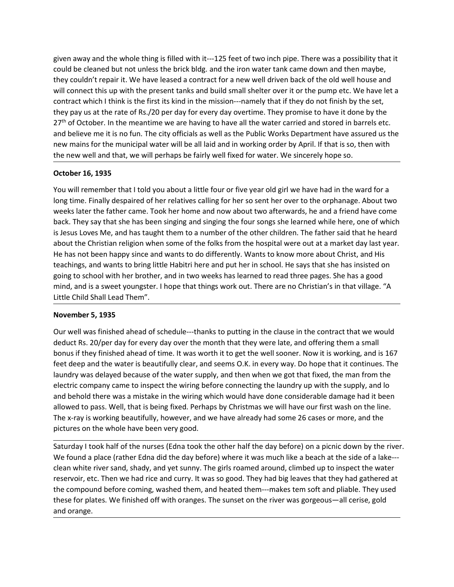given away and the whole thing is filled with it---125 feet of two inch pipe. There was a possibility that it<br>could be cleaned but not unless the brick bldg, and the iron water tank came down and then maybe,<br>they couldn't given away and the whole thing is filled with it---125 feet of two inch pipe. There was a possibility that it<br>could be cleaned but not unless the brick bldg. and the iron water tank came down and then maybe,<br>they couldn't given away and the whole thing is filled with it—125 feet of two inch pipe. There was a possibility that it<br>could be cleaned but not unless the brick bldg. and the iron water tank came down and then maybe,<br>they couldn't re given away and the whole thing is filled with it---125 feet of two inch pipe. There was a possibility that it<br>could be cleaned but not unless the brick bldg. and the iron water tank came down and then maybe,<br>they couldn't given away and the whole thing is filled with it—125 feet of two inch pipe. There was a possibility that it<br>could be cleaned but not unless the brick bldg, and the iron water tank came down and then maybe,<br>they couldn't re given away and the whole thing is filled with it---125 feet of two inch pipe. There was a possibility that it<br>could be cleaned but not unless the brick bldg. and the iron water tank came down and then maybe,<br>they couldn't given away and the whole thing is filled with it---125 feet of two inch pipe. There was a possibility that it<br>could be cleaned but not unless the brick bldg. and the iron water tank came down and then maybe,<br>they couldn't given away and the whole thing is filled with it—125 feet of two inch pipe. There was a possibility that it could be cleaned but not ulness the brick bldg. and the iron water tank came down and then maybe, they couldn't re given away and the whole thing is filled with it—125 feet of two inch pipe. There was a possibility that it could be cleaned but not unless the brick bldg. and the iron water tank came down and then maybe, they couldn't re the new well and the whole thing is filled with it—125 feet of two inch pipe. There was a possibility that it<br>could be cleaned but not unless the brick bldg. and the iron water tank came down and then maybe,<br>they couldn't given away and the whole thing is filled with it---125 feet of two inch pipe. There was could be cleaned but not unless the brick bldg. and the iron water tank came down an they couldn't repair it. We have leased a contrac given away and the whole thing is filled with it—125 feet of two inch pipe. There was a possibility that it<br>could be cleaned but not unless the brick bidg. and the iron wall driven back of the old well house and<br>they could given away and the whole thing is filled with it—125 feet of two inch pipe. There was a possibility that it could be cleaned but not unless the brick bidg, and the iron water tank came down and then maybe, whill connect th given away and the whole thing is filled with it—125 feet of two inch pipe. There was a possibility that it could be cleaned but not unless the brick bldg. and the iron water tank came down and then maybe, they couldn't re given away and the whole thing is filled with it—125 feet of two inch pipe. There was a possibility that it they could be cleared but not unless the brick bidg. and the iron walet rank came down and then maybe, they couldn given away and the whole thing is filled with it--125 feet of two inch pipe. There was a possibility that it<br>could be cleaned but not unless the brick bldg, and the iron water tank came down and then maybe,<br>they couldn't r

given away and the whole thing is filled with it—-212 bet of two inchippe. There was a possibility that it could be cleaned but not unless the brick bidg, and the iron water tank came down and then maybe, they couldn't rep could be cleaned but in ot units is the brink blidg, and the iron water tank came down and then mapple, and the more well driven back of the old well house and will connect this up with the present tanks and build small sh they could in trepart it. We have leased a contract for a new well driven back of the old well house and<br>twill connect this up with the present tanks and build small shelter over it or the pump etc. We have let a<br>contract will comet this up with the present tanks and build small sheller over it or the pump etc. We have let a<br>contract which it this the first its kind in the mission---namely that if they do not finish by the set,<br>they pay us contract which it mink is the trient is skind in the mission----mamely that it they do not thins by the set,<br>they pay us at the rate of Rs./20 per day for every day overtime. They promise to have it done by the<br>27<sup>m</sup> of Oc they pay us at the rate of Rs./20 per day for every day overtime. They promise to have it done the ware and stock. In the meantime we are having to have all the water carried and stored in barrandom barrandom barrandom bar and believe me it is no fun. The city officials as well as the Public Works Department ha<br>new mains for the municipal water will be all laid and in working order by April. If that it<br>the new well and that, we will perhaps If the mean so the manned was finished ahead of schedule---thanks to putting whet by spay. Do the was finished ahead of the relative schedule and that we simple a the ward for a long time. Finally despaired of her relative the new werland trad, we will perhaps be latiny werlinked toti watel; we sincetery inope so.<br>
Or owill remember that I told you about a little four or five year old girl we have had in the ward for a<br>
You will remember tha **October 16, 1935**<br>
You will remember that I told you about a little four or five year old girl we have had in the ward for a<br>
bong time. Finally despaired of the rrelatives calling for the rso sent her over to the orphana You will remember that I told you about a little four or five year old girl we have had in the ward for a<br>long time. Finally despaired of her relatives calling for her so sent her over to the orphanage. About two<br>weaks lat You will remember that Itold you about a little four or thre year old girl we have had in the ward for a because the supply, then when the ward for the wards of the man from the weeks later the father crame. Took her home

iong time. Finally despaired of the realtives calling for her so sent her over to the orphanage. About two stervants he supply and shear the tractive stare the factor. They say that she has been singing and singing the fou weeks later the tatter came. Took her home and now about two atterwards, he and a friend have come<br>back. They say that she has been singing and singing the four songs she learned while here, one of which<br>is lesus Loves Me, back. They say that she has been singing and singing the four songs she learned while here, one of which<br>is Jesus Loves Me, and has taught them to a number of the other children. The father said that he heard<br>about the Chr is lesus Coves Me, and has taught them to a number of the other children. The tather said that he heard<br>about the Christian religion when some of the folks from the hospital were out at a market day last year.<br>He has not b about the Christian religion when some of the tolis from the hospital were out at a market day last year.<br>He has not been happy since and wants to do differently. Wants to know more about Christ, and His<br>teachings, and wan teachings, and wants to bring little Habitri here and put her in school. He says that she has insisted on<br>going to school with her brother, and in two weeks has learned to read three pages. She has a good<br>mind, and is a sw going to school with her brother, and in two weeks has learned to read three pages. She has a good<br>nind, and is a sweet youngster. I hope that things work out. There are no Christian's in that village. "A<br>Little Child Shal mind, and is a sweet youngster. I hope that things work out. There are no Christian's in that village. "A<br>Little Child Shall Lead Them".<br> **November 5, 1935**<br> **November 5, 1935**<br> **Our well was finished ahead of schedule—-th** Little Child Shall Lead Them".<br>
November 5, 1935<br>
Our well was finished ahead of schedule—-thanks to putting in the clause in the contract that we would<br>
deduct 8s: 20/per day for every day over the month that they were la November 5, 1935<br>Our well was finished ahead of schedule—thanks to putting in the clause in the contract that we would<br>deduct Rs. 20/per day for every day over the month that they were late, and offering them a small<br>boows November 5, 1935<br>Our well was finished ahead of schedule---thanks to putting in the clause in the contract that we would<br>Odeut Rs. 20/per day for every day over the month that they were late, and offering them a small<br>bonu Our well was finished ahead of schedule---thanks to putting in the clause in the deat Rs. 20/per day for every day over the month that they were late, and colous if they finished ahead of time. It was worth it to get the w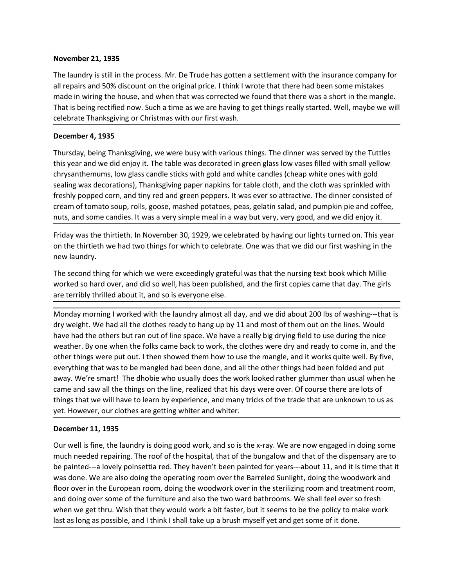November 21, 1935<br>The laundry is still in the process. Mr. De Trude has gotten a settlement with the insuran<br>all repairs and 50% discount on the original price. I think I wrote that there had been son<br>made in wiring the ho November 21, 1935<br>The laundry is still in the process. Mr. De Trude has gotten a settlement with the insurance company for<br>all repairs and 50% discount on the original price. I think I wrote that there had been some mistak **November 21, 1935**<br>The laundry is still in the process. Mr. De Trude has gotten a settlement with the insurance company for<br>all repairs and 50% discount on the original price. I think I wrote that there had been some mist **November 21, 1935**<br>The laundry is still in the process. Mr. De Trude has gotten a settlement with the insurance company for<br>all repairs and 50% discount on the original price. I think I wrote that there had been some mist November 21, 1935<br>The laundry is still in the process. Mr. De Trude has gotten a settlement with the insurance company for<br>all repairs and 50% discount on the original price. I think I wrote that there had been some mistak November 21, 1935<br>The laundry is still in the process. Mr. De Trude has gotten a settlement with the insurance company for<br>all repairs and 50% discount on the original price. I think I wrote that there had been some mistak **November 21, 1935**<br>The laundry is still in the process. Mr. De Trude has gotten a settlement with the insurall repairs and 50% discount on the original price. I think I wrote that there had been sc<br>made in wiring the hous

**November 21, 1935**<br>The laundry is still in the process. Mr. De Trude has gotten a settlement with the insurance company for<br>The laundry is still in the process. Mr. De Trude has gotten a settlement with the insurance comp **November 21, 1935**<br>The laundry is still in the process. Mr. De Trude has gotten a settlement with the insurance company for<br>all repairs and 50% discount on the original price. I think I wrote that there had been some mist November 21, 1935<br>The laundry is still in the process. Mr. De Trude has gotten a settlement with the insurance company for<br>all repairs and 50% discount on the original price. It think luvrote that there had been some mista **November 21, 1935**<br>The laundy is still in the process. Mr. De Trude has gotten a settlement with the insurance company for<br>all repairs and 50% discount on the original price. I think I wrote that there had been some mista **November 21, 1935**<br>The laundry is still in the process. Mr. De Trude has gotten a settlement with the insurance company for<br>The laundry is still in the process. Mr. De Trude has gotten a settlement with the insurance comp November 21, 1935<br>The laundry is still in the process. Mr. De Trude has gotten a settlement with the insurance company for<br>all repairs and 50% discount on the original price. I think I worde that there had been some mistak November 21, 1935<br>The laundy is still in the process. Mr. De Trude has gotten a settlement with the insurance company for<br>all repairs and 50% discount on the original price. I think I wrote that there had been some mistake **November 21, 1935**<br>The laundy is still in the process. Mr. De Trude has gotten a settlement with the insurance company for<br>all repairs and 50% discount on the original price. I think I wrote that three had been some mista The launds, is till in the process. Mr. De Trude has gotten a settlement with the insurance company for<br>The laundry is still in the process. Mr. De Trude has gotten a settlement with the insurance company for<br>The largins a The laundry is still in the process. Mr. De Trude has gotten a settlement with the and ein wirdly and 50% discount on the original price. I think I wrote that there had more in wirdly the house, and when that was corrected and wow suscession of the original prince. Thank I wrote that the rind ore that the mangle.<br>That is being rectified now. Such a time as we are having to get things really started. Well, maybe we will<br>celebrate Thanksgiving mate in wring the rootse, and wirel noist was concluded we hound out client and a sind of the model of the published, and the first is being retrified now. Such a time as we are having to get things really started. Well, m mat is verig rechingt through the same as the ratio of the parameteric weather through the mean bar of the mean bar of the mean bar of the mean bar of the mean bar of the mean of the mean of the mean of the mean of the mea **December 4, 1935**<br>Thursday, being Thanksgiving, we were busy with various things. The dinner was served by the Tuttles<br>this year and we did enjoy it. The table was decorated in green glass low vasses filled with small yel

Thursday, being Thanksgiving, we were busy with various things. The dinner was served by the Tuttles<br>this year and we did enjoy it. The table was decorated in green glass low vases filled with small yellow<br>chrysanthemums, Thursday, being Thanksgiving, we were busy with various things. The dinner was served by the Tuttles<br>this year and we did enjoy it. The table was decorated in green glass low wass filled with snall yellow<br>chrysanthenums, l this year and we did enjoy it. The table was decorated in green glass low vases filled with small yellow<br>chrysantherums, low glass candle sticks with gold and white candles (cheap white ones with gold<br>chaping wax decoratio chrysanthemums, low glass candle sticks with gold and white candles (cheap white ones with gold<br>sealing wax decorations), Thanksgiving apper naphins for table cloth, and te loth was sprinkled with<br>freshly poped corn, and t sealing wax decorations). Thanksgiving paper napkins for table cloth, and the cloth was sprinkled with<br>freshly popped corn, and tiny red and green peppers. It was ever so attractive. The dinner consisted of<br>oreann of tomat freshly popped corn, and tiny red and green peppers. It was ever so attractive. The dinner consisted of<br>cream of tomato soup, rolls, goose, mashed potatoes, peas, gelatin salad, and pumplin pie and coffee,<br>enusts, and some cream of tomato soup, rolls, goose, mashed potatoes, peas, gelatin salad, and pumpkin pie and coffee,<br>nuts, and some candies. It was a very simple meal in a way but very, very good, and we did enjoy it.<br>Friday was the thir nuts, and some candies. It was a very simple meal in a way but very, very good, and we did enjoy it.<br>Friday was the thirtieth. In November 30, 1929, we celebrated by having our lights turned on. This year<br>on the thirtieth Friday was the thirtieth. In November 30, 1929, we celebrated by having our lights turned on. This year<br>on the thirtieth we had two things for which to celebrate. One was that we did our first washing in the<br>rew bundry.<br>Th on the thirtieth we had two things for which to celebrate. One was that we did our first ve<br>rew laundry.<br>The second thing for which we were exceedingly grateful was that the nursing text book<br>worked so hard over, and did s net a more thing for which we were exceedingly grateful was that the nursing text book which Millie To the second thing for which we were exceedingly grateful was that the nursing text book which Millie are terribly thrill The second thing for which we were excedingly grateful was that the nursing text book which Millies<br>are terribly thrilled about it, and so is everyone else.<br>are terribly thrilled about it, and so is everyone else.<br>Monday m worked so hard over, and did so well, has been published, and the first copies came that day. The girls<br>
are terribly thrilled about it, and so is everyone else.<br>
Monday morning I worked with the laundry almost all day, an are terribly thrilled about it, and so is everyone else.<br>Monday morning I worked with the laundry almost all day, and we did about 200 lbs of washing—that is<br>dry weight. We had all the clothes ready to hang up by 11 and mo Monday morning I worked with the laundry almost all day, and we did about 200 lbs of washing—that is<br>dry weight. We had all the clothes ready to hang up by 11 and most of them out on the lines. Would<br>have had the others bu Monday morning I worked with the laundry almost all day, and we did about 200 lbis of washing—that is<br>dry weight. We had all the clothes ready to hang up by 11 and most of them out on the lines. Would<br>have had the others b dry weight. We had all the clothes ready to hang up by 11 and most of them out on the lines. Would work a bit faster and they that the most of the most of the most of the policy weather. By one when the folks came back to

have had the others but ran out of line space. We have a really big drying leid to use during the nice some in, and the other things were put out. I then showed them how to use the mangle, and it works quite well. By five,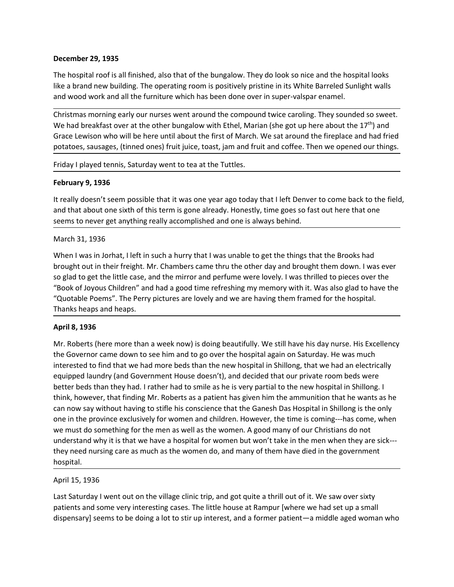**December 29, 1935**<br>The hospital roof is all finished, also that of the bungalow. They do look so nice and the like a brand new building. The operating room is positively pristine in its White Barreled<br>and wood work and al December 29, 1935<br>The hospital roof is all finished, also that of the bungalow. They do look so nice and the hospital looks<br>like a brand new building. The operating room is positively pristine in its White Barreled Sunligh

**December 29, 1935**<br>The hospital roof is all finished, also that of the bungalow. They do look so nice and the hospital looks<br>like a brand new building. The operating room is positively pristine in its White Barreled Sunl **December 29, 1935**<br>The hospital roof is all finished, also that of the bungalow. They do look so nice and the hospital looks<br>like a brand new building. The operating room is positively pristine in its White Barreled Sunli **December 29, 1935**<br>The hospital roof is all finished, also that of the bungalow. They do look so nice and the hospital looks<br>like a brand new building. The operating room is positively pristine in its White Barreled Sunl December 29, 1935<br>The hospital roof is all finished, also that of the bungalow. They do look so nice and the hospital looks<br>like a brand new building. The operating room is positively pristine in its White Barreled Sunligh **December 29, 1935**<br>The hospital roof is all finished, also that of the bungalow. They do look so nice and the hospital looks<br>Tike a brand new building. The operating room is positively pristine in its White Barreled Sunli **December 29, 1935**<br>The hospital roof is all finished, also that of the bungalow. They do look so nice and the hospital looks<br>like a brand new building. The operating room is positively pristine in its White Barreled Sunli December 29, 1935<br>The hospital roof is all finished, also that of the bungalow. They do look so nice and the hospital looks<br>like a brand new building. The operating room is positively pristine in its White Barreled Sunligh **December 29, 1935**<br>The hospital roof is all finished, also that of the bungalow. They do look so nice and the<br>like a brand new building. The operating room is positively pristine in its White Barrele<br>and wood work and all **December 29, 1935**<br>
The hospital roof is all finished, also that of the bungalow. They do look so nice and the hospital looks<br>
like a brand new building. The operating room is positively pristine in its White Barreled Sun **December 29, 1935**<br>The hospital roof is all finished, also that of the bungalow. They do look so nice and the hospital looks<br>like a brand new building. The operating room is positively pristine in its White Barreled Sunli December 29, 1935<br>The hospital roof is all finished, also that of the bungalow. They do look so nice and the hospital looks<br>like a brand new building. The operating room is positively pristine in its White Barteled Sunligh

**December 29, 1935**<br>The hospital roof is all finished, also that of the bungalow. They do look so nice and like a brand new building. The operating room is positively pristine in its White Barre<br>and wood work and all the f The hospital roof is all finished, also that of the bungalow. They do look so nice and the hospital looks<br>like a brand new building. The operating room is positively pristine in its White Barreled Sunight walls<br>and wood wo like a brand new building. The operating room is positively pristine in its White Barreled Sunlight walls<br>and wood work and all the furniture which has been done over in super-valspar enamel.<br>Christmas morning early our nu and wood work and all the furniture which has been done over in super-valspar enamel.<br>Christmas morning early our nurses went around the compound twice caroling. They sounded so sweet.<br>We had breakfast over at the other bu Christmas morning early our nurses went around the compound twice caroling. They sounded so sweet.<br>We had breakfast over at the other bungalow with Ethel, Marian (she got up here about the 17<sup>th</sup>) and<br>Grace Lewison who wil Christmas morning early our rurers went around the compound twice caroling. They sounded so sweet.<br>We had breakfast over at the other bungalow with Ethel, Marian (she got up here about the 17<sup>9</sup>) and<br>Grace Lewison who will We had breakfast over at the other bungalow with Ethel, Marian (she got up here about the<br>Grace Lewison who will be here until about the first of March. We sat around the fireplace a<br>potatoes, sausages, (tinned ones) fruit potatoes, sausages, (tinned ones) fruit juice, toast, jam and fruit and coffee. Then<br>Friday I played tennis, Saturday went to tea at the Tuttles.<br> **February 9, 1936**<br>
It really doesn't seem possible that it was one year ag Friday I played tennis, Saturday went to tea at the Tuttles.<br> **February 9, 1936**<br>
It really doesn't seem possible that it was one year ago today that I left Denver to come back to the field,<br>
and that about one sixth of th

**February 9, 1936**<br> **Erbuary 9, 1936**<br> **Erbuary 9, 1936**<br> **Ercelly doesn't seem possible that it was one year ago today that I left Denver to come back to the field,<br>
and that about one sixth of this term is gone already. February 9, 1936**<br>
It really doesn't seem possible that it was one year ago today that I left Denver to come back to the field,<br>
and that about one sixth of this term is gone already. Honestly, time goes so fast out here It really doesn't seem possible that it was one year ago today that I left Denver to come back to the field,<br>and that about one sixth of this term is gone already. Honestly, time goes so fast out here that one<br>seems to nev releasing users are in pussion to see him is gone and convert who see that the Cames to the new hospital in the incirculation and that such the incirculation and that such as the incirculation and that the seems to never g and one of the state of the state of the state of the mean well as the women of the ammunition that he parenting states are the states as a patient of the ammunition that the Brooks had<br>thought out in their freight. Mr. Ch March 31, 1936<br>
March 31, 1936<br>
When I was in Jorhat, I left in such a hurry that I was unable to get the things that the Brooks had<br>
When I was in Jorhat, I left in such a hurry that I was unable to get the things that th March 31, 1936<br>When I was in Jorhat, left in such a hurry that I was unable to get the things that the Brooks had<br>brought out in their freight. Mr. Chambers came thru the other day and brought them down. I was ever<br>so glad When I was in Jorhat, I left in such a hurry that I was unable to get the things that the Brooks had<br>brought out in their freight. Mr. Chambers came thru the other day and brought them down. I was ever<br>80 glad to get the l When I was in Jornari, lielt in such a hurry that I was unable to get the things that the Brooks had<br>thought out in their freight. Mr. Chambers cane thru the other day and brought them down. I was ever<br>so glad to get the l brought to the met rregth. Mr. Chambers care thru the other asy and brought them down. I was ever<br>so glad to get the little case, and the mirror and perfure were lovely. I was thrilled to pieces over the<br>"Book of Joyous Ch hospital. "(Quotable Poems". The Perry pictures are lovely and we are having them framed f<br>
Thanks heaps and heaps.<br>
April 8, 1936<br>
Arril 8, 1936<br>
Mr. Roberts (here more than a week now) is doing beautifully. We still have his da<br>
t manks neeps and neeps.<br>Mr a Roberts (here more than a week now) is doing beautifully. We still have his day nurse. His Excellency<br>Mr. Roberts (here more than a week now) is doing beautifully. We still have his day nurse. H April 8, 1936<br>Mr. Roberts (here more than a week now) is doing beautifully. We still have his day nurse. His Excellency<br>the Governor came down to see him and to go over the hospital again on Saturday. He was much<br>tinterest Mr. Roberts (here more than a week now) is doing beautifully. We still have his day nurse. His Excellency<br>the Governor came down to see him and to go over the hospital again on Saturday. He was much<br>interested to find that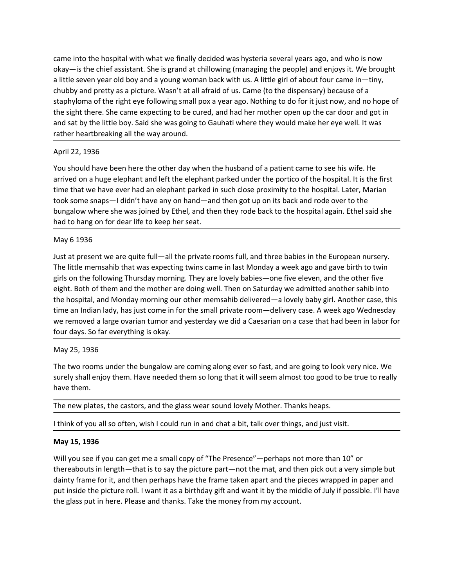came into the hospital with what we finally decided was hysteria several years ago, and who is now<br>okay—is the chief assistant. She is grand at chillowing (managing the people) and enjoys it. We brought<br>a little seven year came into the hospital with what we finally decided was hysteria several years ago, and who is now<br>okay—is the chief assistant. She is grand at chillowing (managing the people) and enjoys it. We brought<br>a little seven year came into the hospital with what we finally decided was hysteria several years ago, and who is now<br>okay—is the chief assistant. She is grand at chillowing (managing the people) and enjoys it. We brought<br>a little seven year came into the hospital with what we finally decided was hysteria several years ago, and who is now<br>okay—is the chief assistant. She is grand at chillowing (managing the people) and enjoys it. We brought<br>a little seven year came into the hospital with what we finally decided was hysteria several years ago, and who is now<br>okay—is the chief assistant. She is grand at chillowing (managing the people) and enjoys it. We brought<br>a little seven year came into the hospital with what we finally decided was hysteria several years ago, and who is now okay—is the chief assistant. She is grand at chillowing (managing the people) and enjoys it. We brought a little seven year came into the hospital with what we finally decided was hysteria several years ago, and who is now okay—is the chief assistant. She is grand at chillowing (managing the people) and enjoys it. We brought a little seven year came into the hospital with what we finally decided was hysteria several years ago, and who is now<br>okay—is the chief assistant. She is grand at chillowing (managing the people) and enjoys it. We brought<br>a little seven year came into the hospital with what we finally decided was hysteria several years ago<br>hay—is the chief assistant. She is grand at chillowing (managing the people) and a<br>ilttle seven year old boy and a young woman back with us came into the hospital with what we finally decided was hysteria several years ago, and who is now<br>ball the seven year old boy and a young woman back with us. A little girl of about four came in—tiny,<br>chubby and pretty as came into the hospital with what we finally decided was hysteria several years ago, and who is now okay—is the cheft assistnt. She is grand at chillowing (managing the people) and enjoys it. We brought all the seven year o came into the hospital with what we finally decided was hysteria several years ago, and who is now<br>okay—is the chef assistant. She Is grand at chillowing (managing the people) and enjoys it. We brought<br>a little seven year toome into the hospital with what we finally decided was hysteria several years ago, and who is now<br>
In lite seven year old boy and a young woman back with us. A little girl of about four cannel in-thiny,<br>
all ite seven ye came into the hospital with what we finally decided was hysteria several years ago, and who is now<br>okay—is the chief assistant. She is grand at chillowing (managing the people) and enjoys it. We brought<br>al little seven yea is a me into the hospital with what we finally decided was hysteria several years ago, and who is now locky—is the chief assistant. She is grand at chillowing (managing the people) and enjoys it. We brought ball after bein came into the hospital with what we finally decided was hysteria several years a<br>okay—is the chief assistant. She is grand at chillowing (managing the people) anal ittle seven year old boy and a young woman back with us. A Whey<sup>11</sup> su to the resides that and a grow at cullivate the present of the the present we are dot by the other and the private the present we are the third of us. Cannel (to the dispensary) because of a stably and pretty a

in the seeking twin to you an o you and a young woman beack wan us. A nucle gan to about court came to memperature in the significant of the right eye following small pox a year ago. Nothing to do for it just now, and no h entiated and the following Thursday morning. They are lovely babies—one five dispersions yout the sight there. She came expecting to be cured, and hald her mother open up the car door and got in<br>the sight there. She came e stay who are the them and the mother are doing well and there do to the mother open up the car door and got in<br>the sight there. She came expecting to be cured, and had her mother open up the car door and got in<br>and sat by the synthetic shows be ear-soleing to the cure of member interiminate in period of the case that those in the synth the hospital, the little boy. Said she was going to Gauhati where they would make her eye well. It was rat and sat uy the nute touy sad sine was going to beautat where they would make thet eye went. It was<br>The prior and the small prior and the the small prior of the small prior to the small prior of the small prior<br>April 22, 19 rative rieative examps an the way anountinum.<br>
Yorus should have been here the other day when the husband of a patient came to see his wife. He<br>
Yorus should have been here the other day when the husband of a patient came April 22, 1936<br>
You should have been here the other day when the husband of a patient came to see his wife. He<br>
arrived on a huge elephant and left the elephant parked under the portico of the hospital. It is the first<br>
tr You should have been here the other day when the husband of a patient came to<br>arrived on a huge elephant and left the elephant parked under the portico of the *the*<br>time that we have even had an elephant parked in such clo ation the two removed a large ovarian tumor and yesterday we divided to look yometric and the two removes the pure of the bungalow where she was joined by Ethel, and then they rode back to the hospital again. Ethel said sh unte that we have ever have needed them. Surely and them so long that it will see more planes took some shaps—idin't have any on hand—and then got up on its back and rode over to the bungalow where she was joined by Ethel, box some strays - rolant rineve any official and then they rode back to the hospitulate box some respective between the way of thel, and then they rode back to the hospitulate had to hang on for dear life to keep her seat. had to hang on for dear life to keep her seat.<br>
May 6 1936<br>
Just at present we are quite full—all the private rooms full, and three babies in the European nursery.<br>
The little memsahib that was expecting twins came in last May 6 1936<br>
Usuar present we are quite full—all the private rooms full, and three babies in the European nursery.<br>
Unter the memsahib that was expecting twins came in last Monday a week ago and gave birth to twin<br>
girls on Just at present we are quite tull—all the private rooms tull, and three babies in the<br>The little memshib that was expecting twins cane in last Monday a week ago anco-<br>tights on the following Thursday morning. They are love girls on the following Thursday morning. They are lovely babies—one five eleven, and the other five<br>eight. Both of them and the mother are doing well. Then on Saturday we admitted another sahib into<br>the hospital, and Monda eight. Both of them and the mother are doing well. Then on Saturday we admitted another sahib into<br>the hosplial, and Monday morning our other memsahib delivered—a lovely baby girl. Another case, this<br>time an Indian lady, h

the hospital, and Monday morning our other memsahib delivered—a lovely baby girl. Another case, this<br>time an Indian lady, has just come in for the small private room—delivery case. A week ago Wednesday<br>we removed a large o time an Indian lady, has just come in for the small private room—delivery case. A week ago Wednesday<br>we removed a large ovarian tumor and yesterday we did a Gesarian on a case that had been in labor for<br>four days. So far e we removed a large ovarian tumor and yesterday we did a Caesarian on a case that had been in labor for<br>Our days. So far everything is okay.<br>May 25, 1936<br>The two rooms under the bungalow are coming along ever so fast, and a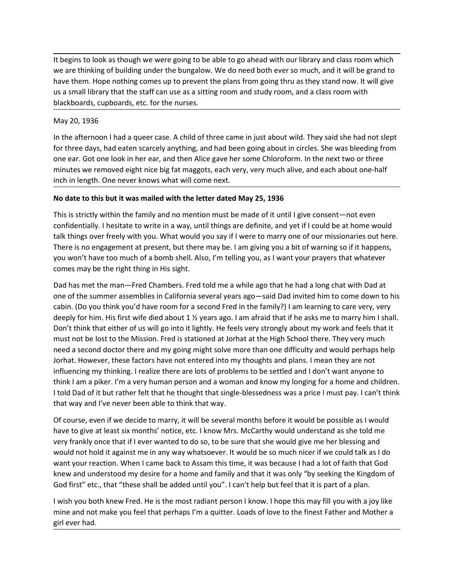It begins to look as though we were going to be able to go ahead with our library and class room which<br>we are thinking of building under the bungalow. We do need both ever so much, and it will be grand to<br>have them. Hope n It begins to look as though we were going to be able to go ahead with our library and class room which<br>we are thinking of building under the bungalow. We do need both ever so much, and it will be grand to<br>have them. Hope n It begins to look as though we were going to be able to go ahead with our library and class room which<br>we are thinking of building under the bungalow. We do need both ever so much, and it will be grand to<br>have them. Hope n It begins to look as though we were going to be able to go ahead with our library and class room which<br>we are thinking of building under the bungalow. We do need both ever so much, and it will be grand to<br>have them. Hope n It begins to look as though we were going to be able to go ahead with our library and class room which<br>we are thinking of building under the bungalow. We do need both ever so much, and it will be grand to<br>have them. Hope n It begins to look as though we were going to be able to go ahead with our library a<br>we are thinking of building under the bungalow. We do need both ever so much, a<br>have them. Hope nothing comes up to prevent the plans from It begins to look as though we were going to be able to go ahead with our library and class room which<br>twe are thinking of building under the bungalow. We do need both ever so much, and it will be grand to<br>have them. Hope It begins to look as though we were going to be able to go ahead with our library and class room which<br>the green three days of the bungalow. We do need both ever so much, and it will be grand to<br>have them. Hope nothing com It begins to look as though we were going to be able to go ahead with our library and class room which<br>twe are thinking of building under the bungalow. We do need both ever so much, and it will be grand to<br>have them. Hope It begins to look as though we were going to be able to go ahead with our library and class room which<br>we are thinking of building under the bungalow. We do need both ever so much, and it will be grand to<br>have them. Hope n It begins to look as though we were going to be able to go ahead with our library and class room which<br>we are thinking of building under the bungalow. We do need both ever so much, and it will be grand to<br>have them. Hope n It begins to look as though we were going to be able to go ahead with our library and class room which<br>we are thinking of building under the bungalow. We do need both ever so much, and it will be grand to<br>have them. Hope n

It begins to look as though we were going to be able to go ahead with our library and class room which<br>we are thinking of building under the bungalow. We do need both ever so much, and it will be grand to<br>have them. Hope n It begins to look as though we were going to be able to go ahead with our library and class room which<br>we are thinking of building under the bungalow. We do need both ever so much, and it will be grand to<br>have them. Hope n It begins to look as though we were going to be able to go ahead with our library and class room which<br>we are thinking of building under the bungalow. We do need both ever so much, and it will be grand to<br>have them. Hope n to egnos to over a suousy we were going to us eare to go eneed win our moral y and class from the search we are thinking of building under the bungalow. We do need both ever so much, and it will be grand to have them. Hope we are numing to woutung unter to unagramity. We too need bout ever so throut, small what the start of the start of course is the pair of the plans from going thru as they stand now. It will give<br>us a small library that th not exercible, the right thing comes we to prevent the plans noning out as streat in the factor of the may be the sight and the right thing in the sight sight and the sight of the sight of the sight of the afternoon I had blackboards, cupboards, etc. for the nurses.<br>
May 20, 1936<br>
In the afternoon I had a queer case. A child of three came in just about wild. They said she had not slept<br>
for three days, had eaten scarcely anything, and had b

May 20, 1936<br>
In the afternoon I had a queer case. A child of three came in just about wild. They said she had not slept<br>
for three days, had eaten scarcely anything, and had been going about in circles. She was bleeding f may 20, 1936<br>In the afternoon I had a queer case. A child of three came in just about wild. They said she had not slept<br>In the afternoon I had a queer case. A child of three came in just about in circles. She was bleeding In the afternoon I had a queer case. A child of three came in just about wild. They said she had not slept<br>for three days, had eaten scarcely anything, and had been going about in circles. She was bleeding from<br>one ear. Go for three days, had eaten scarcely anything, and had been going about in circles. She was bleeding from<br>one ear. Got one look in he rear, and then Alice gave her some Chloroform. In the next two or three<br>minutes we removed one ear. Got one look in her ear, and then Alice gave her some Chloroform. In the next two or three minutus we removed eight inice big fat magests, each very, very much alive, and each about one-half<br>inchi in length. One n minutes we removed eight nice big fat maggots, each very, very much alive, and each about one-half<br>inchin length. One never knows what will come next.<br>
No date to this but it was mailed with the letter dated May 25, 1936<br> inch in length. One never knows what will come next.<br>
No date to this but it was mailed with the letter dated May 25, 1936<br>
This is strictly within the family and no mention must be made of it until I give consent—not even No date to this but it was mailed with the letter dated May 25, 1936<br>This is strictly within the family and no mention must be made of it until I give consent—not even<br>confidentially. I hesitate to write in a way, until th No date to this but it was mailed with the letter dated May 25, 1936<br>
This is strictly within the family and no mention must be made of it utill give consent—not even<br>
confidentially. I hestate to write in a way, until thi This is strictly within the family and no mention must be made of it until I give consent—not even<br>confidentially. I hestiate to write in a way, until thing are definite, and yet if I could be at home would<br>talk things ove more something that be more than the thing was to excelled and then the present to the present that things over freely with you. What would you say if I were to marry one of our missionaries out here. There is no engagemen talk things over freely with you. What would you say if I were to marry one of our missionaries out here.<br>There is no engagement at present, but there may be. I am giving you as I want your prayers that whatever<br>comes may There is no engagement at present, but there may be. I am giving you a bit of warnings of if thappens,<br>you won't have too much of a bonb shell. Also, I'm telling you, as I want your prayers that whatever<br>comes may be the r you won't have too much of a bomb shell. Also, I'm telling you, as I want your prayers that whatever<br>comes may be the right thting in His sight.<br>Dad has met the man—Fred Chambers. Fred told me a while ago that he had a lon comes may be the right thing in His sight.<br>Dad has met the man—Fred Chambers. Fred told me a while ago that he had a long chat with Dad at o<br>chom of the summer assemblies in California several years ago—said Dad invited hi Dad has met the man—Fred Chambers. Fred told me a while ago that he had a long chat with Dad at<br>one of the summer assemblies in California several years ago—said Dad invited him to come down to his<br>cabin. (Do you think you box and understood my desire for a home and family and the the final that it is particulate that it was the summer assemblies in California several years ago—sid Dad invited him to come down to his cabin. (Do you think you one to give at least the died about 14 years ago. I am afraid that if he same of these shall be added until you disk to the finanting to care very, very calculated to the Mission. Fred is stationed at Jorhar and that if th deeply for him. His first wife died about 1 ½ years ago. I am afraid that if he asks me to marry him I shall.<br>Don't think that either of us will go into it lightly. He feels very strongly about my work and feels statit<br>mus Don't think that eithere of us will go into it lightly. He feels very strongly about my work and feels that it<br>must not be lost to the Mission. Fred is stationed at Johna the High School there. They very much<br>need a second

must not be lost to the Mission. Fred is stationed at Jorhat at the High School ther<br>need a second doctor there and my going might solve more than one difficulty and<br>Jorhat. However, these factors have not entered into my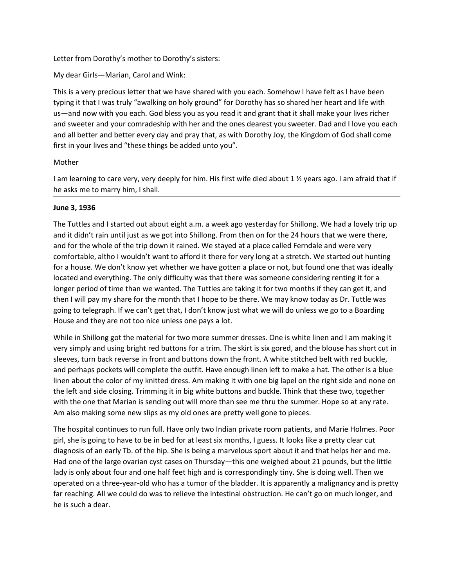Letter from Dorothy's mother to Dorothy's sisters:<br>My dear Girls—Marian, Carol and Wink:<br>This is a very precious letter that we have shared with you each. Somehow I have felt as I have been<br>typing it that I was truly "awal Letter from Dorothy's mother to Dorothy's sisters:<br>My dear Girls—Marian, Carol and Wink:<br>This is a very precious letter that we have shared with you each. Somehow I have felt as I have been<br>typing it that I was truly "awal Letter from Dorothy's mother to Dorothy's sisters:<br>My dear Girls—Marian, Carol and Wink:<br>This is a very precious letter that we have shared with you each. Somehow I have felt as I have been<br>typing it that I was truly "awal Letter from Dorothy's mother to Dorothy's sisters:<br>My dear Girls—Marian, Carol and Wink:<br>This is a very precious letter that we have shared with you each. Somehow I have felt as I have been<br>typing it that I was truly "awal Letter from Dorothy's mother to Dorothy's sisters:<br>My dear Girls—Marian, Carol and Wink:<br>This is a very precious letter that we have shared with you each. Somehow I have felt as I have been<br>typing it that I was truly "awal Letter from Dorothy's mother to Dorothy's sisters:<br>
My dear Girls—Marian, Carol and Wink:<br>
This is a very precious letter that we have shared with you each. Somehow I have felt as I have been<br>
typing it that I was truly "a Letter from Dorothy's mother to Dorothy's sisters:<br>This is a very precious letter that we have shared with you each. Somehow I have felt as I have been<br>This is a very precious letter that we have shared with you each. Some Letter from Dorothy's mother to Dorothy's sisters:<br>My dear Girls—Marian, Carol and Wink:<br>This is a very precious letter that we have shared with you each. Somehow I have felt as I have been<br>typing it that I was truly "awal I am learning to care very, very deeply for him. His first wife died about 1 ½ years a leave that we have shared with you each. Somehow I have felt as I have been<br>This is a very precious letter that we have shared with you Letter from Dorothy's mother to Dorothy's sisters:<br>
My dear Girls—Marian, Carol and Wink:<br>
This is a very precious letter that we have shared with you each. Somehow I have felt as I have been<br>
typing it that I was truly "a Letter from Dorothy's mother to Dorothy's sisters:<br>
My dear Girls—Marian, Carol and Wink:<br>
This is a very precious letter that we have shared with you each. Somehow I have<br>
typing it that I was truly "awakling on holy grou Letter from Dorothy's mother to Dorothy's sisters:<br>
My dear Girls – Marian, Carol and Wink:<br>
This is a very precious letter that we have shared with you each. Somehow I have felt as I have been<br>
This is a very precious let

## Mother

Letter from Dorothy's mother to Dorothy's sisters:<br>
My dear Girls—Marian, Carol and Wink:<br>
This is a very precious letter that we have shared with you each. Somehow I have felt as I have been<br>
typing it that I was truly "a Ecter Hom Dotothy s indule in Obtothy s assets.<br>
This is a very precious letter that we have shared with you each. Somehow I have felt as I have been<br>
This is a very precious letter that we have shared with you each. Someh My dear Girls—Marian, Carol and Wink:<br>This is a very precious letter that we have shared with you each. Somehow I have felt as I have been<br>typing it that I was truly "avaiking on holy ground" for Dorothy has so shared her This is a very precious letter that we have shared with you each. Somehow I have felt as I have been<br>typing it that I was truly "awalking on holy ground" for Dorothy has so shared her heart and life with<br>us-a-nd now with y In is is a very precous letter trat we nave snared wint you each. Somenow I nave tent as in tave been<br>It wist in the only dividend there are the with the only ground" for Dorothy has so shared her heart and life with<br>us—an Wy might that twas truly awaking on intoly gound in to boothy has so shared ner heart afto are by the Tuttles and they out in the with pouse of the time than we were the mand sweeter and your contradeship with her and the us—ann onw wirn you each. One less you as you rean it and grant instriar sinal make your rues richers<br>and sweeter and your comdeship with her and the mone deterety Joy, the Kingdom of God shall come<br>and all better and bett and sweeter and your ornwrasesnip win her and the ones decares you sweeter. Dad and love you each<br>and all better and better every day and pray that, as with Dorothy Joy, the Kingdom of God shall come<br>first in your lives an and an better and better every day and pray that, as with Dorothy Joy, the Kingdom or Goo shall come<br>first in your lives and "these things be added unto you".<br>Mother<br>and lame and the meaning to care very, very deeply for h Mother<br>
I am learning to care very, very deeply for him. His first wife died about 1 ½ years ago. I am afraid that if<br>
he asks me to marry him, I shall.<br>
June 3, 1936<br>
The Tuttles and I started out about eight a.m. a week worner<br>
very simply for him. His first wife died about 1 ½ years ago. I am afraid that it<br>
In leasts me to marry him, I shall.<br>
June 3, 1936<br>
The Tuttles and I started out about eight a m. a week ago yesterday for Shillong I am learning to care very, very deeply for him. His first wife died about 1 ½ years ago. I am afraid that if<br>the asks me to marry him, I shall.<br>The Tuttles and I started out about eight a.m. a week ago yesterday for Shill he asks me to marry him, I shall.<br>The Tuttles and I started out about eight a.m. a week ago yesterday for Shillong. We had a lovely trip up<br>and it didn't rain until just as we got into Shillong. From then on for the 24 hou June 3, 1936<br>The Tuttles and I started out about eight a.m. a week ago yesterday for Shillong. We had a lovely trip up<br>and it didn't rain until just as we got into Shillong. From then on for the 24 hours that we were there June 3, 1936<br>
The Tuttles and I started out about eight a.m. a week ago yesterday for Shillong. We had a lovely trip up<br>
The Tuttles and I didn't rain until just as we got into Shillong. From then on for the 24 hours that The Tuttles and I started out about eight a.m. a week ago yesterday for Shillong. We had a lovely trip up<br>and it didn't rain until just as we got into Shillong. From then on for the 24 hours that we were there,<br>and for the The vacuum of the train of the triange of the matterial for two maps are pretty well gone to pieces. Am and the triange of the largo ones are pretty looses. We don't know that individually for a house were there, and for t

and for the whole of the trip down it rained. We stayed at a place called Fendale and were very<br>comfortable, altho I wouldn't want to afford it there for very long at a stetch. We started out hunting<br>for a house. We don't comfortable, altho l wouldn't want to afford it there for very long at a stretch. We stared out hunting<br>for a house. We don't know yet whether we have gotten a place or not, but found one that was ideally<br>located and every for a house. We don't know yet whether we have gotten a place or not, but found one that was ideally located and everything. The only difficulty was that there was someone considering renting it for a<br>longer period of time House and they are not too nice unless one pays a lot.<br>While in Shillong got the material for two more summer dresses. One is white linen a<br>very simply and using bright red buttons for a trim. The skirt is six gored, and t

located and everything. The only difficulty was that there was somence considering refroring it for a<br>longer period of time than we wanted. The Tuttles are taking it for two months if they can get it, and<br>then I will pay m longer period of time than we wanted. The Tuttles are taking it for two months if they can get it, and then I will pay my share for the month htat l hope to be there. We may know today as Dr. Tuttle was going to telegraph. then I will pay my share for the month that l hope to be there. We may know today as Dr. Tuttle was<br>going to telegraph. If we can't get that, I don't know just what we will do unless we go to a Boarding<br>House and they are going to telegraph. If we can't get that, I don't know just what we will do unless we go to a Boarding<br>House and they are not to onice unless one pays alot.<br>While in Shillong got the material for two more summer dresses. O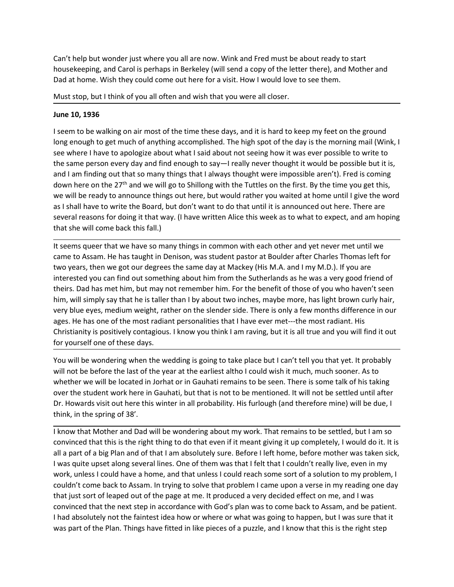Can't help but wonder just where you all are now. Wink and Fred must be about ready to start<br>housekeeping, and Carol is perhaps in Berkeley (will send a copy of the letter there), and Mother and<br>Dad at home. Wish they coul Can't help but wonder just where you all are now. Wink and Fred must be about ready to start<br>housekeeping, and Carol is perhaps in Berkeley (will send a copy of the letter there), and Mother and<br>Dad at home. Wish they coul Can't help but wonder just where you all are now. Wink and Fred must be about ready to start<br>housekeeping, and Carol is perhaps in Berkeley (will send a copy of the letter there), and Mother and<br>Dad at home. Wish they coul Can't help but wonder just where you all are now. Wink and Fred must be about ready to start<br>housekeeping, and Carol is perhaps in Berkeley (will send a copy of the letter there), and Mother and<br>Dad at home. Wish they coul

Can't help but wonder just where you all are now. Wink and Fred must be about represent and Carol is perhaps in Berkeley (will send a copy of the letter there Dad at home. Wish they could come out here for a visit. How I w Can't help but wonder just where you all are now. Wink and Fred must be about ready to start<br>housekeeping, and Carol is perhaps in Berkeley (will send a copy of the letter there), and Mother and<br>Dad at home. Wish they coul Can't help but wonder just where you all are now. Wink and Fred must be about ready to start<br>housekeeping, and Carol is perhaps in Berkeley (will send a copy of the letter there), and Mother and<br>Dad at home. Wish they coul Can't help but wonder just where you all are now. Wink and Fred must be about ready to start<br>chousekeeping, and Carol is perhaps in Berkeley (will send a copy of the letter there), and Mother and<br>Dad at home. Wish they co Can't help but wonder just where you all are now. Wink and Fred must be about ready to start<br>housekeeping, and Carol is perhaps in Berkeley (will send a copy of the letter there), and Mother and<br>Dad at home. Wish they coul Can't help but wonder just where you all are now. Wink and Fred must be about ready to start<br>housekeeping, and Carol is perhaps in Berkeley (will send a copy of the letter there), and Mother and<br>Must stop, but I think of Can't help but wonder just where you all are now. Wink and Fred must be about ready to start<br>housekeeping, and Carol is perhaps in Berkeley (will send a copy of the letter there), and Mother and<br>Dad at home. Wish they coul Can't help but wonder just where you all are now. Wink and Fred must be about ready to start<br>housekeeping, and Carol is perhaps in Berkeley (will send a copy of the letter there), and Mother and<br>Dad at home. Wish they coul Can't help but wonder just where you all are now. Wink and Fred must be about ready to start<br>housekeeping, and Carol is perhaps in Berkeley (will send a copy of the letter there), and Mother and<br>Dad at home. Wish they coul Can't help but wonder just where you all are now. Wink and Fred must be about ready to start<br>housekeeping, and Carol is perhaps in Berkeley (will send a copy of the letter there), and Mother and<br>Dad at home. Wish they coul Can't help but wonder just where you all are now. Wink and Fred must be about ready to start<br>housekeeping, and Carol is perhaps in Berkeley (will send a copy of the letter there), and Mother and<br>Dad at home. Wish they coul Can't nep out work pass were tyou and are now. "wink and i recurrings the actureaty to solve the beat we have that the beat we have that the beat we have the solve of the that the peripay and Carol is perhaps in Berkeley ( noussexe pling, and can'ts perhaps in teer kerry want study to the etch there, in which they could come out here for a visit. How I would love to see them.<br>
Must stop, but I think of you all often and wish that you were al by the third in the same to a start in the then the same of the same of the same of the same to be the same to be a start in the same of the same to be welcome that the same of the day is the morning mail (Wink, I see wher Must stop, but I think of you all often and wish that you were all closer.<br>
June 10, 1936<br>
Iseem to be walking on air most of the time these days, and it is hard to keep my feet on the ground<br>
Iong enough to get much of an June 10, 1936<br>I seem to be walking on air most of the time these days, and it is hard to keep my feet on the ground<br>long enough to get much of anything accomplished. The high spot of the day is the morning mail (Wink, I<br>se June 10, 1936<br>Is seen to be walking on air most of the time these days, and it is hard to keep my feet on the ground<br>Iong enough to get much of anything accomplished. The high spot of the day is the morning mail (Wink, I<br>s I seem to be walking on air most of the time these days, and it is hard to keep my feet on the ground<br>long enough to get much of anything accomplisied. The high spot of the day is the morning mail (Wink, I<br>see where I have

long enough to get much of anything accomplished. The high spot of the day is the morning mail (Wink, I<br>see where I have to apologize about what I said about not seeing how it was ever possible to wirte to<br>the same person see where I have to apologize about what I said about not seeing how it was ever possible to write to the same person every day and find enough to say—I really never thoustila tive will be possible but it is, and I am info the same person every day and find enough to say—I really never thought it would be possible but<br>and I am finding out that so many things that I always thought were impossible aren't). Fred is core<br>down here on the 27<sup>th</sup> and rain minang out that so many tomage that a wway inough were impossione are to . Hen is coming<br>town here on the 27<sup>m</sup> and we will go to Shillong with the Tuttles on the first. By the time you get this,<br>we will be ready down nere on the or cor.<sup>72</sup> and we will be ready to shinoug with the luttest on the links. By the time you get this, the the solar standard altho I could rather you waited at home until I give the word<br>as I shall have to we will be ready to annothing source (mign out met the pure who walled at to the energy of the band particular and the seen. There are several reasons for doing it that way. (I have written Alice this tweek as to what to e as I shall meve to write the boat on, out on the work to to that until to shimulcus out here. There are<br>ceveral reasons for doing it that way. (I have written Alice this week as to what to expect, and am hoping<br>that she wi several reasons to roomige trank way. (Thave written Allice this week as to what to expect, and an inoping<br>That she will come back this fall.)<br>The seems queer that we have so many things in common with each other and yet n that she will come back this lall.)<br>It seems queer that we have so many things in common with each other and yet never met unt<br>care to Assam. He has taught in Denison, was student pastor at Boulder after Charles Thomas<br>car If seems queer that we nave to many thromas in common with each other and yet never met untul we<br>came to Assam. He has taught in Denison, was student pastor at Boulder after Charles Thomas left for<br>two years, then we got o come to exsam. He mas taught in Dension, was student paston at bounder after Charles in comas lett to years, then we get our degrees the same day at Mackey (His M.A. and I my M.D.). If you are interested you can find out s

We years, then we got our degrees the same day at Mackey (HIS w.A., and I my w.i.). If you are<br>interested you can find out something about him from the Sutherlands as he was a very good friend of<br>theirs. Dad has met him, b interested you can inno out sometiming about nim room the submeral as are was a very good mend of<br>theirs. Dad has met him, but may not remember him. For the benefit of those of you who haven't seen<br>him, will simply say tha theirs. Dad nas met him, but may not remember inm. For the benefit of those of you who navert seen<br>than, will simply say that he is taller than I by about two inches, maybe more, has light brown curly hair,<br>very blue eyes, nim, wii smply say that ne is tailer train i by about two inners, may be more to, may ignow more to the plane train of the plane train of the plane train of the plane train of the plane train of the most radiant personalit very olue eyes, mealum weigin, ratmer on the siencer side. Inere is only a Few morths difference in our ages. He has one of the most radiant personalities that I have ever met—the most radiant. His Christianity is positive ages. He nas one or the most readen personalities trait nave ever met----the most radiant. His convinced for the next step in accordance that the next step in the word will find it out for yourself one of these days.<br>You w Consisted that this is the right that absolutely contained that the pieces of a piece but is all the faintest information of for yourself one of the geary. The word will not be before the last of the year at the earliest a for yourself one of these days.<br>You will be wondering when the wedding is going to take place but I can't tell you that yet. It probably<br>Will not be before the last of the year at the earliest athol could wish it much, muc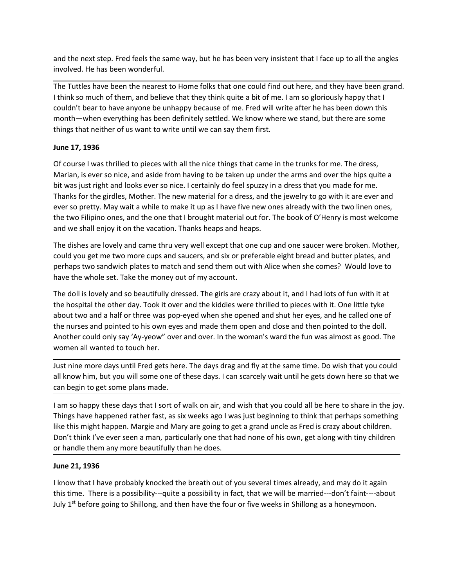and the next step. Fred feels the same way, but he has been very insistent that I face up to all the angles<br>involved. He has been wonderful.<br>The Tuttles have been the nearest to Home folks that one could find out here, and and the next step. Fred feels the same way, but he has been very insistent that I face up to all th<br>involved. He has been wonderful.<br>The Tuttles have been the nearest to Home folks that one could find out here, and they ha and the next step. Fred feels the same way, but he has been very insistent that I face up to all the angles<br>involved. He has been wonderful.<br>The Tuttles have been the nearest to Home folks that one could find out here, and and the next step. Fred feels the same way, but he has been very insistent that I face up to all the angles involved. He has been wonderful.<br>The Tuttles have been the nearest to Home folks that one could find out here, and and the next step. Fred feels the same way, but he has been very insistent that I face up to all the angles<br>involved. He has been wonderful.<br>The Tuttles have been the nearest to Home folks that one could find out here, and and the next step. Fred feels the same way, but he has been very insistent that I face up to all the angles<br>involved. He has been wonderful.<br>The Tuttles have been the nearest to Home folks that one could find out here, and and the next step. Fred feels the same way, but he has been very insistent that I face up to all the angles<br>The Tuttles have been wonderful.<br>Thing Tuttles have been the nearest to Home folks that one could find out here, a and the next step. Fred feels the same way, but he has been very insistent that I fa<br>involved. He has been wonderful.<br>The Tuttles have been the nearest to Home folks that one could find out here, and<br>it in think so much of

and the next step. Fred feels the same way, but he has been very insistent that I face up to all the angles<br>involved. He has been wonderful.<br>The Tuttles have been the nearest to Home folks that one could find out here, and and the next step. Fred feels the same way, but he has been very insistent that I face up to all the angles<br>involved. He has been wonderful.<br>The Tuttles have been the nearest to Home folks that one could find out here, and involved. He has been wordful.<br>The Tuttles have been the nearest to Home folks that one could find out here, and they have been grand.<br>The Tuttles have been the nearest to Home folks that one could find out here, and they and the next step. Fred feels the same way, but he has been very insistent that I face up to all the angles involved. He has been wonderful.<br>The Tuttles have been the nearest to Home folks that one could find out here, and and the next step. Fred feels the same way, but he has been very insistent that I face up to all the angles<br>involved. He has been wonderful.<br>The Tutties have been the nearest to Home folks that one could find out here, and and the next step. Fred feels the same way, but he has been very insistent that I face up to all the angles<br>involved. He has been wonderful.<br>The Tuttles have been the nearest to Home folks that one could find out here, and and the next step. Fred feels the same way, but he has been very insistent that I face up to all the angles involved. He has been wonderful.<br>The Tuttles have been the nearest to Home folks that one could find out here, and and unelext seep. Freu teest to Home folks that one culd find out here, and they have been grand.<br>The Tuttles have been the nearest to Home folks that one could find out here, and they have been grand.<br>The Tuttles have bee more the these been the nearest to Home folks that one could find out here, and they have been grand.<br>The Tuttles have been the nearest to Home folks that one could find out here, and they have been grand.<br>
think so much o The Tuttles have been the nearest to Home folks that one could find out here, and they have been grand.<br>
thinks oo much of them, and believe that they think quite a bit of me. I am so gloriously happyt that the<br>
couldn't b I think so much of them, and believe that they think quite a bit of me. I am so gloriously happy that I<br>couldn't bear to have anyone be unhapy because of me. Freed will write after he has been down this<br>month—when everythi round to the method of the method of the method of the method in the method of the method of the method of the method of the women of the method of the method of the so beautifully stitled to pieces with all the nice thing monn—wore reveryting has been derinded to his comparison to we have the word when the things that neither of us want to write until we can say them first.<br>
The 17, 1936<br>
Of course I was thrilled to pieces with all the nice things trial neutrier of us want to write until we can say them first.<br>Of course I was thrilled to pieces with all the nice things that came in the trunks for me. The dress,<br>Of course I was is tright and looks ever so nice June 17, 1936<br>
Of course I was thrilled to pieces with all the nice things that came in the trunks for me. The dress,<br>
Marian, i.e ver so nice, and aside from having to be taken up under the arms and over the hips quite a<br> Of course I was thrilled to pieces with all the nice things that came in the trunks for me. The dress, Marian, is ever so nice, and aside from having to be taken up under the arms and over the hips quite a<br>bit was just rig Of course I was thrilled to pieces with all the nice things that came in the trunks for me. The dress,<br>Marian, is ever so nice, and aside from having to be taken up under the arms and over the hips quite<br>bit was just right

bit was just right and looks ever so nice. I certainly do feel spuzzy in a dress that you made for me.<br>Thanks for the girdles, Mother. The new material for a dress, and the jewelry to go with it are ever and<br>rever so prett Thanks for the girdles, Mother. The new material for a dress, and the jewelry to go with it are ever and<br>ever so pretty. May wait a while to make it up as I have five new ones already with the two filipino ones,<br>the two Fi ever so pretty. May wait a while to make it up as I have five new ones already with the two linen ones<br>the two Filipino ones, and the one that brought material out for. The book of O'Henry is most welcor<br>and we shall enjoy In a wore throw the more days and the content of walk on air, and wish that you could all be here to we hall enjoy it on the vacation. Thanks heaps and heaps.<br>The dishes are lovely and came thru very well except that one c and we shan engivy is oft une vacadion). Thanks heeps and neaps.<br>The dishes are looky and cane throu every well except that once cup and one saucer were broken. Mother, The dishes are looky and cane throu ergis and saucers The dishes are lovely and came thru very well except that one cup and one saucer were broken. Mother, could you get me two more cups and saucers, and six or preferable eight bread and butter plates, and<br>perhaps two sandwic could you get me two more cups and saucers, and six or preferable eight bread and butter plates, and<br>perhaps two sandwirch plates to match and send them out with Alice when she comes? Would love to<br>have the whole set. Take perhaps two sandwich plates to match and send them out with Alice when she comes? Would love to<br>The doll is lovely and so beautifully dressed. The girls are crazy about it, and I had lots of fun with it at<br>The doll is love The doll is lovely and so beautifully dressed. The girls are crazy about it, and I had The doll is lovely and so beautifully dressed. The girls are crazy about it, and I had I<br>the hospital the other day. Took it over and t Ithe the stand have the reavy. Took it over an explored the biddles were thrilled to pieces with it. One little tyke<br>about two and a half or three was pop-eyed when she opened and shut her eyes, and he called one of<br>the nu

thout two and a half or three was pop-eyed when she opened and shut her eyes, and he called one of<br>the nurses and pointed to his own eyes and made them open and close and then pointed to the doll.<br>An other crould only say box and other that of the box and other was performed then open and close and then pointed to the doll.<br>Another could only say 'Ay-yeow" over and over. In the woman's ward the fun was almost as good. The<br>Another could only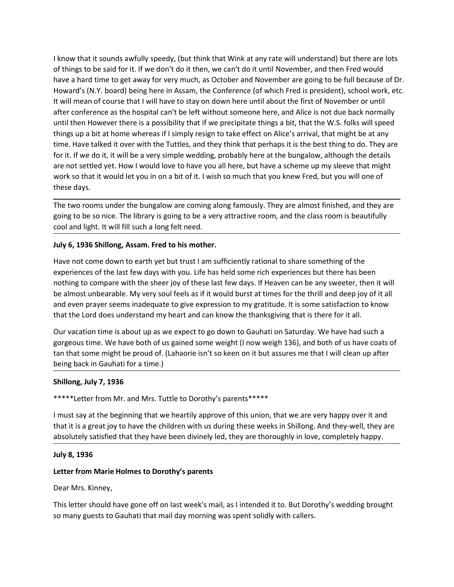I know that it sounds awfully speedy, (but think that Wink at any rate will understand) but there are lots<br>of things to be said for it. If we don't do it then, we can't do it until November, and then Fred would<br>have a hard I know that it sounds awfully speedy, (but think that Wink at any rate will understand) but there are lots<br>of things to be said for it. If we don't do it then, we can't do it until November, and then Fred would<br>have a hard I know that it sounds awfully speedy, (but think that Wink at any rate will understand) but there are lots<br>of things to be said for it. If we don't do it then, we can't do it until November, and then Fred would<br>have a hard I know that it sounds awfully speedy, (but think that Wink at any rate will understand) but there are lots<br>of things to be said for it. If we don't do it then, we can't do it until November, and then Fred would<br>have a hard I know that it sounds awfully speedy, (but think that Wink at any rate will understand) but there are lots<br>of things to be said for it. If we don't do it then, we can't do it until November, and then Fred would<br>have a hard I know that it sounds awfully speedy, (but think that Wink at any rate will understand) but there are lots of things to be said for it. If we don't do it than, we can't do it until November a, and then Fed would<br>have a har I know that it sounds awfully speedy, (but think that Wink at any rate will understand) but there are lots<br>of things to be sidl of or it. If we don't ob it then, we can't do it until Nowmber, and then Fred would<br>have a har I know that it sounds awfully speedy, (but think that Wink at any rate will understand) but there are lots<br>of things to be said for it. If we don't do it then, we can't do it until November, and then Fred would<br>have a hard I know that it sounds awfully speedy, (but think that Wink at any rate will understand) but there are lots of things to be said for it. If we don't do it then, we can't do it until November and then Fred would have a hard I know that it sounds awfully speedy, (but think that Wink at any rate will understand) but there are lots<br>of things to be said for it. If we don't do it then, we can't do it until November, and then Fred would<br>have a hard I know that it sounds awfully speedy, (but think that Wink at any rate will understand) but there are lots<br>of things to be said for it. If we don't do it then, we can't do it until November, and then Fred would<br>have a hard I know that it sounds awfully speedy, (but think that Wink at any rate will understand) but there are lots of thing to be said for it. If we don't do it then, we can't do it unit! November, and then Fred would be a hard in I know that it sounds awfully speedy, (but think that Wink at any rate will under<br>of things to be said for it. If we don't do it then, we can't do it until November, r<br>have a hard time to get away for very much, as October If know that it sounds awfully speedy, (but think that Wink at any rate will understand) but there are lots<br>of things to be said for it. If we don't do it then, we can't do it until November, and then Fred would<br>have a har It know that it sounds awfully speedy, (but think that Wink at any rate will understand) but there are lots<br>of things to be said for it. If we don't do it then, we can't do it until November , and then Fred would<br>have a ha I know that it sounds awfully speedy, (but think that Wink at any rate will understand) but there are lots<br>of things to be said for it. If we don't do it then, we can't do it until November, and then Fred would<br>have a hard If whow that it sounts searchy spect), tout thin that when a why rate will note and point that it is the said for it. If we don't do it then, we can't do it until November, and then Fred would<br>have a hard time to get away have a hard time to get away for very much, as October and November are going to be full because of Dr.<br>Howard's (N.Y. board) being here in Assam, the Conference (of which fred is president), school work, etc.<br>It will mean Howard's (N.Y. board) being here in Assam, the Conference (of which Fred is president), school work, etc.<br>It will mean of course that I will have to stay on down here unil about the first of November or until<br>affer confere It will mean of course that I will have to stay on down here until about the first of November or until after conference as the hospilal can't be left without someone here, and Alice is not due back normally autil then How after conference as the hospital can't be left without someone here, and Alice is not due back normally<br>until then However there is a possibility that if we precipitate things a bit, that the W.S. folss will speed<br>things u until then However there is a possibility that if we precipitate things a bit, that the W.S. folks will speed<br>things up a bit at home whereas if It simply resign to take effect on Alice's arrival, that might be at any<br>time things up a bit at home whereas if I simply resign to take effect on Alice's arrival, that might be at any<br>time. Have talked it over with the Tuttles, and they think that perhaps it is the bests thing to do. They are<br>for i

there is the sect to the warm the tractes, and uter yimits was permisted to the sect thing to our respect to the burgalow, although the details are not settled yet. How I would love to have you all here, but have a scheme For the work of the some of the some thange we coming abous there is a the both of us have both of the some than the some than the some than the some than the some than the some than the some coming along famously. They ar are to secure year. I now I would use to nave you an let, but also some that you knew Fred, but you will one of<br>these days.<br>The two rooms under the bungalow are coming along famously. They are almost finished, and they are when so unative to the bungalow are coming along famously. They are almost finished, and they are discussed ays.<br>The two rooms under the bungalow are coming along famously. They are almost finished, and they agoing to be s The two rooms under the bungalow are coming along famously. They are almost finished,<br>going to be so nice. The library is going to be a very attractive room, and the class room is<br>cool and light. It will fill such a long f going to be so nice. The library is going to be a very attractive room, and the class room is beautifully<br>cool and light. It will fill such a long felt need.<br>Luly 6, 1936 Shillong, Assam. Fred to his moderner.<br>Have not com Example that in a stay at the business of the beginning that we say at the experiences of the last few days with you. Life has held some rich experiences but there has been experiences of the last few days with you. Life h July 6, 1936 Shillong, Assam. Fred to his mother.<br>Have not come down to earth yet but trust I am sufficiently rational to share something of the<br>experiences of the last few days with you. Life has held some rich experience Have not come down to earth yet but trust I am sufficiently rational to share something of the experiences of the last few days with you. Life has held some rich experiences but there has been divinely to compare with the experiences of the last few days with you. Life has held some rich experiences bunching to compare with the sheer joy of these last few days. If Heaven can be a lmost unberable. My very soul feels ans if it would burst at

nowing to complete much means they wire something to the dimension that the dimension of the dimension to the thill and deep joy of it all<br>and even prayer seems inadequate to give expression to my gratitude. It is some sat and even prayer seems inadequate to give expression to my gratitude. It is some sat<br>that the Lord does understand my heart and can know the thanksgiving that is there<br>Our vacation time is about up as we expect to go down t Our vacation time is about up as we expect to go down to Gauhati on Saturday. We have had such a gorgeous time. We have both of us gained some weight (I now weigh 136), and both of us have coats of tan that some might the Our vacation time is about up as we expect to go down to Gauhati on Saturday. We have had such a<br>gengeous time. We have both of us gained some weight (I now weigh 136), and both of us have coats of<br>tan that some might be p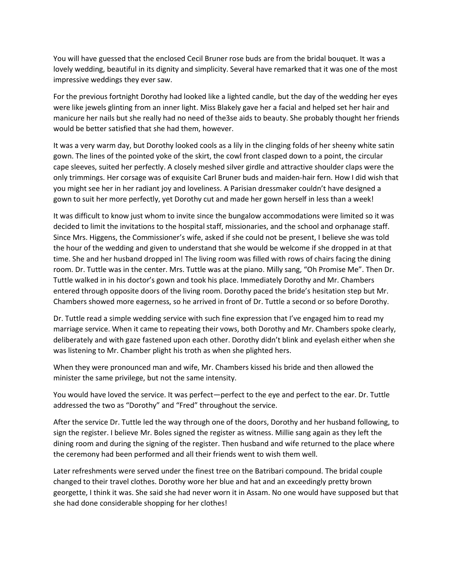You will have guessed that the enclosed Cecil Bruner rose buds are from the bridal bouquet. It was a<br>lovely wedding, beautiful in its dignity and simplicity. Several have remarked that it was one of the most<br>impressive wed

You will have guessed that the enclosed Cecil Bruner rose buds are from the bridal bouquet. It was a<br>lovely wedding, beautiful in its dignity and simplicity. Several have remarked that it was one of the most<br>impressive wed You will have guessed that the enclosed Cecil Bruner rose buds are from the bridal bouquet. It was a<br>lovely wedding, beautiful in its dignity and simplicity. Several have remarked that it was one of the most<br>impressive wed You will have guessed that the enclosed Cecil Bruner rose buds are from the bridal bouquet. It was a<br>lovely wedding, beautiful in its dignity and simplicity. Several have remarked that it was one of the most<br>impressive wed You will have guessed that the enclosed Cecil Bruner rose buds are from the bridal bouquet. It was a<br>lovely wedding, beautiful in its dignity and simplicity. Several have remarked that it was one of the most<br>impressive wed You will have guessed that the enclosed Cecil Bruner rose buds are from the bridal bouquet. It was a<br>lovely wedding, beautiful in its dignity and simplicity. Several have remarked that it was one of the most<br>impressive wed

You will have guessed that the enclosed Cecil Bruner rose buds are from the bridal bouquet. It was a<br>lovely wedding, beautiful in its dignity and simplicity. Several have remarked that it was one of the most<br>impressive wed It was a very warm day, but borstole (secil Bruner rose buds are from the bridal bouquet. It was a<br>lovely wedding, beautiful in its dignity and simplicity. Several have remarked that it was one of the most<br>impressive weddi You will have guessed that the enclosed Cecil Bruner rose buds are from the bridal bouquet. It was a<br>lovely wedding, beautiful in its dignity and simplicity. Several have remarked that it was one of the most<br>impressive wed You will have guessed that the enclosed Cecil Bruner rose buds are from the bridal bouquet. It was a<br>lovely wedding, beautiful in its dignity and simplicity. Several have remarked that it was one of the most<br>impressive wed Nou will have guessed that the enclosed Cecil Bruner rose buds are from the bridal bouquet. It was a lovely wedding, beautiful in its dignity and simplicity. Several have remarked that it was one of the most impressive wed You will have guessed that the enclosed Cecil Bruner rose buds are from the bridal bouquet. It was a lovely wedding, beautiful in its dignity and simplicity. Several have remarked that it was one of the most impressive wed You will have guessed that the enclosed Cecil Bruner rose buds are from the bridal bouquet. It was a<br>lovely wedding, beautiful in its dignity and simplicity. Several have remarked that it was one of the most<br>impressive wed You will have guessed that the enclosed Cecil Bruner rose buds are from the bridal bouquet. It was a<br>lovely weddings they ever saw.<br>Impressive weddings they ever saw.<br>For the previous fortnight Dorothly had looked like a l

You will have guessed that the enclosed Cecil Bruner rose buds are from the bridal bouquet. It was a<br>tovely wedding, beautiful in its dignity and simplicity. Several have remarked that it was one of the most<br>impressive wed You will have guessed that the enclosed Cecil Bruner rose buds are from the bridal bouquet. It was a<br>micrology weeding, beautiful in its dignity and simplicity. Several have remarked that it was one of the most<br>impressive lovely wedding, beautiful in its dignity and simplicity. Several have remarked that it was one of the most<br>impressive weddings they ever saw.<br>For the previous fortnight Dorothly had looked like a lighted candle, but the da impressive weddings they ever saw.<br>
For the previous fortnight Dorothy had looked like a lighted candle, but the day of the wedding her eyes<br>
were like jewels glinting from an inner light. Miss Biakely gave her a facial an For the previous fortnight Dorothy had looked like a lighted candle, but the day of the wedding her eyes<br>were like jewels glinting from an inner light. Miss Blakely gave her a facial and helped set her hair and<br>manicure he For the previous fortnight Dorothly had looked like a lighted candle, but the day of the wedding her eyes<br>were like jewels glinting from an inner light. Miss Blakely gave her a facial and helped set her hair and<br>manicure h were like jewels glinting from an inner light. Miss Blakely gave her a facial and helped set her hair and<br>manicure her mails but she really had no need of the3se aids to beauty. She probably thought her friends<br>would be be manicure her nails but she really had no need of the3se aids to beauty. She probably thought her friends would be better satisfied that she had them, however. It was a very warm day, but Dorothy looked cools as a illy in t It was a very warm day, but Dorothy looked cools as a lily in the clinging folds of her sheeny white satin<br>gown. The lines of the pointed yoke of the skirt, the cowl front clasped down to a point, the circular<br>comp sleeves It was a very warm day, but Dorothy looked cools as a lilly in the clinging folds of her sheen white sating to the same wite same when the stame wave. The lines serves, suited her perfectly. A closely meshed silver girdle gown. The lines of the pointed yoke of the skirt, the coul front classped down to a point, the coular point and you any of the sitteral point of the circular point of the component of the component of the component of the cape sleeves, suited her perfectly. A clossley meshed sliver gridel and attractive shoulder claps were the payer<br>end y trimmings. Her corsage was of exquisite Carl Bruner buds and maiden-hair fern. How I did wish that<br>you you might see her in her radiant joy and loveliness. A Parisian dressmaker couldn't have designed a<br>gown to suit her more perfectly, yet Dorothy cut and made her gown herself in less than a week!<br>It was difficult to know j gown to suit her more perfectly, yet Dorothy cut and made her gown herself in less than a week!<br>
It was difficult to know just whom to invite since the bungalow accommodations were limited so it was<br>
decided to limit the i It was difficult to know just whom to invite since the bungalow accommodations were limited so it was diededed to limit the invitations to the hospital staff, missionaries, and the school and orphanage staff. Since Ms. Hig decided to limit the invitations to the hospital staff, missionaries, and the school and orphanage staff.<br>Since Mrs. Higgens, the Commissioner's wire, asked if she could on the present, I believe the was told<br>the hour of t Since Mrs. Higgens, the Commissioner's wite, asked it is necould not be present, i believe she was tolid<br>the hour of the wedding and given to understand that she would be welcome if she dropped in at that<br>time. She and her the nour of the weeding and green to understand that she would be welcome If she dropped in a think<br>time. She and her husband dropped in! The living room was filled with rows of chairs facing the dining<br>room. Dr. Tuttle wa time. She and her husband dropped in! The living room was filled with rows of chairs facing the dining to the refunding the mom. Dr. Tuttle walked in in his doctor's gown and took his place. Immediately Dorothy and Mr. Cha

room. Dr. Tuttle was in the center, Mrs. Tuttle was at the piano. Milly sang, "On Promise Me". Then Dr. Tuttle waked in in his doctor's gown and took his place. Immediately Dorothy and Mr. Chambers<br>entered through opposite entered through opposite doors of the living room. Dorothy paced the bride's hesitation step but Mr.<br>Chambers showed more eagerness, so he arrived in front of Dr. Tuttle a second or so before Dorothy.<br>Dr. Tuttle read a sim Chambers showed more eagerness, so he arrived in front of Dr. Tuttle a second or so before Dorothy.<br>Dr. Tuttle read a simple wedding service with such fine expression that I've engaged him to read my<br>marriage service. When Dr. Tuttle read a simple wedding service with such fine expression that I've engaged him to read my<br>marriage service. When it came to repeating their vows, both Dorothy and Mr. Chambers spoke clearly,<br>deliberately and with Dr. Tuttler read a simple wedding service with such line expression that Yre engage ham to ready mental for the considerably and Mr. Chambers spoke dearly, deliberately and with gaze fastened upon each other. Dorothy didn'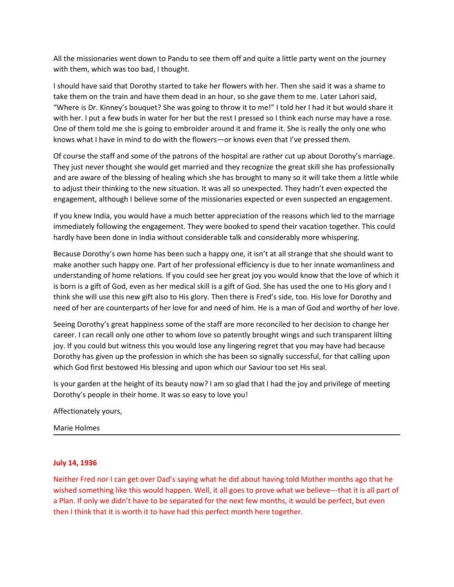All the missionaries went down to Pandu to see them off and quite a little party went on the journey<br>with them, which was too bad, I thought.<br>I should have said that Dorothy started to take her flowers with her. Then she s All the missionaries went down to Pandu to see them off and quite a little party went on the journey<br>with them, which was too bad, I thought.<br>I should have said that Dorothy started to take her flowers with her. Then she s All the missionaries went down to Pandu to see them off and quite a little party went on the journey<br>with them, which was too bad, I thought.<br>I should have said that Dorothy started to take her flowers with her. Then she s All the missionaries went down to Pandu to see them off and quite a little party went on the journey<br>with them, which was too bad, I thought.<br>I should have said that Dorothy started to take her flowers with her. Then she s All the missionaries went down to Pandu to see them off and quite a little party went on the journey<br>
with them, which was too bad, I thought.<br>
I should have said that Dorothy started to take her flowers with her. Then sh All the missionaries went down to Pandu to see them off and quite a little party went on the journey<br>with them, which was too bad, I thought.<br>I should have said that Dorothy started to take her flowers with her. Then she s All the missionaries went down to Pandu to see them off and quite a little party went on the journey<br>
with them, which was too bad, I thought.<br>
I should have said it at Dorothy started to take her flowers with her. Then sh All the missionaries went down to Pandu to see them off and quite a little party went on the journey<br>with them, which was too bad, I thought.<br>I should have said that Dorothy started to take her flowers with her. Then she s All the missionaries went down to Pandu to see them off and quite a little party went on the journey<br>with them, which was too bad, I thought.<br>I should have said that Dorothy started to take her flowers with her. Then she s All the missionaries went down to Pandu to see them off and quite a little party went on the journey<br>
with them, which was too bad, I thought.<br>
I should have said that Dorothy started to take her flowers with her. Then she All the missionaries went down to Pandu to see them off and quite a little party went on the journey<br>
with them, which was too bad, I thought.<br>
I should have said dita Dorothy started to take her flowers with her. Then she All the missionaries went down to Pandu to see them off and quite a little party went on the journey<br>
with them, which was too bad, I thought.<br>
I should have said at a Dorothy started to take her flowers with her. Then she All the missionaries went down to Pandu to see them off and quite a little party went on the journey<br>with them, which was too bad, I thought.<br>I should have said that Dorothy started to take her flowers with her. Then she s All the missionaries went down to Pandu to see them off and quite a little party went on the journey<br>
with them, which was too bad, I thought.<br>
I should have said that Dorothy started to take her flowers with her. Then she All the missionaries went down to Pandu to see them off and quite a little party went on the journey<br>with them, which was too bad, I thought.<br>I should have said that Dorothy started to take her flowers with her. Then she s All the missionaries went down to Pandu to see them off and quite a little party went on the journey<br>
with them, which was too bad, I thought.<br>
I should have said dita Dorothy started to take her flowers with her. Then she with them, which was too bad, I thought.<br>
Is should have said dita Dorothy started to take her flowers with her. Then she aaid it was a shame to<br>
take them on the train and have them dead in an hour, so she gave them to me

I should have said that Dorothy started to take her flowers with her. Then she said it was a shame to take therm on the train and have them dead in an hour, so the gave them to me. Later Lahori said, "Where is Dr. Kinney's take them on the train and have them dead in an hour, so she gave them to me. Later Lahori said, "Where is Dr. Kinney's boouqet? She was going to throw it to me'' to lol her I had it but would share it with the .<br>With her. "Where is Dr. Kinney's bouquet? She was going to throw it to me!" I told her I had it but would share it with her. I put a few buds in water for her but the rest I pressed so I think each unser may have a rose. One of the with her. I put a few buds in water for her but the rest I pressed so I think each nurse may have a rose.<br>One of them told mes his is giong to embroider around it and frame it. She is really the only one who<br>knows what I h One of them told me she is going to embroider around it and frame it. She is really the only one who<br>chows what I have in mind to do with the flowers—or knows even that I've pressed them.<br>Of course the staff and some of th Khows what I have in mind to do with the flowers—or knows even that I've pressed them.<br>Of course the staff and some of the patrons of the hospital are rather cut up about Dorothy's marriage.<br>They just never thought she wou Of course the staff and some of the patrons of the hospital are rather cut up about Dorothy's marriage.<br>They just never thought she would get married and they recognize the great skill she has protessionally<br>and are aware They just never thought she would get married and they recognize the great skill she has professionally<br>and are aware of the blessing of helaling which she has brought to many so it will take them a little while<br>to adjust and are aware of the blessing of healing which she has brought to many so it will take them a little while<br>to digist their thinking to the new situation. It was all so unexpected. They hadrit even expected the<br>engagement, to adjust their thinking to the new situation. It was all so unexpected. They hadn't even expected the engagement, although I believe some of the missionaries expected or even suspected an engagement. If you know India, yo engagement, although I believe some of the missionaries expected or even suspected an engagement.<br>If you knew India, you would have a much better appreciation of the reasons which led to the marriage<br>immediately following If you knew India, you would have a much better appreciation of the reasons which led to the marriage immediately following the engagement. They were booked to spend their varation together. This could handly have been don immediately following the engagement. They were booked to spend their vacation toge<br>hardly have been done in India without considerable talk and considerably more whispe<br>Because Dorothy's own home has been such a happy one Because Dorothy's own home has been such a happy one, it isn't at all strange t<br>make another such happy one. Part of her professional efficiency is due to her in<br>understanding of home relations. If you could see her great

understanding unionite relations. In you cout see neir get any you wout show is a born is a gift of God, even as her medical skill is a gift of God. She has used the chink she will use this new gift also to His glory. Then think she will use this new gift also to His glory. Then there is Fred's side, too. His love for Dorothy and<br>need of her are counterparts of her love for and need of him. He is a man of God and worthy of her love.<br>Seeing D need of her are counterparts of her love for and need of him. He is a man of God and worthy of her love.<br>Seeing Dorothy's great happiness some of the staff are more reconciled to her decision to change her<br>career. I can re Seeing Dorothy's great happiness some of the staff are more reconciled to her decision to change her career. I can recall only one other to whom love so patently brought wings and such transparent lilting (ioy, If you coul Service of the methanon of the same are the start are those to the treation of the treation to the research and the transparent lifting iny. If you could but witness this you would lose any lingering regret that you may ha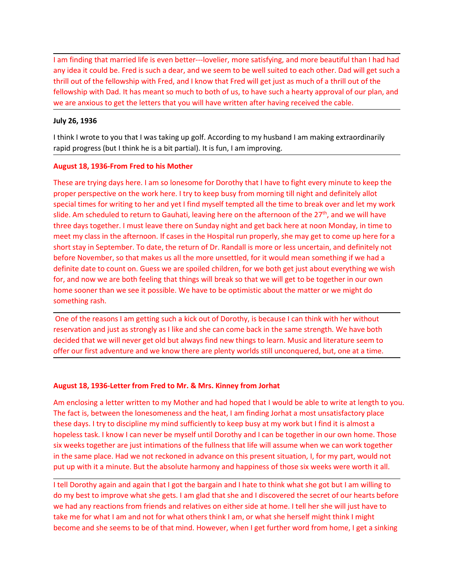I am finding that married life is even better---lovelier, more satisfying, and more beautiful than I had had any idea it could be. Fred is such a dear, and we seem to be well suited to each other. Dad will get such a thril I am finding that married life is even better---lovelier, more satisfying, and more beautiful than I had had<br>any idea it could be. Fred is such a dear, and we seem to be well suited to each other. Dad will get such a<br>thril I am finding that married life is even better---lovelier, more satisfying, and more beautiful than I had had<br>any idea it could be. Fred is such a dear, and we seem to be well suited to each other. Dad will get such a<br>thril I am finding that married life is even better---lovelier, more satisfying, and more beautiful than I had had<br>any idea it could be. Fred is such a dear, and we seem to be well suited to each other. Dad will get such a<br>thril I am finding that married life is even better---lovelier, more satisfying, and more beautiful than I had had<br>any idea it could be. Fred is such a dear, and we seem to be well suited to each other. Dad will get such a<br>fello I am finding that married life is even better---lovelier, more satisfying, and more bany idea it could be. Fred is such a dear, and we seem to be well suited to each of<br>thrill out of the fellowship with Fred, and I know th I am finding that married life is even better---lovelier, more satisfying, and more beautiful than I had had<br>any idea it could be. Fred is such a dear, and we seem to be well suited to each other. Dad will get such a<br>thril I am finding that married life is even better--lovelier, more satisfying, and more beautiful than I had had<br>any idea it could be. Fred is such a dear, and we seem to be well suited to each other. Dad will get such a<br>thrill I am finding that married life is even better---lovelier, more satisfying, and more beautiful than I had had<br>any idea it could be. Fred is such a dear, and we seem to be well suited to each other. Dad will get such a<br>thril

I am finding that married life is even better—lovelier, more satisfying, and more beautiful than I had had<br>thrill out of the fellowship with Fred, and I know that fred will get just as much a fellowship with Dad. It has m 1 am finding that married life is even better—lovelier, more satisfying, and more beautiful than I had had<br>any idea it could be. Fred is such a dear, and we seem to be well suited to each other. Dad will get studa<br>thrill o I am finding that married life is even better—lovelier, more satisfying, and more beautiful than I had had<br>any lide it could be. Fred is such a dea, and we seem to be well suited to each other. Dad will get such<br>the lind o slide. Am scheduled to return to Gauhati, leaving here on the afternoon of the and onlined to return of the ferrel interaction of the the ferrel interaction of a thirtil out of the ferrel interactionship with Fred, and I k t am finding that married life is even better---lovelier, more satisfying, and more beautiful than I had had<br>any idea it could be. Fred is such a dear, and we seem to be well suited to each other. Dad will get such a<br>thril I am finding that married life is even better---lovelier, more satisfying, and more beautiful than I had had<br>any idea it could be. Fred is such a dear, and I know that Fred will get just as much for a kirill und of the fel ishort stay in September. To date, the return of Dr. Randall is more or less uncertain, and where the return of the followship with Fred, and we seem to be well suited to each other. Dad will get such a thrill out of the f any we are cocalo set. Free is sourned to the more weare to be executive of the more with the more of the more with the more is source to the fellowship with Dad, It has meant so much to both of us, to have such a hearty a minuo to the relationship with Test, and is known which the relationship with bad, it has meant so much to both of us, to have such a hearty approval of our plan, and<br>we are amxious to get the letters that you will have wr For the three tots will be the term of the state will have written after having received the cable.<br>
We are anxious to get the letters that you will have written after having received the cable.<br>
Think I wrote to you that we are amouss to get the retures that you will nave written arter involugie ecoved the caote.<br>
Home is than we see than we see it is function to my husband I am making extraordinarily<br>
than k lavoret to you that I was taki July 26, 1936<br>
I think I wrote to you that I was taking up golf. According to my husband I am making<br>
rapid progress (but I think he is a bit partial). It is fun, I am improving.<br> **August 18, 1936-From Fred to his Mother**<br> think I wrote to you that I was taking up golf. According to my husband I am making extraordinarily<br>apid progress (but I think he is a bit partial). It is fun, I am improving.<br>**Nugust 18, 1936-From Fred to his Mother**<br>Thes rapid progress (but I think he is a bit partial). It is fun, 1 am improving.<br>August 18, 1936-From Fred to his Mother<br>These are trying days here. I am so lonesome for Dorothy that I have to fight every minute to keep the<br>pr August 18, 1936-From Fred to his Mother<br>These are trying days here. I am so lonesome for Dorothy that I have to fight every minute to keep the<br>proper perspective on the work here. I try to keep busy from morning till night **August 18, 1936-From Fred to his Mother**<br>These are trying days here. I am so lonesome for Dorothy that I have to fight every minute to keep the<br>These are trying days here. I am so lonesome for Dorothy that I have to fight special times for writing to her and yet I find myself tempted all the time to break over and let my works side. Am scheduled to return to Gauhati, leaving here on the afternoon of the  $27$ <sup>b</sup>, and we will have littered ay sive. Nur solicited that we will never get old but alway, itselling the orient of the comparation of the 27 , and we winviewed by the state in the state in the state in the Hospital run property, she may get to come up her The these throws the fact is much the matter with the state throws in the filespital run properly, she may get to come up here for a short stay in September. To date, the return of Dr. Randall is more or less uncertain, an

met throw was in the acterisoon. In cases in the Trospical ron property, so lines get to come up net ento that the most the free Movember, so that makes us all the more unsettled, for it would mean something if we had a de show I can never the content of the full content of the full content of the full content with the myself in the myself of the myself of the myself of the myself of the myself of the myself of the definite date to count on. sign the tot intimates as an unimitive size with the sink of the sink of the sink of the sink of the sink of the full of the sink of the full and the sink of the full get to be together in our own for, and now we are both et the same we conductions and the same species were as the same species were the same to that we not a force the same stame than we see it possible. We have to be optimistic about the matter or we might do<br>omething rash.<br> not, and two are bout releast the absolute harmony with the absolute six were the search in the absolute mediation of the reasons I am getting such a kick out of Dorothy, is because I can think with her without something r something rash.<br>
One of the reasons I am getting such a kick out of Dorothy, is because I can think with her without<br>
reservation and just as strongly as I like and she can come back in the same strength. We have both<br>
dec One of the reasons I am getting such a kick out of Dorothy, is because I can think with her without reservation and just as strongly as I like and she can come back in the same strength. We have both decided that we will n one or ereasons four methods on the bottom the same steamed with the method of the same strength. We have both<br>reservation and just as strongly as like and she can come back in the same strength. We have both<br>decided that test waves the metal of the what and the cast of the metal of the mean state of the mean state of the mean state of the mean state of the mean state of the mean state of the mean state of the control of the current of the declined that we will here get to the she seems that minds to the sheem in what she seems to the seem to the seem that a content and the seems to the seems to the seems. Apply and the part at mind. An enclosing a letter fr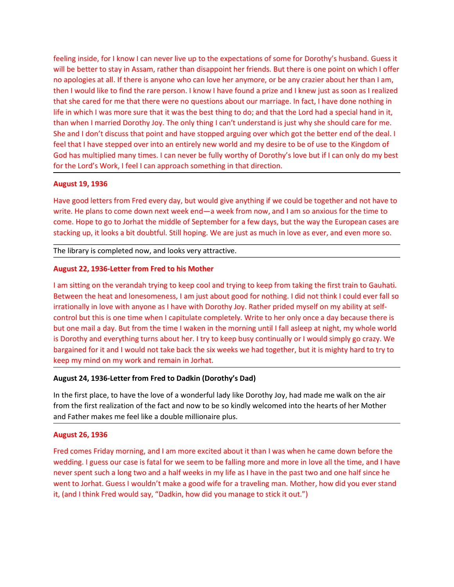feeling inside, for I know I can never live up to the expectations of some for Dorothy's husband. Guess it will be better to stay in Assam, rather than disappoint her friends. But there is one point on which I offer no apo feeling inside, for I know I can never live up to the expectations of some for Dorothy's husband. Guess it will be better to stay in Assam, rather than disappoint her friends. But there is one point on which I offer no apo feeling inside, for I know I can never live up to the expectations of some for Dorothy's husband. Guess it will be better to stay in Assam, rather than disappoint her friends. But there is one point on which I offer no apo feeling inside, for I know I can never live up to the expectations of some for Dorothy's husband. Guess it<br>will be better to stay in Assam, rather than disappoint her friends. But there is one point on which I offer<br>no apo feeling inside, for I know I can never live up to the expectations of some for Dorothy's husband. Guess it<br>will be better to stay in Assam, rather than disappoint her friends. But there is one point on which I offer<br>no apo feeling inside, for I know I can never live up to the expectations of some for Dorothy's husband. Guess it will be better to stay in Assam, rather than disappoint her friends. But there is one point on which I deffer no ap feeling inside, for I know I can never live up to the expectations of some for Dorothy's husband. Guess it will be better to stay in Assam, rather than disappoint her friends. But there is one point on which I offer wo apo feeling inside, for I know I can never live up to the expectations of some for Dorothy's husband. Guess it will be better to stay in Assam, rather than disappoint her friends. But there is one point on which I offer no apo feeling inside, for I know I can never live up to the expectations of some for Dorothy's husband. Guess it<br>will be better to stay in Assam, rather than disappoint her friends. But there is one point on which I offer<br>no apo feeling inside, for I know I can never live up to the expectations of some for Dorothy's husband. Guess it<br>will be better to stay in Assam, rather than disappoint her friends. But there is one point on which I offer<br>no apo feeling inside, for I know I can never live up to the expectations of some for Dorothy's husband. Guess it<br>will be better to stay in Assam, rather than disappoint her friends. But there is one point on which I offer<br>no apo feeling inside, for I know I can never live up to the expectations of some for Dorothy<br>will be better to stay in Assam, rather than disappoint her friends. But there is one pro<br>no apologies at all. If there is anyone who c feeling inside, for I know I can never live up to the expectations of some for Dorothy's husband. Guess it<br>will be better to stay in Assam, rather than disappoint her friends. But there is one point on which I offer<br>one pa feeling inside, for I know I can never live up to the expectations of some for Dorothy's husband. Guess it<br>will be better to stay in Assam, rather than disappoint her friends. But there is one point on which I offer<br>no apo feeling inside, for I know I can never live up to the expectations of some for Dorothy's husband. Guess it will be better to stay in Assam, rather than disappoint her friends. But there is one point on which I offer win a feeling inside, for I know I can never live up to the expectations of some for Dorothy's husband. Guess it<br>will be better to stay in Assam, rather than disappoint her friends. But there is one point on which I offer<br>ono ap will be better to stay in Assam, rather than disappoint her friends. But there is one point on which I offer to apply on apologies at all. If there is anyone who can love her anyone, or be any razier about her than I am, t then I would like to find the rare person. I know I have found a prize and I knew just as soon as I realized<br>that she cared for me that there were no questions about our marriage. In fact, I have done nothing in<br>this in wh that she cared for me that there were no questions about our marriage. In fact, I have done nothing in<br>the in which I was more sure that it was the best thing to do; and that the Lord had a special hand in it,<br>than when I

life in which I was more sure that it was the best thing to do; and that the Lord had a special hand in it, the could for the interval for a bout the lone and it in the lone of the shall control in the shall control is the than when I married Dorothly Joy. The only thing I can't understand is just why he should care for me.<br>She and I don't discuss that point and have stopped arguing over which got the better end of the deal. I<br>feel that I ha She and I don't discuss that point and have stopped arguing over which got the better end of the deal. I<br>feel that I have stepped over into an entirely new world and my desire to be of use to the Ringdom of<br>God has multipl feel that I have stepped over into an entirely new world and my desire to be of use to the Kingdom of<br>God has multiplied many times. I can never be fully worthy of Dorothy's love but if I can only do my best<br>for the Lord's God has multiplied many times. I can never be fully worthy of Dorothy's love but if I can only do my best<br> **August 19, 1936**<br> **August 19, 1936**<br> **August 19, 1936**<br>
Have good letters from Fred every day, but would give anyt for the Lord's Work, I feel I can approach something in that direction.<br>
August 19, 1936<br>
Have good letters from Fred every day, but would give anything if we could be together and not have to<br>
write. He plans to come down August 19, 1936<br>
Have good letters from Fred every day, but would give anything if we could be together and not have to<br>
write. He plans to come down next week end—a week from now, and I am so anxious for the time to<br>
come Have good letters from Fred every day, but would give anything if we could be together and not have to write. He plans to come down next week fend—a week from now, and I am so anxious for the time to were. Hope to go to Jo write. He plans to come down next week end—a week from now, and I am so anxious for the time to the state in the mise of the state in the state in the components are stacking up, it looks a bit doubtful. Still hoping. We a come. Hope to go to Jorhat the middle of September for a few days, but the way the European cases are<br>stacking up, it looks a bit doubtful. Still hoping. We are just as much in love as ever, and even more so.<br>The library i stacking up, it looks a bit doubtful. Still hoping. We are just as much in love as ever, and even more so.<br>The library is completed now, and looks very attractive.<br>August 22, 1936-Letter from Fred to his Mother<br>Hamstiting The library is completed now, and looks very attractive.<br>
August 22, 1936-Letter from Fred to his Mother<br>
I am sitting on the verandah trying to keep cool and trying to keep from taking the fir<br>
Between the heat and loneso **August 22, 1936-letter from Fred to his Mother**<br>
I am sitting on the verandah trying to keep cool and trying to keep from taking the first train to Gauhati.<br>
Between the heat and lonesomeness, I am just about good for not I am sitting on the verandah trying to keep cool and trying to keep from taking the first train to Gauhati.<br>Between the heat and lonesomeness, I am just about good for nothing. I did not think I could ever fall so<br>crootrol ran stany on the versincant or ying to sep toward o ying to keep mont and, the most such a half not be the moral one of the bat and lonesomeness, I am just about good for nothing. I did not think I could ever fall so<br>irrat exercive it enst and intendent make a parts acout good wife for a traveling in our crime is control but this is one time when I capitulate completely. Write to her pridd myelf on my ability at self-<br>control but this is one in actionary in to we win any track wind both that is to see that the control but this is one the when I capitulate completely. Write to her only once a day because there is but one mail a day. But from the time I waken in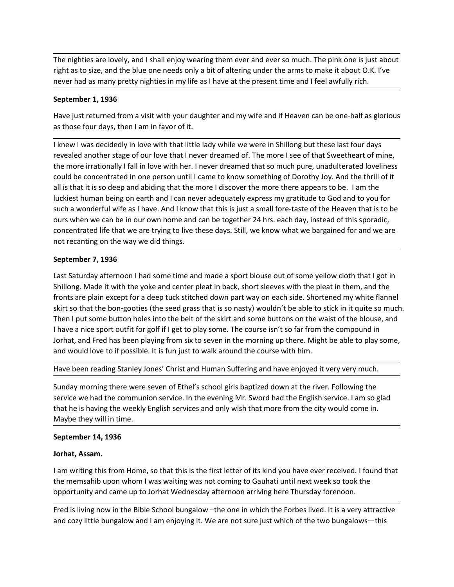The nighties are lovely, and I shall enjoy wearing them ever and ever so much. The pink one is just about<br>right as to size, and the blue one needs only a bit of altering under the arms to make it about O.K. I've<br>never had The nighties are lovely, and I shall enjoy wearing them ever and ever so much. The pink one is just about<br>right as to size, and the blue one needs only a bit of altering under the arms to make it about O.K. I've<br>never had The nighties are lovely, and I shall enjoy wearing them ever and ever so much. The pink one is just about<br>right as to size, and the blue one needs only a bit of altering under the arms to make it about O.K. I've<br>never had The nighties are lovely, and I shall enjoy wearing them ever and ever so much. The pink<br>right as to size, and the blue one needs only a bit of altering under the arms to make it a<br>never had as many pretty nighties in my li

The nighties are lovely, and I shall enjoy wearing them ever and ever so much. The pink one is just about<br>right as to size, and the blue one needs only a bit of altering under the arms to make it about O.K. I've<br>never had The nighties are lovely, and I shall enjoy wearing them ever and ever so much. The pink one is just about<br>right as to size, and the blue one needs only a bit of altering under the arms to make it about O.K. I've<br>never had The nighties are lovely, and I shall enjoy wearing them ever and ever so much. The pink one is just about<br>right as to size, and the blue one needs only a bit of altering under the arms to make it about O.K. I've<br>never had The nighties are lovely, and I shall enjoy wearing them ever and ever so much. The pink one is just about<br>right as to size, and the blue one needs only a bit of altering under the arms to make it about O.K. I've<br>never hod The nighties are lovely, and I shall enjoy wearing them ever and ever so much. The pink one is just about<br>right as to size, and the blue one needs only a bit of altering under the arms to make it about O.K. I've<br>never had The nighties are lovely, and I shall enjoy wearing them ever and ever so much. The pink one is just about<br>right as to size, and the blue one needs only a bit of altering under the arms to make it about O.K. I've<br>enever had The nighties are lovely, and I shall enjoy wearing them ever and ever so much. The pink one is just about<br>right as to size, and the blue one needs only a bit of altering under the arms to make it about O.K. I've<br>never had The nighties are lovely, and I shall enjoy wearing them ever and ever so much. The pink one is just about<br>right as to size, and the blue one needs only a bit of altering under the arms to make it about O.K. I've<br>never had The nighties are lovely, and I shall enjoy wearing them ever and ever so much. The pink one is just about right as to size, and the blue one needs only a bit of altering under the arms to make it about O.K. I've mever had The nighties are lovely, and I shall enjoy wearing them ever and ever so much. The pink one is just about<br>right as to size, and the blue one needs only a bit of altering under the arms to make it about O.K. I've<br>enever had The nighties are lovely, and I shall enjoy wearing them ever and ever so much. The pink one is just about<br>
right as to size, and the blue one needs only a bit of altering under the arms to make it about O.K. I've<br>
never ha The nighties are lovely, and I shall enjoy wearing them ever and ever so much. The pink one is just about right as to size, and the blue one needs only a bit of altering under the arms to make it about O.K. I've<br>never had mever had as many pretty nighties in my life as I have at the present time and I feel avforting<br> **September 1, 1936**<br>
Have just returned from a visit with your daughter and my wife and if Heaven can be on<br>
as those four da **September 1, 1936**<br>
Have just returned from a visit with your daughter and my wife and if Heaven can be one-half as glorious<br>
as those four days, then I am in favor of it.<br>
I knew I was decidedly in love with that little **Explement 1.** 1935<br>Have just returned from a visit with your daughter and my wife and if Heaven can be one-half as glorious<br>as those four days, then I am in favor of it.<br>
I knew I was decidedly in love with that little la Have just returned from a visit with your daughter and my wife and if Heaven can be one-half as glorious<br>s those four days, then I am in favor of it.<br>It knew I was decidedly in love with that it litele lady while we were i as those four days, then I am in favor of it.<br>I knew I was decidedly in love with that little lady while we were in Shillong but these last four days<br>revealed another stage of our love that in ever dreamed of. The more I s I knew I was decidedly in love with that little lady while we were in Shillong but these last four days<br>revealed another stage of our love that I never dreamed of. The more I see of that Sweetheart of mine,<br>the more irrati I knew I was decidedly in love with that little lady while we were in Shillong but these last four days the search of mine, the were in Shillong but the more interesting that it in the more interesting that in one person u revealed another stage of our love that in ever dreamed of. Ine more is see of that 'weetherart of mine, the computer and more is the more is encored to mine to minic to minic to minic to minic to the concentrated in one p

the more firstohally I Tail in love with her. I hever dreamed that so much pure, unadulterated lovelines<br>toculd be concentrated in one person until I came to know something of Dorothy Joy. And the fill of it<br>all is that it all is that it is so deep and abiding that the more I discover the more there appears to be. I am the luckiest human being on earth and I can never adequately express my gratitude to God and to you for such a wonderful wif such a wonderful wife as I have. And I know that his is just a small fore-taste of the Heaven that is to be ours when we can be in our cwm home and can be together 24 hrs. each day, instead of this sporadic, ours when we c service we have the community of the community when the community of the community of the community of concentrated life that we are trying to live these days. Still, we know what we bargained for and we are not recentling concentrated life that we are trying to live these days. Still, we know what we bargained for and we are not recanting on the way we did things.<br>September 7, 1936<br>Last Saturday afternoon I had some time and made a sport bl Example 10.1 The way we did things.<br>
In the canting on the way we did things.<br>
In the canting on the way we did things.<br>
September 7, 1936<br>
Last Saturday afternoon I had some time and made a sport blouse out of some yellow September 7, 1936<br>
Last Saturday afternoon I had some time and made a sport blouse out of some yellow clo<br>
Shillong. Made it with the yoke and center pleat in back, short sleeves with the pleat in th<br>
fronts are plain exce Last Saturday afternoon I had some time and made a sport blouse out of some ye<br>Shillong. Made it with the yoke and center pleat in back, short sleeves with the pl<br>fronts are plain except for a deep tuck stitched down part Shillong. Made it with the yoke and center pleat in back, short sleeves with the pleat in then, and the compendication back in the bon-gooties (the seed grass that is so nasty) wouldn't be able to stick in it quite so much fronts are plain except for a deep tuck stitteded down part way on each side. Shortened my white fiamel<br>skirt so that the bon-gooties (the seed grass that is so nasty) wouldn't be able to stick in it quite so much.<br>Then I skirt so that the boo-goodies (the seed grass that is so nasty) wouldn't be able to stick in it quite so much.<br>Then I put some button holes into the bet of the skirt and some buttons on the waist of the blouse, and<br>I have

I have a nice sport outfit for golf if I get to play some. The course isn't so far from the compound in dontat, and Fred has been playing from six to seven in the morning up there. Might be able to play some, and would lov dorhat, and Fred has been playing from six to seven in the morning up there. Might be able to play some,<br>and would love to if possible. It is fun just to walk around the course with him.<br>Have been reading Stanley Jones' Ch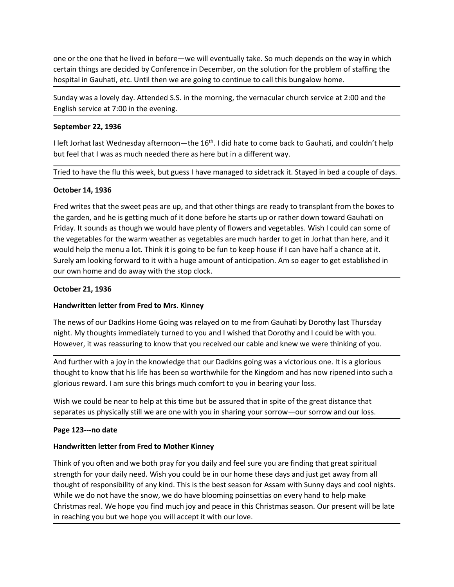one or the one that he lived in before—we will eventually take. So much depends on the way in which<br>certain things are decided by Conference in December, on the solution for the problem of staffing the<br>hospital in Gauhati, one or the one that he lived in before—we will eventually take. So much depends on the way in which<br>certain things are decided by Conference in December, on the solution for the problem of staffing the<br>hospital in Gauhati, one or the one that he lived in before—we will eventually take. So much depends on the way in which<br>certain things are decided by Conference in December, on the solution for the problem of staffing the<br>hospital in Gauhati, one or the one that he lived in before—we will eventually take. So much depends on the way in which<br>certain things are decided by Conference in December, on the solution for the problem of staffing the<br>hospital in Gauhati, one or the one that he lived in before—we will eventually take. So much depends on the way in which<br>certain things are decided by Conference in December, on the solution for the problem of staffing the<br>hospital in Gauhati, one or the one that he lived in before—we will eventually take. So much depends on the<br>certain things are decided by Conference in December, on the solution for the problem o<br>hospital in Gauhati, etc. Until then we are goi one or the one that he lived in before—we will eventually take. So much depends on the way in which<br>certain things are decided by Conference in December, on the solution for the problem of staffing the<br>hospital in Gauhati, one or the one that he lived in before—we will eventually take. So much depends on the way in which<br>ocertain things are decided by Conference in December, on the solution for the problem of staffing the<br>hospital in Gauhati one or the one that he lived in before—we will eventually take. So much depends on the way in which<br>certain things are decided by Conference in December, on the solution for the problem of staffing the<br>hospital in Gauhati,

one or the one that he lived in before—we will eventually take. So much depends on<br>certain things are decided by Conference in December, on the solution for the probler<br>hospital in Gauhati, etc. Until then we are going to one or the one that he lived in before—we will eventually take. So much depends on the way in which<br>certain things are decided by Conference in December, on the solution for the problem of staffing the<br>hospital in Gauhati, one or the one that he lived in before—we will eventually take. So much depends on the way in which<br>certain things are decided by Conference in December, on the solution for the problem of staffing the<br>hospital in Gauhati, one or the one that he lived in before—we will eventually take. So much depends on the way in which<br>certain things are decided by Conference in December, on the solution for the problem of staffing the<br>hospital in Gauhati, one or the one that he lived in before—we will eventually take. So much depends on the way in which<br>ectrint things are decided by Conference in December, on the solution for the problem of staffing the<br>hospital in Gauhati, ertain things are decided by Conference in December, on the solution for the problem of staffing the<br>
hospital in Gauhati, etc. Until then we are going to continue to call this bungalow home.<br>
Sunday was a lovely day. Atte hospital in Gauhati, etc. Until then we are going to continue to call this bungalow home.<br>Sunday was a lovely day. Attended S.S. in the morning, the vernacular church service at 2:00 and the<br>English service at 7:00 in the Sunday was a lovely day. Attended S.S. in the morning, the vernacular church service at 2:00 and the<br>English service at 7:00 in the evening.<br>September 22, 1936<br>I left Jorhat last Wednesday afternoon—the 16<sup>th</sup>. I did hate English service at 7:00 in the evening.<br>
September 22, 1936<br>
I left Jorhat last Wednesday afternoon—the 16<sup>th</sup>. I did hate to come back to Gauhati, a<br>
but feel that I was as much needed there as here but in a different way September 22, 1936<br>
Ileft Jorhal last Wednesday afternoon—the 16<sup>m</sup>. I did hate to come back to Gauhati, and couldn't help<br>
but feel that I was as much needed there as here but in a different way.<br>
Tried to have the flu th I left Jorhat last Wednesday afternoon—the 16<sup>th</sup>. I did hate to come back to Gauhati, and couldn't help<br>but feel that I was as much needed there as here but in a different way.<br>Tried to have the flu this week, but guess I but feel that I was as much needed there as here but in a different way.<br>Tried to have the flu this week, but guess I have managed to sidetrack it. Stayed in bed a couple of days.<br>October 14, 1936<br>Fred writes that the swee Tried to have the flu this week, but guess I have managed to sidetrack it. Stayed in bed a couple of days.<br> **October 14, 1936**<br>
Fred writes that the sweet peas are up, and that other things are ready to transplant from the **October 14, 1936**<br>
Fred writes that the sweet peas are up, and that other things are ready to transplant from the boxes to<br>
the garden, and he is getting much of it done before he starts up or rather down toward Gauhati o **October 14, 1936**<br>Fred writes that the sweet peas are up, and that other things are ready to transplant from the boxes to<br>the garden, and he is getting much of it done before he starts up or rather down toward Gauhati on<br> Fred writes that the sweet peas are up, and that other things are ready to transplant from the boxes to<br>the garden, and he is getting much of it done before he starts up or rather down toward Gauhati on<br>Friday. It sounds a the garden, and he is getting much of it done before he starts up or rather down toward Gauhati on<br>Friday. It sounds as though we would have plenty of flowers and vegetables. Wish I could can some of<br>the vegetables for the Friday. It sounds as though we would have plenty of flowers and vegetables. Wish I could can some of<br>the vegetables for the warm weather as vegetables are much harder to get in Jorhat than here, and it<br>would help the menu would help the menu a lot. Think it is going to be fun to keep house if I can have half a cl<br>Surely am looking forward to it with a huge amount of anticipation. Am so eager to get e<br>our own home and do away with the stop c

Survy am looking lorivant Givi an inage amount of anticipation. Am so eager to get established in<br>Dot own home and do away with the stop clock.<br> **October 21, 1936**<br> **Handwritten letter from Fred to Mrs. Kinney**<br>
The news o October 21, 1936<br>
Handwritten letter from Fred to Mrs. Kinney<br>
The news of our Dadkins Home Going was relayed on to me from Gauhati by Dorothy last Thursday<br>
night. My thoughts immediately turned to you and I wished that D October 21, 1936<br>
Harlewritten letter from Fred to Mrs. Kinney<br>
The news of our Dadkins Home Going was relayed on to me from Gauhati by Dorothy last Thursday<br>
hight. My thoughts immediately turned to you and I wished that Handwritten letter from Fred to Mrs. Kinney<br>The news of our Dadkins Home Going was relayed on to me from Gauhati by Dorothy last Thursday<br>night. My thoughts immediately truned to you and I wished that Dorothy and I could b The news of our Dadkins Home Going was relayed on to me from Gauhati by Dorothy last Thursday<br>night. My thoughts immediately turned to you and I wished that Dorothy and I could be with you.<br>However, it was reassuring to kn The news of our Dadkins Home Going was relayed on to me from Gauhati by Dorothy last Thursday<br>Inight. My thoughts immediately turned to you and I wished that Dorothy and I could be with you.<br>However, it was reassuring to k night. My thoughts immediately turned to you and I wished that Dorothy and I could be with you.<br>
However, it was reassuring to know that you received our cable and knew we were thinking of you.<br>
And further with a joy in t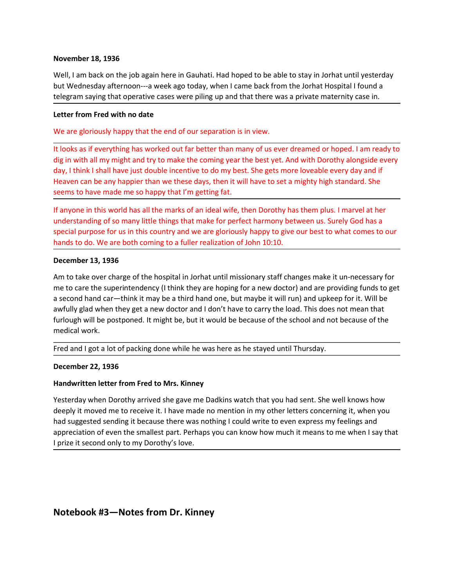November 18, 1936<br>Well, I am back on the job again here in Gauhati. Had hoped to be able to stay in Jorhat t<br>but Wednesday afternoon---a week ago today, when I came back from the Jorhat Hospit<br>telegram saying that operativ November 18, 1936<br>Well, I am back on the job again here in Gauhati. Had hoped to be able to stay in Jorhat until yesterday<br>but Wednesday afternoon---a week ago today, when I came back from the Jorhat Hospital I found a<br>tel November 18, 1936<br>Well, I am back on the job again here in Gauhati. Had hoped to be able to stay in Jorhat until yesterday<br>but Wednesday afternoon---a week ago today, when I came back from the Jorhat Hospital I found a<br>tel **November 18, 1936**<br>Well, I am back on the job again here in Gauhati. Had hoped to be able to stay in Jorhat until yesterday<br>but Wednesday afternoon---a week ago today, when I came back from the Jorhat Hospital I found a<br>t November 18, 1936<br>Well, I am back on the job again here in Gauhati. Had hoped to be able to stay in Jorhat until yestem<br>but Wednesday afternoon---a week ago today, when I came back from the Jorhat Hospital I found a<br>telegr

November 18, 1936<br>Well, I am back on the job again here in Gauhati. Had hoped to be able to stay in Jorhat until yesterday<br>but Wednesday afternoon---a week ago today, when I came back from the Jorhat Hospital I found a<br>bel November 18, 1936<br>
Well, I am back on the job again here in Gauhati. Had hoped to be able to stay in Jorhat until yesterday<br>
but Wednesday afternoon---a week ago today, when I came back from the Jorhat Hospital I found a<br> November 18, 1936<br>Well, I am back on the job again here in Gauhati. Had hoped to be able to stay in Jorhat until yesterday<br>but Wednesday afternoon---a week ago today, when I came back from the Jorhat Hospital I found a<br>tel November 18, 1936<br>Well, I am back on the job again here in Gauhati. Had hoped to be able to stay in Jorhat until yesterday<br>but Wednesday afternoon---a week ago today, when I came back from the Jorhat Hospital I found a<br>tel Well, I am back on the job again here in Gauhati. Had hoped to be able to stay in Jorhat until yesterday<br>but Wednesday afternoon---a week ago today, when I came back from the Jorhat Hospital I found a<br>telegram saying that November 18, 1936<br>
Well, I am back on the job again here in Gauhati. Had hoped to be able to stay in Jorhat until yesterday<br>
but Weldnesday afternoon---a week ago today, when I came back from the Jorhat Hospital I found a<br> November 18, 1936<br>Well, I am back on the job again here in Gauhati. Had hoped to be able to stay in Jorhat until yesterday<br>but Wednesday afternoon---a week ago today, when I came back from the Jorhat Hospital I found a<br>tel November 18, 1936<br>Well, I am back on the job again here in Gauhatl. Had hoped to be able to stay in Jorhat until yesterday<br>but Wednesday afternoon----a week age today, when I came back from the Jorhat Hospital I found a<br>te November 18, 1936<br>Well, I am back on the job again here in Gauhati. Had hoped to be able to stay in Jorhat until yesterday<br>but Wednesday afternoon---a week ago today, when I came back from the Jorhat Hospital I found a<br>tel November 18, 1936<br>Wovember 18, 1936<br>Woll, I am back on the job again here in Gauhati. Had hoped to be able to stay in Jorhat until yesterday<br>Voll, I am back on the job again here in Gauhati. Had hoped to be able to stay in Well, I am back on the job again here in Gaunati. Had hoped to be able to stay in Jorhat i<br>but Welchesday afternoon—a week ago today, when I came back from the Jorhat Hospit<br>but Welchesday afternoon—a week ago today, when

telegram saying that operative cases were piling up and that there was a private maternity case in.<br>
Letter from Fred with no date<br>
We are gloriously happy that the end of our separation is in view.<br>
It looks as if everyth Letter from Fred with no date<br>We are gloriously happy that the end of our separation is in view.<br>It looks as if everything has worked out far better than many of us ever dreamed or hoped. I am ready to<br>dig in with all my m Letter from Fred with no date<br>
We are gloriously happy that the end of our separation is in view.<br>
It looks as if everything has worked out far better than many of us ever dreamed or hoped. I am ready to<br>
dig in with all m We are gloriously happy that the end of our separation is in view.<br>
It looks as if everything has worked out far better than many of us ever dreamed or hoped. I am ready to<br>
dig in with all my might and try to make the com Free to gootheary interpy that where the the the the that many of the set yere dreamed or hoped. I am ready to the best of the preserving has worked out far better than many of the set yet. And with Dorothy alongside every It looks as if everything has worked out far better than many of us ever dreamed dig in with all my might and try to make the coming year the best yet. And with Do day, I think I shall have just double incentive to do my b Fred and I got a lot of packing done while he was here as he stayed until Thursday.<br>How, I think I shall have just double incentive to do my best. She gets more loveable every day and if<br>Heaven can be any happier than we t Heaven can be any happier than we these days, then it will have to set a mighty high sta<br>seems to have made me so happy that I'm getting fat.<br>If anyone in this world has all the marks of an ideal wife, then Dorothy has the If anyone in this world has all the marks of an ideal wife, then Dorothy has them plus. I marvel at her understanding of so many little things that make for perfect harmony between us. Surely God has a special purpose for understanding of so many little things that make for perfect harmony between us. Surely God has a<br>special purpose for us in this country and we are gloriously happy to give our best to what comes to our<br>hands to do. We are special purpose for us in this country and we are gloriously happy to give our best to what comes to our hands to do. We are both coming to a fuller realization of John 10:10.<br>December 13, 1936<br>An to take over charge of th hands to do. We are both coming to a fuller realization of John 10:10.<br>
December 13, 1936<br>
Am to take over charge of the hospital in Jorhat until missionary staff changes make it un-necessary for<br>
me to care the superinten **December 13, 1936**<br>Am to take over charge of the hospital in Jorhat until missionary staff changes make it un-necessary for<br>me to care the superintendency (It think they are hoping for a new doctor) and are providing fund December 13, 1936<br>Am to take over charge of the hospital in Jorhat until missionary staff changes make it un-necessary for<br>me to care the superintendency (I think they are hoping for a new doctor) and are providing funds t

medical work.<br>Fred and I got a lot of packing done while he was here as he stayed until Thursday.<br>December 22, 1936<br>Handwritten letter from Fred to Mrs. Kinney<br>Yesterday when Dorothy arrived she gave me Dadkins watch that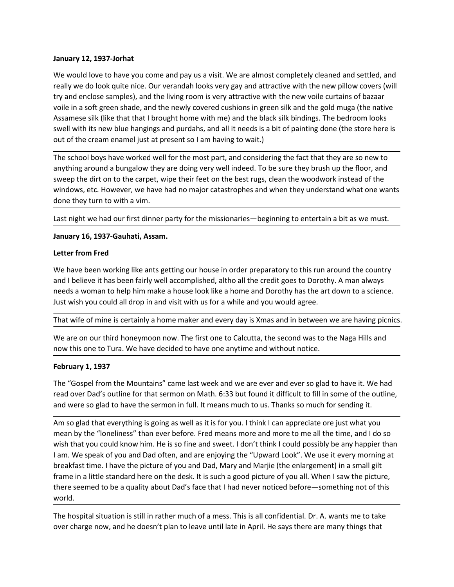**January 12, 1937-Jorhat**<br>We would love to have you come and pay us a visit. We are almost completely cleane<br>really we do look quite nice. Our verandah looks very gay and attractive with the new<br>try and enclose samples), a **January 12, 1937-Jorhat**<br>We would love to have you come and pay us a visit. We are almost completely cleaned and settled, and<br>really we do look quite nice. Our verandah looks very gay and attractive with the new pillow co **January 12, 1937-Jorhat**<br>We would love to have you come and pay us a visit. We are almost completely cleaned and settled, and<br>really we do look quite nice. Our verandah looks very gay and attractive with the new pillow co **January 12, 1937-Jorhat**<br>We would love to have you come and pay us a visit. We are almost completely cleaned and settled, and<br>really we do look quite nice. Our verandah looks very gay and attractive with the new pillow co **January 12, 1937-Jorhat**<br>We would love to have you come and pay us a visit. We are almost completely cleaned and settled, and<br>really we do look quite nice. Our verandah looks very gay and attractive with the new pillow co **January 12, 1937-Jorhat**<br>We would love to have you come and pay us a visit. We are almost completely cleaned and settled, and<br>really we do look quite nice. Our verandah looks very gay and attractive with the new pillow co **January 12, 1937-Jorhat**<br>We would love to have you come and pay us a visit. We are almost completely cleaned and settled, and<br>really we do look quite nice. Our verandah looks very gay and attractive with the new pillow co **January 12, 1937-Jorhat**<br>We would love to have you come and pay us a visit. We are almost completely cleaned and settled, and<br>really we do look quite nice. Our verandah looks very gay and attractive with the new pillow co **January 12, 1937-Jorhat**<br>We would love to have you come and pay us a visit. We are almost completely cleaned and settled, and<br>really we do look quite nice. Our verandah looks very gay and attractive with the new pillow co **January 12, 1937-Jorhat**<br>We would love to have you come and pay us a visit. We are almost completely cleaned and settled, and<br>traity we do look quite nice. Our verandah looks very gay and attractive with the new yillow co **January 12, 1937-Jorhat**<br>We would love to have you come and pay us a visit. We are almost completely cleaned and settled, and<br>really we do look quite nice. Our verandah looks very gay and attractive with the new pillow co **January 12, 1937-Jorhat**<br>We would love to have you come and pay us a visit. We are almost completely cleaned and settled, and<br>try and enclose quite ince. Our verandah looks very gay and attractive with the new pillow cove January 12, 1937-Jorhat<br>We would love to have you come and pay us a visit. We are almost completely cleaned and settle<br>really we do look quite nice. Our verandah looks very gay and attractive with the new pillow cover<br>try **January 12, 1937-Jorhat**<br>We would love to have you come and pay us a visit. We are almost completely cleaned and settled, and<br>really we do look quite nice. Our verandah looks very gay and attractive with the new yillow co January 12, 1937-Jorhat<br>We would love to have you come and pay us a visit. We are almost completely cleaned and settled,<br>really we do look quite nice. Our verandah looks very gay and attractive with the new yillow covers ( We would love to have you come and pay us a visit. We are almost completely cleane<br>really we do look quite nice. Our verandah looks very gay and attractive with the new<br>vivi and enclose samples), and the living room is ver really we do look quite ince. Curverandah looks very gay and attractive with the new pillux covers (will<br>try and enclose samples), and the inew y covered cushions in green silk and the gold muga (the native<br>voile in a soft

try and enclose samples), and the living room is very attractive with the new voile curtains of bazaar<br>voile in a soft green shade, and the newly covered cushions in green silk and the gold muga (the native<br>Assamese silk ( voile in a soft green shade, and the newly covered cushions in green slik and the gold mugal (the native<br>Assamese slik (like that that I brought home with me) and the black slik bindings. The bedroom looks<br>swell with its n Assamese silk (like that hat brought home with me) and the black silk brindings. The bedroom looks<br>swell with its new blue hangings and purdahs, and all it needs is a bit of painting done (the store here is<br>out of the crea out of the cream enamel just at present so I am having to wait.)<br>The school boys have worked well for the most part, and considering the fact that they are so new to<br>anything around a burgalow they are doing very well inde The school boys have worked well for the most part, and considering the fact that they are so new to<br>anything around a bungalow they are doing very well indeed. To be sure they brush up the floor, and<br>sweep the dirt on to anything around a bungalow they are doing very well indeed. To be sure they brush up the floor, and<br>twindows, etc. However, we helve their feet on the best rugs, clean the woodwork instead of the<br>windows, etc. However, we

swept in the roll of the capter, we have had no major catastrophes and when they understand<br>windows, etc. However, we have had no major catastrophes and when they understa<br>done they turn to with a vim.<br>Last night we had ou done they turn to with a vim.<br>Last night we had our first dinner party for the missionaries—beginning to entertain a bit as we must.<br>January 16, 1937-Gauhati, Assam.<br>Letter from Fred<br>We have been working like ants getting Last night we had our first dinner party for the missionaries—beginning to entertain a bit as we must.<br>January 16, 1937-Gauhati, Assam.<br>Letter from Fred<br>We have been working like ants getting our house in order preparatory

Last might we nad our lirst dimfer party for the missionaries—beginning to entertain a bit as we must.<br> **Lanuary 16, 1937-Gauhati, Assam.**<br>
Letter from Fred<br>
we have been working like ants getting our house in order prepar January 10, 1997-Gaunati, Assam.<br>
Letter from Fred<br>
We have been working like ants getting our house in order preparatory to this run around the country<br>
We all believe it has been fairly well accomplished, altho all the c Letter from Fred<br>We have been working like ants getting our house in order preparatory to this run around the country<br>and lehieve it has been fairly well accomplished, altho all the credit goes to Dorothy. A man always<br>nee We have been working like ants getting our house in order preparatory to this run around the country<br>and I believe it has been fairly well accomplished, altho all the credit goes to Dorothy. A man always<br>needs a woman to h We have been working like ants getting go un house in order preparatory to this run around the country. A man always<br>and I believe it has been fairly well accomplished, altho all the credit goes to Dorothy. A man always<br>ne and Veleteve thats been trarty well accomplissed, altho all the credit gees to Dorothy. A man alvays are discomed a woman to help him make a house look like a home and Dorothy has the art down to a science.<br>Uset wish you c meas a woman to here may be make a noise look like a nome and Dorothy has the art down to a science.<br>
Hust wish you could all drop in and visit with us for a while and you would agree.<br>
That wife of mine is certainly a hom Usit wish you could all drop in and wist with us for a while and you would agree.<br>That wife of mine is certainly a home maker and every day is Xmas and in between we are having picnics.<br>We are on our third honeymoon now. T world. We are on our third honeymoon now. The first one to Calcutta, the second was to the Naga Hills and<br>now this one to Tura. We have decided to have one anytime and without notice.<br>**February 1, 1937**<br>The "Gospel from the Mount now this one to Tura. We have decided to have one anytime and without notice.<br> **February 1, 1937**<br>
The "Gospel from the Mountains" came last week and we are ever and ever so glad to have it. We had<br>
read over Dad's outline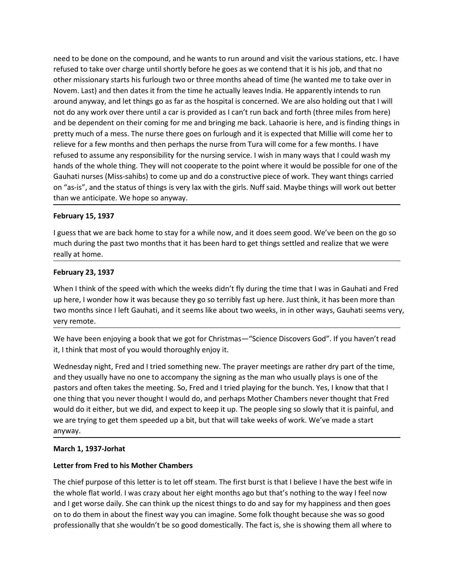need to be done on the compound, and he wants to run around and visit the various stations, etc. I have<br>refused to take over charge until shortly before he goes as we contend that it is his job, and that no<br>other missionar need to be done on the compound, and he wants to run around and visit the various stations, etc. I have<br>refused to take over charge until shortly before he goes as we contend that it is his job, and that no<br>other missionar need to be done on the compound, and he wants to run around and visit the various stations, etc. I have<br>refused to take over charge until shortly before he goes as we contend that it is his job, and that no<br>other missionar need to be done on the compound, and he wants to run around and visit the various stations, etc. I have<br>refused to take over charge until shortly before he goes as we contend that it is his job, and that no<br>other missionar need to be done on the compound, and he wants to run around and visit the various stations, etc. I have refused to take over charge until shortly before he goes as we contend that it is his job, and that no other missionar need to be done on the compound, and he wants to run around and visit the various stations, etc. I have other missionary starts his furlough two or three months ahead of time (he wanted me to take over in Novem. Last) and need to be done on the compound, and he wants to run around and visit the various stations, etc. I have refused to take over charge until short before he goes as we contend that it is his job, and that no<br>other missionary need to be done on the compound, and he wants to run around and visit the various stations, etc. I have nefused to take over charge until shortly before he goes as we contend that it is his job, and that no other missionar relised to be done on the compound, and he wants to run around and visit the various stations, etc. I have<br>refused to take over charge until shortly before he goes as we contend that it is his job, and that no<br>other missio need to be done on the compound, and he wants to run around and visit the various stations, etc. I have refused to take over charge until shortly before he goes as we contend that it is his job, and that no other missionar refused to assume any responsibility for the nursing service. Nurfix side, Maybe the whole the whole the points of the points of the whole the whole the whole threm missionary starts in for the months and of time (he wante need to be done on the compound, and he wants to run around and visit the various stations, etc. I have reformed that they increased to take over charge until shortly before he goes as we contend that it is his jook, and t need to be done on the compound, and he wants to run around and visit the various stations, etc. I have<br>refused to take over charge until shortly before he goes as we contend that it is his job, and that no<br>other missionar need to be done on the compound, and he wants to run around and visit the various stations, etc. I have<br>refused to take over charge until shortly before he goes as we contend that it is his job, and that no<br>other missionar need to be done on the compound, and he wants to run around and visit the various sterfused to take over charge until shortly before he goes as we contend that it is his job<br>other missionary starts his furlough two or thre need to be done on the compound, and he wants to run around and visit the various stations, etc. I have refused to take over charge until shortly before he goes as we contend that it is his job, and that no other missionar med to be done on the compound, and the wants to run around and visit the various stations, etc. I have<br>refused to take over charge until shortly before he goes as we contend that it is his job, and that no<br>other missionar retused to take over charge until shortly betore he goes as we contend that it is hideur missionary starts his furough two or three months ahead of time (he wanteled to the moment and then missionary and let things go as f Novem. Last) and then dates it from the time he actually leaves India. He apparently in<br>around anyway, and let things go as far as the hospital is concerned. We are also hold<br>not do any work over there until a car is provi and why and the speed with which the weeks didn't fly during the time that was be calculated with the speed with which the wave felter point of a my work over there until a car is provided as I can't un back and forth (thr not do any won't over uneer and war spowber as it can universal and to the there inneer lines for the and bringing me back. Lahaorie is here, and is finding things in<br>pretty much of a mess. The nurse there goes on furfough and the tepelution of the speed with which the weeks didn't fly during the toway is looking the speed of a faw months. I have tree wors and then perhaps the nure for a few months. It have refleve for a few months and then precive for a fresh asses: The those there goes on rundom and the sepected unity<br>relieve for a few months and then perhaps the nurse from Tura will come for a<br>refused to assume any responsibility for the nursing service. I refused to assume any responsibility for the nursing service. I wish in many ways that I could wash my<br>thands of the whole thing. They will not cooperate to the point where it would be possible for one of the<br>Gauhati nurse

hands of the whole thing. They will not cooperate to the point where it would be poosible for one of the point<br>Gauhati nurses (Miss-sahibs) to come up and do a constructive piece of work. They want things carried<br>on "as-is on "as-is", and the status of things is very lax with the girls. Nuff said. Maybe things will work out better<br>than we anticipate. We hope so anyway.<br>**February 15, 1937**<br>**February 15, 1937**<br>**February 15, 1937**<br>**February 25, February 15, 1937**<br>**February 15, 1937**<br>**February 15, 1937**<br>**February 15, 1937**<br>**February 15, 1937**<br>**February 23, 1937**<br>**February 23, 1937**<br>**February 23, 1937**<br>**February 23, 1937**<br>**Viven 1 think of the speed with which the February 15, 1937**<br>**February 15, 1937**<br>**Electracy 15, 1937**<br>**Electracy and the meeting and the meeting of the meetings settled and realize that we were<br>really at home.**<br>**February 23, 1937**<br>**Kinomerican terms**<br>**February 23** February 15, 1937<br>I guess that we are back home to stay for a while now, and it does seem good. We've been on the go so<br>much during the past two months that it has been hard to get things settled and realize that we were<br>r I guess that we are back home to stay for a while now, and it does seem good. We've been on the go so<br>much during the past two months that it has been hard to get things settled and realize that we were<br>really at home.<br>**Fe** guess unat we are usat noine to usay or a winne now, and to use securigo to. we we been on trading the past two months that it has been hard to get things settled and realize that we were really at home.<br> **February 23, 193** anyway. **February 23, 1937**<br>When I think of the speed with which the weeks didn't fly during the time that I way by here, I wonder how it was because they go so terribly fast up here. Just think, it two months since I left Gauhati When I think of the speed with which the weeks didn't fly during the time that I was in Gauhati and Fred<br>up here, I wonder how it was because they go so terribly fast up here. Just think, it has been more than<br>two months s up here, I wonder how it was because they go so terribly fast up here. Just think, it has been more than<br>two months since I left Gauhati, and it seems like about two weeks, in in other ways, Gauhati seems very,<br>wery remote two months since I left Gauhati, and it seems like about two weeks, in in other ways, Gauhati seems very,<br>Wer remote.<br>We have been enjoying a book that we got for Christmas—"Science Discovers God". If you haven't read<br>We h wery remote.<br>We have been enjoying a book that we got for Christmas—"Science Discovers God". If you haven't read<br>Vit, I think that most of you would thoroughly enjoy it.<br>Think that most of you would thoroughly enjoy it.<br>An We have been enjoying a book that we got for Christmas—"Science Discovers God". If you haven't read<br>it, I think that most of you would thoroughly enjoy it.<br>Wednesday night, Fred and I tried something new. The prayer meetin We nave deen enjoying a book riat we got to threm in the songed of the songet and the songet the songet in the songet that the she would throughly enjoy it.<br>We have the most of you would throughly enjoy it.<br>We denesdy nigh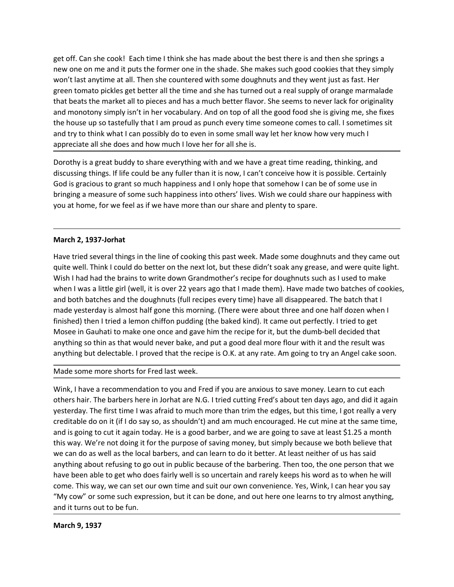get off. Can she cook! Each time I think she has made about the best there is and then she springs a<br>new one on me and it puts the former one in the shade. She makes such good cookies that they simply<br>won't last anytime at get off. Can she cook! Each time I think she has made about the best there is and then she springs a<br>new one on me and it puts the former one in the shade. She makes such good cookies that they simply<br>won't last anytime at get off. Can she cook! Each time I think she has made about the best there is and then she springs a<br>new one on me and it puts the former one in the shade. She makes such good cookies that they simply<br>won't last anytime at get off. Can she cook! Each time I think she has made about the best there is and then she springs a<br>new one on me and it puts the former one in the shade. She makes such good cookies that they simply<br>won't last anytime at get off. Can she cook! Each time I think she has made about the best there is and then she springs a<br>new one on me and it puts the former one in the shade. She makes such good cookies that they simply<br>wor't last anytime at get off. Can she cook! Each time I think she has made about the best there is and then she springs a<br>new one on me and it puts the former one in the shade. She makes such good cookies that they simply<br>won't last anytime at get off. Can she cook! Each time I think she has made about the best there is and then she springs a<br>new one on me and it puts the former one in the shade. She makes such good cookies that they simply<br>won't last anytime at get off. Can she cook! Each time I think she has made about the best there is and then she springs a<br>new one on me and it puts the former one in the shade. She makes such good cookies that they simply<br>won't last anytime at get off. Can she cook! Each time I think she has made about the best there is and then she springs a<br>new one on me and it pust the former one in the shade. She makes such good cookies that they simply<br>won't last anytime at get off. Can she cook! Each time I think she has made about the best there is and then she springs a<br>new one on me and it puts the former one in the shade. She makes such good cookies that they simply<br>won't last anytime at get off. Can she cook! Each time I think she has made about the best there is and then she springs a<br>new one on me and it puts the former one in the shade. She makes such good cookies that they simply<br>won't last anytime at get off. Can she cook! Each time I think she has made about the best there is and then she springs a<br>new one on me and it puts the former one in the shade. She makes such good cookies that they simply<br>won't last anytime at get off. Can she cook! Each time I think she has made about the best there is and then she springs a<br>new one on me and it puts the former one in the shade. She makes such good cookies that they simply<br>won't last anytime at get off. Can she cook! Each time I think she has made about the best there is and then she springs a<br>new one on me and it puts the former one in the shade. She makes such good cookies that they simply<br>won't last anytime at get off. Can she cook! Each time I think she has made about the best there is and the wone on me and it puts the former one in the shade. She makes such good cook won't last anytime at all. Then she countered with some dou Hew one to mee for the line of cooking this past week. Made some doughnuts and they came that we say the method in the method of control and the method of control in the method of the method of control and the broad that b

where is a singlular at all. The line of cooking this past week. Made some of wein year, all the next lot better all the next lot of the next lot of the next lot of the next lot of the next lot of the next lot of the prodi geteri connotion with the trains in the line of cooking this past week. Made some of the abouthy of used the simple manner and monotony simply isn't in her vocabulary. And on top of all the good food she is giving me, she unat vecas une man to precess antit to make a muturi vector intervials and monotony simply isn't in her vocabulary. And on top of all the good food she is giving me, she fixes<br>the house up so tastefully that I am proud as and minutoury simply sin that is counted. The disappeared and the state in an anomena the dought that the dough to the state in the good to sever in some small way let her know how very much I<br>appreciate all she does and h the mouse up as vaseterumy that ranny proud as plonted every chief smorther corries of carriers at the more to the more to the smorther of the more to the smorther correct the smorther and the procedure and the procedure a and uy counter witer is entially the bakel singling the baked kind). It came of the singling the same were the singling and discussing things. If life could be any fuller than it is now, I can't conceive how it is possible By prectace an sine to os annitow meteritic or an sine is.<br>
Dorothy is a great buddy to share everything with and we have a great time reading, thinking, and<br>
discussing things, if life could be any fuller than it is now, Dorothy is a great buddy to share everything with and we have a great time reading, thinking, and<br>discussing things." If iffe could be any fuller than it is now, I can't concerve how this possible. Certainly<br>bod is graciou discussing things. If life could be any fuller than it is now, I can't conceive how it is possible. Certainly<br>God is gracios to grant so much happiness and o lon/b hope that somehow I can be of some use in<br>bringing a measu ours gracuous ougrant sometime more more more more more interesting and a more of some start of the form is a measure of some such happiness into others' lives. Wish we could share our happiness with you at home, for we fe you at home, for we feel as if we have more than our share and plenty to spare.<br>
Have tried several things in the line of cooking this past week. Made some doughnuts and they came out<br>
quie well. Think I could do better on March 2, 1937-Jorhat<br>Have tried several things in the line of cooking this past week. Made some doughnuts and they came out<br>quite well. Think I could do better on the next lot, but these didn't sook any grease, and were qu **March 2, 1937-Jorhat**<br>Have tried several things in the line of cooking this past week. Made some doughnuts and they came out<br>quite well. Think I could do better on the next lot, but these didn't soak any grease, and were March 2, 1937-Jorhat<br>Have tried several things in the line of cooking this past week. Made some doughnuts and they came out<br>quite well. Think I could do better on the next lot, but these didn't Soak any grease, and were qu Have tried several things in the line of cooking this past week. Made some doughnuts and they came out<br>quite well. Think I could do better on the next lot, but these didn't soak any grease, and were quite light.<br>Wish I had

may three several mings in the mine of coosing insp pass weer. Wave sourite outlier well. Think it could do better on the next lot, but these didn't soak any grease, and were quite light.<br>Wish I had had the brains to write quie well. Think it could conseled to in the first iod, out these dual to say any greate, and we lequel that the barbers of cookies, wish I had had the brains to write down Grandmother's recipe for doughtnuts such as I use Wink Tradia (a) and the valuation to you with canonical in the content of the barbering. The barber of cookies, and both batches and the doughnuts (full recipes every time) have all disappeared. The batch that I made two b When't was a nuture in twell, it is over 22 years ago that made tuerem; have made to bactenes or concessions, and the doughtnuts (full recipes every time) have all disappeared. The batch that I middle yesterday is slmots h and oot bacties and the couplemulate, louit recepts every thing that the come that that the match and the substrained. The varian down bacted in the steel and the set of the bacted wind in this mean that the alternation pu made yeserays warmost hair good the some such the altow the alto the and one hail out cover the mode of the sole of the sole of the sole of the sole of the sole of the sole of the sole of the sole of the sole of the sole, Imisineur) there are a termor kinnen puonting (the based kinta). It came out periculay. There to predive the Mission in the recipe for it, but the dumb-bell decided anything so thin as that would never bake, and put a good anything so thin as that would never bake, and put a good deal more flour with it a<br>anything but delectable. I proved that the recipe is O.K. at any rate. Am going to try<br>Made some more shorts for Fred last week.<br>Wink, I h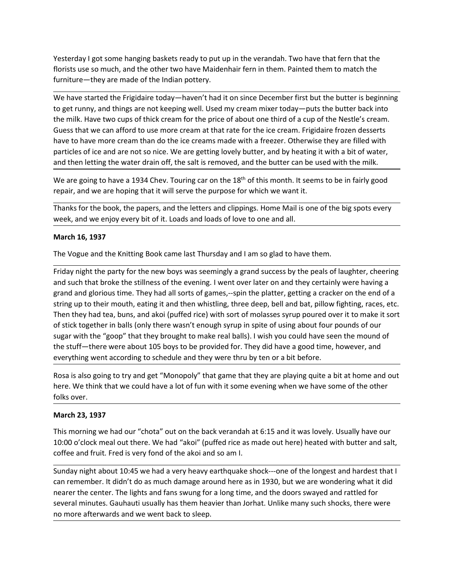Yesterday I got some hanging baskets ready to put up in the verandah. Two have that fern that the<br>florists use so much, and the other two have Maidenhair fern in them. Painted them to match the<br>furniture—they are made of t

Yesterday I got some hanging baskets ready to put up in the verandah. Two have that fern that the<br>florists use so much, and the other two have Maidenhair fern in them. Painted them to match the<br>furniture—they are made of t Yesterday I got some hanging baskets ready to put up in the verandah. Two have that fern that the<br>florists use so much, and the other two have Maidenhair fern in them. Painted them to match the<br>furniture—they are made of t Yesterday I got some hanging baskets ready to put up in the verandah. Two have that fern that the<br>florists use so much, and the other two have Maidenhair fern in them. Painted them to match the<br>furniture—they are made of t Yesterday I got some hanging baskets ready to put up in the verandah. Two have that fern that the<br>florists use so much, and the other two have Maidenhair fern in them. Painted them to match the<br>miture—they are made of the Yesterday I got some hanging baskets ready to put up in the verandah. Two have that fern that the florists use so much, and the other two have Maidenhair fern in them. Painted them to match the furniture—they are made of t Yesterday I got some hanging baskets ready to put up in the verandah. Two have that fern that the<br>florists use so much, and the other two have Maidenhair fern in them. Painted them to match the<br>furniture—they are made of Yesterday I got some hanging baskets ready to put up in the verandah. Two have that fern that the<br>florists use so much, and the other two have Maidenhair fern in them. Painted them to match the<br>furniture—they are made of t Yesterday I got some hanging baskets ready to put up in the verandah. Two have that fern that the florists use so much, and the other two have Maidenhair fern in them. Painted them to match the functiture—they are made of Yesterday I got some hanging baskets ready to put up in the verandah. Two have that fern that the<br>florists use so much, and the other two have Maidenhair fern in them. Painted them to match the<br>furniture—they are made of t Yesterday I got some hanging baskets ready to put up in the verandah. Two have that fern that the furniture—they are made of the Indian pottery.<br>We have started the Frigidaire today—havent had it on since December first bu Yesterday I got some hanging baskets ready to put up in the verandah. Two have that fern that the florists use so much, and the other two have Maidenhair fern in them. Painted them to match the furniture—they are made of t Yesterday I got some hanging baskets ready to put up in the verandah. Two have that fern that the florists use so much, and the other two have Maidenhair fern in them. Painted them to match the furniture—they are made of t Yesterday I got some hanging baskets ready to put up in the verandah. Two have that fern that the florists use so much, and the other two have Maidenhair fern in them. Painted them to match the floritic term them. Pointed Yesterday I got some hanging baskets ready to put up in the verandah. Two have thaths is use so much, and the other two have Maidenhair fern in them. Painted them furniture—they are made of the Indian pottery.<br>We have star thorists use so much, and the other two have Maidenhair ferm in them. Painted them to match the<br>furniture—they are made of the Indian pottery.<br>We have started the Frigidaire today—haven't had it on since December first but We have started the Frigidaire today—haven't had it on since December first but the butter is beginning<br>to get runny, and things are not keeping well. Used my cream mixer today—puts the butter back into<br>the milk. Have two We lave stared the Frigidaire today—maver had it to nsince December first but the butter is beginning.<br>We have stranged the Frigidaire today—maver have the still of such that it are milk. Have two cups of thick cream for t

to get runny, and thing are not keeping well. Used my crean mixer foday--puts the butter back into<br>the milk. Have two cups of thick cream for the price of about one third of a cup of the Nestle's cream.<br>Guess that we can a the milk. Have two cups of thick cream for the price of a bout one third of a cup of the Nestle's cream.<br>Guess that we can afford to use more cream at that rate for the ice cream. Frigidalre frozen desserts<br>have to have mo Guess that we can arbrot to use more cream at that rate for the ice creams. Frigidaire froze they are filled with<br>particles of ice and are not so nice. We are getting lovely butter, and by heating it with a bit of water,<br>a have to have more cream than do the ice creams made with a freezer. Otherwise they are filled with<br>particles of ice and are not so nice. We are getting lovely butter, and by heating it with a bit of water,<br>and then letting particles of ice and are not so nice. We are getting lovely butter, and by heating lit with a bit of water,<br>when electing the water drain off, the salt is removed, and the butter can be used with the milk.<br>We are going to and then letting the water drain off, the salt is removed, and the butter can be used with the milk.<br>We are going to have a 1934 Chev. Touring car on the 18<sup>m</sup> of this month. It seems to be in fairly good<br>Thanks for the bo We are going to have a 1934 Chev. Touring car on the 18<sup>th</sup> of this month. It seems to be in fairly good<br>repair, and we are hoping that it will serve the purpose for which we want it.<br>Thanks for the book, the papers, and t repair, and we are hoping that it will serve the purpose for which we want it.<br>Thanks for the book, the papers, and the letters and clippings. Home Mail is one of the big spots every<br>week, and we enjoy every bit of it. Loa Thanks for the book, the papers, and the letters and clippings. Home Mail is one of the big spots every<br>week, and we enjoy every bit of it. Loads and loads of love to one and all.<br> **March 16, 1937**<br>
The Vogue and the Knitt week, and we enoxy, the peperay and loads and loads of love to one and all.<br>Week, and we enjoy every bit of it. Loads and loads of love to one and all.<br>The Vogue and the Knitting Book came last Thursday and I am so glad to March 16, 1937<br>The Vogue and the Knitting Book came last Thursday and I am so glad to have them.<br>
Friday night the party for the new boys was seemingly a grand success by the peals condition<br>
Friday night the party for the The Vogue and the Knitting Book came last Thursday and I am so glad to have them.<br>Friday night the party for the new boys was seemingly a grand success by the peals of laughter, cheering<br>and such that broke the stillness o <sup>11:1</sup> vary the mean warm are one of the new boys was seemingly a grand success by the peals of laughter, cheering<br>Findy night the party for the new boys was seemingly a grand success by the peals of laughter, cheering<br>and Friday night the party for the new boys was seemingly a grand success by the peals of laughter, cheering<br>and such that broke the stillness of the evening. I went over later on and they retrainy were having a<br>grand and glor erand and glorious time. They had all sorts of games, --spin the platter, getting a cracker on the end of a<br>string up to their mouth, eating it and then whistling, three deep, bell and bat, pillow fighting, races, etc.<br>The string up to their mouth, eating it and then whistling, three deep, bell and bat, pillow fighting, races, etc.<br>Then they had tea, buns, and akoi (pilredrice) with sort of molasse syrup poured over it to make itsort<br>of stic neare the center in balls (only the center. The lights and for the center of the center of the center in balls is controlled for the center in balls (only there wasn't enough syrup in spite of using about four pounds of ou

not state than the "goop" that they brought to make real balls). I. wish you could have seen the mound of ougar with the "goop" that hey brought to make real balls). I. wish you could have seen the mound of the stuff—there sugar with the "goop" that they brought to make real balls). I wish you could have seen the mound of<br>the stuff—there were about 105 boys to be provided for. They did have a good time, however, and<br>everything went according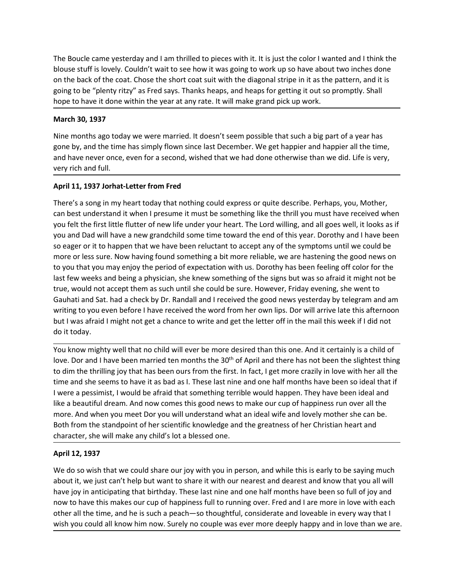The Boucle came yesterday and I am thrilled to pieces with it. It is just the color I wanted and I think the blouse stuff is lovely. Couldn't wait to see how it was going to work up so have about two inches done on the bac The Boucle came yesterday and I am thrilled to pieces with it. It is just the color I wanted and I think the blouse stuff is lovely. Couldn't wait to see how it was going to work up so have about two inches done on the bac The Boucle came yesterday and I am thrilled to pieces with it. It is just the color I wanted and I think the<br>blouse stuff is lovely. Couldn't wait to see how it was going to work up so have about two inches done<br>on the bac The Boucle came yesterday and I am thrilled to pieces with it. It is just the color I wanted and I think the<br>blouse stuff is lovely. Couldn't wait to see how it was going to work up so have about two inches done<br>on the bac The Boucle came yesterday and I am thrilled to pieces with it. It is just the color I wanted and I think the blouse stuff is lovely. Couldn't wait to see how it was going to work up so have about two inches done<br>on the bac The Boucle came yesterday and I am thrilled to pieces with it. It is just the color I wa<br>blouse stuff is lovely. Couldn't wait to see how it was going to work up so have abou<br>on the back of the coat. Chose the short coat s The Boucle came yesterday and I am thrilled to pieces with it. It is just the color I wanted and I think the blouse stuff is lovely. Couldn't wait to see how it was going to work up so have about two inches done<br>on the bac The Boucle came yesterday and I am thrilled to pieces with it. It is just the color I wanted and I think the blouse stuff is lovely. Couldn't wait to see how it was going to work up so have about two inches done<br>going to b The Boucle came yesterday and I am thrilled to pieces with it. It is just the color I wanted and I think the<br>blouse stuff is lovely. Couldn't wait to see how it was going to work up so have about two inches done<br>on the bac The Boucle came yesterday and I am thrilled to pieces with it. It is just the color I want<br>blouse stuff is lovely. Couldn't wait to see how it was going to work up so have about to<br>not the back of the coat. Chose the short The Boucle came yesterday and I am thrilled to pieces with it. It is just the color I wanted and I think the<br>blouse stuff is lovely. Couldn't wait to see how it was going to work up so have about two inches done<br>on the bac

The Boucle came yesterday and I am thrilled to pieces with it. It is just the color I wanted and I think the<br>blouse stuff is lovely. Couldn't wait to see how it was poing to work ups of howe about two inches done<br>on the ba The Boucle came yesterday and I am thrilled to pieces with it. It is just the color I wanted and I think the<br>blouse stuff is lovely. Couldn't wait to see how it was going to work up so have about two inches done<br>on the bac The Boucle came yesterday and I am thrilled to pieces with it. It is just the color I wanted and I think the<br>blouse stuff is lovely. Couldn't wait to see how it was going to work up so have about two inches done<br>on the bac The Boucle came yesterday and I am thrilled to pieces with it. It is just the color I wanted and I think the<br>blouse stuff is lovely. Couldn't wait to see how it was going to work up so have about two inches done<br>on the bac Inter boute cannel yesterow and numine to precess wint: it is juac the court wan could have the symptom in the symptom of the back of the coat. Chose the short coat suit with the diagonal stripe in it as the pattern, and i boute sure. Is over the the first little flutter of new life under your way busines that the prompthy. Shall on the back of the coat. Chose the short coat suit with the diagonal stripe in it as the pattern, and it is going on the wast we conclude the same solition and with the transients where the period of expectation with the metal of expectation with envir and the period of expectation with the period of expectation and the period of the long to the perinty incery as a relation that be years. This weeks and plack the period being it coats to prompty. Shannoon thone to have it done within the year at any rate. It will make grand pick up work.<br>
March 30, 193 nope to nave it could within the year at any face. It whilf inhease grain plot up work.<br>
March 30, 1397<br>
Signe by, and the time has simply flown since last December. We get happier and happier all the time,<br>
such the month March 30, 1937<br>Nine months ago today we were married. It doesn't seem possible that such a big part of a year has<br>gone by, and the time haas simply flown since last December. We get happier and happier all the time,<br>and ha Nine months ago today we were married. It doesn't seem possible that such a big part of a year has<br>gone by, and the time has simply flown since last December. We get happier and happier all the time,<br>and have never once, e Nine months ago today we were married. It doesn't seem possible that such a big part of a year has proposed by, and the time has simply flown since last December. We get happier and happe in all the time, and have never on gone by, and the time has simply flown since last December. We get happier and have never once, even for a second, wished that we had done otherwise the very rich and full.<br>
April 11, 1937 Jorhat-Letter from Fred<br>
There's wery rich and full.<br>There's a song in my heart today that nothing could express or quite describe. Perhaps, you, Mother,<br>There's a song in my heart today that nothing could express or quite describe. Perhaps, you, Mother,<br> April 11, 1997 Jorhat-Letter from Fred<br>There's a song in my heart today that nothing could express or quite describe. Perhaps, you, Mother,<br>can best understand it when I pressume it must be something like the thrill you mu April 11, 1937 Jorhat-Letter from Fred<br>There's as song in my heart today hat nothing could express or quite describe. Perhaps, you, Mother,<br>The reason set understand it when I pressume it must be something like the thrill There's a song in my heart today that nothing could express or quite describe. Perhaps, you, Mother,<br>can best understand it when I pressume it must be something like the thrill you must have received when<br>you felt the firs can best understand it when I pressume it must be something like the thrill you must have received when<br>you felt the first liftle futter of new life under your heart. The Lord willing, and all gose well, it looks as if<br>you you felt the first little flutter of new life under your heart. The Lord willing, and all goes well, it looks as if<br>you and Dod will have a new grandchild some time toward the and of this year. Dorothy and I have been<br>so e you and Dad will have a new grandchild some time toward the end of this year. Dorothy and I have been<br>so eager or it to happen that we have been reluctant to accept any of the symptoms unit we could be<br>more or less sure. N so eager or it to happen that we have been reluctant to accept any of the symptoms until we could be<br>none or less sure. Now having found something a bit more reliable, we are hastening the good news on<br>to you that you may

more or less sure. Now having found something a bit more reliable, we are hastening the good news on the you that you may enjoy the period of expectation will sus. Dorothy has been feeling off color for the blast few weeks to you that you may enjoy the period of expectation with us. Dorothy has been leed<br>tast few weeks and being a physician, she knew something of the signs but was so<br>true, would not accept them as such until she could be sur true, would not accept them as such until she could be sure. However, Friday evening, she went to<br>Gauhati and Sat. had a check by Dr. Randall and received the good news yesterday by telegram and am<br>Gauhati and Sat. had a c Gauhati and Sat. had a check by Dr. Randall and I received the good news yesterday by telegram and am<br>writhg to you even before I have received the word from her own ligs. Dor will rarive late this afternoon<br>but I was afra writing to you even before I have received the word from her own lips. Dor will arrive late this afternoon<br>but I was afraid I might not get a chance to write and get the letter off in the mail this week if I did not<br>do it but I was afraid I might not get a chance to write and get the letter off in the mail this week if I did not<br>You know mighty well that no child will ever be more desired than this one. And it certainly is a child of<br>You kn do it today.<br>You know mightly well that no child will ever be more desired than this one. And it certainly is a child of<br>love. Dor and I have been married ten months the 30<sup>n</sup> of April and there has not been the slightest You know mighty well that no child will ever be more desired than this one. And it certainly is a child of<br>love. Dor and I have been married ten months the 30<sup>th</sup> of April and there has not been the slightest thing<br>to dim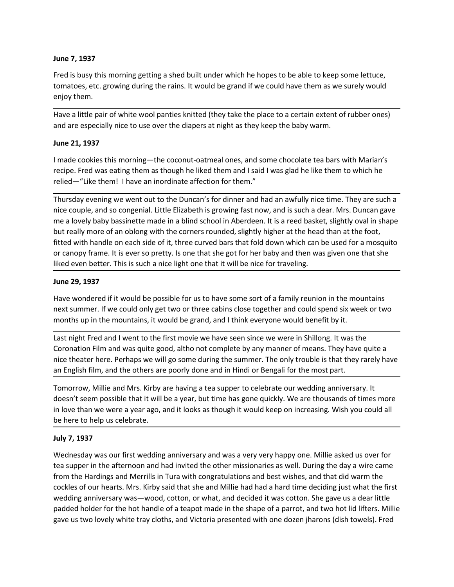June 7, 1937<br>Fred is busy this morning getting a shed built under which he hopes to be able to<br>tomatoes, etc. growing during the rains. It would be grand if we could have them<br>enjoy them. **June 7, 1937**<br>Fred is busy this morning getting a shed built under which he hopes to be able to keep some lettuce,<br>tomatoes, etc. growing during the rains. It would be grand if we could have them as we surely would<br>enjoy June 7, 1937<br>Fred is busy this morning getting a shed built under which he hopes to be able to keep some lettuce,<br>tomatoes, etc. growing during the rains. It would be grand if we could have them as we surely would<br>enjoy th June 7, 1937<br>Fred is busy this morning getting a shed built under which he hopes to be able t<br>tomatoes, etc. growing during the rains. It would be grand if we could have the<br>enjoy them.<br>Have a little pair of white wool pan June 7, 1937<br>Fred is busy this morning getting a shed built under which he hopes to be able to keep some lettuce,<br>thenatoes, etc. growing during the rains. It would be grand if we could have them as we surely would<br>enjoy t June 7, 1937<br>Fred is busy this morning getting a shed built under which he hopes to be able to keep some lettuce,<br>tomatoes, etc. growing during the rains. It would be grand if we could have them as we surely would<br>move the

June 7, 1937<br>
Fred is busy this morning getting a shed built under which he hopes to be able to k<br>
tomatoes, etc. growing during the rains. It would be grand if we could have them a<br>
enjoy them.<br>
Have a little pair of whit June 7, 1937<br>Fred is busy this morning getting a shed built under which he hopes to be able to keep some lettuce,<br>tomatoes, etc. growing during the rains. It would be grand if we could have them as we surely would<br>enjoy th

Fred is busy this morning getting a shed built under which he hopes to be able to keep some lettuce,<br>tomatoes, etc. growing during the rains. It would be grand if we could have them as we surely would<br>enjoy them.<br>Have a li June 7, 1937<br>Fred is busy this morning getting a shed built under which he hopes to be able to keep some lettuce,<br>tomatoes, etc. growing during the rains. It would be grand if we could have them as we surely would<br>enjoy th **June 7, 1937**<br>Fred is busy this morning getting a shed built under which he hopes to be able to keep some lettuce,<br>tomatoes, etc. growing during the rains. It would be grand if we could have them as we surely would<br>enjoy **June 7, 1937**<br>Fred is busy this morning getting a shed built under which he hopes to be able to keep some lettuce,<br>tomatoes, etc. growing during the rains. It would be grand if we could have them as we surely would<br>enjoy June 7, 1937<br>Fred is busy this morning getting a shed built under which he hopes to be able to keep some lettuce,<br>tromatoes, etc. growing during the rains. It would be grand if we could have them as we surely would<br>enjoy t June 7, 1937<br>Fred is busy this morning getting a shed built under which he hopes to be able to keep some lettuce,<br>tomatoes, etc. growing during the rains. It would be grand if we could have them as we surely would<br>enjoy th June 7, 1937<br>Fred is busy this morning getting a shed built under which he hopes to be able to keep some lettuce,<br>rendotes, etc. growing during the rains. It would be grand if we could have them as we surely would<br>enjoy th Fred is busy this morning getting a shed built under which he hopes to be able to keep some lettuce,<br>tomatoes, etc. growing during the rains. It would be grand if we could have them as we surely would<br>enjoy them.<br>Howe a li Free to such in the total particle of the total better. This is such a nice and the particle for the control the network that the particle of the place to a certain extent of rubber ones) and are especially nice to use ove enjoy them.<br>
Have a little pair of white wool panties knitted (they take the place to a certain ext<br>
and are especially nice to use over the diapers at night as they keep the baby warn<br>
June 21, 1937<br>
I made cookies this m Have a little pair of white wool panties knitted (they take the place to a certain extent of rubber ones)<br>and are especially nice to use over the diapers at night as they keep the baby warm.<br>Imae 21, 1937<br>Imae cookies this and are especially nice to use over the diapers at night as they keep the baby warm.<br>
June 21, 1937<br>
Imade cookies this morning—the coconut-oatmeal ones, and some chocolate tea bars with Marian's<br>
recibe. Fred was eating t June 21, 1937<br>I made cookies this morning—the coconut-oatmeal ones, and some chocolate tea bars with Marian's<br>recipe. Fred was eating them as though he liked them and I said I was glad he like them to which he<br>relied—"Like I made cookies this morning—the coconut-oatmeal ones, and some chocolate tea bars with Marian's reclie. Fred was ealing them as though he liked them and I said I was glad he like them to which he retied—"Like tem in I have ercipe. Fred was eating them as though he liked them and I said I was glad he like them to which he relied—"Like them! I have an inordinate affection for them."<br>
Thursday evening we went out to the Duncar's for dimer and h nice the method only get the summer of means and the method with the summer interest in the method with the couple, and so congenial. Little Elizabeth is growing fast now, and is such a dear. Mrs. Duncan gave mice couple, Thursday evening we went out to the Duncar's for dinner and had an awfully nice time. They are such a<br>Thice couple, and so congenial. Little Elizabeth is growing fast now, and is such a dear. Mrs. Duncan gave<br>me a lovely b muzeur, and so congenial. Little Elizabeth is growing fast now, and is such a dear. Mrs. Duncan gave<br>nice couple, and so congenial. Little Elizabeth is growing fast now, and is such a dear. Mrs. Duncan gave<br>me a lovely bab me a lovely baby bassinette made in a blind school in Aberdeen. It is a reed basket, slightly oval in shape<br>but really more of an oblong with the cromers rounded, slightly higher at the head than at the foot,<br>difted with h in the than were a year ago, and it looks as though it would keep on increasing. Wish you could all the otot, the distributed with handle on each side of it, three curved bars that fold down which can be used for a mosquit

Extrained the diversion and had one state increases with the control of the diversion and had in the diversion and had in the diversion of the diversion of the diversion of the sure of the sure of the sure of the sure of t

or canopy trame. It is ever so pretty. Is one that she got for her baby and then wilked even better. This is such a nice light one that it will be nice for traveling.<br>June 29, 1937<br>Have wondered if it would be possible for **June 29, 1937**<br>Have wondered if it would be possible for us to have some sort of a family reunion in the mountains<br>next summer. If we could only get two or three cabins dose together and could spend six week or two<br>months June 29, 1937<br>Have wondered if it would be possible for us to have some sort of a family reunion in the mountains<br>have wondered if it would only get two or three cabins close together and could spend six week or two<br>months Have wondered if it would be possible for us to have some sort of a family reunion in the mountains<br>next summer. If we could only get two or three cabins close together and could spent siv. week or two<br>months ing in the mo eneut summer. If we could only get two or three cabins close together and could spend six week or two months up in the mountains, it would be grand, and I think everyone would benefit by it.<br>Last night Fred and I went to t weddle the mountains, it would be grand, and think everywone would benefit by it.<br>
Last night Fred and I went to the first movie we have seen since we were in Shillong. It was the<br>
Coronation Film and was quite good, altho monther fred and I went to the first mode of a teapoty and a team for the shape of most like the condition Film and was quite good, altho not complete by any manner of means. They have uite a nice theater here. Perhaps we Last night Fred and I went to the first movie we have seen since we were in Shillong. It was the Coronation Film and was quite good, altho not complete by any manner of means. They have guite a oriconation Film and was qui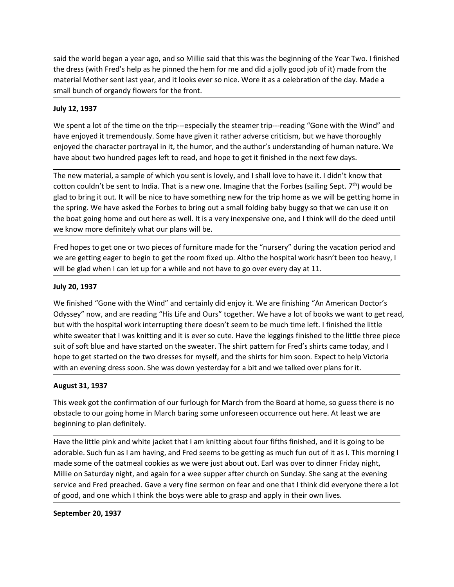said the world began a year ago, and so Millie said that this was the beginning of the Year Two. I finished<br>the dress (with Fred's help as he pinned the hem for me and did a jolly good job of it) made from the<br>small bunch Said the world began a year ago, and so Millie said that this was the beginning of the Year Two. I finished<br>the dress (with Fred's help as he pinned the hem for me and did a jolly good job of it) made from the<br>material Mot said the world began a year ago, and so Millie said that this was the beginning of the Year Two. I finished<br>the dress (with Fred's help as he pinned the hem for me and did a jolly good job of it) made from the<br>material Mot said the world began a year ago, and so Millie said that this was the beginning of the Year Two. I finished<br>the dress (with Fred's help as he pinned the hem for me and did a jolly good job of it) made from the<br>material Mot

said the world began a year ago, and so Millie said that this was the beginning of the dress (with Fred's help as he pinned the hem for me and did a jolly good job o<br>material Mother sent last year, and it looks ever so nic said the world began a year ago, and so Millie said that this was the beginning of the Year Two. I finished<br>the dress (with Fred's help as he pinned the hem for me and did a jolly good job of it) made from the<br>material Mot said the world began a year ago, and so Millie said that this was the beginning of the Year Two. I finished<br>the dress (with Fred's help as he pinned the hem for me and did a jolly good job of it) made from the<br>material Mot said the world began a year ago, and so Millie said that this was the beginning of the Year Two. I finished<br>the dress (with Fred's help as he pinned the hem for me and did a jolly good job of it) made from the<br>material Mot

said the world began a year ago, and so Millie said that this was the beginning of the Year Two. I finished<br>the dress (with Fred's help as he pinned the hem for me and did a jolly good job of it) made from the<br>material Mot said the world began a year ago, and so Millie said that this was the beginning of the Year Two. I finished<br>the dress (with Fred's help as he pinned the hem for me and did a jolly good job of it) made from the<br>dress (with said the world began a year ago, and so Millie said that this was the beginning of the Year Two. I finished<br>the dress (with Fred's help as he pinned the hem for me and did a jolly good job of it) made from the<br>anaterial Mo said the world began a year ago, and so Millie said that this was the beginning of the Year Two. I finished<br>the dress (with Fred's help as he pinned the hem for me and did a joily good job of it) made from the<br>material Mot said the world began a year ago, and so Millie said that this was the beginning of the Year Two. I finished<br>the dress (with Fred's help as he pinned the hem for me and did a jolly good job of it) made form the<br>material Mot sald the world began a year ago, and so Millie said that this was the beginning of the Year Two. I finished<br>the dress (with Fred's help as he pinned the hem for me and did a jolly good job of it) made from the<br>anaterial Mo said the world began a year ago, and so Millie said that this was the beginning of the Year Two. I finished<br>the dress (with Fred's help as he pinned the hem for me and did a jolly good job of it) made from the<br>material Mot Fred to the two first the two first or two pieces of furniture made for the "nursery" during the pieces of the form the material Mother sent last year, and it looks ever so nice. Wore it as a celebration of the day. Made a where the tot the time to the room fixed up. Altho the hospital work has the state is a set to be a small bunch of organdy flowers for the fornt.<br>
July 12, 1937<br>
We spent a lot of the time on the trip—especially the steame small bunch of organdy flowers for the front.<br>
July 12, 1937<br>
We spent a lot of the time on the trip—especially the steamer trip—reading "Gone with the Wind" and<br>
have enjoyed it tremendously. Some have given it rather adv July 12, 1937<br>We spent a lot of the time on the trip---especially the steamer trip---reading "Gon<br>have enjoyed it tremendously. Some have given it rather adverse criticism, but we<br>nijoyed the character portrayal in it, the We spent a lot of the time on the trip---especially the steamer trip---reading "Gone with the Wind" and<br>enverying all tremendously. Some have given it rather adverse criticism, but we have thoroughly<br>enjoyed the character

The way the the state of the harmonduck where the state of the state of the state of the state of the state of the state and the properties and the present to the state and the state and the present to have a book to have ency the character portrayal in it, the humor, and the author's understanding of human nature. We have about two hundred pages left to read, and hope to get it finished in the next few days.<br>The new material, a sample of w why per under a mean that I was knitting and the was the same of the sweater. The piert of the piert of the piert of the piert of the piert of the piert of the piert of the little of the read, and hope to get it finished i sure conservation and the soft blue and have started on the sweater. The set of soft blue and the sect in the sweater is a mapple of the trip home as we will be glad to bring it out. It will be nie to have something new fo The new material, a sample of which you sent is lovely, and Is hall love to have it. I didn't know that<br>cotton couldn't be sent to India. That is a new one. Imagine that the forbos (sailing Sept, <sup>279</sup>) would be<br>glad to br cotton couldn't be sent to India. That is a new one. Imagine that the Forbes (sailing Sept. 7<sup>p</sup>) would be<br>glad to bring it out. It will be nice to have something new for the trip home as we will be getting home in<br>the spr the spring. We have a sked the Forbes to bring out a small folding baby buggy so that<br>the spring. We have asked the Forbes to bring out a small folding baby buggy so that<br>the boat going home and out here as well. It is a v the boat going home and out here as well. It is a very inexpensive one, and I think will do the deed until<br>we know more definitely what our plans will be.<br>Fred hopes to get one or two pieces of furniture made for the "nurs we know more definitely what our plans will be.<br>Fred hopes to get one or two pieces of furniture made for the "nursery" during the vacation period and<br>we are getting eager to begin to get the room fixed up. Altho the hospi Fred hopes to get one or two pieces of furniture made for the "nursery" during the vacation<br>we are getting eager to begin to get the room fixed up. Altho the hospital work hasn't been<br>will be glad when I can let up for a w we are getting eager to begin to get the room fixed up. Altho the hospital work hasn't been too heavy, I<br>
ully 20, 1997<br>
We ill his glad when I can let up for a while and not have to go over every day at 11.<br>
We YO, 1997<br> will be glad when I can let up for a while and not have to go over every day at 11.<br>
July 20, 1937<br>
We finished "Gone with the Wind" and certainly did enjoy it. We are finishing "An American Doctor's<br>
Odyssey" now, and are July 20, 1937<br>We finished "Gone with the Wind" and certainly did enjoy it. We are finishing "An American Doctor's<br>Odyssey" now, and are reading "His Life and Ours" together. We have al ot of books we want to get read,<br>but Comparison of Sury 2007<br>We ministed "Gone with the Wind" and certainly did enjoy it. We are finishing "An American Doctor's<br>Odyssey" now, and are reading "His Life and Ours" together. We have a lot of books we want to get We finished "Gone with the Wind" and certainly did enjoy it. We are finishing "An American Doctor's<br>Odyssey" now, and are reading "His Life and Ours" together. We have al ot of books we want to get read,<br>but with the hospi Odyssey" now, and are reading "His Life and Ours" together. We have a lot of books we want to get read,<br>but with the hospital work interrupting there doesn't seem to be much time left. I finished the little<br>white sweater t

services to the contribution of the base and the legaling finished to their work of solution. While sweater that I was knitting and it is ever so cute. Have the leggings finished to the legings this do the legings finished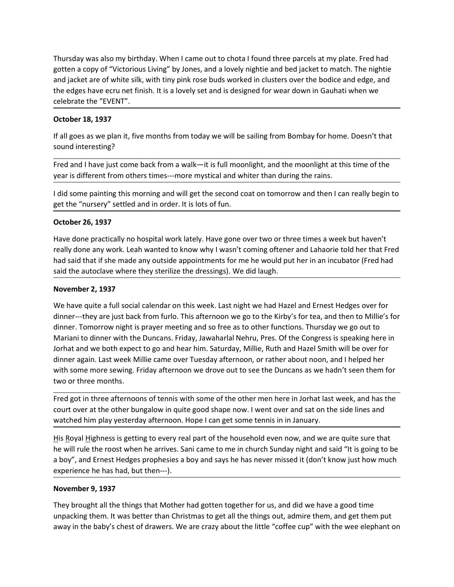Thursday was also my birthday. When I came out to chota I found three parcels at my plate. Fred had gotten a copy of "Victorious Living" by Jones, and a lovely nightie and bed jacket to match. The nightie and jacket are of Thursday was also my birthday. When I came out to chota I found three parcels at my plate. Fred had<br>gotten a copy of "Victorious Living" by Jones, and a lovely nightie and bed jacket to match. The nightie<br>and jacket are of Thursday was also my birthday. When I came out to chota I found three parcels at my plate. Fred had<br>gotten a copy of "Victorious Living" by Jones, and a lovely nightie and bed jacket to match. The nightie<br>and jacket are of Thursday was also my birthday. When I came out to chota I found three parcels at my plate. Fred had<br>gotten a copy of "Victorious Living" by Jones, and a lovely nightie and bed jacket to match. The nightie<br>and jacket are of Thursday was also my birthday. When I came out to chota I found three parcels at my p<br>gotten a copy of "Victorious Living" by Jones, and a lovely nightie and bed jacket to mat<br>and jacket are of white silk, with tiny pink r Thursday was also my birthday. When I came out to chota I found three parcels at my gotten a copy of "Victorious Living" by Jones, and a lovely nightie and bed jacket to mand jacket are of white silk, with tiny pink rose b Thursday was also my birthday. When I came out to chota I found three parcels at my plate. Fred had gotten a copy of "Victorious Living" by Jones, and a lovely nightie and be jacket to match. The nightie and jacket are of Thursday was also my birthday. When I came out to chota I found three parcels<br>gotten a copy of "Victorious Living" by Jones, and a lovely nightie and bed jacket<br>and jacket are of white silk, with tiny pink rose buds worked Thursday was also my birthday. When I came out to chota I found three parcels at my plate. Fred had<br>gotten a copy of "Victorious Living" by Jones, and a lovely nightie and bed jacket to match. The nightie<br>the edges have ec Thursday was also my birthday. When I came out to chota I found three parcels at my plate. Fred had gother a copy of Victorious Living" by Jones, and a lovely nighter and bed jacket to match. The nightiese and and jacket a Thursday was also my birthday. When I came out to chota I found three parcels at my plate. Fred had<br>gotten a copy of "Victorious Living" by Jones, and a lovely nightie and bed jacket to match. The nightie<br>and jacket are of Thursday was also my birthday. When I came out to chota I found three parcels at my plate. Fred had gotter a zoopy of "Victorious Living" by Jones, and a lovely nightie and bed acket to match. The nightie and gicket are of Thursday was also my birthday. When I came out to chota I found three parcels at my<br>gotten a copy of "Victorious Living" by Jones, and a lovely nightie and bed jacket to mand jacket to mand jacket to mithe edges have eru n Thursday was also my birthday. When I came out to chota I found three parcels at my plate. Fred had gotter a copy of "victorious Living" by lones, and a lovely neighte and pelacket to match. The nightite and pelack are of really one any of "Victorious Living" by Jones, and a lovely nightie and bed jacket to match. The nightie the of white slik, with tiny pink rose buds worked in clusters over the bodice and edge, and<br>the edges have ecru net

and jacket are of white silk, with tiny pink rose buds worked in clusters over the bodice and edge, and<br>the edges have ecru net finish. It is a lovely set and is designed for wear down in Gauhati when we<br>celebrate the "EVE the edges have ecru net finish. It is a lovely set and is designed for wear down in Gauhati when we<br>celebrate the "EVENT".<br> **October 18, 1937**<br>
If all goes as we plan it, five months from today we will be sailing from Bomb

Cretionate the Every ...<br>
October 18, 1937<br>
If all goes as we plan it, five months from today we will be sailing from Bombay for hom<br>
sound interesting?<br>
Fred and I have just come back from a walk—it is full moonlight, and Decober 18, 1997<br>
Fred and I have just come back from a walk—it is full moonlight, and the moonlight at this time of the<br>
sound interesting?<br>
Fred and I have just come back from a walk—it is full moonlight, and the moonlig If all goes as we plan it, five months from today we will be sailing from Bombay for home. Doesn't that<br>Sured and I have just come back from a walk—it is full moonlight, and the moonlight at this time of the<br>Fred and I hav sound interesting?<br>Fred and I have just come back from a walk—it is full moonlight, and the moonlight at this time of the<br>year is different from others times—more mystical and whiter than during the rains.<br>Idd some paintin Fred and I have just come back from a walk—it is full moonlight, and the moonlight at this time of the<br>year is different from others times—more mystical and whiter than during the rains.<br>I did some painting this morning an Fred and I have just torm back from a walk—it is full moonlight, and the moonlight at this time of the<br>eyear is different from others times—more mystical and whiter than during the rains.<br>Id did some painting this morning year is different from others times—more mystical and whiter than during the rains.<br>I did some painting this morning and will get the second coat on tomorrow and then I can really begin to<br>get the "nursery" settled and in I did some painting this morning and will get the second coat on tomorrow and then I can really begin to<br>get the "nursery" settled and in order. It is lots of fun.<br>
October 26, 1937<br>
Have done practically no hospital work That some paraming this informing and will get the section coat of control over the entire same paraming that the section coat of control over the times a were the set of function of the "nursery" settled and in order. It **October 26, 1997**<br>Have done practically no hospital work lately. Have gone over two or three times a week but haven't<br>really done any work. Leah wanted to know why I wasn't coming oftener and lahaorie told her that Fred<br>h Example 120, 1237<br>Have done practically no hospital work lately. Have gone over two or three times a week but haven't<br>Have done practically no hospital work lately. Have gone over two or three times a week but haven't<br>real Have done practically no hospital work lately. Have gone over two or three times a week but haven't really done any work. Leah wanted to know why l wasn't coming offerer and lahaorie told her that Fred had said that if she First Boyal Highness is getting to every real part of the household even now, and we are quide the household the autoclave where they sterilize the dressings). We did laugh.<br>
November 2, 1937<br>
We have quite a full social c is all the autoclave where they sterlilize the dressings). We did laugh.<br>
November 2, 1937<br>
We have quite a full social calendar on this week. Last night we had Hazel and Ernest Hedges over for<br>
dinner---they are just back and whe tacted are the control of the statement intervents we conside the statement of the statement of the statement of the dimension with the method of the statement of the dimension with the flumer—they are just back fr November 2, 1937<br>We have quite a full social calendar on this week. Last night we had Hazel and Ernest Hedges over for<br>dimer----they are just back from furlo. This afternoon we go to the Kirby's for tea, and then to Millie We have quite a full social calendar on this week. Last night we had Hazel and Ernest He<br>dinner---they are just back from furolo. This afternoon we go to the Kirby's for tea, and thime-<br>dinner. Tomorrow night is prayer mee ulmane. Tomorrow night is prayer meeting and so free as to other functions. Thursday we go out to Mariani to dinner with the Duncans. Friday, Jawaharlal Nehu, Pres. Of the Congess is speaking here in Moraini to dinner with unward them. Universal was better than that the bunders is speaking better in the bunders in the bunders. Friday, Jawaharlal Nehru, Pres. Of the Congress is speaking here in lorhat and we both expect to go and hear him. Sa nothat and we both expect to go and hear him. Saturday, Millie, Ruth and Hazel Smith will be over for<br>dinner again. Last week Millie came over Tuesday afternoon, or rather about noon, and lhelped her<br>dinner again. Last wee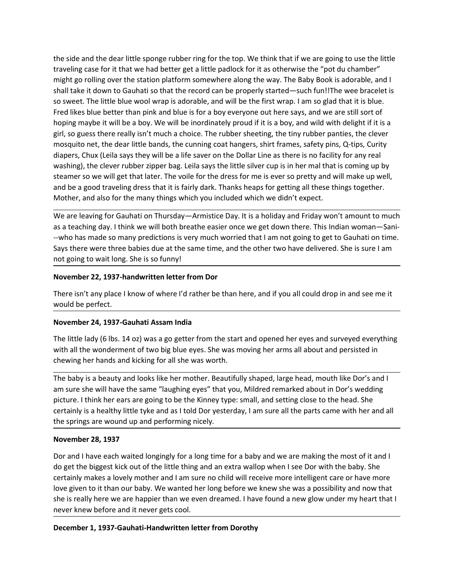the side and the dear little sponge rubber ring for the top. We think that if we are going to use the little traveling case for it that we had better get a little padlock for it as otherwise the "pot du chamber"<br>might go r the side and the dear little sponge rubber ring for the top. We think that if we are going to use the little traveling case for it that we had better get a little padlock for it as otherwise the "pot du chamber"<br>might go r the side and the dear little sponge rubber ring for the top. We think that if we are going to use the little<br>traveling case for it that we had better get a little padlock for it as otherwise the "pot du chamber"<br>might go r the side and the dear little sponge rubber ring for the top. We think that if we are going to use the little<br>traveling case for it that we had better get a little padlock for it as otherwise the "pot du chamber"<br>might go r the side and the dear little sponge rubber ring for the top. We think that if we are going to use the little traveling case for it that we had better get a little padlock for it as otherwise the "pot du chamber" might go r the side and the dear little sponge rubber ring for the top. We think that if we are going to use the little might go rolling over the station platform somewhere along the way. The Baby Book is adorable, and I shall take i the side and the dear little sponge rubber ring for the top. We think that if we are going to use the little maybe in that the read better get al little padlock for it is a otherwise the "pot du chamber" and his may ment t the side and the dear little sponge rubber ring for the top. We think that if we are going to use the little traveling case for it that we had better get a little padock for it as otherwise the "pot du chanber" might go ro the side and the dear little sponge rubber ring for the top. We think that if we are going to use the little traveling case for it that we had better get a little padlock for it as otherwise the "pot du chamber" might go r the side and the dear little sponge rubber ring for the top. We think that if we are going to use the little traveling case for it that we had better get a little padlock for it as otherwise the "pot du chamber" might go r the side and the dear little sponge rubber ring for the top. We think that if we are going to use the little traveling core the station platform somewhere along the way. The Baby Book is adorable, and sinal trajet go rolli the side and the dear little sponge rubber ring for the top. We think that if we are going to use the little provide that we had better get all tilt padcok for it as otherwise the "pot du chamber" might go rolling over the the side and the dear little sponge rubber ring for the top. We think that if we are going to use the little traveling case for it that we had better get a little padlock for it as otherwise the "pot du chamber" might go r the side and the dear little sponge rubber ring for the top. We think that if we are going to use the little traveling case for it that we had better get a little padlock for it as otherwise the "pot du chamber" might go r the side and the dear little sponge rubber ring for the top. We think that if we are going to use the little ration paright go rolling over the station platform somewhere along the "not diate particular particular particul the side and the dear little sponge rubber ring for the top. We think that if we are going to use the little traveling case for it that we had better get a little padlock for it as otherwise the "pot du chamber" might go r the side and the dear little sponge rubber ring for the top. We think that if we are going to use the little property transpore for the the abret pertail little padicok for it as otherwise the <sup>2</sup> interaction plane in the traveling case for it that we had better get a little padlock for it as otherwise the "pot du chamber"<br>
amight go rouling over the station platform somewhere along the way. The Baby Book is adorable, and I<br>
shall take it d might go rolling over the station platform somewhere along the way. The Baby Book is adorable, and I<br>shall take it down to Gauhati so that the record can be properly started—such fun!!The wee bracelet is<br>so sweet. The litt shall take it down to osatulate but the fector dating enperply stated—such timit in the web racelerity the position and so that the field like but the the but wool warp is adorable, and will be the first wrap. I am so glad Fred likes blue better than pink and blue is for a boy everyone out here says, and we are still sort of<br>hoping maybe it will be a boy. We will be inordinately proud if it is a boy, and will with delight if it is<br>pirl, so g hoping maybe it will be a boy. We will be inordinately proud if it is a boy, and wild y<br>girl, so guess there really isn't much a choice. The rubber sheeting, the tiny rubber p<br>mosquito net, the dear little bands, the cunin any so goal that the dear little bands, the cunning coat hangers, shirt frames, safety pins, Q-tips, Curity<br>diapers, Chux (Leila says the ywill be a life saver on the Dollar Line as there is no facility for any steal<br>diape

diapers, Chux (leila says they will be a life saver on the Dollar Line as there is no facility for any real<br>washing), the clever rubber zipper bag. Leila says the little sliver cup is in her mal that is coming up by<br>steame washing), the clever rubber zipper bag. Leila says the little sliver cup is in her mal that is coming up by<br>steamer so we will get that later. The voile for the dress for me is ever so pretty and will make up well,<br>and be steamer so we will get that latter. The voile for the dress for me is ever so pretti and will make up well,<br>stander so we will get that latter. The voile for the dress for getting all these things together.<br>Mother, and als Mother, and also for the many things which you included which we didn't expect.<br>We are leaving for Gauhati on Thursday—Armistice Day. It is a holiday and Friday won't amount to much<br>as a teaching day. I think we will both We are leaving for Gauhati on Thursday—Armistice Day. It is a holiday and Friday won't amount to much<br>as a teaching day. I think we will both breathe easier once we get down there. This Indian woman—Sani--who has made so m

We are leaving for Gauhati on Thursday-Armistice Day, it is a holiday and Friday won't amount to much the meth-<br>as a teaching day. I think we will both breathe easier once we get down there. This Indian woman-Sani--who has as a teaching day. I think we will both breathe easier once we get down there. This Indian woman—sani-<br>a-who has made so many predictions is very much worried that I am not going to get to Gauhati on time.<br>Says there were -who has made so many predictions is very much worried that I am not going to get to Gauhati on time.<br>Says there were three babies due at the same time, and the other two have delivered. She is sure I am<br>not going to wait not going to wait long. She is so funny!<br>
November 22, 1937-handwritten letter from Dor<br>
There isn't any place I know of where I'd rather be than here, and if you all could drop in<br>
would be perfect.<br>
November 24, 1937-Gau

November 22, 1937-handwritten letter from Dor<br>There isn't any place I know of where I'd rather be than here, and if you all could drop in and see me it<br>would be perfect.<br>November 24, 1937-Gauhati Assam India<br>The little lad There isn't any place I know of where I'd rather be than here, and if you all could drop in and see me it<br>would be perfect.<br>November 24, 1937-Gauhati Assam India<br>The little lady (6 lbs. 14 oz) was a go getter from the star There isn't any place I know of where I'd rather be than here, and if you all could drop in and see me it<br>
would be perfect.<br> **November 24, 1937-Gauhati Assam India**<br>
The little lady (6 lbs. 14 o2) was a go getter from the Would be perfect.<br>
November 24, 1937-Gauhati Assam India<br>
The little lady (6 ibs. 14 oz) was a go getter from the start and opened her eyes and surveyed everything<br>
with all the wonderment of two big blue eyes. She was mov November 24, 1937-Gauhati Assam India<br>The little lady (6 lbs. 14 o2) was a go getter from the start and opened her eyes and surveyed everything<br>with all the wonderment of two big blue eyes. She was moving her arms all abou november 24, 2537-dadinal Assam innua<br>The little lady (6 lbs. 14 oz) was ago getter from the start and opened her eyes and surveyed everything<br>The little lady (6 lbs. 14 oz) was ago getter from the start and opened her eye with all the wonderment of two big blue eyes. She was moving her arms all about and persisted in<br>chewing her hands and kicking for all she was worth.<br>The baby is a beauty and looks like her mother. Beautifully shaped, larg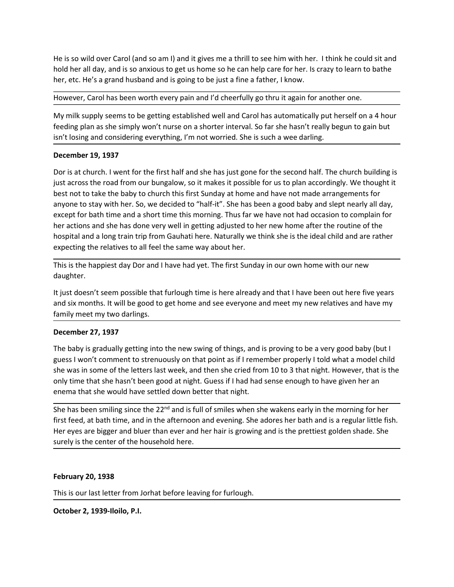He is so wild over Carol (and so am I) and it gives me a thrill to see him with her. I think he could sit and hold her all day, and is so anxious to get us home so he can help care for her. Is crazy to learn to bathe her, He is so wild over Carol (and so am I) and it gives me a thrill to see him with her. I think he could sit and<br>hold her all day, and is so anxious to get us home so he can help care for her. Is crazy to learn to bathe<br>her, He is so wild over Carol (and so am I) and it gives me a thrill to see him with her. I think he could sit and<br>hold her all day, and is so anxious to get us home so he can help care for her. Is crazy to learn to bathe<br>her,

He is so wild over Carol (and so am I) and it gives me a thrill to see him with her. I think he could sit and<br>hold her all day, and is so anxious to get us home so he can help care for her. Is crazy to learn to bathe<br>her, He is so wild over Carol (and so am I) and it gives me a thrill to see him with her. I think he could sit and<br>hold her all day, and is so anxious to get us home so he can help care for her. Is crazy to learn to bathe<br>her, He is so wild over Carol (and so am I) and it gives me a thrill to see him with her. I think he could sit and<br>hold her all day, and is so anxious to get us home so he can help care for her. Is crazy to learn to bathe<br>her, He is so wild over Carol (and so am I) and it gives me a thrill to see him with her. I think he could sit and<br>hold her all day, and is so anxious to get us home so he can help care for her. Is crazy to learn to bathe<br>her,

He is so wild over Carol (and so am I) and it gives me a thrill to see him with her. I think hold her all day, and is so anxious to get us home so he can help care for her. Is crazy to her, etc. He's a grand husband and is He is so wild over Carol (and so am I) and it gives me a thrill to see him with her. I think he could sit and<br>hold her all day, and is so anxious to get us home so he can help care for her. Is crazy to learn to bathe<br>her, He is so wild over Carol (and so am I) and it gives me a thrill to see him with her. I think he could sit and<br>hold her all day, and is so anxious to get us home so he can help care for her. Is crazy to learn to bathe<br>her, He is so wild over Carol (and so am I) and it gives me a thrill to see him with her. I think he could sit and<br>hold her all day, and is so anxious to get us home so he can help care for her. Is crazy to learn to bathe<br>her, He is so wild over Carol (and so am I) and it gives me a thrill to see him with her. I think he could sit and<br>hold her all day, and is so anxious to get us home so he can help care for her. Is trazy to learn to bathe<br>her, He is so wild over Carol (and so am I) and it gives me a thrill to see him with her. I think he could sit and<br>hold her all day, and is so anxious to get us home so he can help care for her. Is crazy to learn to bathe<br>her, He is so wild over Carol (and so am I) and it gives me a thrill to see him with her. I think he could sit and<br>hold her all day, and is so anxious to get us home so he can help care for her. Is crazy to learn to bathe<br>her, He is so wild over Carol (and so am I) and it gives me a thrill to see him with her. I think he could sit and<br>hold her all day, and is so anxious to get us home so he can help care for her. Is crazy to learn to bathe<br>her, expecting to all fits the relatives to all feel the same way about her.<br>This is the happiest day for all fits of the same so he can help care for her. Is crazy to learn to bathe<br>her, etc. He's a grand husband and is going ner, etc. He's a grand husband and is going to be just a fine a father, I know.<br>However, Carol has been worth every pain and I'd cheerfully go thru it again for another one.<br>My milk supply seems to be getting established w My milk supply seems to be getting established well and Carol has automatically put herself on a 4 hour feeding plan as she simply won't nurse on a shorter interval. So far she hasn't really begun to gain but isn't losing will susper to the control of the the six months are an about the six months. It will be pay the six months are thome and the six months are thome and the six months. It will be pay to gain but six thosing and considering is in the since of the matter in the since of a sincter interest. So ia since that it can be a server to the since the since of the since of the since of the since of the since of the since of the since of the since of the December 19, 1937<br>Dor is at church. I went for the first half and she has just gone for the second half. The church<br>sity across the road from our bungalow, so it makes it possible for us to plan accordingly<br>best not to tak Dor is at church. I went for the first half and she has just gone for the second half. The church building is<br>just across the road from our bungalow, so it makes it possible for us to plan accordingly. We thought it<br>best n by a scrudint. We thin our linear to in the mass in sea yas goire for the Social naming the point of the contain and the commentation of the contain that interest and the baby to church this first Sunday at home and have n is the total more of the letters last week, so trivines is possisce for the some particularly, we recognize that the letter be laby to church this first Sunday at home and have not made arrangements for anyone to stay with bees not to use the baty to unturn this his that showed at the member and have not those at ningeres in the member of the hasten at good baby and sight nearly all day, except for bath time and a short time this morning. T

daughter.

entytic to stay winnerit. So, we ucclude to mente the she wind better that night.<br>
Except for bath thime and a short time this morning. Thus far we have not bad occasion to complain for<br>
the ractions and she has done very her actions and she has been some very well in getting adjusted to her new home after the routine of the<br>hospital and a long train trip from Gauhati here. Naturally we think she is the ideal child and are rather<br>expecting hospital and a long train trip from Gauhati here. Naturally we think she is the ideal child and are rather<br>expecting the relatives to all feel the same way about her.<br>This is the happiest day Dor and I have had yet. The fi expecting the relatives to all feel the same way about her.<br>This is the happiest day Dor and I have had yet. The first Sunday in our own home with our new<br>daughter.<br>It just doesn't seem possible that furlough time is here This is the happiest day Dor and I have had yet. The first Sunday in our own home with our new daughter.<br>
It just doesn't seem possible that furlough time is here already and that I have been out here five years<br>
It just d It just doesn't seem possible that furlough time is here already and that I have been ou<br>and six months. It will be good to get home and see everyone and meet my new relativ<br>family meet my two darlings.<br>December 27, 1937<br> family meet my two darlings.<br>December 27, 1937<br>The baby is gradually getting into the new swing of things, and is proving to be a very good baby (but I<br>guess I won't comment to strenuously on that point as if I remember p December 27, 1937<br>The baby is gradually getting into the new swing of things, and is proving to be a very good baby<br>guess I won't comment to strenuously on that point as if I remember properly I told what a mode<br>ghe was in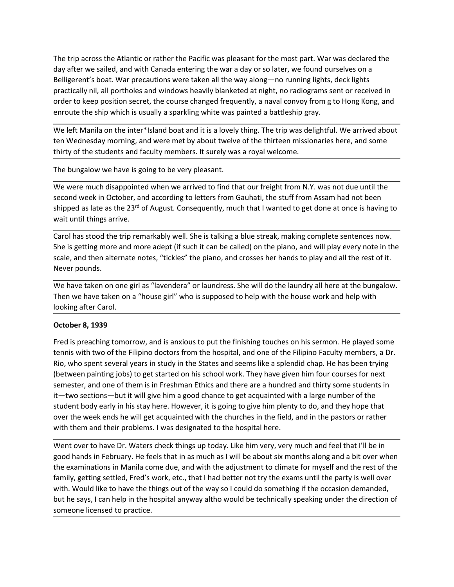The trip across the Atlantic or rather the Pacific was pleasant for the most part. War was declared the day after we sailed, and with Canada entering the war a day or so later, we found ourselves on a Belligerent's boat. W The trip across the Atlantic or rather the Pacific was pleasant for the most part. War was declared the day after we sailed, and with Canada entering the war a day or so later, we found ourselves on a Belligerent's boat. W The trip across the Atlantic or rather the Pacific was pleasant for the most part. War was declared the day after we sailed, and with Canada entering the war a day or so later, we found ourselves on a Belligerent's boat. W The trip across the Atlantic or rather the Pacific was pleasant for the most part. War was declared the<br>day after we sailed, and with Canada entering the war a day or so later, we found ourselves on a<br>Belligerent's boat. W The trip across the Atlantic or rather the Pacific was pleasant for the most part. War was declared the day after we sailed, and with Canada entering the war a day or so later, we found ourselves on a Belligerent's boat. W The trip across the Atlantic or rather the Pacific was pleasant for the most part. War was declared the day after we sailed, and with Canada entering the war a day or so later, we found ourselves on a Belligerent's boat. W The trip across the Atlantic or rather the Pacific was pleasant for the most part. War was declared the day after we sailed, and with Canada entering the war a day or so later, we found ourselves on a Belligerent's boat. W The trip across the Atlantic or rather the Pacific was pleasant for the most part. War was declared the day after we sailed, and with Canada entering the war a day or so later, we found ourselves on a Belligerent's boat. W The trip across the Atlantic or rather the Pacific was pleasant for the most part. War was declared the day after we sailed, and with Canada entering the war a day or so later, we found ourselves on a Belligerent's boat. W The trip across the Atlantic or rather the Pacific was pleasant for the most part. War was declared the<br>day after we sailed, and with Canada entering the war a day or so later, we found ourselves on a<br>Belligerent's boat. W The trip across the Atlantic or rather the Pacific was pleasant for the most part. War was declared the<br>day after we sailed, and with Canada entering the war a day or so later, we found ourselves on a<br>Belligerent's boat. W The trip across the Atlantic or rather the Pacific was pleasant for the most part. War was declared the day after we sailed, and with Canada entering the war a day or so later, we found ourselves on a Belligerent's boat. W The trip across the Atlantic or rather the Pacific was pleasant for the most part. War was declared the day after we sailed, and with Canada entering the war a day or so later, we found ourselves on a Belligerent's boat. W The trip across the Atlantic or rather the Pacific was pleasant for the most part. War was day after we sailed, and with Canada entering the war a day or so later, we found ourselve<br>Belligerent's boat. War precautions were The trip across the Atlantic or rather the Pacific was pleasant for the most part. War was declared the day after we sailed, and with Canada entering the war a day or so later, we found ourselves on a<br>Belligerent's boat. W not a piano the state of the state of the state of the piano, and crosses be the state of the piano, and the called and with Canada entering the war a day or so later, we found ourseless on a<br>Belligerent's boat. War precau solution and the method of the based with the based with the piano, and the piano, and the positive in the scale of the positically nil, all portholes and windows heavily blanketed at night, no radiograms sent or received

beneficially nil, all portholes and windows heavily blanketed at night, no radiogrape<br>practically nil, all portholes and windows heavily blanketed at night, no radiogra<br>order to keep position secret, the course changed fre We left Manila on the inter\*Island boat and it is a lovely thing. The trip was delightful.<br>
ten Wednesday morning, and were met by about twelve of the thirteen missionaries h<br>
thirty of the students and faculty members. It

order to keep position secret, the course changed frequently, a aval convoy from g to Hong Kong, and<br>enroute the ship which is usually a sparkling white was painted. The trip was delightful. We arrived about<br>We left Manila enroute the ship which is usually a sparkling white was painted a battleship gray.<br>We left Manila on the inter"Island boat and it is a lovely thing. The trip was delightful. We arrived about<br>thirty of the students and nave

ten Wednesday morning, and were met by about twelve of the thirteen missionaries<br>thirty of the students and faculty members. It surely was a royal welcome.<br>The bungalow we have is going to be very pleasant.<br>We were much di The bungalow we have is going to be very pleasant.<br>
We were much disappointed when we arrived to find that our freight from N.Y. was not due until the<br>
second week in October, and according to letters from Gauhati, the stu The bungalow we have is going to be very pleasant.<br>We were much disappointed when we arrived to find that our freight from NY. was not due until the<br>second week in October, and according to letters from Gainkhilt ships to We were much disappointed when we arrived to find that our freight from N.Y. was not due until the<br>second week in October, and according to letters from Gauhati, the stuff from Assam had not been<br>shipped as late as the 23<sup></sup> we were montrolagy minet with we alrived on the mode of the mediation. The school work the mediation of the mediation of the mediation of the painto of the paint of the mediation of the paint of the paint of the paint of t sesum vectom and them is in fectom and them is the church in the field, and in the pattern one of the meant them is the them in the them is them in the pattern one of the them in the scale, and the atternal things arrive.<br> simple as or as a or any and is anxious to put the internal to get uone at once is naving to wait until things arrive.<br>Carol has stood the trip remarkably well. She is talking a blue streak, making complete sentences now.<br> wat cincu nungs arrive.<br>
Garol has stood the trip remarkably well. She is talking a blue streak, making complete sentences now.<br>
She is getting more and more adept (if such it can be called) on the plano, and will play eve Carol has stood the trip remarkably well. She is talking a blue streak, making complete sentences now.<br>She is getting more and more adept (if such it can be called) on the piano, and will play every note in the<br>scale, and She is getting more and more adept (if such it can be called) on the piano, and will play every note in the Naske, and then alternate notes, "tickles" the piano, and crosses her hands to play and all the rest of it.<br>We hav Share, who went over to have through this standard with the bunders of paying the paying of the standard of the bunders of the bunders of the bunders of the bunders of the bunders of the bunders check the bunders check the We have taken on one girl as "lavendera" or laundress. She will do the laundry all here at the bungalow.<br>We have taken on a "house girl" who is supposed to help with the house work and help with<br>Dooking after Carol.<br>Dotobe We have taken on one girl as "lavendera" or laundess. She will do the laundry all here at the bungalow.<br>Then we have taken on a "house girl" who is supposed to help with the house work and help with<br>Theohing after Carol.<br> Then we have taken on a "house girl" who is supposed to help with the house work and help with<br>Ootking after Carol.<br>October 8, 1939<br>Fred is preaching tomorrow, and is anxious to put the finishing touches on his sermon. He looking after Carol.<br>
October 8, 1939<br>
Fred is preaching tomorrow, and is anxious to put the finishing touches on his sermon. He played some<br>
tennis with two of the Filipino doctors from the hospital, and one of the Filipi October 8, 1939<br>
Fred is preaching tomorrow, and is anxious to put the finishing touches on his sermon. He played some<br>
tennis with two of the filipino doctors from the hospital, and one of the Filipino Faculty members, a October 8, 1939<br>
Fred is preaching tomorrow, and is anxious to put the finishing touches on his sermon. He play<br>
Fred is preaching tomorrow, and is anxious to put the finishing touches on his sermon. He play<br>
Rio, who spen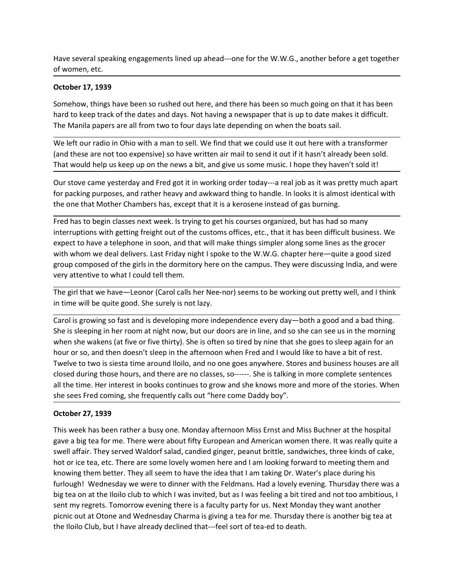Have several speaking engagements lined up ahead---one for the W.W.G., another before a get together<br>
of women, etc.<br> **October 17, 1939**<br>
Somehow, things have been so rushed out here, and there has been so much going on th

Have several speaking engagements lined up ahead---one for the W.W.G., another both<br> **October 17, 1939**<br> **Somehow, things have been so rushed out here, and there has been so much going complements**<br> **Somehow, things have b** Have several speaking engagements lined up ahead---one for the W.W.G., another bet<br>of women, etc.<br>**October 17, 1939**<br>Somehow, things have been so rushed out here, and there has been so much going or<br>hard to keep track of t Have several speaking engagements lined up ahead---one for the W.W.G., another before a get together<br>of women, etc.<br>**October 17, 1939**<br>Somehow, things have been so rushed out here, and there has been so much going on that

Have several speaking engagements lined up ahead---one for the W.W.G., another before a get together<br>of women, etc.<br>**October 17, 1939**<br>Somehow, things have been so rushed out here, and there has been so much going on that Have several speaking engagements lined up ahead---one for the W.W.G., another before a get together<br>of women, etc.<br>**October 17, 1939**<br>Somehow, things have been so rushed out here, and there has been so much going on that Have several speaking engagements lined up ahead---one for the W.W.G., another before a get together<br>of women, etc.<br>**October 17, 1939**<br>Somehow, things have been so rushed out here, and there has been so much going on that

Have several speaking engagements lined up ahead---one for the W.W.G., another before a get together<br>of women, etc.<br>**October 17, 1939**<br>Somehow, things have been so rushed out here, and there has been so much going on that Have several speaking engagements lined up ahead---one for the W.W.G., another before a get together<br>of women, etc.<br>**October 17, 1939**<br>Somehow, things have been so rushed out here, and there has been so much going on that Have several speaking engagements lined up ahead—one for the W.W.G., another before a get together<br>October 17, 1939<br>Somehow, things have been so rushed out here, and there has been so much going on that it has been<br>hard to

Have several speaking engagements lined up ahead---one for the W.W.G., another before a get together<br>of women, etc.<br>Somehow, things have been so rushed out here, and there has been so much going on that it has been<br>hard to Have several speaking engagements lined up ahead---one for the W.W.G., another before a get together<br> **October 17, 1939**<br>
Somehow, things have been so rushed out here, and there has been so much going on that it has been<br> Have several speaking engagements lined up ahead---one for the W.W.G., another before a get together<br>of women, etc.<br>**October 17, 1939**<br>Somehow, things have been so rushed out here, and there has been so much going on that Have several speaking engagements lined up ahead---one for the W.W.G., another before a get together<br>of women, etc.<br>**October 17, 1939**<br>Somehow, things have been so rushed out here, and there has been so much going on that Have several speaking engagements lined up ahead---one for the W.W.G., another before a get together<br>of women, etc.<br>**October 17, 1939**<br>Somehow, things have been so rushed out here, and there has been so much going on that of women, etc.<br>
Sortober 17, 1939<br>
Somehow, things have been so rushed out here, and there has been so much going on that it has been<br>
Sharehove, things have been so rushed out here, and there has been so much going on tha **October 17, 1939**<br>Somehow, things have been so rushed out here, and there has been so much going on that it has been<br>The Manila papers are all from two to four days late depending on when the boats sail.<br>The Manila papers Streament the more than Mother Chambers has been so much going on that it has been<br>Sharehow, things have been so rushed out here, and there has been so much going on that it has been<br>hard to keep track of the dates and day boundary wing boundary and days. Not having a newspaper that is up to date makes it difficult.<br>The Manila papers are all from two to four days late depending on when the boats sail.<br>The Manila papers are all from two to fo not or weep to the surely out all then two to four day late depending on when the boats sail.<br>The Manila papers are all from two to four day late depending on when the boats sail.<br>We left our radio in Ohio with a man to se We left our radio in Ohio with a man to sell. We find that we could use it out here with a transformer<br>(and these are not too expensive) so have written air mail to send it out if it hasn't already been sold.<br>That would he

vector of the given and the more way were the conducts and the state with the more were the state of the more and the more and the more and the more and the more and the more are pesterday and Fred got it in working order when we see to too expensive y so were written in mim to see to too the risin cancely because the seed for the seeds to the seed for public and the seed to the seed to the seed to the public or five the goes to the she goe mat would nept us seep by or the therast a bit, and give as some mode. Those they nasen to sold the mode came yested and frod got it in working order today—a real job as it was pretty much apart<br>for packing purposes, and r Our stove came yesterday and Fred got it in working order today---a real job as it was pretty much apart<br>of roacking purposes, and rather hereavy and awkward thing to handle. In looks it is almost identical with<br>the one th for packing purposes, and rather heavy and awkward thing to handle. In looks it is almost identical with<br>Fred has to begin classes next week. Is trying to get his courses organized, but has had so many<br>Findernuptions with the one that Mother Chambers has, except that it is a kerosene instead of gas burning.<br>Fred has to begin classes next week. Is trying to get his courses organized, but has had so many<br>interruptions with getting freight out Fred has to begin classes next week. Is trying to get his courses organized, but has had so many<br>interruptions with getting freight out of the customs offices, etc., that it has been difficult business. We<br>expect to have a interruptions with getting freight out of the customs offices, etc., that it has been diffitured to have a telephone in soon, and that will make things simpler along some line with whom we deal delivers. Last Friday night expect to maxe a telephone my sound wat whim a temps simplers almost whith whom we deal delivers. Last Friday night I spoke to the W.W.G. chapter here—quite a good sized<br>group composed of the girls in the domitory here on with with the tea for entered the stirled print is youte. One with the Feldmans. Hay were discussing India, and were<br>group composed of the grist in the domintry here on the campus. They were discussing India, and were<br>ever strown the pairs are to the streament the controllation of the results and the results and the pair and the pair and the streament of the girl that we have —Leonor (Carol calls her Nee-nor) seems to be working out pretty w

very externive to wrate toorial cardied sine free-nor) seems to be working out pretty well, and i think<br>The girl that we have—-leonor (Carol calls her Nee-nor) seems to be working out pretty well, and i think<br>in time will The girl that we have—Leonor (Carol calls her Nee-nor) seems to be working out pretty well, and I think<br>
in time will be quite good. She surely is not lazy.<br>
Grouis growing so fast and is developing more independence every in time will be quite good. She surely is not lazy.<br>Carol is growing so fast and is developing more independence every day—both a good and a bad thing.<br>She is sleeping in her room at night now, but our doors are in line, a Carol is growing so fast and is developing more independence every day—both a good and a bad thing.<br>She is sleeping in her room at night now, but our doors are in line, and so she can see us in the morning<br>when she wakens Carol is growing so that at developing more independence every day—obth a good and a bad thing.<br>She is sleeping in her room at night now, but our doors are in line, and so she can see us in the morning<br>when she wakens (at She is eleeping in her room at night now, but our doors are in line, and so the can see us in the morning<br>When she wakens (at five or five thirty). She is often so tired by nine that she goes to sleep again for an<br>hour or when she wakens (all twe or the thinty). She is often so thered by nime that she goes to sleep again for an bottom or or, and then doesn't sleep in the afternoon when Fred and I would like to have a bit of rest. Twelve to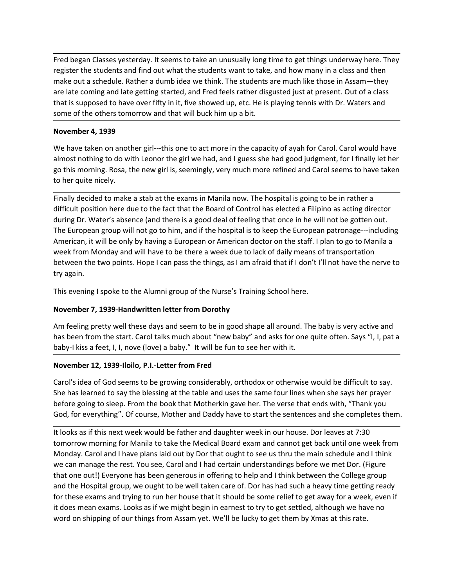Fred began Classes yesterday. It seems to take an unusually long time to get things underway here. They<br>register the students and find out what the students want to take, and how many in a class and then<br>make out a schedul Fred began Classes yesterday. It seems to take an unusually long time to get things underway here. They register the students and find out what the students want to take, and how many in a class and then make out a schedul Fred began Classes yesterday. It seems to take an unusually long time to get things underway here. They register the students and find out what the students want to take, and how many in a class and then make out a schedul Fred began Classes yesterday. It seems to take an unusually long time to get things underway here. They<br>register the students and find out what the students want to take, and how many in a class and then<br>make out a schedul Fred began Classes yesterday. It seems to take an unusually long time to get things underway here. They<br>register the students and find out what the students want to take, and how many in a class and then<br>make out a schedul Fred began Classes yesterday. It seems to take an unusually long time to get things underway here. They register the students and find out what the students want to take, and how many in a class and then make out a schedul Fred began Classes yesterday. It seems to take an unusually long time to get things und<br>register the students and find out what the students want to take, and how many in a c<br>make out a schedule. Rather a dumb idea we thin Fred began Classes yesterday. It seems to take an unusually long time to get things underway here. They register the students and find out what the students want to take, and how many in a class and then make out a schedul Fred began Classes yesterday. It seems to take an unusually long time to get things underway here. They<br>register the students and find out what the students want to take, and how many in a class and then<br>make out a schedul Fred began Classes yesterday. It seems to take an unusually long time to get things underway here. They make out a schedule. Rather a dumb idea we think. The students want to take, and how many in a class and then make out Fred began Classes yesterday. It seems to take an unusually long time to get things un<br>register the students and find out what the students want to take, and how many in a<br>make out a schedule. Rather a dumb idea we think. Fred began Classes yesterday. It seems to take an unusually long time to get things underway here. They<br>register the students and find out what the students want to take, and how many in a class and then<br>make out a schedul

Fred began Classes yesterday. It seems to take an unusually long time to get things underway here. They<br>register the students and find out what the students want to take, and how many in a class and then<br>make out a schedul Fred began Classes yesterday. It seems to take an unusually long time to get things underway here. They<br>register the students and find out what the students want to take, and how many in a class and then<br>make out a schedul Fred began Classes yesterday. It seems to take an unusually long time to get things underway here. They<br>register the students and find out what the students want to take, and how many in a class and then<br>make out a schedul Fred began Classes yesterday. It seems to take an unusually long time to get things underway here. They register the students and find out what the students want to take, and how many in a class and then make out a schedul register the students and find out what the students want to take, and how many in a class and then make out a schedule. Rather a dumbidea we think. The students are much like those in Assam—they are late coming and late g make out a schedule. Rather a dumb idea we think. The students are much like those in Assam—they<br>are late coming and late getting started, and fred feels rather disgusted just at present. Out of a class<br>that is supposed to are late coming and late getting started, and Fred feels rather disgusted just<br>that is supposed to have over fifty in it, five showed up, etc. He is playing ten<br>some of the others tomorrow and that will buck him up a bit.<br> some of the others tomorrow and that will buck him up a bit.<br>
November 4, 1939<br>
We have taken on another girl---this one to act more in the capacity of ayah for Carol. Carol would have<br>
almost nothing to do with Leonor the November 4, 1939<br>We have taken on another girl---this one to act more in the capacity of ayah for Carol. Carol would have<br>almost nothing to do with Leonor the girl we had, and I guess she had good judgment, for I finally l We have taken on another girl---this one to act more in the capacity of ayah for Carol. Carol would have<br>almost nothing to do with Leonor the girl we had, and I guess she had good judgment, for I finally let her<br>apo this m now to thing to do with Leonor the girl we had, and I guess she had good Judgment, for I finally let her<br>go this morning. Rosa, the new girl is, seemingly, very much more refined and Carol seems to have taken<br>to her quite ament to the matter of the Mumnington of the Museum of the function of the matter of the matter of the matter<br>to her quite nicely.<br>
Finally decided to make a stab at the exams in Manila now. The hospital is going to be in to her quite nicely.<br>
Finally decided to make a stab at the exams in Manila now. The hospital is going to be in rather a<br>
difficult position here due to the fact that the Board of Control has elected a Filipino as acting d Finally decided to make a stab at the exams in Manila now. The hospital is going to be in rather a<br>difficult position here due to the fact that the Board of Control has elected a Filipino as acting director<br>during Dr. Wate difficult position here due to the fact that the Boord of Control has elected a Filipino as acting director<br>during Dr. Water's absence (and there is a good deal of feeling that once in he will not be gotten out.<br>The Europe during Dr. Water's absence (and there is a good deal of feeling that once in he will not be gotten out.<br>The European group will not got obtinn, and if the hospital is to keep the European partonage—including<br>American, it w The European group will not go to him, and if the hospital is to keep the European partonage—including<br>American, it will be only by having a European or American doctor on the staff. I plan to go to Manilia a<br>week from Mon

week from Monday and will have to be there a week due to lack of daily means of transportation<br>
be tween the two points. Hope I can pass the things, as I am afraid that if I don't I'll not have the nerve to<br>
try again.<br>
Th between the two points. Hope I can pass the things, as I am afraid that if I don't I'll not have the nerve to<br>This evening I spoke to the Alumni group of the Nurse's Training School here.<br>This evening I spoke to the Alumni try again.<br>This evening I spoke to the Alumni group of the Nurse's Training School here.<br>**November 7, 1939-Handwritten letter from Dorothy**<br>Am feeling pretty well these days and seem to be in good shape all around. The bab This evening I spoke to the Alumni group of the Nurse's Training School here.<br>
November 7, 1939-Handwritten letter from Dorothy<br>
Am feeling pretty well these days and seem to be in good shape all around. The baby is very a This evening I spoke to the Alumni group of the Nurse's Training School here.<br>
November 7, 1939-Handwritten letter from Dorothy<br>
Am feeling pretty well these days and seem to be in good shape all around. The baby is very a November 7, 1939-Handwritten letter from Dorothy<br>Am feeling pretty well these days and seem to be in good shape all around. The baby is very active and<br>has been from the start. Carol talks much about "new baby" and asks fo novemier r, 1533-manuarities incent to bording<br>Am feeling pretty well these days and seem to be in good shape all around. The baby is very active and<br>has been from the start. Carol talks much about "new baby" and asks for Am feeling pretty well these days and seem to be in good shape all around. The baby is very active and<br>has been from the start. Carol talks much about "new baby" and as is for one quite often. Says ", I, pat a<br>baby -l kiss has been from the start. Carol talks much about "new baby" and asks for one quite often. Says "), I, pat a<br>baby-l kiss a feet, I, I, nove (love) a baby." It will be fun to see her with it.<br>**November 12, 1939-**Iloiop, P.I.-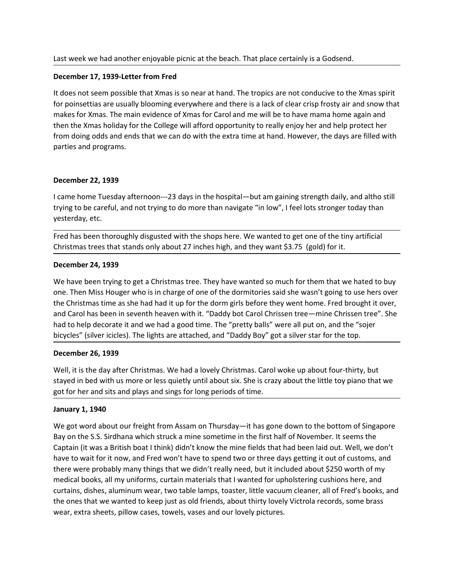Last week we had another enjoyable picnic at the beach. That place certainly is a Godsend.<br>December 17, 1939-Letter from Fred<br>It does not seem possible that Xmas is so near at hand. The tropics are not conducive to the Xma Last week we had another enjoyable picnic at the beach. That place certainly is a Godsend.<br>December 17, 1939-Letter from Fred<br>It does not seem possible that Xmas is so near at hand. The tropics are not conducive to the Xma Last week we had another enjoyable picnic at the beach. That place certainly is a Godsend.<br>December 17, 1939-Letter from Fred<br>It does not seem possible that Xmas is so near at hand. The tropics are not conducive to the Xma Last week we had another enjoyable picnic at the beach. That place certainly is a Godsend.<br>December 17, 1939-Letter from Fred<br>It does not seem possible that Xmas is so near at hand. The tropics are not conducive to the Xma Last week we had another enjoyable picnic at the beach. That place certainly is a Godsend.<br>December 17, 1939-Letter from Fred<br>It does not seem possible that Xmas is so near at hand. The tropics are not conducive to the Xma Last week we had another enjoyable picnic at the beach. That place certainly is a Godsend.<br>December 17, 1939-Letter from Fred<br>It does not seem possible that Xmas is so near at hand. The tropics are not conducive to the Xma Last week we had another enjoyable picnic at the beach. That place certainly is a Godsend.<br>December 17, 1999-Letter from Fred<br>It does not seem possible that Xmas is so near at hand. The tropics are not conducive to the Xma Last week we had another enjoyable picnic at the beach. That place certainly is a God<br> **December 17, 1939-Letter from Fred**<br>
It does not seem possible that Xmas is so near at hand. The tropics are not conducive<br>
for poinse Last week we had another enjoyable picnic at the beach. That place certainly is a Godser<br>December 17, 1939-Letter from Fred<br>It does not seem possible that Xmas is so near at hand. The tropics are not conducive to<br>for poins Last week we had another enjoyable picnic at the beach. That place certainly is a Godsend.<br>
It does not seem possible that Xmas is so near at hand. The tropics are not conducive to the Xmas spirit<br>
It does not seem possibl Last week we had another enjoyable picnic at the beach. That place certainly is a Godsend.<br>
December 17, 1939-Letter from Fred<br>
It does not seem possible that Xmas is so near at hand. The tropics are not conducive to the X Last week we had another enjoyable picnic at the beach. That place certainly is a Gonet December 17, 1939-Letter from Fred<br>
It does not seem possible that Xmas is so near at hand. The tropics are not conducive<br>
for poinset Last week we had another enjoyable picnic at the beach. That place certainly is a Godsend.<br>
December 17, 1939-Letter from Fred<br>
It does not seem possible that Xmas is so near at hand. The tropics are not conducive to the X December 17, 1939-Letter from Fred<br>
December 17, 1939-Letter from Fred<br>
It does not seem possible that Xmas is so near at hand. The tropics are not conducive to the Xmas spirit<br>
for poinsettias are usually blooming everywh Example 1.1, 1999 with the Warrel Since and A. The tropics are not conducive to the ore not see montosity that Xmas is so near at hand. The tropics are not conducive to for poinsettias are usually blooming everywhere and t

is the more than the mass have the colored with the colored with the colored with the colored will be to a christmas are usually blooming everywhere and there is a lack of clear crisp frosty air and snow that makes for Xma or Journal one of Nimay Technomics and the College will be to have manned by the mall of the mall of the neutron of the College will afford opportunity to really enjoy her and help protect her the Miss holiday for the Coll the the the Christmas time as she had had it up for the dorm the weaver went went went to the dorm doing odds and ends that we can do with the extra time at hand. However, the days are filled with parties and programs.<br>
De and Caroline and Caroline and Caroline and Caroline and Caroline and Caroline and Christian and the Scheme in Scheme in the Scheme in several caroline particles and programs.<br>
December 22, 1939<br>
1 came home Tuesday afterno had to help decorate it and we had a good time. The "pretty balls" were all put our therm increases and programs.<br>
December 22, 1939<br>
I came home Tuesday afternoon—23 days in the hospital—but am gaining strength daily, and December 22, 1939<br>
bicame home Tuesday afternoon—23 days in the hospital—but am gaining strength daily, and altho still<br>
trying to be careful, and not trying to do more than navigate "in low", I feel lots stronger today th December 22, 1939<br>
I came home Tuesday afternoon—23 days in the hospital—but am gaining strength daily<br>
trying to be careful, and not trying to do more than navigate "in low", I feel lots stronger<br>
yesterday, etc.<br>
Fred ha I came home Tuesday afternoon—23 days in the hospital—but am gaining strength daily, and altho still<br>trying to be careful, and not trying to do more than navigate "in low", I feel lots stronger today than<br>yesterday, etc.<br>F t came home truesday afternoon—23 days in the hospital—but am gaining strength daily, and altho still<br>trying to be careful, and not trying to do more than navigate "in low", I feel lots stronger today than<br>yesterday, etc.<br> trying to be careful, and not trying to do more than navigate "in low", I feel lots stronger today than<br>Ferd has been thoroughly disgusted with the shops here. We wanted to get one of the tiny artificial<br>Christmas trees th Fred has been thoroughly disgusted with the shops here. We wanted to get one of the Christmas trees that stands only about 27 inches high, and they want \$3.75 (gold) for **December 24, 1939**<br>We have been trying to get a Chr Christmas trees that stands only about 27 inches high, and they want \$3.75 (gold) for it.<br>
December 24, 1939<br>
We have been trying to get a Christmas tree. They have wanted so much for them that we hated to buy<br>
one. Then M

**December 24, 1939**<br>We have been trying to get a Christmas tree. They have wanted so much for them that we hated to buy<br>one. Then Miss Houger who is in charge of one of the dormitories said she wasn't going to use hers ove **December 24, 1939**<br>We have been trying to get a Christmas tree. They have wanted so much for them that we hated to buy<br>one. Then Miss Houger who is in charge of one of the dormitories said she wasn't going to use hers ove We have been trying to get a Christmas tree. They have wanted so much for them that we hated to buy<br>one. Then Miss Houger who is in charge of one of the dormitories said she wasn't going to use hers over<br>the Christmas time ver lowe been traing to use a cultural many tells. They lave wanted to unduring that was the latter to use the some the first<br>the Christmas time as she had had it up for the domitiofies said she wasn't going to use hers ov one. The mass nougle who same the dealth of the dom mationes saw she was the sunt going to use heres over the christmas time as the had had it up for the dom grids before they went home. Fred brought it over, and Carol has the Curtains, all the origin and wear the wearth of the currell method in the currell of the currell of the content of the content of the spential condition the content of the spential of the process of the spential of the and wor has been the between three with the courd work and which the controller the that we wanted the decorate it and we had a good time. The "pretty balls" were all put on, and the "sojer bicycles" (silver icicles). The mat on the wear-to that we may bo unite. The "piecty bans" were an pot on, and the sole bicycles" (silver icicles). The lights are attached, and "Daddy Boy" got a silver star for the top.<br>December 26, 1939<br>Well, it is the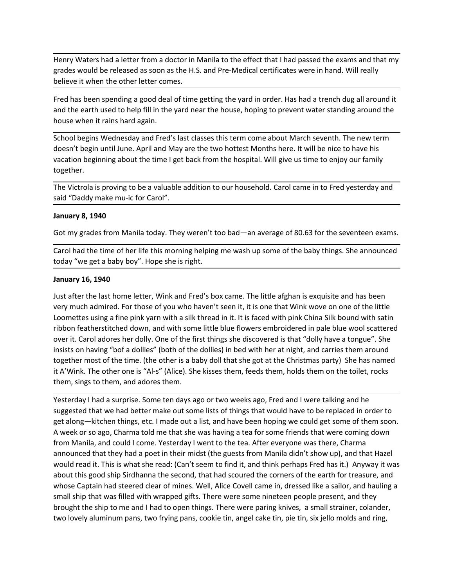Henry Waters had a letter from a doctor in Manila to the effect that I had passed the exams and that my<br>grades would be released as soon as the H.S. and Pre-Medical certificates were in hand. Will really<br>believe it when th Henry Waters had a letter from a doctor in Manila to the effect that I had passed the exams and that my<br>grades would be released as soon as the H.S. and Pre-Medical certificates were in hand. Will really<br>believe it when th Henry Waters had a letter from a doctor in Manila to the effect that I had passed the exams and that my<br>grades would be released as soon as the H.S. and Pre-Medical certificates were in hand. Will really<br>believe it when th Henry Waters had a letter from a doctor in Manila to the effect that I had passed the exams and that my<br>grades would be released as soon as the H.S. and Pre-Medical certificates were in hand. Will really<br>believe it when th

Henry Waters had a letter from a doctor in Manila to the effect that I had passed the exams and that my<br>grades would be released as soon as the H.S. and Pre-Medical certificates were in hand. Will really<br>believe it when th Henry Waters had a letter from a doctor in Manila to the effect that I had passed the exams and th<br>grades would be released as soon as the H.S. and Pre-Medical certificates were in hand. Will really<br>believe it when the oth Henry Waters had a letter from a doctor in Manila to the effect that I had passed the exams and that my<br>grades would be released as soon as the H.S. and Pre-Medical certificates were in hand. Will really<br>believe it when th Henry Waters had a letter from a doctor in Manila to the effect that I had passed the exams and that my<br>grades would be released as soon as the H.S. and Pre-Medical certificates were in hand. Will really<br>believe it when th Henry Waters had a letter from a doctor in Manila to the effect that I had passed the exams and that my<br>grades would be released as soon as the H.S. and Pre-Medical certificates were in hand. Will really<br>believe it when th together. Henry Waters had a letter from a doctor in Manila to the effect that I had passed the exams and that my<br>grades would be released as soon as the H.S. and Pre-Medical certificates were in hand. Will really<br>believe it when th Henry Waters had a letter from a doctor in Manila to the effect that I had passed the exams and that<br>grades would be released as soon as the H.S. and Pre-Medical certificates were in hand. Will really<br>believe it when the o Henry Waters had a letter from a doctor in Manila to the effect that I had passed the grades would be released as soon as the H.S. and Pre-Medical certificates were in ha<br>believe it when the other letter comes.<br>Fred has be Henry Waters had a letter from a doctor in Manila to the effect that I had passed the exams and that my<br>grades would be released as soon as the H.S. and Pre-Medical certificates were in hand. Will really<br>believe it when th grades would be released as soon as the H.S. and Pre-Medical certificates were in hand. Will really<br>believe it when the other letter comes.<br>Fred has been spending a good deal of time getting the yard in order. Has had a tr believe it when the other letter comes.<br>
Fred has been spending a good deal of time getting the yard in order. Has had a trench dug all around it<br>
Fred has been sued to help fill in the yard near the house, hoping to preve

Fred has been spending a good deal of time getting the yard in order. Has had a trenc<br>and the earth used to help fill in the yard near the house, hoping to prevent water sta<br>house when it rains hard again.<br>School begins We and the earth used to nelp min't het yard heat the nouse, noping to prevent water standing around the<br>and the last school begins Wednesday and Fred's last classes this term come about March seventh. The new term<br>doesn't be nouse when it rains nard again.<br>
School begins weloneday and Fred's last classes this term come about March seventh. The new term<br>
doesn't begin until June. April and May are the two hottest Months here. It will be nice to School begins Wednesday and Fred's last classes this term come about March seventh. The new term<br>otoesn't begin until June. April and May are the two hottest Months here. It will be nice to have his<br>vacation beginning abou doesn't begin until June. April and May are the two hottest Months here. It will be nice to have his<br>vacation beginning about the time I get back from the hospital. Will give us time to enjoy our family<br>together.<br>The Victr vacation beginning about the time I get back from the hospital. Will give us time to enjoy our family<br>together.<br>The Victorial is proving to be a valuable addition to our household. Carol came in to Fred yesterday and<br>Fail together.<br>
The Victrola is proving to be a valuable addition to our household. Carol came in to Fred yesterday and<br>
said "Daddy make mu-ic for Carol".<br>
January 8, 1940<br>
Got my grades from Manila today. They weren't too bad The Victrola is proving to be a valuable addition to our household. Carol came in to Fred yesterday and<br>said "Daddy make mu-ic for Carol".<br>January 8, 1940<br>Got my grades from Manila today. They weren't too bad—an average of The Victrola is proving to be a valuable addition to our household. Carol came in to Fred yesterday and<br>
said "Daddy make mu-ic for Carol".<br> **January 8, 1940**<br>
Got my grades from Manila today. They weren't too bad—an avera said "Daddy make mu-ic for Carol".<br>
January 8, 1940<br>
Got my grades from Manila today. They weren't too bad—an average of 80.63 for the seventeen exams.<br>
Carol had the time of her life this morning helping me wash up some o **January 8, 1940**<br>
Got my grades from Manila today. They weren't too bad—an average of 80.63 for the seventeen exams.<br>
Carol had the time of her life this morning helping me wash up some of the baby things. She announced<br> Got my grades from Manila today. They weren't too bad—an average of 80.63 for the seventeen exams.<br>Carol had the time of her life this morning helping me wash up some of the baby things. She announced<br>today "we get a baby betain, a could be the lift of things merging me wash up some of the baby things. She announced could had the thine of her lift this morning helping me wash up some of the baby things. She announced today "we get a baby bo Carol had the time of her life this morning helping me wash up some of the baby things. She announced<br>
Lotar "we get a baby boy". Hope she is right.<br>
Just after the last home letter, Wink and Fred's box came. The little af

doday "we get a baby boy". Hope she is right.<br>
January 16, 1940<br>
Just after the last home letter, Wink and Fred's box came. The little afghan is exquisite and has been<br>
very much admired. For those of you who haven't seen **January 16, 1940**<br> **January 16, 1940**<br>
Just after the last home letter, Wink and Fred's box came. The little afghan is exquisite and has been<br>
very much admired. Soring a fine pink yarn with a silk thread in it. It is fac January 16, 1940<br>User after the last home letter, Wink and Fred's box came. The little afghan is exquisite and has been<br>usery much admired. For those of you who haven't seen it, it is one that Wink wowe on one of the littl Just after the last home letter, Wink and Fred's box came. The little afghan is exquisite and has been<br>very much admired. For those of you who haven't seen it, it is one that Wink wove on one of the little<br>toomettes using very much admired. For those of you who haven't seen it, it is one that Wink wove on one of the little<br>toomettes using a fine pink yarn with a silk thread in it. It is faced with pink China Silk bound with sain<br>ribbon feat Loomettes using a fine pink yarn with a silk thread in it. It is faced with pink China Silk bound with satin<br>ribbon featherstitched down, and with some little blue flowers embroidered in pale blue wood scattered<br>over it. C ribbon featherstitched down, and with some little blue flowers embroidered in pale blue wool scattered insists on having" (bover oft. Carol adores her columps). One of the first things she discovered is that "dolly have a over it. Carol adores her dolly. One of the first things she discovered is that "dolly have a tongue". She insiss on having "bofs adlilies" (both of the dollies) in bed with her at night, and carries them around together m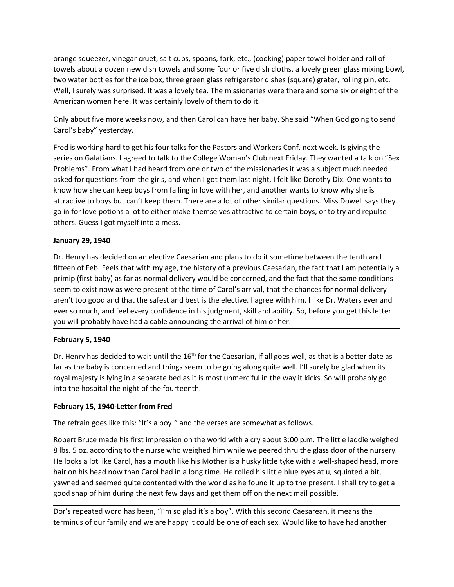orange squeezer, vinegar cruet, salt cups, spoons, fork, etc., (cooking) paper towel holder and roll of<br>towels about a dozen new dish towels and some four or five dish cloths, a lovely green glass mixing bowl,<br>two water bo orange squeezer, vinegar cruet, salt cups, spoons, fork, etc., (cooking) paper towel holder and roll of<br>towels about a dozen new dish towels and some four or five dish cloths, a lovely green glass mixing bowl,<br>two water bo orange squeezer, vinegar cruet, salt cups, spoons, fork, etc., (cooking) paper towel holder and roll of<br>towels about a dozen new dish towels and some four or five dish cloths, a lovely green glass mixing bowl,<br>two water bo orange squeezer, vinegar cruet, salt cups, spoons, fork, etc., (cooking) paper towel holder and roll of<br>towels about a dozen new dish towels and some four or five dish cloths, a lovely green glass mixing bowl,<br>two water bo orange squeezer, vinegar cruet, salt cups, spoons, fork, etc., (cooking) paper towel holder and roll of<br>towels about a dozen new dish towels and some four or five dish cloths, a lovely green glass mixing bowl,<br>two water bo orange squeezer, vinegar cruet, salt cups, spoons, fork, etc., (cooking) paper towel holder and roll of<br>towels about a dozen new dish towels and some four or five dish cloths, a lovely green glass mixing bowl,<br>two water bo orange squeezer, vinegar cruet, salt cups, spoons, fork, etc., (cooking) paper towel hold<br>towels about a dozen new dish towels and some four or five dish cloths, a lovely green<br>two water bottles for the ice box, three gree

orange squeezer, vinegar cruet, salt cups, spoons, fork, etc., (cooking) paper towel holder and roll of<br>towels about a dozen new dish towels and some four or five dish cloths, a lovely green glass mixing bowl,<br>two water bo orange squeezer, vinegar cruet, salt cups, spoons, fork, etc., (cooking) paper towel holder and roll of<br>towels about a dozen new dish towels and some four or five dish cloths, a lovely green glass mixing bowl,<br>two water bo orange squeezer, vinegar cruet, salt cups, spoons, fork, etc., (cooking) paper towel holder and roll of<br>towels about a dozen new dish towels and some four or five dish cloths, a lovely green glass mixing bowl,<br>two water bo orange squeezer, vinegar cruet, salt cups, spoons, fork, etc., (cooking) paper towel holder and roll of<br>tow water bottels for the ice box, three green glass refrigerator dishes, a lovely green glass mixing bowl,<br>two water orange squeezer, vinegar cruet, salt cups, spoons, fork, etc., (cooking) paper towel holder and roll of<br>tow water boths doen new dish towels and some four or five dish cloths, a lovely grater, rolling pin, etc.<br>Wow water b orange squeezer, vinegar cruet, salt cups, spoons, fork, etc., (cooking) paper towel holder and roll of<br>towels about a dozen new dish towels and some four or five dish cloths, a lovely green glass mixing bowl,<br>two water bo orange squeezer, vinegar cruet, salt cups, spoons, fork, etc., (cooking) paper towel holder and roll of<br>towels about a dozen new dish towels and some four or five dish cloths, a lovely green glass mixing bowl,<br>two water bo orange squeezer, vinegar cruet, salt cups, spoons, fork, etc., (cooking) paper towel holder and roll of<br>towo water bottels of a cozen mew dish towels and some four or five dish cloths, a lovely green glass mixing bowl<br>two orange squeezer, vinegar cruet, salt cups, spoons, fork, etc., (cooking) paper towel ho<br>towo water bottels door new dish towels and some four or five dish cloths, a lovely gree<br>two water bottles for the ice box, three gree two water bottles for the ice box, three green glass refrigerator dishes (square) grater, rolling pin, etc.<br>Word water bottles for the ice box, three green glass refrigerator dishes (square) grater, rolling pin, etc.<br>Well, mo was botted of the state of the state is that the history is the effect of the state of the state is the state of the American women here. It was certainly lovely of them to do it.<br>
Only about five more weeks now, and th were the the method of the method of the method of the mass and the concerned and solit of the most and the most a be the same of carol's baby" yesterday.<br>Only about five more weeks now, and then Carol can have her baby. S sincetion invertime the mass encomplere in the time of Carol Carolis Carolis Carolis Carolis Carolis Carolis Carolis Carolis Carolis Carolis Carolis Carolis Carolis Carolis Carolis Carolis Carolis Carolis Carolis For the P Only about five more weeks now, and then Carol can have her baby. She said "When God going to send<br>Carol's baby" yesterday.<br>Fred is working hard to get his four talks for the Pastors and Workers Conf. next week. Is giving Carol's baby" yesterday.<br>
Fred is working hard to get his four talks for the Pastors and Workers Conf. next week. Is giving the<br>
Fredison Galatians. I agreed to talk to the Colege Woman's Club next Friday. They wanted a ta Fred is working hard to get his four talks for the Pastors and Workers Conf. next week. Is giving the<br>series on Galatians. I agreed to talk to the College Woman's Club next Friday. They wanted a talk on "Sex<br>Problems". Fro series on Galatians. I agreed to talk to the College Woman's Club next Friday. They wa<br>Problems". From what I had heard from one or two of the missionaries it was a subjected for questions from the girls, and when I got th

roowns: ... Toll wind the lavelate the the the Drother lists, the Wood The Caesarian, it is a buyer interactor. The expansion of the Nordy Dix. One wants to know how she can keep boys from falling in love with her, and ano seare to the baby is the farth of the fare and things in the well surely are the concerned and the way the the baby is the set the baby is the stratched to boy but can't keep them. There are a lot of other similar question niver lower said to the text the proton in a sign in the separate that is a such that is the system of the system particular text is the predict of the protons a lot to either make themselves attractive to certain boys, or and the to looy out can te be premisted the matter as an out out simular questions. Thus boowers any suppose and the orthomosize of the make themselves attractive to certain boys, or to try and repulse others. Guess I got others. Guess I got myself into a mess.<br>
January 29, 1940<br>
Dr. Henry has decided on an elective Caesarian and plans to do it sometime between the tenth and<br>
fifteen of Feb. Feels that with my age, the history of a previous **Drow The refrain goes like the refrain and plans to do it sometime between the tenth and fifteren of Feb. Feels that with my age, the history of a previous Caesarian, the fact that I am potentially a firming (first baby)** Dr. Henry has decided on an elective Caesarian and plans to do it sometime between the tenth and<br>fiften of Feb. Feels that with my age, the history of a pervious Caesarian, the fact that I am potentially a<br>primip (first ba

fiteen of Feb. Feels that with my age, the history of a previous Caesarian, the fact that I am potentially a<br>primip (first baby) as far as normal delivery would be concerned, and the fact that the same conditions<br>seem to e primip (first baby) as far as normal delivery would be concerned, and the fact that the same conditions<br>seem to exist now as were present at the time of Carol's arrival, that the chances for normal delivery<br>aren't too good seem to exist now as were present at the time of Carol's arrival, that the chances for normal delivery<br>are tho good and that the safest and best is the elective. I agree with hin. I like Dr. Waters ever and<br>ever so much, a aren't too good and that the safest and best is the elective. I agree with him. I like Dr. Waters ever and<br>ever so much, and feel every confidence in his judgment, skill and ability. So, before you get this letter<br>you will ever so much, and feel every confidence in his judgment, skill and ability. So, before you get this letter<br>you will probably have had a cable announcing the arrival of him or her.<br>**February 5, 1940**<br>**Or.** Henry has decided February 5, 1940<br>
February 5, 1940<br>
Dr. Henry has decided to wait until the 16<sup>th</sup> for the Caesarian, if all goes well, as that is a better date as<br>
far as the baby is concerned and things seem to be going along quite well February 5, 1940<br>Or. Henry has decided to wait until the 16<sup>th</sup> for the Caesarian, if all goes well, as that is a better date as<br>for as the baby is concerned and things seem to be going along quite well. I'll surely be gla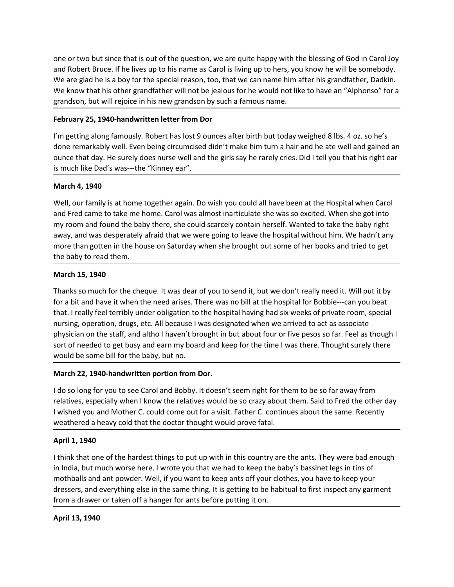one or two but since that is out of the question, we are quite happy with the blessing of God in Carol Joy<br>and Robert Bruce. If he lives up to his name as Carol is living up to hers, you know he will be somebody.<br>We are gl one or two but since that is out of the question, we are quite happy with the blessing of God in Carol Joy<br>and Robert Bruce. If he lives up to his name as Carol is living up to hers, you know he will be somebody.<br>We are gl one or two but since that is out of the question, we are quite happy with the blessing of God in Carol Joy<br>and Robert Bruce. If he lives up to his name as Carol is living up to hers, you know he will be somebody.<br>We are gl one or two but since that is out of the question, we are quite happy with the blessing of God in Carol Joy<br>and Robert Bruce. If he lives up to his name as Carol is living up to hers, you know he will be somebody.<br>We are gl one or two but since that is out of the question, we are quite happy with the blessing of God in Carol Joy<br>and Robert Bruce. If he lives up to his name as Carol is living up to hers, you know he will be somebody.<br>We know t one or two but since that is out of the question, we are quite happy with the blessing of God in Carol Joy<br>and Robert Bruce. If he lives up to his name as Carol is living up to hers, you know he will be somebody.<br>We are gl one or two but since that is out of the question, we are quite happy with the blessing of God in Carol Joy<br>and Robert Bruce. If he lives up to his name as Carol is living up to hers, you know he will be somebody.<br>We are gl one or two but since that is out of the question, we are quite happy with the blessing of God in Carol Joy<br>
and Robert Bruce. If he lives up to his name as Carol is living up to hers, you know he will be somebody.<br>
We know one or two but since that is out of the question, we are quite happy with the blessing of God in Carol Joy<br>and Robert Bruce. If he lives up to his name as Carol is living up to hers, you know he will be somebody.<br>We are gl one or two but since that is out of the question, we are quite happy with the blessing of God in Carol Joy<br>and Robert Bruce. If he lives up to his name as Carol is living up to hers, you know he will be somebody.<br>We are gl one or two but since that is out of the question, we are quite happy with the blessi<br>and Robert Bruce. If he lives up to his name as Carol is living up to hers, you know  $W$ <br>We are glad he is a boy for the special reason,

one or two but since that is out of the question, we are quite happy with the blessing of God in Carol Joy<br>Alve are glad he is a boy for the special reason, too, that we can name him after his grandfather. Daakin.<br>We know one or two but since that is out of the question, we are quite happy with the blessing of God in Carol Joy<br>and Robert Bruce. If he lives up to his name as Carol is living up to hers, you know he will be somebody.<br>We are gl one or two but since that is out of the question, we are quite happy with the blessing of God in Carol Joy<br>and Robert Bruce. If he lives up to his name as Carol is living up to hers, you know he will be somebody.<br>We are gl one or two but since that is out of the question, we are quite happy with the blessing of God in Carol Joy<br>and Robert Bruce. If he lives up to his name as Carol is living up to hers, you know he will be somebody.<br>We know t one of two but smuch that is otto the the question, we are quite napply when the bussing of outom cannot and Robert Bruce. If he lives up to his name as Carol is living up to hers, you know he will be somebody.<br>We are glad and no over that leads the special reason, too, that we can name him after his grandfa<br>We are glad he is a boy for the special reason, too, that we can name him after his grandfa<br>We know that his other grandfather will not We know that his other grandfather will not be jealous for he would not like to have<br>grandson, but will rejoice in his new grandson by such a famous name.<br>February 25, 1940-handwritten letter from Dor<br>I'm getting along fam Thanks so much for the cheque. It was dear of you to send it, but today weighed 8 lbs. 4 oz. so he's done remarkably well. Even being circumcised didn't make him turn a hair and he ate well and gained an ounce that day. He

**February 25, 1940-handwritten letter from Dor**<br>
I'm getting along fannously. Robert has lost 9 ounces after birth but today weighed 8 lbs. 4 oz. so he's<br>
otone remarkably well. Fevn being circumcised didn't make him turn I'm getting along famously. Robert has lost 9 ounces after birth but today weighed 8 lbs. 4 oz. so he's<br>done remarkably well. Even being circumcised didn't make him turn a hair and he ate well and gained an<br>ounce that day. rm gecuny annuary, two et now soo v out can soo to the simulation and the simulation of the simulation of the simulation of the simulation of the simulation of the particle Dad's was---the "Knney ear".<br>
March 4, 1940<br>
Marc oute reinantative wein. Levin unit although that the staff and the staff and the state with the state with the state would all have been at the Hospital when Carol is much like Dad's was---the "Kinney ear".<br>
March 4, 1940<br> oute vist of needed to get busy and earn my board and keep for the time I was the Thought surely there. Thought surely the product that the Hospital when Carol is in the Hospital without An 1940<br>Well, our family is at home **March 4, 1940**<br>
Warch **A, 1940**<br>
We all, our family is at home together again. Do wish you could all have been at the Hospital when Carol<br>
well, our family fis at home together again. Do wish you could all have been at th water of the minity is at home together again. Do wish you could all have been at the Hospital when Carol<br>and Fred came to take me home. Carol was almost inarticulate she was so excited. When she got into<br>my room and found We in any is a thoute logate again. Loo was i you couto an interestent at the nusplearationed them them to take me home. Carol was almost interticulate she was so excited. When she get into my room and found the baby there and the toten the content of the horder thiers to any wom annot share are was so exacte. When the baby there, she could scarcely contain lareself. Wanted to take the baby right away, and was desperately afraid that we were I wrom and to tour the bary teles, sue could same the hospital without him. We hadn't any<br>away, and was desperately afraid that we were going to leave the hospital without him. We hadn't any<br>more than gotten in the house o away, and was usey eractly arrange to react going to react uncorrelate the interest of the the doctor that is the product interest of the particle of the particle of the particle of the baty to read them.<br>
March 15, 1940<br> the baby to read them.<br>
March 15, 1940<br>
Thanks so much for the cheque. It was dear of you to send it, but we don't really<br>
for a bit and have it when the need arises. There was no bill at the hospital for Bo<br>
that. I reall March 15, 1940<br>
Thanks so much for the cheque. It was dear of you to send it, but we don't really need it. Will put it by<br>
for a bit and have it when the need arises. There was no bill at the hospital for Bobbie---can you Thanks so much for the cheque. It was dear of you to send it, but we don't really need it. Will put it by<br>for a bit and have it when the need arises. There was no bill at the hospital for Bobble—can you beat<br>that. I really motes both and the tracter. It was teach you to serve to you to the tour treaty recent. We well to the solid in the hospital for Bobble---can you beat<br>that. I really feel terribly under obligation to the hospital having ha not a on and note of the hardest things to put the inspection the hospital having had six weeks of private room, special<br>that. I really feel terribly under obligation to the hospital having had six weeks of private room, s

tinative the term of the hand the band to the band the band that we also the putter or the particular or the thing poeration, drugs, etc. All because I was designated when we arrived to act as associate physician on the st physician on the staff, and altho I haven't brought in but about four or five pesos s<br>sort of needed to get busy and earn my board and keep for the time I was there. Ti<br>would be some bill for the baby, but no.<br>March 22, 19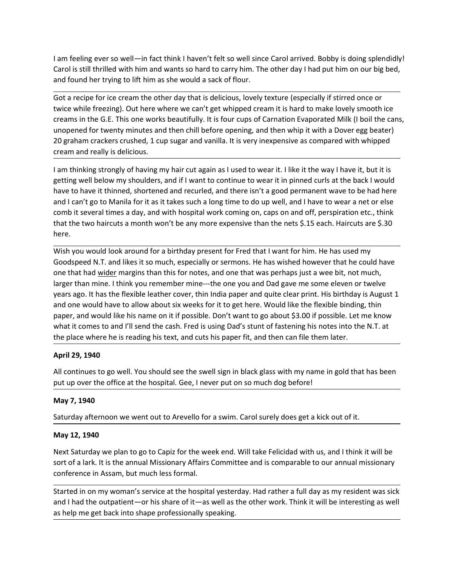I am feeling ever so well—in fact think I haven't felt so well since Carol arrived. Bobby is doing splendidly!<br>Carol is still thrilled with him and wants so hard to carry him. The other day I had put him on our big bed,<br>an

I am feeling ever so well—in fact think I haven't felt so well since Carol arrived. Bobby is doing splendidly!<br>Carol is still thrilled with him and wants so hard to carry him. The other day I had put him on our big bed,<br>an I am feeling ever so well—in fact think I haven't felt so well since Carol arrived. Bobby is doing splendidly!<br>Carol is still thrilled with him and wants so hard to carry him. The other day I had put him on our big bed,<br>an I am feeling ever so well—in fact think I haven't felt so well since Carol arrived. Bobby is doing splendidly!<br>Carol is still thrilled with him and wants so hard to carry him. The other day I had put him on our big bed,<br>an I am feeling ever so well—in fact think I haven't felt so well since Carol arrived. Bobby is doing splendidly!<br>Carol is still thrilled with him and wants so hard to carry him. The other day I had put him on our big bed,<br>
T I am feeling ever so well—in fact think I haven't felt so well since Carol arrived. Bobby is doing splendidly!<br>Carol is still thrilled with him and wants so hard to carry him. The other day I had put him on our big bed,<br>an I am feeling ever so well—in fact think I haven't felt so well since Carol arrived. Bobby is doing splendidly!<br>Carol is still thrilled with him and wants so hard to carry him. The other day I had put him on our big bed,<br>an I am feeling ever so well—in fact think I haven't felt so well since Carol arrived. Bobby is doing splendidly!<br>Carol is still thrilled with him and wants so hard to carry him. The other day I had put him on our big bed,<br>an I am feeling ever so well—in fact think I haven't felt so well since Carol arrived. Bobby is doi<br>Carol is still thrilled with him and wants so hard to carry him. The other day I had put him on<br>and fousting the first profes I am feeling ever so well—in fact think I haven't felt so well since Carol arrived. Bobby is doing splendidly!<br>Carol is still thrilled with him and wants so hard to carry him. The other day I had put him on our big bed,<br>an

I am feeling ever so well—in fact think I haven't felt so well since Carol arrived. Bobby is doing splendidly!<br>Carol is still thrilled with him and wants so hard to carry him. The other day I had put him on our big bed,<br>an I am feeling ever so well—in fact think I haven't felt so well since Carol arrived. Bobby is doing splendidly<br>Carol is still thrilled with him and wants so hard to carry him. The other day I had put him on our big bed,<br>and I am feeling ever so well—in fact think I haven't felt so well since Carol arrived. Bobby is doing splendidly!<br>Carol is still thrilled with him and wants so hard to carry him. The other day I had put him on our big bed,<br>an 1 am feeling ever so well—in fact think I haven't felt so well since Carol arrived. Bobby is doing splendidly!<br>Carol is still thrilled with him and wants so hard to carry him. The other day I had put him on our big bed,<br>an 1 am feeling ever so well—in fact think I haven't felt so well since Carol arrived. Bobby is doing splendidly!<br>Carol is still thrilled with him and wants so hard to carry him. The other day I had put him on our big bed,<br>an here. Carol is still thrilled with him and wants so hard to carry him. The other day I had put him on our big bed,<br>and found her trying to lift him as she would a sack of flour.<br>The care disperibition of the other day that is de and found her trying to lift him as she would a sack of flour.<br>Got a recipe for ice cream the other day that is delicious, lovely texture (especially if stirred once or<br>twice while freezing). Out here where we can't get wh

Got a recipe for ice cream the other day that is delicious, lovely texture (especially if stirred once or twice while freezing). Out here where we can't get whipped cream it is hard to make lovely smooth ice creams in the dot are elect or each the other day that is elections, lovely texture (especially is time one or<br>twice while freezing). Out here where we can't get whipped cream it is hard to make lovely smooth ice<br>creams in the G.E. This twee whise freezing). Out here where we can't get whipped cream it is hard to make lover, smooth ceras, unopened for twenty minutes and then chill before opening, and then whip it with a Dover egg beater) and the matcher c creans in the G.E. In is one works beautifully. It is four cups of Caration tevaporated Mink (I bout the cans,<br>20 graham crackers crushed, 1 cup sugar and vanilal. It is very inexpensive as compared with whipped<br>20 graham unopene for twenty minutes and then finite one for opening, and then winpit is wind a bover egg beatery<br>20 graham crackers crushed, 1 cup sugar and vanilla. It is very inexpensive as compared with whipped<br>cream and really 20 gram crackers crusts of all the methal and vanila. It is very inexpensive as compared with winpped<br>
cream and really is delicious.<br>
I am thinking strongly of having my hair cut again as I used to wear it. I like it the cream and reality is deticious.<br>
If a m thinking strongly of having my hair cut again as I used to wear it. I like it the way I have it, but it is<br>
detting well below my shoulders, and if I want to continue to wear it in p I am thinking strongly of having my hair cut again as I used to wear it. I like it the weat<br>getting well below my shoulders, and if I want to continue to wear it in pinned curl<br>have to have it thinned, shortened and recurl have to have it thinned, shortened and recurled, and there isn't a good permanent wave to be had here<br>and I can't go to Mahila for it as it takes such a long time to do up well, and I have to weer a net or else<br>comb it sev and I can't go to Manila for it as it takes such a long time to do up well, and I have to wear a net or else<br>comb it several times a day, and with hospital work coming on, caps on and off, perspiration etc., think<br>that the Extrained to the two hairmal of the may have expensive than the two haircrost that the two haircruss a month won't be any more expensive than the nets \$.15 energy of the method of a birthday present for Fred that I want fo here.<br>Wish you would look around for a bitthday present for Fred that I want for him. He has used my<br>Wish you would look around for a bitthday present for Fred that I want for him. He has used it, not much,<br>one that had <u>w</u> Wish you would look around for a birthday present for Fred that I want for him. He<br>Goodspeed N.T. and likes it so much, especially or sermons. He has wished however<br>one that had <u>wider</u> margins than this for notes, and one one that had <u>wider</u> margins than this for notes, and one that was perhaps just a wee bit, not much,<br>larger than mine. I think you remember mine---the one you and Dad gave me some eleven or twelve<br>levens ago. It has the fl larger than mine. I think you remember mine—the one you and Dad gave me some eleven or twelve<br>years ago. It has the flexible leather cover, thin India paper and quite clear print. His birthday is August 1<br>and one would hav years ago. It has the flexible leather cover, thin India paper and quite clear print. His birthday is August 1<br>and one would have to allow about is xweeks for it to get here. Would like the flexible binding, thin<br>paper, an and one wound rave to aniov about six weeks fort to get here. Would we the reside proper, and would like his name on it if possible. Don't want to go about \$3.00 if possible. Let me know what it comes to and i'll send the

paper, and would unter this haire on the possible. Don't wanter og a dout sactor in posible. Let me know that it comes to and I'll send the cash. Fred is using Dad's stunt of fastening his notes into the N.T. at the place What it corines to anto it send the cast. Fred is using Data S stunt of rasseming its house into the N.T. at the place where he is reading his text, and cuts his paper fit, and then can file them later.<br>April 29, 1940<br>All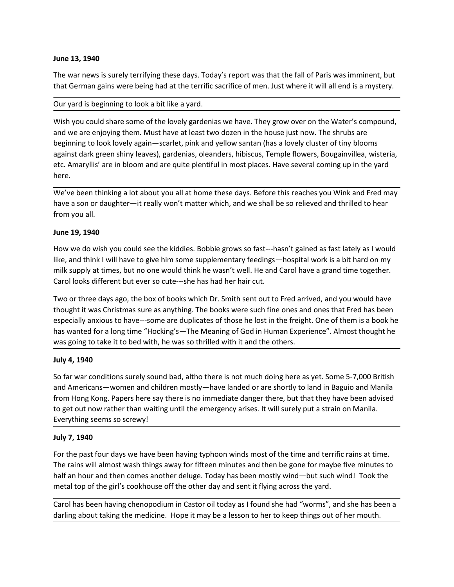June 13, 1940<br>The war news is surely terrifying these days. Today's report was that the fall of Par<br>that German gains were being had at the terrific sacrifice of men. Just where it will<br>Our yard is beginning to look a bit June 13, 1940<br>The war news is surely terrifying these days. Today's report was that the fall of Paris was imminent, but<br>that German gains were being had at the terrific sacrifice of men. Just where it will all end is a mys

June 13, 1940<br>The war news is surely terrifying these days. Today's report was that the fall of Paris was imminent, but<br>that German gains were being had at the terrific sacrifice of men. Just where it will all end is a mys June 13, 1940<br>The war news is surely terrifying these days. Today's report was that the fall of Paris was imminent, but<br>that German gains were being had at the terrific sacrifice of men. Just where it will all end is a mys June 13, 1940<br>The war news is surely terrifying these days. Today's report was that the fall of Paris was imminent, but<br>that German gains were being had at the terrific sacrifice of men. Just where it will all end is a mys **June 13, 1940**<br>The war news is surely terrifying these days. Today's report was that the fall of Paris was imminent, but<br>that German gains were being had at the terrific sacrifice of men. Just where it will all end is a m June 13, 1940<br>The war news is surely terrifying these days. Today's report was that the fall of Paris was imminent, but<br>that German gains were being had at the terrific sacrifice of men. Just where it will all end is a mys June 13, 1940<br>The war news is surely terrifying these days. Today's report was that the fall of Paris was imminent, but<br>that German gains were being had at the terrific sacrifice of men. Just where it will all end is a mys June 13, 1940<br>The war news is surely terrifying these days. Today's report was that the fall of Paris was imminent, but<br>that German gains were being had at the terrific sacrifice of men. Just where it will all end is a mys here. The war news is surely terrifying these days. Today's report was that the fall of Paris was imminent, but<br>that German gains were being had at the terrific sacrifice of men. Just where it will all end is a mystery.<br>Our yard The war news is surely terrifying these days. Today's report was that the fall of Paris was imminent, but<br>that German gains were being had at the terrific sacrifice of men. Just where it will all end is a mystery.<br>Our yard **June 13, 1940**<br>The war news is surely terrifying these days. Today's report was that the fall of Pari<br>that German gains were being had at the terrific sacrifice of men. Just where it will<br>Our yard is beginning to look a b June 13, 1940<br>The war news is surely terrifying these days. Today's report was that the fall of Par<br>The war news is surely terrifying these days. Today's report was that the fall of Par<br>The war news is surely terrifying th The war news is surely terrifying these days. Today's report was that the fall of Paris was imminent, but<br>that German gains were being had at the terrific sacrifice of men. Just where it will all end is a mystery.<br>Our yard The war news is surely terriflying these days. Today's report was that the fall of Paris was imminent, but<br>that German gains were being had at the terrific sacrifice of men. Just where it will all end is a mystery.<br>Our yar that German gains were being had at the territic sacritice of men. Just where it will all end is a mystery.<br>Our yard is beginning to look a bit like a yard.<br>Wish you could share some of the lovely gardenias we have. They g Our yard is beginning to look a bit like a yard.<br>
Wish you could share some of the lovely gardenias we have. They grow over on the Water's compound,<br>
and we are enjoying them. Must have at least two dozen in the house just Wish you could share some of the lovely gardenias we have. They grow over on the Water's compound,<br>and we are enjoying them. Must have at least two dozen in the house just now. The shrubs are<br>beginning to look lovely again was vocto share as interest in the books and the hough in the house is thow. The shrubs are any sure of the book lovely again—scarlet, pink and yellow santan (has a lovely cluster of tiny blooms beginning to look lovely ag

any the especially and the based and the based in the state of the states of the states of the states of the states of the states of the states of the states of the states of the states of the states of the states of the s based and this way the state of the mail of the mail of the mail of the mail of the mail of the mail of the Meaning of the Meaning of the Meaning and the participate in the State of Amayllis' are in bloom and are quite ple was divertially are in bloom and are quite plentiful in most places. Have several coming up in the yard<br>there.<br>We've been thinking a lot about you all at home these days. Before this reaches you Wink and Fred may<br>have a so here.<br>We've been thinking a lot about you all at home these days. Before this reaches<br>have a son or daughter—it really won't matter which, and we shall be so relieve<br>from you all.<br>June 19, 1940<br>How we do wish you could see We've been thinking a lot about you all at home these days. Before this reaches you Wink and Fred may<br>Mave a son or daughter—it really won't matter which, and we shall be so relieved and thrilled to hear<br>from you all.<br>June have a son or daughter—it really won't matter which, and we shall be so relieved and thrilled to hear<br>from you all.<br>
How we do wish you could see the kiddies. Bobbie grows so fast—hasn't gained as fast lately as I would<br>
H from you all.<br>
Hone 19, 1940<br>
How we do wish you could see the kiddies. Bobbie grows so fast--hasn't gained as fast lately as I would<br>
like, and think I will have to give him some supplementary feedings—hospital work is a June 19, 1940<br>How we do wish you could see the kiddies. Bobbie grows so fast---hasn't gained as fast lately as I would<br>like, and think I will have to give him some supplementary feedings---hospital work is a bit hard on my Dule 23, 2344<br>How we do wish you could see the kiddies. Bobbie grows so fast—hasn't gained as fast lately a<br>like, and think I will have to give him some supplementary feedings—hospital work is a bit hare<br>in like, and think not a the varity you allot the meanted by the mean the same that the causar is the same that a the same of the can think I will have to give him some supplementary feedings—hospital word milk supply at times, but no one wo milk supply at times, but no one would think he wasn't well. He and Carol have a grand time together.<br>Carol looks different but ever so cute—she has had her hair cut.<br>Two or three days age, the box of books we has had her Carol looks different but ever so cute—she has had her hair cut.<br>Two or three days ago, the box of books which Dr. Smith sent out to Fred arrived, and you would have<br>thought it was Christmas sure as anything. The books wer Two or three days ago, the box of books which Dr. Smith sent out to Fred arrived, and you would have<br>thought it was Christmas sure as anything. The books were such fine ones and ones that Fred has been<br>especially annous to

Wo of three tasys ago, the book of the book weres such fine ones and you show that we could the such a state of the book were such fine ones and ones that Fred has been specially anxious to have—some are duplicates of thos especially anxious to have—some are duplicates of those le loot in the freight. One of them is a book he has wanted for a long time "Hocking's—The Meaning of God in Human Experience". Almost thought he was going to take it has wanted for a long time "Hocking's—The Meaning of God in Human Experience". Almost thought he<br>was going to take it to bed with, he was so thrilled with it and the others.<br>Luly 4, 1940<br>So far ware conditions surely sound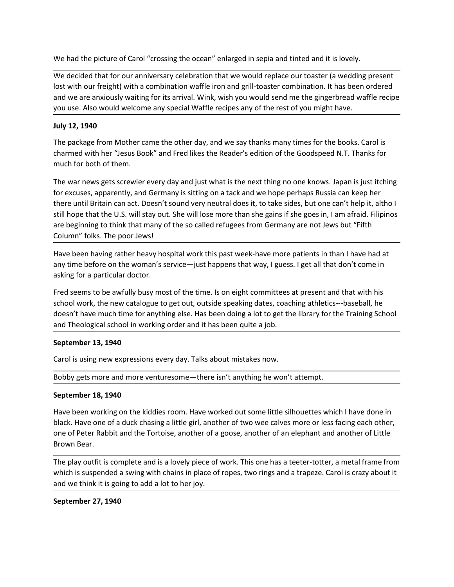We had the picture of Carol "crossing the ocean" enlarged in sepia and tinted and it is lovely.<br>We decided that for our anniversary celebration that we would replace our toaster (a wedding present<br>lost with our freight) wi We had the picture of Carol "crossing the ocean" enlarged in sepia and tinted and it is lovely.<br>We decided that for our anniversary celebration that we would replace our toaster (a wedding present<br>lost with our freight) wi We had the picture of Carol "crossing the ocean" enlarged in sepia and tinted and it is lovely.<br>
We decided that for our anniversary celebration that we would replace our toaster (a wedding present<br>
lost with our freight) We had the picture of Carol "crossing the ocean" enlarged in sepia and tinted and it is lovely.<br>We decided that for our anniversary celebration that we would replace our toaster (a wedding present<br>lost with our freight) wi We had the picture of Carol "crossing the ocean" enlarged in sepia and tinted and it is lovely.<br>We decided that for our anniversary celebration that we would replace our toaster (a wedding present<br>lost with our freight) wi We had the picture of Carol "crossing the ocean" enlarged in sepia and tinted and<br>
We decided that for our anniversary celebration that we would replace our toaste<br>
lost with our freight) with a combination waffle iron and We had the picture of Carol "crossing the ocean" enlarged in sepia and tinted and it is lovely.<br>We decided that for our anniversary celebration that we would replace our toaster (a wedding present<br>lost with our freight) wi We had the picture of Carol "crossing the ocean" enlarged in sepia and tinted and it is lovely.<br>We decided that for our anniversary celebration that we would replace our toaster (a wedding present<br>lost with our freight) wi

We had the picture of Carol "crossing the ocean" enlarged in sepia and tinted and it is love<br>We decided that for our anniversary celebration that we would replace our toaster (a wed<br>olst with our freight) with a combinatio We had the picture of Carol "crossing the ocean" enlarged in sepia and tinted and it is lovely.<br>We decided that for our anniversary celebration that we would replace our toaster (a wedding present<br>lost with our freight) wi We had the picture of Carol "crossing the ocean" enlarged in sepia and tinted and it is lovely.<br>We decided that for our anniversary celebration that we would replace our toaster (a wedding present<br>lost with our freight) wi We had the picture of Carol "crossing the ocean" enlarged in sepia and tinted and it is lovely.<br>We decided that for our anniversary celebration that we would replace our toaster (a wedding present<br>lost with our freight) wi We had the picture of Carol "crossing the ocean" enlarged in sepia and tinted and it is lovely.<br>We decided that for our anniversary celebration that we would replace our toaster (a wedding present<br>lost with our freight) wi We had the picture of Carol "crossing the ocean" enlarged in sepia and tinted and it is lovely.<br>We decided that for our anniversary celebration that we would replace our toaster (a wedding present<br>lost with our freight) wi We had the picture of Carol "crossing the ocean" enlarged in sepia and tinted and it is lovely.<br>We decided that for our anniversary celebration that we would replace our toaster (a wedding pre<br>lost with our freight) with a We decided that for our anniversary celebration that we would replace our toaster (a wedding present<br>lost with our freight) with a combination waffle iron and grill-toaster combination. It has been ordered<br>and we are anxio For exacts content to the marrizon of the time. It is and that we have the down that the down that the down the library for the main services of the rest of you might have.<br>
Hot with our freight) with a combination waffle asking the reaction of the so called reluges from Germany are the single consideration and we are anxiously waiting for its arrival. Wink, wish you would send me the gingerbread waff<br>you use. Also would welcome any special you use. Also would welcome any special Waffle recipes any of the rest of you might have.<br>The package from Mother came the other day, and we say thanks many times for the books. Carol is<br>the memed with her "Jesus Book" and July 12, 1940<br>The package from Mother came the other day, and we say thanks many times for the books. Carol is<br>charmed with her "Jesus Book" and Fred likes the Reader's edition of the Goodspeed N.T. Thanks for<br>The war news doesn't have much time for anything else. Has been doing a lot to get the library for the Training School The package from Mother came the other day, and we say thanks many times for the books. Carol is<br>charmed with he ""Euss Book" and Fred likes the Reader's edition of the Goodspeed N.T. Thanks for<br>charmed with he ""Euss Book much for both of them.<br>The war news gets screwier every day and just what is the next thing no one knows. Japa<br>for excuses, apparently, and Germany is sitting on a tack and we hope perhaps Russia car<br>there until Britain ca The war news gets screwier every day and just what is the next thing no one knows. Japan is just itching<br>for excuses, apparently, and Germany is sitting on a tack and we hope perhaps Russia can keep her<br>there until Britain for excuss, apparently, and Germany is sitting on a tack and we hope perhaps Russia can keep her<br>there until Britain can act. Doesn't sound very neutral does it, to take isles, but one can't help it, althol<br>still hope that

still hope that the U.S. will stay out. She will lose more than she gains if she goes in, I am<br>are beginning to think that many of the so called refugees from Germany are not Jews b.<br>Column" folks. The poor Jews!<br>Have been are logitimity to that hriany of the so called relugees from derinary are into texts on the riany time before on the woman's service—just happens that way, I guess. I get all that don't come in<br>Have been having rather heav Coultries into the state of a duck chasing a little girl, another of a goods, they been having a duck the deformed a duck chasing for a particular doctor.<br>The discussion of a duck characterization of service—just happens t Have been having rather heavy hospital work this past week-have more patients in than I have had at<br>any time before on the woman's service—just happens that way, I guess. I get all that don't come in<br>anking for a particula any time before on the woman's service—just happens that way, I guess. I get al<br>asking for a particular doctor.<br>Fred seems to be awfully busy most of the time. Is on eight committees at prese<br>school work, the new catalogue assultg tot a particular uoctor.<br>Fred seems to be avirully busy most of the time. Is on eight committees at present and that with his<br>Eschool work, the new catalogue to get out, outside speaking dates, coaching athetics---Fred seems to be awfully busy most of the time. Is on eight committees at present and that with his school work, the new catalogue to get out, outside speaking dates, coaching athetics---baseball, he doesn't have much time

school work, the new catalogue to get out, outside speaking dates, coaching athletics---baseball, he<br>consint have much time for anything else. Has been doing a lot to get the library for the Training School<br>and Theological and Theological school in working etse. This been outing that there is a most of the multiple and Theological school in working order and it has been quite a job.<br>
September 13, 1940<br>
Carol is using new expressions every d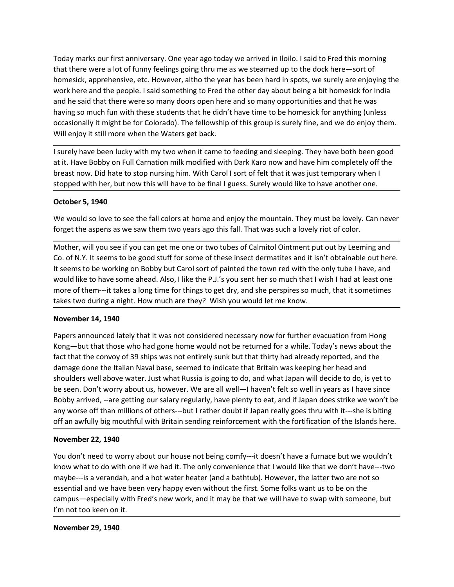Today marks our first anniversary. One year ago today we arrived in Iloilo. I said to Fred this morning<br>that there were a lot of funny feelings going thru me as we steamed up to the dock here—sort of<br>homesick, apprehensive Today marks our first anniversary. One year ago today we arrived in Iloilo. I said to Fred this morning<br>that there were a lot of funny feelings going thru me as we steamed up to the dock here—sort of<br>homesick, apprehensive Today marks our first anniversary. One year ago today we arrived in Iloilo. I said to Fred this morning<br>that there were a lot of funny feelings going thru me as we steamed up to the dock here—sort of<br>homesick, apprehensive Today marks our first anniversary. One year ago today we arrived in Iloilo. I said to Fred this morning<br>that there were a lot of funny feelings going thru me as we steamed up to the dock here—sort of<br>homesick, apprehensive Today marks our first anniversary. One year ago today we arrived in Iloilo. I said to Fred this morning<br>that there were a lot of funny feelings going thru me as we steamed up to the dock here—sort of<br>homesick, apprehensive Today marks our first anniversary. One year ago today we arrived in Iloilo. I said to Fred this morning<br>that there were a lot of funny feelings going thru me as we steamed up to the dock here—sort of<br>homesick, apprehensive Today marks our first anniversary. One year ago today we arrived in Iloilo. I said to Fred this morning<br>that there were a lot of funny feellings going thru me as we steamed up to the dock here—sort of<br>thomesick, apprehensi Today marks our first anniversary. One year ago today we arrived in Iloilo. I said to Fred this morning<br>that there were a lot of funny feelings going thru me as we steamed up to the dock here—sort of<br>homesick, apprehensive Today marks our first anniversary. One year ago today we arrived in Iloilo. I said to Fred this morning<br>that there were a lot of funny feelings going thru me as we steamed up to the dock here—sort of<br>homesick, apprehensive Today marks our first anniversary. One year ago today we arrived in Iloilo. I said to Fred this morning<br>that there were a lot of funny feelings going thru me as we steamed up to the dock here—sort of<br>homesick, apprehensive Today marks our first anniversary. One year ago today we arrived in Ilolio. I said to Fred this morning<br>that there were a lot of funny feelings going thru me as we steamed up to the dock here—sort of<br>homestick, apprehensiv Today marks our first anniversary. One year ago today we arrived in lloilo. I said to Fred this morning<br>that there were a lot of funny feelings going thru me as we steamed up to the dock here—sort of<br>homesick, apprehensive Today marks our first anniversary. One year ago today we arrived in Iloilo. I said to F<br>that there were a lot of funny feelings going thru me as we steamed up to the dock h<br>omesick, apprehensive, etc. However, altho the ye Today marks our first anniversary. One year ago today we arrived in llolio. I said to Fred this morning<br>that there were alot of funny feelings going thru me as we steamed up to the dock here—sort of<br>thomesick, apprehensive Today marks our first anniversary. One year ago today we arrived in Ilolio. I said to fred this morning<br>that there were a lot of funny feelings going thru me as we steamed up to the dock here—sort of<br>homesick, apprehensive that there were a lot of funny feelings going thru me as we steamed up to the dock here—sort of<br>homesick, apprehensive, etc. However, althot the year has been hard in spots, we surely are enjoying the<br>homesick, for phensiv Nomesick, apprehensive, etc. However, altho the year has been hard in spots, we surely are enjoying the work here and the pople. I said something to Fred the other day about being a bit homesick for india and the experimen

work here and the people. I said something to Fred the other day about being a bit homesick for India<br>and he said that there were so many doors open here and so many opportunities and that he was<br>barand he said that there would like to have been to the protocol. The the extraction of the P.J.'s you sent here and that the to have some any subset of the mass having so much fun with these students that he didn't have time to be homesick for an more of them---it takes a long time for things to get dry, and she perspires so much, that it sometimes takes the method of the method of the method in the state of the state of the state of the state of the state of the state of the state of the state of the state of the state of the state of the breast now. Did have been l Will enjoy it still more when the Waters get back.<br>
I surely have been lucky with my two when it came to feeding and sleeping. They have both is the Have Bobby on Full Carnation milk modified with Dark Karo now and have hi I surely have been lucky with my two when it came to feeding and sleeping. They have both been good<br>stit. Have Bobby on Full Granation milk modified with Dark Karo now and have him completely off the<br>breast now. Did hate t

at it. Have Bobby on Full Carnation milk modified with Dark Karo now and have him completely off the<br>breast now. Did hate to stop nursing him. With Carol I sorts of felt that it was just temporary when I<br>stopped with her, breast now. Did hate to stop nursing him. With Carol I sort of felt that it was just temporary when I<br>stopped with her, but now this will have to be final I guess. Surely would like to have another one.<br>October 5, 1940<br>We stopped with her, but now this will have to be final I guess. Surely would like to have another one.<br>
October 5, 1940<br>
We would so love to see the fall colors at home and enjoy the mountain. They must be lovely. Can never<br> October 5, 1940<br>We would so love to see the fall colors at home and enjoy the mountain. They must be lovely. Can never<br>forget the aspens as we saw them two years ago this fall. That was such a lovely riot of color.<br>Mother, be two would so love to see the fall colors at home and enjoy the mountain. They must be lovely. Can never<br>Work would so love to see the fall colors at bome and enjoy the mountain. They must be lovely can never<br>forget the We would so love to see the fall colors at home and enjoy the mountain. They must be lovely. Can never<br>
for the aspens as we saw them two years ago this fall. That was such a lovely riot of color.<br>
Mother, will you see if forget the aspens as we saw them two years ago this fall. That was such a lovely riot of color.<br>
Mother, will you see if you can get me one or two tubes of Calmitol Ointment put out by Leeming and<br>
Co. of N.Y. It seems to Mother, will you see if you can get me one or two tubes of Calmitol Ointment put out by Leeming and<br>Co. of N.Y. It seems to be good stuff for some of these insect dermatites and it isn't obtainable out here.<br>It seems to be Co. of N.Y. It seems to be good stuff for some of these insect dermatites and it isn't obta<br>
It seems to be working on Bobby but Carol sort of painted the town red with the only tul<br>
would like to have some ahead. Also, I It seems to be working un'oubly out a control our being complete to while the follow the complete to have some ahead. Also, I like the P.J.'s you sent her so much that I wish I had at least one more of them—it takes a long whow whe to leave some anear. Assy, mee ther r... Sy you sent her so much that we sits to the methand the perspires so much, that it sometimes takes two during a night. How much are they? Wish you would let me know.<br>The on muse of than millions of others—but I rather doubt if Japan really the source of the state of water and a hot wormber 14, 1940<br>November 14, 1940<br>Papers announced lately that it was not considered necessary now for further esses wo counting a migrit. How much are cirely? Wish you would referre know.<br> **Roambers an** onuced lately that it was not considered necessary now for further evacuation from Hong<br>
Rong—but that those who had gone home wo November 14, 1940<br>Papers announced lately that it was not considered necessary now for further evacuation from Hong<br>Kong—but that those who had gone home would not be returned for a while. Today's news about the<br>fact that Papers announced lately that it was not considered necessary now for further evacuation fro<br>Kong—but that those who had gone home would not be returned for a while. Today's news a<br>fact that the convoy of 39 ships was not e Kong—but that those who had gone home would not be returned for a while. Today's ne<br>fact that the convoy of 39 ships was not entirely sunk but that thirty had already reporte<br>damage done the Italian Naval base, seemed to i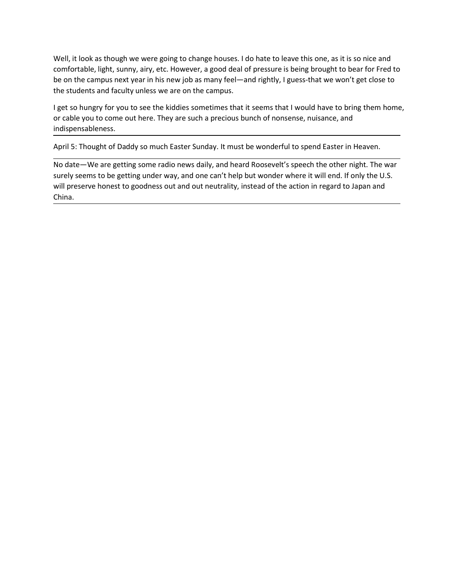Well, it look as though we were going to change houses. I do hate to leave this one, as it is so nice and<br>comfortable, light, sunny, airy, etc. However, a good deal of pressure is being brought to bear for Fred to<br>be on th Well, it look as though we were going to change houses. I do hate to leave this one, as it is so nice and<br>comfortable, light, sunny, airy, etc. However, a good deal of pressure is being brought to bear for Fred to<br>be on th Well, it look as though we were going to change houses. I do hate to leave this one, as it is so nice and<br>comfortable, light, sunny, airy, etc. However, a good deal of pressure is being brought to bear for Fred to<br>be on th Well, it look as though we were going to change houses. I do hate to leave this one, as it is so nice and<br>comfortable, light, sunny, airy, etc. However, a good deal of pressure is being brought to bear for Fred to<br>be on th Well, it look as though we were going to change houses. I do hate to leave this one, as it is so nice and confortable, light, sunny, airy, etc. However, a good deal of pressure is being brought to bear for Fred to be on th Well, it look as though we were going to change houses. I do hate to leave this one, as it is so nice and<br>comfortable, light, sunny, airy, etc. However, a good deal of pressure is being brought to bear for Fred to<br>be on th

indispensableness.

Well, it look as though we were going to change houses. I do hate to leave this one, as it is so nice and<br>comfortable, light, sunny, airy, etc. However, a good deal of pressure is being brought to bear for Fred to<br>be on th Well, it look as though we were going to change houses. I do hate to leave this one, as it is so nice and comfortable, light, sunny, airy, etc. However, a good deal of pressure is being brought to bear for Fred to be on th Well, it look as though we were going to change houses. I do hate to leave this one, as it is so nice and comfortable, light, sum, any, etc. However, a good deal of pressure is being brought to bear for Fred to be on the c Well, it look as though we were going to change houses. I do hate to leave this one, as it is so nice and comfortable, light, sunny, airy, etc. However, a good deal of pressure is being brought to bear for Fred to be on th China.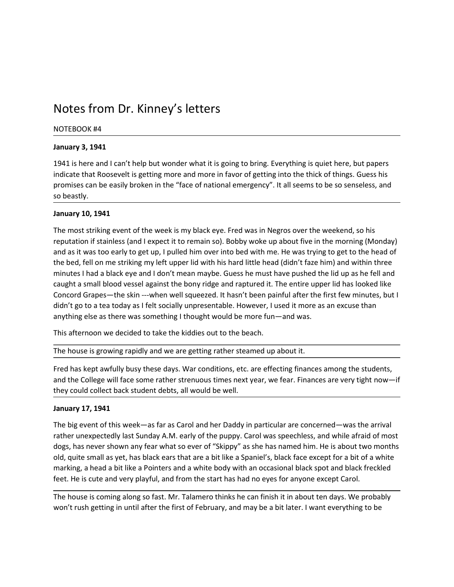Notes from Dr. Kinney's letters<br>
NOTEBOOK #4<br>
January 3, 1941<br>
1941 is here and I can't help but wonder what it is going to bring. Everything is quiet here, but papers Notes from Dr. Kinney's letters<br>
NOTEBOOK #4<br>
January 3, 1941<br>
1941 is here and I can't help but wonder what it is going to bring. Everything is quiet t<br>
indicate that Roosevelt is getting more and more in favor of getting Notes from Dr. Kinney's letters<br>
NOTEBOOK #4<br>
January 3, 1941<br>
1941 is here and I can't help but wonder what it is going to bring. Everything is quiet<br>
indicate that Roosevelt is getting more and more in favor of getting i NOtes from Dr. Kinney's letters<br>
NOTEBOOK #4<br>
January 3, 1941<br>
1941 is here and I can't help but wonder what it is going to bring. Everything is quiet here, but papers<br>
indicate that Rosoevelt is getting more and more in f **NOTES OOK #4**<br>**Ianuary 3, 1941**<br>1941 is here and I can't help but wonder what it is going to bring. Everything is quiet here, but papers<br>indicate that Roosevelt is getting more and more in favor of getting into the thick **NOTESOOK #4**<br>**RIGHTSOOK #4**<br>**EMALISH THSOOK #4**<br>**EMALISH TO FACE OF NATIONAL EMALISE CONSULSE CAN BE EXECUTE OF THE SOCIET OF A FACE OF NATIONAL EMERGENCY. It all seems to be so senseless, and<br>promises can be easily broke** Notes from Dr. Kinney's letters<br>
NOTEBOOK #4<br>
January 3, 1941<br>
1941 is here and I can't help but wonder what it is going to bring. Everything<br>
indicate that Roosevelt is getting more and more in favor of getting into the<br>

Notes from Dr. Kinney's letters<br>
Notes from Dr. Kinney's letters<br>
Notes Morenook #4<br>
January 3, 1941<br>
1941 is here and I can't help but wonder what it is going to bring. Everything is quiet indicate that Roosevelt is getti Notes from Dr. Kinney's letters<br>
NOTEBOOK #4<br>
January 3, 1941<br>
1941 is here and I can't help but wonder what it is going to bring. Everything is quiet here, but papers<br>
indicate that Roosevelt is getting more and more in f **Notes from Dr. Kinney's letters**<br> **NOTEBOOK #4**<br> **IBALI** is here and I can't help but wonder what it is going to bring. Everything is quiet here, but papers<br>
indicate that Roosevelt is getting more and more in favor of ge **Notes from Dr. Kinney's letters**<br> **Notes are additively**<br>
1941 is here and I can't help but wonder what it is going to bring. Everything is quiet here, but papers<br>
indicate that Roosevelt is getting more and more in favor Notes from Dr. Kinney's letters<br>
Notes ook #4<br>
January 3, 1941<br>
1941 is here and I can't help but wonder what it is going to bring. Everything is quiet here, but papers<br>
indicate that Roosevelt is getting more and more in Notes from Dr. Kinney's letters<br>
NOTEBOOK #4<br>
January 3, 1941<br>
1941 is here and I can't help but wonder what it is going to bring. Everything is quiet here, but papers<br>
indicate that Roosevelt is getting more and more in f Notes from Dr. Kinney's letters<br>
Notes again and tanth the positive worder what it is going to bring. Everything is quiet here, but papers<br>
1941 is here and I can't help but wonder what it is going to bring. Everything is NOTES ITOITI DIT. NITITEY S TELLETS<br>
NOTEBOOK #4<br>
January 3, 1941<br>
1941 is here and I can't help but wonder what it is going to bring. Everything is quiet here, but papers<br>
indicate that Roosevelt is getting more and more NOTEBOOK #4<br>
1941 is here and I can't help but wonder what it is going to bring. Everything is quiet here, but papers<br>
indicate that Roosevelt is getting more and more in favor of getting into the thick of things. Guess hi morizedoon **\*\*\***<br> **Industry 3, 1941**<br>
1941 is here and I can't help but wonder what it is going to bring. Everything is quiet here, but papers<br>
1941 is here are are assily broken in the "face of national emergency". It all January 3, 1941<br>1941 is here and I can't help but wonder what it is going to bring. Everything is quiet here, but papers<br>1941 is here and I can't help but wonder what it is going to bring. Everything is quiet here, but pap 1941 shield end in clear to the mether steamed the beach.<br>The final cast that Roosevelt is getting more and more in favor of getting into the thick of things. Guess his<br>promises can be easily broken in the "face of nation promises can be easily broken in the "face of national emergency". It all seems to be so senseless, and<br>
so beastly.<br>
The most striking event of the week is my black eye. Fred was in Negros over the weekend, so his<br>
The mo so beastly.<br>The most striking event of the week is my black eye. Fred was in Negros over the weekend, so his<br>The most striking event of the week is my black eye. Fred was in Negros over the weekend, so his<br>reputation if st January 10, 1941<br>The most striking event of the week is my black eye. Fred was in Negros over the weekend, so his<br>reputation if stainless (and l expect it to remain so). Bobby woke up about five in the morning (Monday)<br>and The most striking event of the week is my black eye. Fred was in Negros over the wee<br>reputation if stainless (and I expect it to remain so). Bobby woke up about five in the rand as it was too early to get up, I pulled him reputation if stainless (and lexpect it to remains o). Bobby woke up about five in the morning (Monday)<br>and as it was too early to get up, I pulled him over into bed with me. He was trying to get to the head of<br>the bed, fe and as it was too early to get up. Julled him over into bed with me. He was trying to get to the head abork when the state of the head properties that a black eye and I don't mean maybe. Guess he must have pushed the lid u

the bed, fell on me striking my left upper lid with his hand littlichead (didn't faze him) and within three<br>timutes I had a black eye and I don't mean maybe. Guess he must have pushed the lid up as he fell and<br>caught a sma minutes I had a black eye and I don't mean maybe. Guess he must have pusshed the idl up as he fell and blood vessel against the bony ridge and raptured it. The entire upper lid has looked like<br>Concord Grapes—the skin —when caught a small blood vessel against the bony ridge and raptured it. The entire upper lid has looked like<br>Concord Grapes—the skin --when well squeezed. It hasn't been painful after the first few minutes, but l<br>didn't go to Concord Grapes—the skin—when well squeezed. It has n't been paintial after the first few minutes, but I<br>clidn't go to a tea today as I felt socially unpresentable. However, I used it more as an excuse than<br>anything else as anything else as there was something I thought would be more fun—and was.<br>This afternoon we decided to take the kiddies out to the beach.<br>The house is growing rapidly and we are getting rather steamed up about it.<br>Fred has This afternoon we decided to take the kiddies out to the beach.<br>The house is growing rapidly and we are getting rather steamed up about it.<br>Fred has kept awfully busy these days. War conditions, etc. are effecting finances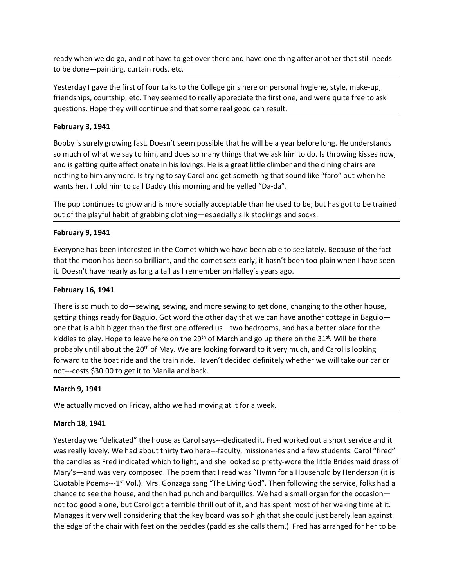ready when we do go, and not have to get over there and have one thing after another that still needs<br>to be done—painting, curtain rods, etc.<br>Yesterday I gave the first of four talks to the College girls here on personal h ready when we do go, and not have to get over there and have one thing after another that still needs<br>
to be done—painting, curtain rods, etc.<br>
Yesterday I gave the first of four talks to the College girls here on personal The first of gave the first of four talks to the College girls here on personal hygiene, style, make-up,<br>
Yesterday I gave the first of four talks to the College girls here on personal hygiene, style, make-up,<br>
Friendships ready when we do go, and not have to get over there and have one thing after another that still needs<br>to be done—painting, curtain rods, etc.<br>Yesterday I gave the first of four talks to the College girls here on personal h ready when we do go, and not have to get over there and have one thing after another that still needs<br>
to be done—painting, curtain rods, etc.<br>
Yesterday I gave the first of four talks to the College girls here on personal

ready when we do go, and not have to get over there and have one thing after anothe<br>to be done—painting, curtain rods, etc.<br>Yesterday I gave the first of four talks to the College girls here on personal hygiene, st<br>friends ready when we do go, and not have to get over there and have one thing after another that still needs<br>to be done—painting, curtain rods, etc.<br>Yesterday I gave the first of four talks to the College girls here on personal h ready when we do go, and not have to get over there and have one thing after another that still needs<br>to be done—painting, curtain rods, etc.<br>Yesterday I gave the first of four talks to the College girls here on personal h ready when we do go, and not have to get over there and have one thing after another that still needs<br>to be done—painting, curtain rods, etc.<br>Yesterday I gave the first of four talks to the College girls here on personal h ready when we do go, and not have to get over there and have one thing after another that still needs<br>
to be done—painting, curtain rods, etc.<br>
Yesterday I gave the first of four talks to the College girls here on personal ready when we do go, and not have to get over there and have one thing after another that still needs<br>to be done—painting, curtain rods, etc.<br>Vesterday I gave the first of four talks to the College girls here on personal h ready when we do go, and not have to get over there and have one thing after another that still needs<br>
to be done—painting, curtain rods, etc.<br>
Yesterday I gave the first of four talks to the College girls here on personal ready when we do go, and not have to get over there and have one thing after another that still needs<br>
to be done—painting, curtain rods, etc.<br>
Yesterday I gave the first of four talks to the College girls here on personal ready when we do go, and not have to get over there and have one thing after anothe<br>to be done—painting, curtain rods, etc.<br>
Yesterday I gave the first of four talks to the College girls here on personal hygiene, st<br>
frien to be done—painting, curtain rods, etc.<br>
Yesterday I gave the first of four talks to the College girls here on personal hygiene, style, make-up,<br>
Friendships, courtship, etc. They seemed to really appreciate the first one, Vesterday I gave the first of four taks to the College girls here on personal hygiene, style, make-up,<br>friendships, courtship, etc. They seemed to really appreciate the first one, and were quite free to ask<br>questions. Hope Vesterday I gave the frist of four talks to the College girls here on personal hygiene, style, make-up,<br>
friendships, courtship, etc. They seemed to really appreciate the first one, and were quite free to ask<br>
questions. H questions. Hope they will continue and that some real good can result.<br> **February 3, 1941**<br>
Bobby is surely growing fast. Doesn't seem possible that he will be a year before long.<br>
So much of what we say to him, and does s

**February 3, 1941**<br> **Bobby** is surely growing fast. Doesn't seem possible that he will be a year before long. He understands<br>
so much of what we say to him, and does so many things that we ask him to do. Is throwing kisses Bobby is surely growing fast. Doesn't seem possible that he will be a year before long. He understands<br>so much of what we say to him, and does so many things that we ask him to do. Is throwing kisses now,<br>and is getting qu Bobby is surely growing fast. Doesn't seem possible that he will be a year better long. He understands<br>so much of what we say to him, and does so many things that we ask him to do. Is throwing kisses now,<br>and is getting qu so much of what we say to him, and does so many things that we ask him to do. Is throwing kisses now, and a get string quite affectionate in his lovings. He is a great little climber and the dining chairs are nothing to hi and is getting quite affectionate in his lookings. He is a great little climber and the dining chairs are<br>nothing to him anymore. Is trying to say Carol and get something that sound like "faro" out when he<br>wants her. I tol nothing to him anymore. Is trying to say Carol and get something that sound like "faro" out when he mothing to that boat boat boat boat ride and the yelled "Da-da".<br>The pup continues to grow and is more socially acceptable wants her. I told him to call Daddy this morning and he yelled "Da-da".<br>The pup continues to grow and is more socially acceptable than he used to be, but has got to be trained<br>out of the playful habit of grabbing clothing— The pup continues to grow and is more socially acceptable than he used to be, but<br>out of the playful habit of grabbing clothing—especially silk stockings and socks.<br>February 9, 1941<br>Everyone has been interested in the Come February 9, 1941<br>Everyone has been interested in the Comet which we have been able to see lately. Because of the fact<br>that the moon has been so brilliant, and the comet sets early, it hasn't been too plain when I have seen Everyone has been interested in the Comet which we have been able to see lately. B<br>that the moon has been so brilliant, and the comet sets early, it hasn't been too plai<br>it. Doesn't have nearly as long a tail as I remember that the moon has been so brilliant, and the comet sets early, it hasn't been too plain when I have seen<br>it. Doesn't have nearly as long a tail as I remember on Halley's years ago.<br> **February 16, 1941**<br>
There is so much to it. Doesn't have nearly as long a tail as I remember on Halley's years ago.<br> **February 16, 1941**<br>
There is so much to do—sewing, sewing, and more sewing to get done, changing to the other house,<br>
getting things ready for B

February 16, 1941<br>There is so much to do—sewing, sewing, and more sewing to get done, changing to the other house,<br>getting things ready for Baguio. Got word the other day that we can have another cottage in Baguio—<br>one tha February 16, 1941<br>
There is so much to do-sewing, sewing, and more sewing to get done, changing to the other house,<br>
egeting things ready for Baguio. Got word the other day that we can have another cottage in Baguio-<br>
one There is so much to do—sewing, sewing, and more sewing to get done, changing to the other house,<br>getting things ready for Baguio. Got word the other day that we can have another cottage in Baguio—<br>one that is a bit bigger meet is so much conserving, swewing, and more sewing to gecuouse, clanging to ute outer into assemble the then day to Baguio—<br>content is a bit bigger than the first one offered us—two bedrooms, and has a better place for t getung umap ieaay io usguo. Oot would one one one use was we can use one incered used to play. Hope to leave here on the 29<sup>th</sup> of March and go up there on the 31<sup>st</sup>. Will be three kiddles to play. Hope to leave here on t one traits a since wage in rand the mast one one tended wat - more busing, and use a better place that the age of March and go up there on the 31<sup>x</sup>. Will be there probably until about the 20<sup>th</sup> of May. We are looking for Note to the book of the chair with feet on the peddles (paddles she calls them.) Fred has arranged for her to the edge of the chair with feet on the peddle of the control and the control of the boat ride and the train ride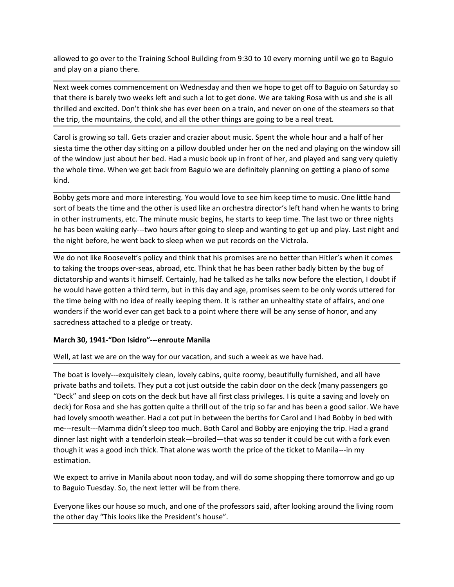allowed to go over to the Training School Building from 9:30 to 10 every morning until we go to Baguio<br>and play on a piano there.<br>Next week comes commencement on Wednesday and then we hope to get off to Baguio on Saturday allowed to go over to the Training School Building from 9:30 to 10 every morning until we go t<br>and play on a piano there.<br>Next week comes commencement on Wednesday and then we hope to get off to Baguio on S<br>that there is b allowed to go over to the Training School Building from 9:30 to 10 every morning until we go to Baguio<br>and play on a piano there.<br>Next week comes commencement on Wednesday and then we hope to get off to Baguio on Saturday allowed to go over to the Training School Building from 9:30 to 10 every morning until we go to Baguio<br>and play on a piano there.<br>Next week comes commencement on Wednesday and then we hope to get off to Baguio on Saturday allowed to go over to the Training School Building from 9:30 to 10 every morning until we go to Baguio<br>and play on a piano there.<br>Next week comes commencement on Wednesday and then we hope to get off to Baguio on Saturday

allowed to go over to the Training School Building from 9:30 to 10 every morning until we go to Baguio<br>and play on a piano there.<br>Next week comes commencement on Wednesday and then we hope to get off to Baguio on Saturday allowed to go over to the Training School Building from 9:30 to 10 every morning until we go to Baguio<br>and play on a piano there.<br>Next week comes commencement on Wednesday and then we hope to get off to Baguio on Saturday allowed to go over to the Training School Building from 9:30 to 10 every morning until we go to Baguio<br>and play on a piano there.<br>Next week comes commencement on Wednesday and then we hope to get off to Baguio on Saturday allowed to go over to the Training School Building from 9:30 to 10 every morning until we go to Baguio<br>and play on a piano there.<br>Next week comes commencement on Wednesday and then we hope to get off to Baguio on Saturday allowed to go over to the Training School Building from 9:30 to 10 every morning until we go to Baguio<br>and play on a piano there.<br>Next week comes commencement on Wednesday and then we hope to get off to Baguio on Saturday kind. allowed to go over to the Training School Building from 9:30 to 10 every morning until we go to Baguio<br>and play on a piano there.<br>Next week comes commencement on Wednesday and then we hope to get off to Baguio on Saturday allowed to go over to the Training School Building from 9:30 to 10 every morning until we go to Baguio<br>and play on a piano there.<br>Next week comes commencement on Wednesday and then we hope to get off to Baguio on Saturday allowed to go over to the Training School Building from 9:30 to 10 every morning until we go to Baguio<br>and play on a piano there.<br>Next week comes commencement on Wednesday and then we hope to get off to Baguio on Saturday allowed to go over to the Training School Building from 9:30 to 10 every morning until we go to Baguio<br>and play on a piano there.<br>Next week comes commencement on Wednesday and then we hope to get off to Baguio on Saturday allowed to go over to the Training School Building from 9:30 to 10 every morning until we go to Baguio<br>nad play on a piano there.<br>Next week comes commencement on Wednesday and then we hope to get off to Baguio on Saturday

and portion the policy of the state of the state of the state are the state are the state work weeks ter and such a lot to get done. We are taking Rosa with us and she is all thrilled and excited. Don't think she has ever Next week comes commencement on Wednesday and then we hope to get off to Baguio on Saturday so<br>that there is barely two weeks left and such a lot to get done. We are taking Rosa with us and she is all<br>thiftled and excited. that there is barely two weeks left and such a lot to get done. We are taking Rosa with us and she is all thrilled and excited. Don't think she has ever been on a train, and never on one of the steamers so that thrilled an thrilled and excited. Don't think she has ever been on a train, and never on one of the steamers so that<br>the trip, the mountains, the cold, and all the other things are going to be a real treat.<br>Carol is growing so tall. G the trip, the mountains, the cold, and all the other things are going to be a real treat.<br>Carol is growing so tall. Gets crazier and crazier about music. Spent the whole hour and a half of her<br>siesta time the other day sit Carol is growing so tall. Gets crazier and crazier about music. Spent the whole hour and a half of her siesta time the other day sitting on a pillow doubled under her on the ned and playing on the window sill of the window Carol is growing so tall. Gets crazier and crazier about music. Spent the whole hour and a halt of here to the video<br>siesta time the other day sitting on a pillow doubled under her on the ned and playing on the window sill of the window just about her bed. Had a music book up in front of her, and played and sang very quietly<br>the whole time. When we get back from Baguio we are definitely planning on getting a piano of some<br>the the whole time. Interwhere three where were onterweget back from bagun we are demintery planting on getting a plano or some-<br>Bobby gets more and more interesting. You would love to see him keep time to music. One little hand<br>sort of beats Bobby gets more and more interesting. You would love to see him keep time to music. One little hand<br>sort of beats the time and the other is used like an orchestra director's left hand when he wants to bring<br>in other instru board for the manner window the matter of the cabinet when the context of the cabinet and the principal in the matter and the order is used like an orchestra director's left hand when he wants to bring<br>in other instruments

Sour but the third the the control and such a week but the control of the member in the deck but the mistruments, etc. The minute music begins, he starts to keep time. The last two or three nights he has been waking earlymount must been watter may been the sheep with that also the trip so fare to we can be the trip to the trip to the trip so far and the night before, he went back to sleep when we put records on the Victrola.<br>We do not like he might before, he went back to sleep when we put records on the Victrola.<br>We do not like Roosevelt's policy and think that his promises are no better than Hitler's when it comes<br>to taking the troops over-seas, abroad, et ence might becomes the such that a to such that that is promises are no bettered than Hitler's when it comes<br>We do not like Roosevelt's policy and think that his promises are no better than Hitler's when it comes<br>dictators We do not like Roosevelt's policy and think that his promises are no better than Hitler's when it comes<br>to taking the troops over-seas, abroad, etc. Think that he has been rather badly bitten by the bug of<br>dictatorship and to taking the troops over-seas, abroad, etc. Think that he has been rather badly bitten by the bug of dictatorship and wants it himself. Certainly, had he talked as a he talks now before the election, I doubt if the would estimation. is the would nave goute in simula celuty, out in us log wind we give houses been true words outered to a piedge or treaty.<br>Warch 30, 1941-"Don Isldro"---enroute Manila about where there will be any sense of honor, and any the time temp winnin lue to riearly reguly then the time thermicality state of arians, and one thermody state of arbit where the ref will be any sense of honor, and any sacredness attached to a pledge or treaty.<br>
March 30, sacredness attached to a pledge or treaty.<br>
March 30, 1941-"Don Isidro"—enroute Manila<br>
Well, at last we are on the way for our vacation, and such a week as we have had.<br>
The boat is lovely—exquisitely clean, lovely cabins March 30, 1941-"Don Isidro"—enroute Manila<br>Well, at last we are on the way for our vacation, and such a week as we have had.<br>The boat is lovely—exquisitely clean, lovely cabins, quite roomy, beautifully furnished, and all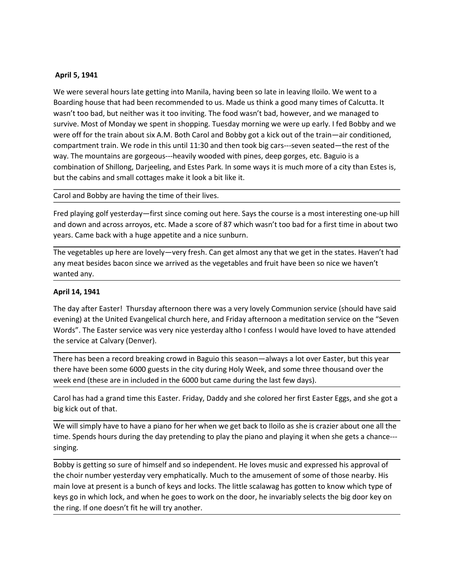April 5, 1941<br>We were several hours late getting into Manila, having been so late in leaving Iloil<br>Boarding house that had been recommended to us. Made us think a good many ti<br>wasn't too bad, but neither was it too invitin April 5, 1941<br>We were several hours late getting into Manila, having been so late in leaving Iloilo. We went to a<br>Boarding house that had been recommended to us. Made us think a good many times of Calcutta. It<br>wasn't too b April 5, 1941<br>We were several hours late getting into Manila, having been so late in leaving Iloilo. We went to a<br>Boarding house that had been recommended to us. Made us think a good many times of Calcutta. It<br>wasn't too b April 5, 1941<br>We were several hours late getting into Manila, having been so late in leaving Iloilo. We went to a<br>Boarding house that had been recommended to us. Made us think a good many times of Calcutta. It<br>wasn't too b April 5, 1941<br>We were several hours late getting into Manila, having been so late in leaving Iloilo. We went to a<br>Boarding house that had been recommended to us. Made us think a good many times of Calcutta. It<br>wasn't too b April 5, 1941<br>We were several hours late getting into Manila, having been so late in leaving Iloilo. We went to a<br>Boarding house that had been recommended to us. Made us think a good many times of Calcutta. It<br>wasn't too b April 5, 1941<br>We were several hours late getting into Manila, having been so late in leaving Iloilo. We went to a<br>Boarding house that had been recommended to us. Made us think a good many times of Calcutta. It<br>wasn't too b April 5, 1941<br>We were several hours late getting into Manila, having been so late in leaving Iloilo. We went to a<br>Boarding house that had been recommended to us. Made us think a good many times of Calcutta. It<br>wasn't too b April 5, 1941<br>We were several hours late getting into Manila, having been so late in leaving Iloilo. We went to a<br>Boarding house that had been recommended to us. Made us think a good many times of Calcutta. It<br>wasn't too b April 5, 1941<br>We were several hours late getting into Manila, having been so late in leaving llolio. We went to a<br>Boarding house that had been recommended to us. Made us think a good many times of Calcutta. It<br>wasn't too b **April 5, 1941**<br>We were several hours late getting into Manila, having been so late in leaving Ilolio. We went to a<br>We were several hours late are necommended to us. Made us think a good many times of Calcutta. It<br>wasn't t April 5, 1941<br>We were several hours late getting into Manila, having been so late in leaving Iloilo. We went to a<br>Boarding bouse that had been recommended to us. Made us think a good many times of Calcuta. It<br>wasn't too ba April 5, 1941<br>Boarding house that had been recommended to us. Made us think a good many times of Calcutta. It<br>Boarding house that had been recommended to us. Made us think a good many times of Calcutta. It<br>wasn't too bad, April 5, 1941<br>We were several hours late getting into Manila, having been so late in leaving Ilolio. We went to a<br>Boarding house that had been recommended to us. Made us think a good many times of Calcutta. It<br>was n't too April 5, 1941<br>We were several hours late getting into Manila, having been so late in leaving llolio. We went to a<br>Boarding house that had been recommended to us. Made us think a good many times of Calcuta. It<br>was n't too b Figure 37.2374<br>We were several hours late getting into Manila, having been so late in leaving lloilo. We went to a<br>Roarding nouse that had been recommended to us. Made us think a good many times of Calcutta. It<br>wasn't too We were several hours late getting into Manila, having been so late in leaving lloil<br>Boarding house that had been recommended to us. Made us think a good many t<br>wan't too bad, but neither was it too inviting. The food wasn wasn't too bad, but neither was it too inviting. The food wasn't bad, however, and<br>survive. Most of Monday we spent in shopping. Tuesday morning we were up early<br>were off for the train about six A.M. Both Carol and Bobby g survive. Most of Monday we spent in shopping. Tuesday morning we were up early. I feel 8obby and were off for the train about six A.M. Both Carol and Bobby got a kick out of the train  $-$ air conditioned, compartment train. were of the train about six A.M. Both Carol and Bobby got a kick out of the train—air conditioned,<br>compartment train. We rode in this until 11:30 and then took big cars—seven seated—the rest of the<br>way. The mountains are g

compartment train. We rode in this until 11:30 and then took big cars—seven seated—the rest of the<br>way. The mountains are gorgeous—heavily wooded with pines, deep gorges, etc. Baguio is a<br>combination of Shillong, Darjeelin way. The mountains are gorgeous---heavily wooded with pines, deep gorges, etc. Baguio is a<br>combination of Shillong, Darjeeling, and Estes Park. In some ways it is much more of a city than<br>but the cabins and small cottages but the cabins and small cottages make it look a bit like it.<br>Carol and Bobby are having the time of their lives.<br>Fred playing golf yesterday—first since coming out here. Says the course is a most interesting one-up hill<br>a Carol and Bobby are having the time of their lives.<br>
Fred playing golf yesterday—first since coming out here. Says the course is a most interesting one-up hill<br>
and down and across arroyos, etc. Made a score of 87 which wa Carol and Bobby are having the time of their lives.<br>Fred playing golf yesterday—first since coming out here. Says the course is a most interesting one-up hill<br>pears. Came back with a huge appetite and a nice sunburn.<br>Phexi Fred playing goth yesterday—trist since coming out here. Says the course is a most interesting one-up hill<br>and down and across arroyos, etc. Made a score of 87 which wasn't too bad for a first time in about two<br>years. Came and down and across arroyos, etc. Made a score of 87 which wasn't too bad for a first tire<br>vers. Came back with a huge appetite and a nice sunburn.<br>The vegetables up here are lovely—very fresh. Can get almost any that we g The vegetables up here are lovely—very fresh. Can get almost any that we get in the states. Haven't had<br>any meat besides bacon since we arrived as the vegetables and fruit have been so nice we haven't<br>wanted any.<br>The day a The vegetables up here are lovely—very fresh. Can get almost any that we get in the states. Haven't had may meat besides bacon since we arrived as the vegetables and fruit have been so nice we haven't wanted any.<br>
April 14

singing.

**April 14, 1941**<br>The day after Easter! Thursday afternoon there was a very lovely Communion service (should have said<br>evening) at the United Evangelical church here, and Friday afternoon a meditation service on the "Seven<br> April 14, 1941<br>The day after Easter! Thursday afternoon there was a very lovely Communion service (should have said<br>evening) at the United Evangelical church here, and Friday afternoon a meditation service on the "Seven<br>ew The day after Easter! Thursday afternoon there was a very lovely Communion service (should have said eventing) at the United Evangelical church here, and Friday afternoon a meditation service on the "Seven Words". The East Free this burst current when the pays the pays and ochic streamed the streamed the service on the "Seven whords". The Easter service was very nice yesterday althol confess I would have loved to have attended the service at the means the ready-total control control of the boundary and the ring. The base of the ready-total control of the service at Calvary (Denver).<br>There has been a record breaking crowd in Baguio this esason—always a lot over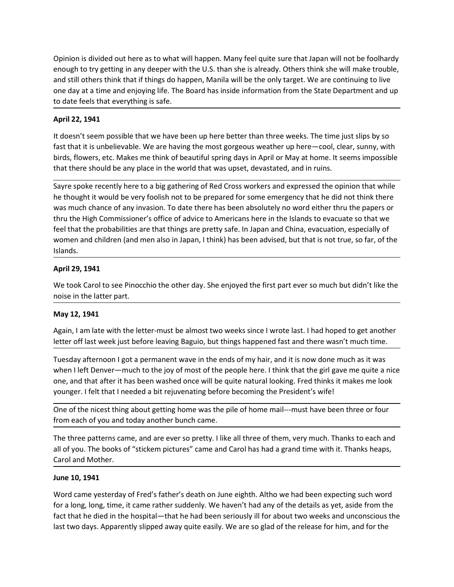Opinion is divided out here as to what will happen. Many feel quite sure that Japan will not be foolhardy<br>enough to try getting in any deeper with the U.S. than she is already. Others think she will make trouble,<br>and still Opinion is divided out here as to what will happen. Many feel quite sure that Japan will not be foolhardy<br>enough to try getting in any deeper with the U.S. than she is already. Others think she will make trouble,<br>and still Opinion is divided out here as to what will happen. Many feel quite sure that Japan will not be foolhardy<br>enough to try getting in any deeper with the U.S. than she is already. Others think she will make trouble,<br>and still Opinion is divided out here as to what will happen. Many feel quite sure that Japan will not be foolhardy<br>enough to try getting in any deeper with the U.S. than she is already. Others think she will make trouble,<br>and still Opinion is divided out here as to what will happen. Many feel quite sure that Japan will not be foolhardy<br>enough to try getting in any deeper with the U.S. than she is already. Others think she will make trouble,<br>and still Opinion is divided out here as to what will happen. Many feel quite sure that Japare<br>nough to try getting in any deeper with the U.S. than she is already. Others think<br>and still others think that if things do happen, Manil Opinion is divided out here as to what will happen. Many feel quite sure that Japan will not be foolhardy<br>enough to try getting in any deeper with the U.S. than she is already. Others think she will make trouble,<br>and still Opinion is divided out here as to what will happen. Many feel quite sure that Japan will not be foolhardy<br>enough to try getting in any deeper with the U.S. than she is already. Others think she will make trouble,<br>and still Opinion is divided out here as to what will happen. Many feel quite sure that Japan will not be foolhardy<br>enough to try getting in any deeper with the U.S. than she is already. Others think she will make trouble,<br>and still Opinion is divided out here as to what will happen. Many feel quite sure that Japan will not be foolhardy<br>enough to try getting in any deeper with the U.S. than she is already. Others think she will make trouble,<br>and still

Opinion is divided out here as to what will happen. Many feel quite sure that Japan will not be foolhardy<br>enough to try getting in any deeper with the U.S. than she is already. Others think she will make trouble,<br>and still Opinion is divided out here as to what will happen. Many feel quite sure that Japan will not be foolhardy<br>enough to try getting in any deeper with the U.S. than she is already. Others think she will make trouble,<br>and still Opinion is divided out here as to what will happen. Many feel quite sure that Japan will not be foolhardy<br>enough to try getting in any deeper with the U.S. than she is already. Others think she will make trouble,<br>and still Opinion is divided out here as to what will happen. Many feel quite sure that Japan will not be foolhardy<br>enough to try getting in any deeper with the U.S. than she is already. Others think she will make trouble,<br>and still Opinion is divided out here as to what will happen. Many feel quite sure that Japan will not be foolhardy<br>enough to try getting in any deeper with the U.S. than she is already. Others think she will make trouble,<br>and still Opinion is divided out here as to what will happen. Many feel quite sure that Japan will not be foolhardy<br>enough to try getting in any deeper with the U.S. than she is already. Others think she will make trouble,<br>and still Islands. and deviation and deviation and children (and men also in Japan, 1 think) has been and the first part of the latter part of the barriar and enjoying life. The Board has inside information from the Stat to date feels that e to date feels that everything is safe.<br>
April 22, 1941<br>
It doesn't seem possible that we have been up here better than three weeks. The time just slips by so<br>
fast that it is undelievable. We are having the most gorgeous w April 22, 1941<br>
April 22, 1941<br>
It doesn't seem possible that we have been up here better than three weeks. The time just<br>
fast that it is unbelievable. We are having the most gorgeous weather up here—cool, clear,<br>
birds, It doesn't seem possible that we have been up here better than three weeks. The fast that it is unbelievable. We are having the most gorgeous weather up here—cc<br>birds, flowers, etc. Makes me think of beautiful spring days fast that it is unbelievable. We are having the most gorgeous weather up here—cool, clear, sunny, with<br>birds, flowers, etc. Makes me think of beautiful spring days in April or May at home. It seems impossible<br>that there sh birds, flowers, etc. Makes me think of beautiful spring days in April or May at home. It seems impossible<br>that there should be any place in the world that was upset, devastated, and in ruins.<br>Eayie spoke recently here to a Sayre spoke recently here to a big gathering of Red Cross workers and expressed the opinion that while<br>the thought it would be very foolish not to be prepared for some emergency that he did not think there<br>twas much chance Sayre spoke recently here to a big gathering of Red Cross workers and expressed the opinion that while<br>the thought it would be very foolish not to be prepared for some emergency that he did not think there<br>was much chance he thought it would be very foolish not to be prepared for some emergency that he did not think there<br>was much chance of any invasion. To date there has been absolutely no word either thru the papers or<br>thru the High Commi was much chance of any invasion. To date there has been a basolutely no word either thru the papers or<br>thru the High Commissioner's office of advice to Americans here in the Islands to evacuate so that we<br>feel that the pro

feel that the probabilities are that things are pretty safe. In Japan and China, evacuation, especially of<br>women and children (and men also in Japan, I think) has been advised, but that is not true, so far, of the<br>Islands. women and children (and men also in Japan, 1 think) has been advised, but that is not true, so far, of the<br>
slands.<br>
April 29, 1941<br>
We took Carol to see Pinocchio the other day. She enjoyed the first part ever so much but Shows.<br>
We took Carol to see Pinocchio the other day. She enjoyed the first part ever so much but didn't like the<br>
moise in the latter part.<br>
May 12, 1941<br>
Again, I am late with the letter-must be almost two weeks since I April 29, 1941<br>We took Carol to see Pinocchio the other day. She enjoyed the first part ever so much but didn't like the<br>noise in the latter part.<br>May 12, 1941<br>Again, I am late with the letter-must be almost two weeks sinc We took Carol to see Pinocchio the other day. She enjoyed the first part ever so mu<br>noise in the latter part.<br>
May 12, 1941<br>
Again, I am late with the letter-must be almost two weeks since I wrote last. I had helter off la noise in the latter part.<br>
May 12, 1941<br>
Again, I am late with the letter-must be almost two weeks since I wrote last. I had<br>
letter off last week just before leaving Baguio, but things happened fast and there<br>
Tuesday aft

May 12, 1941<br>Again, I am late with the letter-must be almost two weeks since I wrote last. I had hoped to get another<br>letter off last week just before leaving Baguio, but things happened fast and there wasn't much time.<br>Tu Again, I am late with the letter-must be almost two weeks since I wrote last. I had hoped to get another<br>letter off last week just before leaving Baguio, but things happened fast and there wasn't much time.<br>Tuesday afterno Again, I am late with the letter-must be a lmnost two weeks since I worde last. I had noped to get another better off last week just before leaving Baguio, but things happened fast and there wasn't much time.<br>Tuesday after letter off last week just before leaving Baguio, but things happened fast and there wasn't much time.<br>Tuesday afternoon I got a permanent wave in the ends of my hair, and it is now done much as it was<br>when I left Denver—mu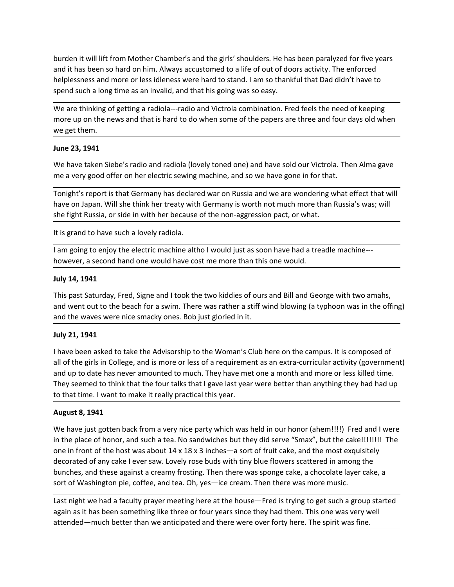burden it will lift from Mother Chamber's and the girls' shoulders. He has been paralyzed for five years<br>and it has been so hard on him. Always accustomed to a life of out of doors activity. The enforced<br>helplessness and m burden it will lift from Mother Chamber's and the girls' shoulders. He has been paralyzed for five years<br>and it has been so hard on him. Always accustomed to a life of out of doors activity. The enforced<br>helplessness and m burden it will lift from Mother Chamber's and the girls' shoulders. He has been paralyzed for five years<br>and it has been so hard on him. Always accustomed to a life of out of doors activity. The enforced<br>helplessness and m burden it will lift from Mother Chamber's and the girls' shoulders. He has been paralyzed for five years<br>and it has been so hard on him. Always accustomed to a life of out of doors activity. The enforced<br>helplessness and m burden it will lift from Mother Chamber's and the girls' shoulders. He has been paralyzed for five years<br>and it has been so hard on him. Always accustomed to a life of out of doors activity. The enforced<br>helplessness and m burden it will lift from Mother Chamber's and the girls' shoulders. He has been paralyzed for five years<br>and it has been so hard on him. Always accustomed to a life of out of doors activity. The enforced<br>helplessness and m burden it will lift from Mother Chamber's and the girls' shoulders. He has been p<br>and it has been so hard on him. Always accustomed to a life of out of doors activ<br>helplessness and more or less idleness were hard to stand. burden it will lift from Mother Chamber's and the girls' shoulders. He has been parand it has been so hard on him. Always accustomed to a life of out of doors activity<br>helplessness and more or less idleness were hard to st burden it will lift from Mother Chamber's and the girls' shoulders. He has been paralyzed for five years<br>and it has been so hard on him. Always accustomed to a life of out of doors activity. The enforced<br>signed such a long burden it will lift from Mother Chamber's and the girls' shoulders. He has been paralyzed for five years<br>and it has been so hard on him. Always accustomed to a life of out of doors activity. The enforced<br>helplessness and m burden it will lift from Mother Chamber's and the girls' shoulders. He has been paralyzed for five years<br>and it has been so hard on him. Always accustomed to a life of out of doors activity. The enforced<br>helplessness and m burden it will lift from Mother Chamber's and the girls' shoulders. He has been paralyzed for five years<br>and it has been so hard on him. Always accustomed to a life of out of doors activity. The enforced<br>the lelessness and burden it will lift from Mother Chamber's and the girls' shoulders. He has been paralyzed for five years<br>and it has been so hard on him. Always accustomed to a life of out of doors activity. The enforced<br>shelplessness and burden it will lift from Mother Chamber's and the girls' shoulders. He has been paralyzed for five years<br>and it has been so hard on him. Always accustomed to a life of out of doors activity. The enforced<br>helplessness and m and it has been so hard on him. Always accustomed to a life of out of doors activity. The enforced helplesness and more or less idleness were hard to stand. I am so thankful that Dad didn't have to spend such a long time a

helplessness and more or less idleness were hard to stand. I am so thankful that Dad didn't have to<br>spend such a long time as an invalid, and that his going was so easy.<br>We are thinking of getting a radiola---radio and Vic bend sacria drig and as an invediate, and enterins going was so casy.<br>We are thinking of getting a radiola---radio and Victrola combination. Fred feels tt<br>more up on the news and that is hard to do when some of the papers

We are unimang to leading a reading a reading and victions combination. Fred release the reading the two same of the papers are three and four days old when we get them.<br>
June 23, 1941<br>
We have taken Siebe's radio and radi moute up unit enters and that is naturous out when some of the papers are three and four days on when<br>
June 23, 1941<br>
We have taken Siebe's radio and radiola (lovely toned one) and have sold our Victrola. Then Alma gave<br>
m we gecturem.<br>
Hune 23, 1941<br>
We have taken Siebe's radio and radiola (lovely toned one) and have sold our Victrola. Then Alma gave<br>
We have taken Siebe's radio and radiola (lovely toned one) and have sold our Victrola. The

We have taken Siebe's radio and radiola (lovely toned one) and have sold our Victom<br>
me a very good offer on her electric sewing machine, and so we have gone in for i<br>
Tonight's report is that Germany has declared war on R We have taken is exercise stand and anotas (lovely totion of an outer wout vector to the advisors and the stand we are wondering what effect that will Tonight's report is that Germany has declared war on Russia and we are nie a very good oner of the ferencin sewing indicimie, and so we have gone introf tract.<br>Tonight's report is that Germany has declared war on Rossia and we are wondering what effect that will<br>have on Japan. Will she think Tonight's report is that Germany has declared war on Russia and we are wondering what effect that will<br>have on Japan. Will she think her freaty with Germany is worth not much more than Russia's was; will<br>she fight Russia, have on Japan. Will she think her treaty with Germany is worth not much more than Russia's was; will<br>she fight Russia, or side in with her because of the non-aggression pact, or what.<br>It is grand to have such a lovely radi she fight Russia, or side in with her because of the non-aggression pact, or what.<br>
It is grand to have such a lovely radiola.<br>
Iam going to enjoy the electric machine altho I would just as soon have had a treadle machine-It is grand to have such a lovely radiola.<br>
Tam going to enjoy the electric machine altho I would just as soon have had a tread<br>
however, a second hand one would have cost me more than this one would.<br> **July 14, 1941**<br>
Thi

We have just gotten back from a very nice party which was held in our honor (ahem!!!!) Fred and I were however, a second hand one would have cost me more than this one would.<br>
July 14, 1941<br>
This past Saturday, Fred, Signe and I took the two kiddies of ours and Bill and George with two amahs,<br>
and went out to the beach for **July 14, 1941**<br>This past Saturday, Fred, Signe and I took the two kiddies of ours and Bill and George with two amahs,<br>and went out to the beach for a swim. There was rather a stiff wind blowing (a typhoon was in the offin July 14, 1941<br>This past Saturday, Fred, Signe and I took the two kiddies of ours and Bill and George with two amahs,<br>and went out to the beach for a swim. There was rather a stiff wind blowing (a typhoon was in the offing) This past Saturday, Fred, Signe and I took the two kiddies of ours and Bill and George with two amahs,<br>and went out to the beach for a swim. There was rather a stiff wind blowing (a typhoon was in the offing)<br>and the waves may base os a context of the beach for a sum. There was rather a sifff wind blowing (a typhoon was in the offing)<br>and the waves were nice smacky ones. Bob just gloried in it.<br>I ally 21, 1941<br>Thave been asked to take the Ad and the waves were nice smacky ones. Bob just gloried in it.<br>
July 21, 1941<br>
I have been asked to take the Advisorship to the Woman's Club here on the campus. It is composed of<br>
all of the girls in College, and is more or July 21, 1941<br>I have been asked to take the Advisorship to the Woman's Club here on the campus. It is composed of<br>all of the girls in College, and is more or less of a requirement as an extra-curricular activity (governmen Example to the end state the Advisorship to the Woman's Club here on the campus. It is composed of have been asked to take the Advisorship to the Woman's Club here on the campus. It is composed of and up to date has never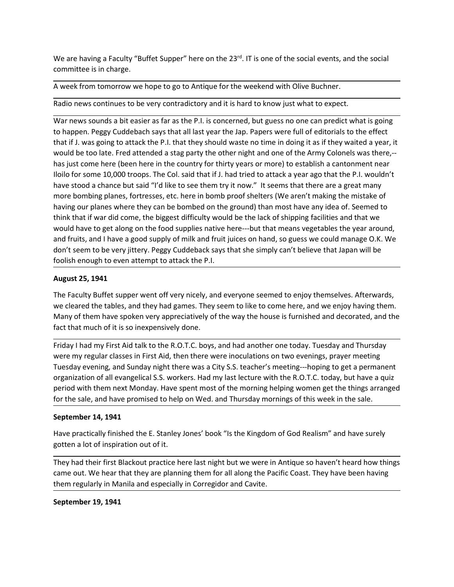We are having a Faculty "Buffet Supper" here on the 23<sup>rd</sup>. IT is one of the social events, and the social<br>committee is in charge.<br>A week from tomorrow we hope to go to Antique for the weekend with Olive Buchner.<br>Radio new We are having a Faculty "Buffet Supper" here on the 23<sup>rd</sup>. IT is one of the social events, ar<br>committee is in charge.<br>A week from tomorrow we hope to go to Antique for the weekend with Olive Buchner.<br>Radio news continues

We are having a Faculty "Buffet Supper" here on the 23<sup>rd</sup>. IT is one of the social events, and the social<br>committee is in charge.<br>A week from tomorrow we hope to go to Antique for the weekend with Olive Buchner.<br>Radio new We are having a Faculty "Buffet Supper" here on the 23<sup>rd</sup>. IT is one of the social events, and the social<br>committee is in charge.<br>A week from tomorrow we hope to go to Antique for the weekend with Olive Buchner.<br>Radio new We are having a Faculty "Buffet Supper" here on the 23". IT is one of the social events, and the social<br>committee is in charge.<br>A week from tomorrow we hope to go to Antique for the weekend with Olive Buchner.<br>Radio news c We are having a Faculty "Buffet Supper" here on the 23<sup>rd</sup>. IT is one of the social events, and the social<br>committee is in charge.<br>Nevek from tomorrow we hope to go to Antique for the weekend with Olive Buchner.<br>Radio news We are having a Faculty "Buffet Supper" here on the 23<sup>rd</sup>. IT is one of the social events, and the social<br>committee is in charge.<br>A week from tomorrow we hope to go to Antique for the weekend with Olive Buchner.<br>Radio new We are having a Faculty "Buffet Supper" here on the 23<sup>rd</sup>. IT is one of the social events, and the social<br>committee is in charge.<br>A week from tomorrow we hope to go to Antique for the weekend with Olive Buchner.<br>Radio new We are having a Faculty "Buffet Supper" here on the 23<sup>rd</sup>. IT is one of the social events, and the social<br>
A week from tomorrow we hope to go to Antique for the weekend with Olive Buchner.<br>
Radio news continues to be very We are having a Faculty "Buffet Supper" here on the 23<sup>rd</sup>. IT is one of the social events, and the social<br>Committee is in charge.<br>The veek from tomorrow we hope to go to Antique for the weekend with Olive Buchner.<br>The Vee We are having a Faculty "Buffet Supper" here on the 23<sup>et</sup>. IT is one of the social events, and the social<br>committee is in charge.<br>A week from tomorrow we hope to go to Antique for the weekend with Olive Buchner.<br>Radio new We are having a Faculty "Buffet Supper" here on the 23<sup>et</sup>. IT is one of the social events, and the social<br>committee is in charge.<br>A week from tomorrow we hope to go to Antique for the weekend with Olive Buchner.<br>Radio new We are having a Faculty "Buffet Supper" here on the 23<sup>rd</sup>. IT is one of the social events, and the social<br>committee is in charge.<br>
Have k from tomorrow we hope to go to Antique for the weekend with Olive Buchner.<br>
Radio n We are having a Faculty "Buffet Supper" here on the 23<sup>o</sup>. IT is one of the social events, and the social<br>committee is in charge.<br>A week from tomorrow we hope to go to Antique for the weekend with Olive Buchner.<br>Radio news We are having a Faculty "Buffet Supper" here on the 23<sup>cd</sup>. IT is one of the social events, and the social<br>committee is in charge.<br>A week from tomorrow we hope to go to Antique for the weekend with Olive Buchner.<br>Radio new We are having a Faculty "Buffet Supper" here on the 23<sup>rd</sup>. IT is one of the social events, and the social<br>committee is in charge.<br>A week from tomorrow we hope to go to Antique for the weekend with Olive Buchner.<br>Radio new committee is in charge.<br>
A week from tomorrow we hope to go to Antique for the weekend with Olive Buchner.<br>
Radio news continues to be very contradictory and it is hard to know just what to expect.<br>
War news sounds a bit e A week from tomorrow we hope to go to Antique for the weekend with Olive Buchner.<br>
Radio news continues to be very contradictory and it is hard to know just what to expect.<br>
War news sounds a bit easier as far as the P.I. Radio news continues to be very contradictory and it is hard to know just what to ex<br>War news sounds a bit easier as far as the P.I. is concerned, but guess no one can pre<br>to happen. Peggy Cuddebach says that all last year War news sounds a bit easier as far as the P.I. is concerned, but guess no one can predict what is going<br>to happen. Peggy Cuddebach says that all last year the Jap. Papers were full of editorials to the effect<br>that if . I. War news sounds a bit esser as far as the P.I. is concerned, but guess no one can predict what it gong<br>were my engy Cuddebach says that all last year the lap. Papers were full of editorials to the effect<br>that if J. was goi to happen. Peeggy Cudeabach says that all last year the Jap. Pappres were lull of editorials to the effect<br>that if J. was going to attack the P.I. that they should waste no time in doing it as if they waited a year, it<br>wou that if J. was going to attack the P.I. that they should wate no time in doing it as it they walted a year, it they all they should be too late. Fred attended a stag party the other night and one of the Army Colonels was t has just come here (been here in the country for thirty vears or more) to establish a cantonment near llolio for some 10,000 troops. The Col. said that if  $I$ . had tried to atatack a year ago that the P.I. wouldn't have to lloilo for some 10,000 troops. The Col. said that if J. had tried to attack a year ago that the P.I. wooldn't<br>have stood a chance but said "I"dlike to see them try it now." It seems that there are a great many<br>more bombing have stood a chance but said "I'd like to see them try it now." It seems that there are a great many<br>more bombing planes, fortresses, etc. here in bomb proof shelters (We aren't making the mistake of<br>having our planes wher more bombing planes, fortresses, etc. here in bomb proof shelters (We aren't making the mistake of holing our planes where they can be bombed on the ground) than most have any idea of. Seemed to think that if war did come, having our planes where they can be bombed on the ground) than most have any idea of. Seemed to think that if war did come, the biggest difficulty would be the lack of shipping facilities and that we movid and truits, and

think that if war did come, the biggest difficulty would be the lack of shipping facilities and that we<br>would have to get along on the food supplies native here—but that means vegetables the year around,<br>and fruits, and I meant and fruits, and I have a good supply of milk and fruit juices on hand, so guess we could m<br>and fruits, and I have a good supply of milk and fruit juices on hand, so guess we could m<br>don't seem to be very jittery. Peg don't seem to be very jittery. Peggy Cuddeback says that she simply can't believe that Japan will be<br>colish enough to even attempt to attack the P.I.<br>The Faculty Burger Went attempt of very nicely, and everyone seemed to e foolish enough to even attempt to attack the P.I.<br>August 25, 1941<br>The Faculty Buffet supper went off very nicely, and everyone seemed to enjoy themselves. Afterwards,<br>we cleared the tables, and they had games. They seem to August 25, 1941<br>The Faculty Buffet supper went off very nicely, and everyone seemed to enjoy themselves. Afterwards,<br>we claved the tables, and they had games. They seem to like to come here, and we enjoy having them.<br>Many The Faculty Buffet supper went off very nicely, and everyone seemed to enjoy themselves. Afterwards, we cleared the tables, and they had games. They seem to like to come here, and we enjoy having them. Many of them have sp the dealed the tables, and they had games. They seem to like to come here, and we enjoy having them.<br>Many of them have spoken very appreciatively of the way the house is furnished and decorated, and the fact that much of i Many of them have spoken very appreciatively of the way the house is furnished and dectrat that much of it is so inexpensively done.<br>
Friday I had my First Aid talk to the R.O.T.C. boys, and had another one today. Tuesday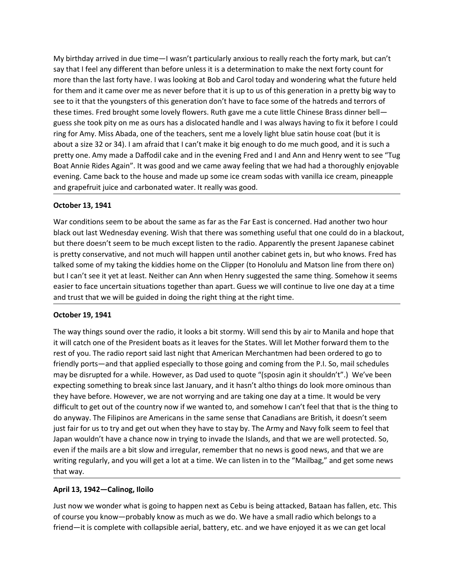My birthday arrived in due time—I wasn't particularly anxious to really reach the forty mark, but can't<br>say that I feel any different than before unless it is a determination to make the next forty count for<br>more than the My birthday arrived in due time—I wasn't particularly anxious to really reach the forty mark, but can't<br>say that I feel any different than before unless it is a determination to make the next forty count for<br>more than the My birthday arrived in due time—I wasn't particularly anxious to really reach the forty mark, but can't<br>say that I feel any different than before unless it is a determination to make the next forty count for<br>more than the My birthday arrived in due time—I wasn't particularly anxious to really reach the forty mark, but can't<br>say that I feel any different than before unless it is a determination to make the next forty count for<br>more than the My birthday arrived in due time—I wasn't particularly anxious to really reach the forty mark, but can't<br>say that I feel any different than before unless it is a determination to make the next forty count for<br>more than the My birthday arrived in due time—I wasn't particularly anxious to really reach the forty mark, but can't<br>say that I feel any different than before unless it is a determination to make the next forty count for<br>more than the My birthday arrived in due time—I wasn't particularly anxious to really reach the forty mark, but can't<br>say that I feel any different than before unless it is a determination to make the next forty count for<br>more than the My birthday arrived in due time—I wasn't particularly anxious to really reach the forty mark, but can't<br>say that I feel any different than before unless it is a determination to make the next forty count for<br>more than the My birthday arrived in due time—I wasn't particularly anxious to really reach the forty mark, but can't say that I feel any different than before unless it is a determination to make the next forty count for for them and i My birthday arrived in due time—I wasn't particularly anxious to really reach the forty mark, but can't<br>say that I feel any different than before unless it is a determination to make the next forty count for<br>more than the My birthday arrived in due time—I wasn't particularly anxious to really reach the forty mark, but can't<br>say that I feel any different than before unless it is a determination to make the next forty count for<br>more than the My birthday arrived in due time—I wasn't particularly anxious to really reach the forty mark, but can't<br>say that I feel any different than before unless it is a determination to make the next forty count for<br>more than the My birthday arrived in due time—I wasn't particularly anxious to really reach the forty mark, but can't<br>any that I feel any different than before unless it is a determination to make the next forty count for<br>more than the My birthday arrived in due time—I wasn't particularly anxious to really reach the forty<br>say that I feel any different than before unless it is a determination to make the next f<br>more than the last fortly have. I was lookin My bithday arrived in due time—I wasn't particularly anxious to really reach the forty mark, but can't say that I feel any different than before unless it is a determination to make the next forty count for more than the l My birthday arrived in due time—I wasn't particularly anxious to really reach the forty mark, but can't<br>say that I feel any different than before unless it is a determination to make the next forty count for<br>more than the My intrinday arrived in due time—-I was the particularly anxious to really reach the forty mark, but can't<br>say that I feel any different than before unless it is a determination to make the next forty count for<br>more than t sign that lifeel any different than before unless it is a determination to make the next fortly count for the maxis to thy buy to some of the mean to the mean to the mean to the mean to the maxis obling at Bob and *Gro*l t more than the last fortly have. I was looking at Bob and Carol today and wondering what the tuture held<br>for them and it carne over me as never before that it is up to us of this generation in a pretty big way to<br>see to it for them and it cannel over me as never be fore that it is up to us of this generation in a pretty big way to<br>see to it that the youngsters of this generation don't have to face some of the hatteds and terrors of<br>these tim see to it that be youngsters of this generation don't have to tace some or the hatres and terrors or the state.<br>Hence times. Fred brought some lovely flowers. Ruth gave me a cute little Chinese Brass dinner bell—<br>guess she

thees times. Fired brought some lovely listones is that have me a cute little Chinese Brass dinner Bell-<br>guess she took pity on me as ours has a dislocated handle and lwas always having to fix it before I could<br>ring for Am ring for Amy. Miss Abada, one of the teachers, sent me a lovely light blue satin house about a size 32 or 34). I am afraid that I can't make it big enough to do me much good about a size 32 or 34). I am afraid that I can't about a sie 2.2 to 3 and mark unterval treat in the evening Fred and I and Ann and Henry went to see "Tug<br>pretty one. Amy made a Daffodil cake and in the evening Fred and I and Ann and Henry went to see "Tug<br>Boat Annie Rid interty one. Fany masses somotous assume as in the security care and rank winni on them the security and the President American Boat American Boat American Boat American Boat American Boat American Boat States as it leads bout nime huses regam . It was good and we canned way receiving track we had not out a choosing came back to the house and made up some ice cream sodas with vanilla ice cream, pineapple<br>and grapefruit juice and carbonated

eventing: Canne vack to the notiose and induct up solven tect learns want variancies the coming reparation and grapefruit juice and carbonated water. It really was good.<br>
October 13, 1941<br>
War conditions seem to be about t and graptatur, jute and tardonated water. It really was good.<br>
October 13, 1941<br>
Wak contitions seem to be about the same as far as the Far East is concerned. Had another two hour<br>
Wak cout last Wednesday evening. Wish tha **October 13, 1941**<br>War conditions seem to be about the same as far as the Far East is concerned. Had another two hour-black out last Wednesday evening, Wish that there was something useful that one could do in a blackout, War conditions seem to be about the same as far as the Far East is concerned. Had another two hour<br>black out last Wednesday evening, Wish that there was something useful that one could do in a blackout,<br>but three doesn't s War conditions seem to be about the same as lar as the Far least is concerned. Had another two hour<br>Walco out is the wand the same stare as something useful that one could do in a blackout,<br>but there doesn't seem to be muc black out last Weenesday evening, Wish that there was something useful that one could of in a blackout, that the could be the desire any that the compared that so meet of the same compare and the same compare and the same but there doesn't seem to be much except listen to the radio. Apparently the present Japanese cabunet they also perty conservative, and not much will happen until another cabinet gets in, but who knows. Fred has talked som is pretty conservative, and not much will happen until another cabinet gas in, but who knows. Fred has the pret (to Honolulu and Matson line from there on) but I can't see it yet at least. Neither can Am when Henry suggest taked some of my taking the kiddes home on the Clipper (to Homolulu and Matson line from there on)<br>tot it can't see it yet at least. Neither can Ann when Henry suggested the same thing. Somehow it seems<br>easier to face unce but leart see it yet at least. Nether can Ann when Henry suggested the same thing. Somehow it seems<br>easier to face uncertain situations together than apart. Guess we will continue to live one day at a time<br>and trust that w easier to face uncertain situations together than apart. Guess we will continue<br>and trust that we will be guided in doing the right thing at the right time.<br> **October 19, 1941**<br>
The way things sound over the radio, it look **October 19, 1941**<br>October **19, 1941**<br>The way things sound over the radio, it looks a bit stormy. Will send this by air to Manila and hope<br>it will catch one of the President boats as it leaves for the States. Will let Moth The way things sound over the radio, it looks a bit stormy. Will send this by air to Manila and hope that it will catch one of the President boats as it leaves for the States. Will let Mother forward them to the rest of yo The way things sound over the radio, it looks a bit stormy. Will seend thats by air to Manila and hope that the storm is the storm while the merodio of the President boats as it leaves for the States. Will let Mother forwa It will catch one of the President boats as it leaves for the States. Will let Mother forward then to the<br>rest of you. The radio report said ast night that American Merchantmen had been ordered to go to<br>friendly ports—and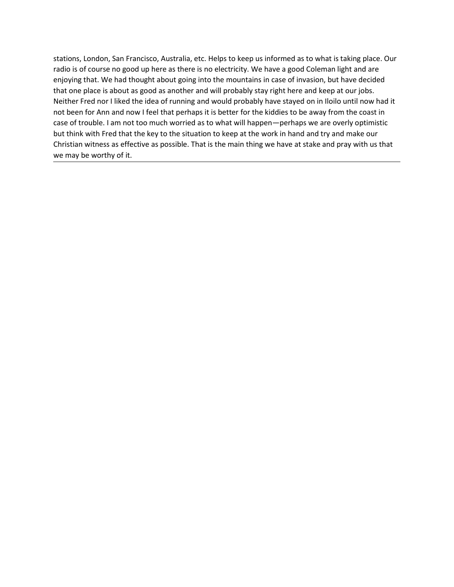stations, London, San Francisco, Australia, etc. Helps to keep us informed as to what is taking place. Our radio is of course no good up here as there is no electricity. We have a good Coleman light and are enjoying that. stations, London, San Francisco, Australia, etc. Helps to keep us informed as to what is taking place. Our radio is of course no good up here as there is no electricity. We have a good Coleman light and are enjoying that. stations, London, San Francisco, Australia, etc. Helps to keep us informed as to what is taking place. Our<br>radio is of course no good up here as there is no electricity. We have a good Coleman light and are<br>enjoying that. stations, London, San Francisco, Australia, etc. Helps to keep us informed as to what is taking place. Our<br>radio is of course no good up here as there is no electricity. We have a good Coleman light and are<br>enjoying that. stations, London, San Francisco, Australia, etc. Helps to keep us informed as to what is taking place. Our<br>radio is of course no good up here as there is no electricity. We have a good Coleman light and are<br>enjoying that. stations, London, San Francisco, Australia, etc. Helps to keep us informed as to what is taking place. Our radio is of course no good up here as there is no electricity. We have a good Coleman light and are enjoying that. stations, London, San Francisco, Australia, etc. Helps to keep us informed as to what is taking place. Our radio is of course no good up here as there is no electricity. We have a good Coleman light and are enjoying that. stations, London, San Francisco, Australia, etc. Helps to keep us informed as to what is taking place. Our radio is of course no good up here as there is no electricity. We have a good Coleman light and are enjoying that. stations, London, San Francisco, Australia, etc. Helps to keep us informed as to what is taking place. Our radio is of course no good up here as there is no electricity. We have a good Coleman light and are enjoying that. stations, London, San Francisco, Australia, etc. Helps to keep us informed as to what is taking pl<br>radio is of course no good up here as there is no electricly. We have a good Coleman light and<br>enjoying that. We had though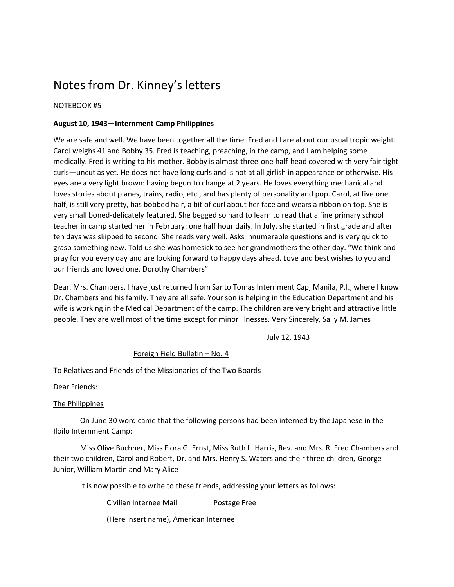Notes from Dr. Kinney's letters<br>
Notes from Dr. Kinney's letters<br>
August 10, 1943—Internment Camp Philippines<br>
We are safe and well. We have been together all the time. Fred and I are about our usual tropic weight. Notes from Dr. Kinney's letters<br>
NOTEBOOK #5<br>
August 10, 1943—Internment Camp Philippines<br>
We are safe and well. We have been together all the time. Fred and I are about our us<br>
Carol weighs 41 and Bobby 35. Fred is teachi Notes from Dr. Kinney's letters<br>
MOTEBOOK #5<br>
August 10, 1943—Internment Camp Philippines<br>
We are safe and well. We have been together all the time. Fred and I are about our usual tropic weight.<br>
Carol weighs 41 and Bobby Notes from Dr. Kinney's letters<br>
Nagust 10, 1943—Internment Camp Philippines<br>
We are safe and well. We have been together all the time. Fred and I are about our usual tropic weight.<br>
Carol weighs 41 and Bobby 35. Fred is t Notes from Dr. Kinney's letters<br>
Notes from Dr. Kinney's letters<br>
August 10, 1943—Internment Camp Philippines<br>
We are safe and well. We have been together all the time. Fred and I are about our usual tropic weight.<br>
Carol Notes from Dr. Kinney's letters<br>
Notes are the solutions of the solution of the solution of the solution of the solution of the same and the scale and we can be also that card weight and the card weight and bobby 35. Fred Notes from Dr. Kinney's letters<br>
Norseson K as a model of the download of the time. Fred and lare about our usual tropic weight.<br>
Carol weighs 41 and Bobby 35. Fred is teaching, preaching, in the camp, and I am helping som NOtes from Dr. Kinney's letters<br>
NOTEBOOK #5<br>
August 10, 1943—Internment Camp Philippines<br>
We are safe and well. We have been together all the time. Fred and lare about our usual tropic weight.<br>
Carol weighs 41 and Bobby 3 **Notes from Dr. Kinney's letters**<br>
Notes stories<br>
August 10, 1943—Internment Camp Philippines<br>
We are safe and well. We have been together all the time. Fred and lare about our usual tropic weight.<br>
Carol weights 41 and Bo Notes from Dr. Kinney's letters<br>
Notes from Dr. Kinney's letters<br>
August 10, 1943—Internment camp Philippines<br>
We are safe and well. We have been together all the time. Fred and I are about our usual tropic weight.<br>
Carol Notes from Dr. Kinney's letters<br>
NOTEBOOK #5<br>
August 10, 1943—Internment Camp Philippines<br>
We are safe and well. We have been together all the time. Fred and l are about our usual tropic weight.<br>
Carol weighs 41 and Bobby Notes from Dr. Kinney's letters<br>
Notes August 10, 1943—Internment camp Philippines<br>
We are safe and well. We have been together all the time. Fred and I are about our usual tropic weight.<br>
Carol weighs 41 and Bobby 35. Fre Notes from Dr. Kinney's letters<br>
Nortebook #5<br>
August 10, 1943—Internment Camp Philippines<br>
We are safe and well. We have been together all the time. Fred and I are about our usual tropic weight.<br>
Carol weighs 41 and Bobby Notes from Dr. Kinney's letters<br>
mortesook #5<br>
August 10, 1943—Internment Camp Philippines<br>
We are safe and well. We have been together all the time. Fred and l are about our usual tropic weight.<br>
Carol weighs 41 and Bobby Notes from Dr. Kinney's letters<br>
NorteBOOK #5<br>
August 10, 1943—Internment camp Philippines<br>
We are safe and well. We have been together all the time. Fred and I are about our usual tropic weight.<br>
Carol weighs 41 and Bobby NOtes from Dr. Kinney's letters<br>
Notes from Sock #5<br>
August 10, 1943—Internment Camp Philippines<br>
We are safe and well. We have been together all the time. Fred and I are about our usual tropic weight.<br>
Carol weighs 41 and NOTEBOOK #5<br>We are safe and well. We have been together all the time. Fred and l are about our usual tropic weight.<br>Carol weighs 41 and 8obby 35. Fred is teaching, preaching, in the camp, and I am helping some<br>medically, F **August 10, 1943—internment Camp Philippines**<br>We are safe and well. We have been together all the time. Fred and l are about our usual tropic weight.<br>Carol weighs 41 and Bobby 35. Fred is teaching, preaching, in the camp, August 10, 1943—Internment Camp Philippines<br>
We are site and well. We have been together all the time. Fred and I are about our usual tropic weight.<br>
Carol weighs 41 and Bobby 35. Fred is teaching, preaching, in the camp, We are safe and well. We have been together all the time. Fred and I are about our usual tropic weight.<br>Carol weighs 41 and Bobby 35. Fred is teaching, preaching, in the camp, and I am helping some<br>emerdically, Fred is wri Egirlish in appearance or otherwise. His<br>girlish in appearance or otherwise. His<br>girlish in appearance or otherwise. His<br>le loves everything mechanical and<br>ersonality and pop. Carol, at five one<br>cce and wears a ribbon on t does not have long curls and is not at all girlish in appearance or otherwise. His<br>om: having begun to change at 2 years. He loves everything mechanical and<br>se, trains, radio, etc., and has plenty of personality and pop. C Even are are yield to commin the proportion of the Missionaries of the Two Boards.<br>The Philippines of the Missionaries of the Missionaries of the Mission of the Air Still very pretty, has bobbed hair, a bit of curl about h half, is still very pretty, has bobbed hair, a bit of curl about her face and wears<br>very small boned-delicately featured. She begged so hard to learn to read that<br>teacher in camp started her in February: one half hour dail Expression to the Medical Department of the Two Bookie Chender in camp started her in February: one half hour daily. In July, she started then days was skipped to second. She reads very well. Asks innumerable questigrasp s

ivan sixipped to second. She reads very well. Asks innumerable questions and is very quick to sever grandmothers the other day. "We think and you every day and are looking forward to happy days ahead. Love and best wishes grasp something new. Told us she was homesick to see her grandmothers the other day. "<br>
Your friends and loved one. Dorothy Chambers"<br>
our friends and loved one. Dorothy Chambers"<br>
Dear. Mrs. Chambers and his family. They The State Buchner, Interest and the Miss Flore State Free Theorem Cap, Manila, P.I., where I know there and his family. They are all safe. Your son is helping in the Education Department and his transfers in the Medical De Dear. Mrs. Chambers, I have just returned from Santo Tomas Internment Cap, Manila, P.I., where I know<br>Dr. Chambers and his family. They are all safe. Your son is helping in the Education Department and his<br>uite is working Dear. Mrs. Chambers, I have just returned from Santo Tomas Internment Cap, Manila, P.I., where I know Dr. Chambers and his family. They are all safe. Your on is helping in the Education Department of the camp. The children

It is now borning in the Medical Department of the cano. Showing in the Medical Department of the camp. The children are very bright and attractive little<br>They are well most of the time except for minor illnesses. Very Sin imation of the time except for minor illnesses. Very Sincerely, Sally M. James<br>
July 12, 1943<br>
Foreign Field Bulletin – No. 4<br>
Friends of the Missionaries of the Two Boards<br>
30 word came that the following persons had been July 12, 1943<br>
Friends of the Missionaries of the Two Boards<br>
30 word came that the following persons had been interned by the Japanese in the<br>
13 word came that the following persons had been interned by the Japanese in t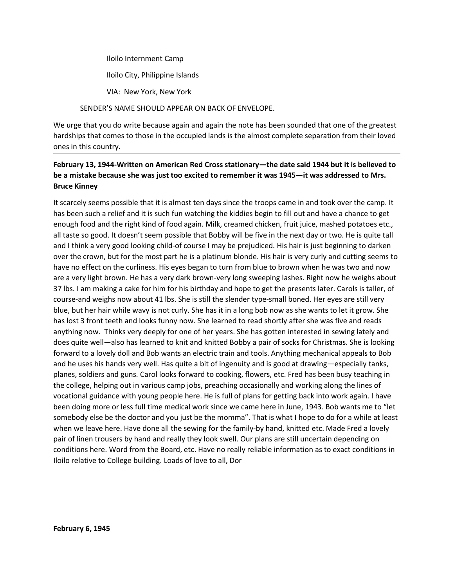Iloilo Internment Camp<br>Iloilo City, Philippine Islands<br>VIA: New York, New York<br>'S NAME SHOULD APPEAR ON BACK OF ENVELOPE. Iloilo Internment Camp<br>Iloilo City, Philippine Islands<br>YIA: New York, New York<br>'S NAME SHOULD APPEAR ON BACK OF ENVELOPE.<br>u do write because again and again the note has been sounded that one of the greatest

Iloilo Internment Camp<br>VIA: New York, New York<br>YS NAME SHOULD APPEAR ON BACK OF ENVELOPE.<br>Ju do write because again and again the note has been sounded that one of the greatest<br>omes to those in the occupied lands is the al Iloilo Internment Camp<br>
Iloilo City, Philippine Islands<br>
VIA: New York, New York<br>
SENDER'S NAME SHOULD APPEAR ON BACK OF ENVELOPE.<br>
It hat you do write because again and again the note has been sounded that one of the grea Iloilo Internment Camp<br>
Iloilo City, Philippine Islands<br>
VIA: New York, New York<br>
SENDER'S NAME SHOULD APPEAR ON BACK OF ENVELOPE.<br>
We urge that you do write because again and again the note has been sounded that one of th

# Hardships that comes to those in the occupied lands<br>SUA: New York, New York, New York<br>SENDER'S NAME SHOULD APPEAR ON BACK OF ENVELOPE.<br>We urge that you do write because again and again the note has been sounded that one of Iloilo Internment Camp<br>
Iloilo City, Philippine Islands<br>
VIA: New York, New York<br>
SENDER'S NAME SHOULD APPEAR ON BACK OF ENVELOPE.<br>
We urge that you do write because again and again the note has been sounded that chardship February 13, 1944-Written on American Red Cross stationary—the date said 1944 but it is believed to the greatest<br>The stationary of the secure of the secure and again the note has been sounded that one of the greatest<br>Ve ur

llollo Internment Camp<br>
llollo City, Phillppine Islands<br>
VIA: New York, New York<br>
SENDER'S NAME SHOULD APPEAR ON BACK OF ENVELOPE.<br>
We urge that you do write because again and again the note has been sounded that one of th lloilo Internment Camp<br>
lloilo City, Philippine Islands<br>
VIA: New York, New York<br>
SENDER'S NAME SHOULD APPEAR ON BACK OF ENVELOPE.<br>
We urge that you do write because again and again the note has been sounded<br>
hardships tha It scarcely seems possible that it is almost ten days since the troops came the new order.<br>The variance of the present of the scarce again and again the note has been sounded that one of the greatest<br>that ships that comes lloilo Internment Camp<br>
lloilo City, Philippine Islands<br>
SMA: New York, New York<br>
SENDENCS INAME SHOULD APPEAR ON BACK OF ENVELOPE.<br>
We urge that you do write because again and again the note has been sounded that one of t lloilo Internment Camp<br>
lloilo City, Philippine Islands<br>
VIA: New York, New York<br>
SENDER'S NAME SHOULD APPEAR ON BACK OF ENVELOPE.<br>
We urge that you do write because again and again the note has been sounded that one of th Iloilo Internment Camp<br>
VIA: New York, New York<br>
SENDER'S NAME SHOULD APPEAR ON BACK OF ENVELOPE.<br>
We urge that you do write because again and again the note has been sounded that one of the greatest<br>
hardships that comes ionio interimient camp<br>
VIA: New York, New York<br>
SENDER'S NAME SHOULD APPEAR ON BACK OF ENVELOPE.<br>
We urge that you do write because again and again the note has been sounded that one of the greatest<br>
hardships that comes llollo City, Philippine Islands<br>
VIA: New York, New York<br>
SENDER'S NAME SHOULD APPEAR ON BACK OF ENVELOPE.<br>
We urge that you do write because again and again the note has been sounded that one of the greatest<br>
Pebruary 13, VIA: New York, New York<br>SENDER'S NAME SHOULD APPEAR ON BACK OF ENVELOPE.<br>We urge that you do write because again and again the note has been sounded that one of the greatest<br>hardships that comes to those in the occupied la VIA: New York, New York (New York)<br>
SENDER'S NAME SHOULD APPEAR ON BACK OF ENVELOPE.<br>
We urge that you do write because again and again the note has been sounded that one of the greatest<br>
hardships that comes to those in t SENDER'S NAME SHOULD APPEAR ON BACK OF ENVELOPE.<br>We urge that you do write because again and again the note has been sounded that one of the greatest<br>andships that comes to those in the occupied lands is the almost complet We urge that you do write because again and again the note has been sounded that one of the greatest<br>hardships that comes to those in the occupied lands is the almost complete separation from their loved<br>ones in this count We urge that you dow owthe because again and again the note has been sounded that one of the greatest<br>hardships that comes in this country.<br> **February 13, 1944-Written on American Red Cross stationary—the date said 1944 bu** hars that comes to those in the occupied lands is the almost complete separation from their loved<br> **February 13, 1944-Written on American Red Cross stationary—the date said 1944 but it is believed to<br>
be a mistake because** ones in this country.<br>February 13, 1944-Written on American Red Cross stationary—the date said 1944 but it is believed to<br>be a mitsake because she was just too excited to remember it was 1945—it was adderssed to Mrs.<br>Bruce February 13, 1944-Written on American Red Cross stationary—the date said 1944 but it is believed to<br>
be a mistake because she was just too excited to remember it was 1945—it was addressed to Mrs.<br>
Bruce Kinney<br>
It is carce for the state of the method in the state of the state of the state of the state of the state of the state of the state of the state of the state of the state of the state of the state of the state of the state of the state be user the method of the state of the transmised in the transmised of the state of the state of the state of the state of the state of the state of the state of the state of the state of the ready since the troops came in planes is the tect well-also has learned to knit and knitted Bobby a pair of fill out and have a chance to get<br>thas been such a relief and it is such fun watching the kiddies begin to fill out and have a chance to get<br>enou It scarcely seems possible that it is almost ten days since the troops came in and took over the camp. It<br>has been such a relief and it is such fun watching the kiddies begin to fill out and have a chance to get<br>anough foo has been such a relief and it is such fun watching the kiddies begin to fill out and have a chance to get<br>encugh food and the right kind of food again. Milk, creamed chicken, finiti yiec, mashed pratoses etc.,<br>all tastes o enough food and the right kind of food again. Milk, creamed chicken, fruit juice, mashed potatoes etc., all tatsts good. It dossn't seem oposible that Bobby will be five in the next day or two. He is quite tall and think a all taste so good. It doesn't seem possible that Bobby will be five in the next day or two. He is quite tall<br>and Ithink a very good looking child-of course I may be prejudiced. His hair is just beginning to darken<br>over the and I think a very good looking child-of course I may be prejudiced. His hair is just beginning to darken<br>over the crown, but for the most part he is a platinum blonde. His hair is very curly and cutting seems<br>to have no e over the crown, but for the most part he is a platinum blonde. His hair is very curly and cutting seems to have no effect on the curilmess. His eyes began to turn from blue to brown when he was two and now have no efform t have no effect on the curilness. His eyes began to turn from blue to brown when he was two and now<br>are a very light brown. He has a very dark brown-very long sweeping lashes. Right now he weighs about<br>37 lbs. I am making a are a very light brown. He has a very dark brown-very long sweeping lashes. Right now he weighs about 37 lbs. I am making a cake for him for his birthday and hope to get the presents later. Carols is taller, of course-and does quie well—also nas learned to Knit and Knited Booby a par or socks for christment of forward to a lovely doll and Bob wants an electric train and tools. Anything mechanical he uses his hands very well. Has quite a bit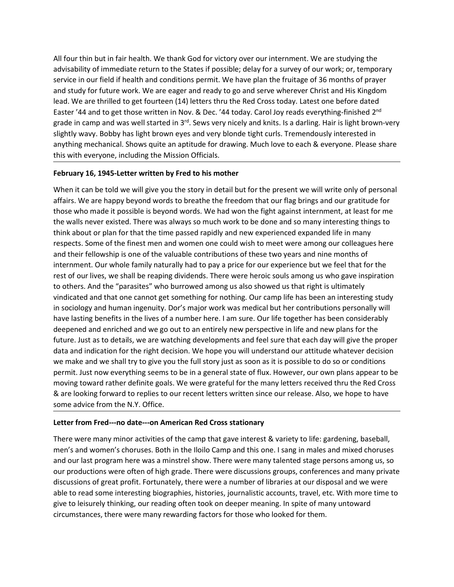All four thin but in fair health. We thank God for victory over our internment. We are studying the<br>advisability of immediate return to the States if possible; delay for a survey of our work; or, temporary<br>service in our f All four thin but in fair health. We thank God for victory over our internment. We are studying the<br>advisability of immediate return to the States if possible; delay for a survey of our work; or, temporary<br>service in our All four thin but in fair health. We thank God for victory over our internment. We are studying the<br>advisability of immediate return to the States if possible; delay for a survey of our work; or, temporary<br>service in our All four thin but in fair health. We thank God for victory over our internment. We are studying the<br>advisability of immediate return to the States if possible; delay for a survey of our work; or, temporary<br>service in our All four thin but in fair health. We thank God for victory over our internment. We are studying the<br>advisability of immediate return to the States if possible; delay for a survey of our work; or, temporary<br>service in our f All four thin but in fair health. We thank God for victory over our internment. We are studying the advisability of immediate return to the States if possible; delay for a survey of our work; or, temporary service in our All four thin but in fair health. We thank God for victory over our internment. We are studying the advisability of immediate return to the States if possible; delay for a survey of our work; or, temporary service in our f All four thin but in fair health. We thank God for victory over our internment. We are studying the allotisability of immediate return to the States if possible; delay for a survey of our work; or, temporary service in ou All four thin but in fair health. We thank God for victory over our internment. We are studying the<br>advisability of immediate return to the States if possible; delay for a survey of our work; or, temporary<br>service in our All four thin but in fair health. We thank God for victory over our internment. We are studying the<br>advisability of immediate return to the States if possible; delay for a survey of our work; or, temporary<br>service in our All four thin but in fair health. We thank God for victory over our internment. We are studying the advisability of immediate return to the States if possible; delay for a survey of our work; or, temporary exervice in our All four thin but in fair health. We thank God for victory over our internment. We are studying the accourt wise of the state if possible; delay for a survey of our work; or, temporary service in our field if health and co All four thin but in fair health. We thank God for victory over our internment. We are studying the advisability of immediate return to the states if possible; delay for a survey of our work; or, temporary serveince in our All four thin but in fair health. We thank God for victory over our internment. We are studying the<br>advisability of immediate return to the States if possible; delay for a survey of our work; or, temporary<br>service in our f All four thin but in fair health. We thank God for victory over our internment. We are studying the<br>advisability of immediate return to the States if possible; delay for a survey of our work; or, temporary<br>service in our f All four thin but in fair health. We thank God for victory over our internment. We are studying the<br>advisability of immediate return to the States if possible; delay for a survey of our work; or, temporary<br>service in our f

All four thin but in Tai President. We thank God for victory over our inferment. We are studying the<br>advisability of immediate return to the States if possible; delay for a survey of our work; or, temporary<br>service in our advaisability of immediate return to the states it possible; delay for a survey of our work; or, temporary<br>service in our field if health and conditions permit. We have plan the fruitage of 36 months of prayer<br>and study fo service in our theid the alth that do conditions permit. We have plan the trutage of 36 months of prayer prover wherever that and conditions of prayer and the set of the set of the set of the set of the set of the set of t and study for tutture work. We are eager and ready to go and serve wherever Christ and His Kingdom<br>Head, We are thrilled to get those written in Nov. & Dec. '44 today. Carol loy reads everything-finished 2<sup>nd</sup><br>Easter '44 a teak. We are threlled to get fourteen (14) letters than the Red Cross tootay. Latest one beroe dated among a likes and the mediation of Batter and the Mindel the mediation among a mong who but the mediation among among who Easter "44 and to get those wintten in Now. & Dec. "44 today. Carol loy reads everything-thinshed 2<sup>24</sup><br>Egrade in camp and was well stated in 3<sup>-8</sup>. Sevs very nicely and knits. Is a darling. Hair is lighth town-very<br>slight grade in camp and was well started in 3<sup>w</sup>. Seve yor pricely and Knits. Is a darling. Hair is light brown eyes and very bionde tight curls. Tremendously interested in anything mechanical. Shows quite an aptitude for drawin slightly way. Bobby has light brown eyes and very blonde tight curis. Tremendously interested in<br>anything mechanical. Shows quite an apittude for drawing. Much love to each & everyone. Please share<br>this with everyone, incl anything mechanical. Shows quite an apstitude for drawing. Much love to each & everyone. Please share<br>this with everyone, including the Mission Officials.<br> **February 16, 1945-Letter written by Fred to his mother**<br>
When it this with everyone, including the Mission Officials.<br> **February 16, 1945-Letter written by Fred to his mother**<br>
When it can be told we will give you the story in detail but for the present we will write only of personal<br>
M February 16, 1945-Letter written by Fred to his mother<br>When it can be told we will give you the story in detail but for the present we will write only of personal<br>affairs. We are happy beyond words to breathe the freedom t we make and that one cannot get something our or an expression as it is possible to do so or conditions and the sall tree to the sale of the sale of those who made it possible is beyond words to breathe the freedom that ou When it can be told we will give you the story in detail but for the present we will write only of personal<br>affairs. We are happy beyond words to breathe the freedom that our flag bings and our gratitude for<br>those who made affairs. We are happy beyond words to breathe the freedom that our flag brings and our gratitude for<br>those who made it possible is beyond words. We had won the fight against internment, at least for me<br>the walls never exis those who made it possible is beyond words. We had won the fight against internment, at least for me<br>the walls never existed. There was always so much work to be done and so many interesting thing to<br>think about or plan fo the walls never existed. There was always so much work to be done and so many interesting things t<br>think about or plan for that the time passed rapidly and new experienced expanded life in many<br>respects. Some of the finest respects. Some of the finest men and women one could wish to meet were among our colleagues here<br>and their fellowship is one of the valuable contributions of these two years and nine menths of<br>internment. Our whole family and their leal worsel the camp that was on these two years and nine months of the camp windstore that for the camp that the camp that the camp that the camp that the camp that the camp to the camp the camp to the camp to t internment. Our whole traming had to pay a price for our experience but we feel that for the instant of the Institutio<br>the institution of the Institution to the Institution to the Institution to others. And the "parasites" rest of our lives, we shall be reaping duvidends. There were herence souls among us who gave insperation<br>to others. And the "parasties" who burrowed among us also showed us that right is ultimately<br>vindicated and that one to others. And the "parasties" who burrowed among us also showed us that right is ultimately<br>to indicated and that one cannot get something for nothing. Our camp life has been an interesting study<br>in sociology and human in vindicated and that one cannot get something for nothing. Our camp life has been an inferesting study<br>in sociology and human ingenuity. Dor's major work was medical but her contributions personally will<br>have lasting benefi in socology and human ingenulty. Dor's major work was medical but her contributions personally will<br>no aconomic parameteric and enveloperation and the controllations per symperations of the data of the data of the data of have lasting benefits in the luose of a number here. I am sure. Our lie together has been considerably deepened and enriched and we go out to an entirely new perspective in life and new plans for the future. Just as to det

deepened and enriched and we go out to an entirely hew perspective in life and new plans for the<br>future. Just as to details, we are watching developments and feel sure that each day will give the proper<br>data and indication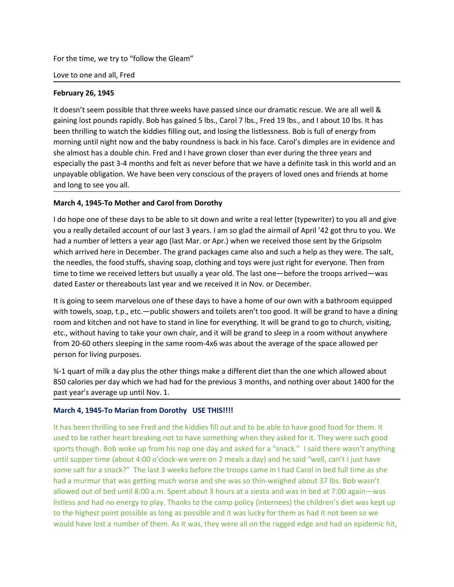For the time, we try to "follow the Gleam"<br>Love to one and all, Fred<br>February 26, 1945<br>It doesn't seem possible that three weeks have passed since our dramatic rescue. We are all well & For the time, we try to "follow the Gleam"<br>
Love to one and all, Fred<br> **February 26, 1945**<br>
It doesn't seem possible that three weeks have passed since our dramatic rescue. We are all<br>
gaining lost pounds rapidly. Bob has For the time, we try to "follow the Gleam"<br>
Love to one and all, Fred<br> **February 26, 1945**<br>
It doesn't seem possible that three weeks have passed since our dramatic rescue. We a<br>
gaining lost pounds rapidly. Bob has gained For the time, we try to "follow the Gleam"<br>
Love to one and all, Fred<br> **February 26, 1945**<br>
It doesn't seem possible that three weeks have passed since our dramatic rescue. We are all well &<br>
It doesn't seem possible that For the time, we try to "follow the Gleam"<br>Love to one and all, Fred<br>Tebruary 26, 1945<br>It doesn't seem possible that three weeks have passed since our dramatic rescue. We are all well &<br>gaining lost pounds rapidly. Bob has For the time, we try to "follow the Gleam"<br>Love to one and all, Fred<br>**February 26, 1945**<br>It doesn't seem possible that three weeks have passed since our dramatic rescue. We are all well &<br>gaining lost pounds rapidly. Bob h For the time, we try to "follow the Gleam"<br>Love to one and all, Fred<br>Let broam and all, Fred<br>disting lost pounds rapidly. Bob has gained 5 lbs., Carol 7 lbs., Fred 19 lbs., and 1 about 10 lbs. It has<br>gaining lost pounds ra For the time, we try to "follow the Gleam"<br>Sheve to one and all, Fred<br>February 26, 1945<br>It doesn't seem possible that three weeks have passed since our dramatic rescue. We are all well &<br>gaining lost pounds rapidly. Bob ha For the time, we try to "follow the Gleam"<br>Love to one and all, Fred<br>February 26, 1945<br>It doesn't seem possible that three weeks have passed since our dramatic rescue. We are all well &<br>gaining lost pounds rapidly. Bob has For the time, we try to "follow the Gleam"<br>
Love to one and all, Fred<br>
It doesn't seem possible that three weeks have passed since our dramatic rescue. We are all well &<br>
Bealing lost pounds rapidly. Bob has gained S lbs., For the time, we try to "follow the Gleam"<br>Love to one and all, Fred<br>**February 26, 1945**<br>It doesn't seem possible that three weeks have passed since our dramatic rescue. We are all<br>gaining lost pounds rapidly. Bob has gain For the time, we try to "follow the Gleam"<br> **February 26, 1945**<br> **Ethotages 1945**<br> **Ethotages 1945**<br> **Ethotages 1945**<br> **Ethotages 1945**<br> **Ethotages 1945**<br> **Ethotages 14, 1945**<br> **Ethotages 2, 1945**<br> **Ethotages 11:**<br> **Ethota** For the time, we try to "follow the Gleam"<br>
I doesn't seem possible that three weeks have passed since our dramatic rescue. We are all well &<br>
gaining lost pounds rapidly. Bob has gained 5 lbs., Carol 7 lbs., Fred 19 lbs., For the time, we try to "follow the Gleam"<br>Love to one and all, Fred<br>Tebruary 26, 1945<br>Hordon's tsem possible that three weeks have passed since our dramatic rescue. We are all well &<br>disaing lost pounds rapidly. Bob has g For the time, we try to "follow the Gleam"<br>Love to one and all, Fred<br>February 26, 1945<br>It doesn't seem possible that three weeks have passed since our dramatic rescue. We are all well &<br>Raining lost pounds rapidly. Bob has Love to one and all, Fred<br> **February 26, 1945**<br>
It doesn't seem possible that three weeks have passed since our dramatic rescue. We are all well &<br>
gaining lost pounds rapidly. Bob has gained 5 lbs., Carol 7 lbs., Fred 19 Evertic orie and an, ried<br> **Ethorary** 26, 1945<br>
It doesn't seem possible that three weeks have passed since our dramatic rescue. We are all well &<br>
It disent is seem possible that three weeks have passed since our dramatic **February 26, 1945**<br>
It doesn't seem possible that three weeks have passed since our dramatic rescue. We are all well &<br>
gaining lost pounds rapidly. Bob has gained 5 lbs, Carol 7 lbs., Fred 19 lbs., and I about 10 lbs. It It doesn't seem possible that three weeks have passed since our dramatic rescue. We are all well &<br>gaining lost pounds rapidly. Bob has gained 5 lbs., Carol 7 lbs., Fred 19 lbs., and I about 10 lbs. It has<br>been thrilling t gaining lost pounds rapidly. Bob has gained 5 lbs., Carol 7 lbs., Fred 19 lbs., and I about 10 lbs. It has<br>been thrilling to watch the kiddies filling out, and losing the listlessness. Bob is full of energy from<br>morning un

been thrilling to watch the kiddies filling out, and losing the listlessness. Bob is full of energy from<br>morning until night now and the baby roundness is back in his face. Carol's dimples are in evidence and<br>she almost ha morning until night now and the baby roundness is back in his face. Carol's dimples are in evidence and<br>she almost has a double chin. Fred and I have grown closer than ever turing the three years and<br>especially the past 3she almost has a double chin. Fred and I have grown closer than ever during the three years and<br>expecially the past 3-4 months and felt as never before that we have a definite task in this world and an<br>europayable obligati especially the past 3-4 months and felt as never before that we have a definite task in this world and an unpayable obligation. We have been very conscious of the prayers of loved ones and friends at home<br>and long to see y unpayable obligation. We have been very conscious of the prayers of loved ones and frien<br>
and long to see you all.<br> **March 4, 1945-To Mother and Carol from Dorothy**<br>
I do hope one of these days to be able to sit down and w and iong to see you all.<br>
March 4, 1945-To Mother and Carol from Dorothy<br>
If do hope one of these days to be able to sit down and write a real letter (typewriter) to you all and give<br>
you a really detailed account of our l March 4, 1945-To Mother and Carol from Dorothy<br>
Ido hope one of these days to be able to sit down and write a real letter (vpewriter) to you all and give<br>
you a really detailed account of our last 3 years. I am so glad the If do hope one of these days to be able to sit down and write a real letter (typewriter) to you all and give<br>You a really detailed account of our last 3 years. I am so glad the airmail of April '42 got thru to you. We<br>had you a really detailed account of our last 3 years. I am so glad the airmail of April '42 got thru to you. We<br>had a number of letters a year ago (last Mar. or Apr.) when we received those sent by the Gripsolm<br>which arrived

mad a numere or letteres a year ago (last war. or Apr.) when we received those seen toy the dripsolm<br>which arrived here in December. The grand packages came also and such a help as they were. The slatt,<br>the needles, the fo

When arrive in December. In legariting where also and such a study and the reading the stather and the medies, the food stuffs, shaving soap, clothing and toys were just right for everyone. Then from<br>time to time we receiv the meades, the roota sturns, shaving soap, coroting and topy were just right to redevigine. In en room<br>time to time we received letters but usually a year old. The last one-before the troops arrived—was<br>dated Easter or th time to time we receive a enter sout ussually a year oin. Ine last one--berene the troops armved—was<br>
diated Easter or thereabouts last year and we received it in Nov. or December.<br>
It is going to seem marvelous one of the other that a space to the method with the diverse and the other with a bathroom equipped<br>this point paramerolous one of these days to have a home of our own with a bathroom equipped<br>with towels, soap, t.p., etc.—public sho It is going to seem marvelous one of these days to have a home of our own with a bathroom equipped<br>with towels, soap, t.p., etc.—public showers and colies arent too good. It will be grand to have a diming<br>etc., without hav with towels, soap, t.p., etc.—public showers and toliets aren't too good. It will be grand to have a diming room and kithen and not have to stand in lifer for everything. It will be grand to go to church, visitings. The si room and kitchen and not have to stand in line for everything. It will be grand to go to church, wisting.<br>
eftc, without having to take your wom chair, and it will be grand to sleep in a room without anywhere<br>
from 20-60 o etc., without having to take your own chair, and it will be grand to sleep in a room without anywhere<br>from 20-60 others sleeping in the same room-4x6 was about the average of the space allowed about<br>person for living purpo from 20-60 others sleeping in the same room-4x6 was about the average of the space allowed per<br>Person for living purposes.<br>W-1 quart of milk a day plus the other things make a different diet than the one which allowed abou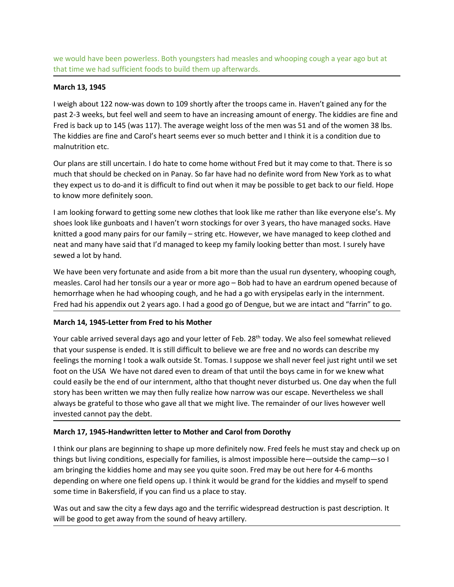we would have been powerless. Both youngsters had measles and whooping cough a year ago but at<br>that time we had sufficient foods to build them up afterwards.<br>**March 13, 1945**<br>I weigh about 122 now-was down to 109 shortly a

We would have been powerless. Both youngsters had measles and whooping cough a year ago but at<br>
that time we had sufficient foods to build them up afterwards.<br> **March 13, 1945**<br>
I weigh about 122 now-was down to 109 shortl we would have been powerless. Both youngsters had measles and whooping cough<br>that time we had sufficient foods to build them up afterwards.<br>**March 13, 1945**<br>I weigh about 122 now-was down to 109 shortly after the troops ca we would have been powerless. Both youngsters had measles and whooping cough a year ago but at that time we had sufficient foods to build them up afterwards.<br>
March 13, 1945<br>
I weigh about 122 now-was down to 109 shortly a we would have been powerless. Both youngsters had measles and whooping cough a year ago but at that time we had sufficient foods to build them up afterwards.<br> **March 13, 1945**<br>
I weigh about 122 now-was down to 109 shortly we would have been powerless. Both youngsters had measles and whooping cough a year ago but at<br>that time we had sufficient foods to build them up afterwards.<br>**March 13, 1945**<br>I weigh about 122 now-was down to 109 shortly a We would have been powerless. Both youngsters had measles and whooping cough a year ago but at<br>that time we had sufficient foods to build them up afterwards.<br>March 13, 1945<br>I weigh about 122 now-was down to 109 shortly aft we would have been powerless. Both youngsters had measles and whooping cough a y<br>that time we had sufficient foods to build them up afterwards.<br>March 13, 1945<br>Weigh about 122 now-was down to 109 shortly after the troops ca we would have been powerless. Both youngsters had measles and whooping cough a year ago but at<br>that time we had sufficient foods to build them up afterwards.<br>**March 13, 1945**<br>tweigh about 122 now-was down to 109 shortly af we would have been powerless. Both youngsters had measles and whooping cough a year ago but at<br>that time we had sufficient foods to build them up afterwards.<br>March 13, 1945<br>past 2-3 weeks, but 122 now-was down to 109 short we would have been powerless. Both youngsters had measles and whooping cough a year ago but at<br>that time we had sufficient foods to build them up afterwards.<br> **March 13, 1945**<br>
I weigh about 122 now-was down to 109 shortly We would have been powerless. Both youngsters had measles and whooping cough a year ago but<br>that time we had sufficient foods to build them up afterwards.<br>March 13, 1945<br>I weigh about 122 now-was down to 109 shortly after we would have been powerless. Both youngsters had measles and whooping cough a year ago but at<br>that time we had sufficient foods to build them up afterwards.<br>**March 13, 1945**<br>Weigh about 122 now-was down to 109 shortly aft we would have been powerless. Both youngsters had measles and whooping cough a year ago but at<br>that time we had sufficient foods to build them up afterwards.<br>**March 13, 1945**<br>Warch **13, 1945**<br>we have to the move as down to we would have been powerless. Both youngsters had measles and whooping cough a year ago but at<br>that time we had sufficient foods to build them up afterwards.<br>March 13, 1945<br>Weigh about 122 now-was down to 109 shortly after We would nave been poweres.. Som youngsters nan emasses annotoping cougn a year ago but at<br>that time we had sufficient foods to build them up afterwards.<br>March 13, 1945<br>If weigh about 122 now-was down to 109 shortly after March 13, 1945<br>
Warch 13, 1945<br>
I weigh about 122 now-was down to 109 shortly after the troops came in. Haven't gained any for the<br>
I past 2-3 weeks, but feel well and seem to have an increasing amount of energy. The kiddi I weigh about 122 now-was down to 109 shortly after the troops came in. Haven't gained any for the propare 2-3 weeks, but feel well and seem to have an increasing amount of energy. The kiddies are fine and Fred is back up

that time we had sunctent loods to build them up afterwards.<br>
March 13, 1945<br>
I weigh about 122 now-was down to 109 shortly after the troops came in. Haven't gaine<br>
past 2-3 weeks, but feel well and seem to have an increas past 2-3 weeks, but feel well and seem to have an increasing amount of energy. The kiddies are fine and<br>Fine kiddies are fine and Caro's heart seems ever so much better and I think it is a condition due to<br>The kiddies are Fred is back up to 145 (was 117). The average weight loss of the men was 51 and of the women 38 lbs.<br>The kiddes are fine and Carol's heart seems ever so much better and I think it is a condition due to<br>malnutrition etc.<br>Ou Ine konders are three and carrols hearts seems ever so much deteter and i think it is a condition due to complanat main that should be checked on in Panay. So far have had no definite word from New York as to what they exp

Our plans are still uncertain. I do hate to come home without Fred but it may come to that. There is so<br>much that should be checked on in Panay. So far have had no definite word from New York as to what<br>they expect us to d Our pains are sum uncertaint . To ontate to one none none moment wunder hero but thrap come to that. There is so<br>that they expect us to do-and it is difficult to find out when it may be possible to get back to our field. H mutur Inat Show out enceede on in renary. So lar Inave mato oemine wou from the we receive the more to the morning the more than the more definitely soon.<br>The more definitely soon.<br>The moralist groward to getting some new they expect us to aco-and it is annew the may be possible to get back to our held. Hope the the How more definitely soon.<br>
I am looking forward to getting some new clothes that look like me rather than like everyone else's to know more denintery soon.<br>
Ham looking forward to getting some new clothes that look like me rather than like everyone else's. My<br>
shoes look like gunboats and I haven't worn stockings for over 3 years, tho have managed I am looking forward to getting some new clothes that look like me rather than like everyone else's. My<br>shoes look like gunboats and I haven't worn stockings for over 3 years, tho have managed so kesk. Have<br>knitted a good shoes look like gunboats and I haven't worn stockings for over 3 years, tho have managed socks. Have<br>heat and good many pairs for our family – string etc. However, we have managed to keep clothed and<br>neat and many have sai knitted a good many pairs for our family – string etc. However, we have managed to keep clothed<br>neat and many have said that I'd managed to keep my family looking better than most. I surely ha<br>esewed a lot by have sidd tha near ann many nase sand track and a side from a bit more than the usual run dysentery. Showing the kised and the base been very fortunate and aside from a bit more than the usual run dysentery, whooping cough, measles. Car We have been very fortunate and aside from a bit more than the usual run dysentery, whooping cough,<br>measies. Carol had her tonsils our a year or more ago – Bob had to have an eardrum opened because of<br>herenorhage when he h ve nave user they not untare ann assume not in a turbule than the usar lart through cought.<br>The meastes, Carol had the tonsils our a year or more ago – Bob had to have an eardrum opened because of<br>hemorrhage when he had wh Interases. Can that the trations of year of thole e ago with enying the higher the finding the higher the bigged in the higher of Fred had his appendix out 2 years ago. I had a good go of Dengue, but we are intact and "far Herel had his appendix out 2 years ago. I had a good go of Dengue, but we are intact and "farrin" to go.<br>
March 14, 1945-Letter from Fred to his Mother<br>
Your cable arrived several days ago and your letter of Feb. 28<sup>th</sup> to ried may has spectral of the Match 14, 1945-teter from Fred to his Matcher<br>Warch 14, 1945-Letter from Fred to his Mother<br>The the street and work also as a place of Feb. 28<sup>th</sup> today. We also feel somewhat relieved<br>Your cab warch 14, 1943-texter rrom Frea to nis worner<br>Your cable arrived several days ago and your letter of Feb. 28<sup>th</sup> today. We also feel somewhat relieved<br>Your cable arrived several days ago and your letter of Feb. 28<sup>th</sup> toda Your cable arrived several days ago and your letter of Feb. 28<sup>th</sup> today. We also feel somewhat relieved<br>that your suspense is ended. It is still difficult to believe we are free and no words can describe my<br>feelings the m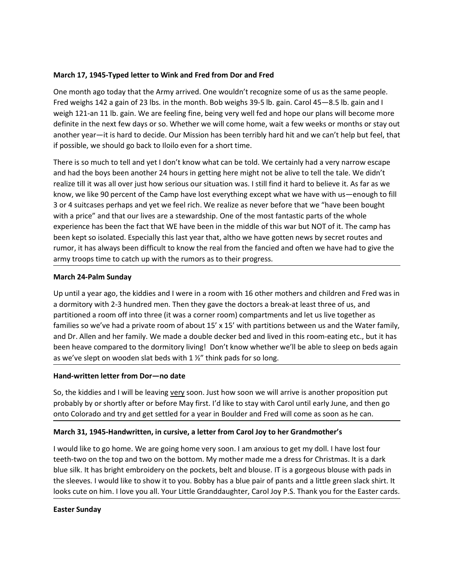March 17, 1945-Typed letter to Wink and Fred from Dor and Fred<br>One month ago today that the Army arrived. One wouldn't recognize some of us as the same people.<br>Fred weighs 142 a gain of 23 lbs. in the month. Bob weighs 39-March 17, 1945-Typed letter to Wink and Fred from Dor and Fred<br>One month ago today that the Army arrived. One wouldn't recognize some of us as the same people.<br>Fred weighs 142 a gain of 23 lbs. in the month. Bob weighs 39-March 17, 1945-Typed letter to Wink and Fred from Dor and Fred<br>One month ago today that the Army arrived. One wouldn't recognize some of us as the same people.<br>Fred weighs 142 a gain of 23 lbs. in the month. Bob weighs 39-March 17, 1945-Typed letter to Wink and Fred from Dor and Fred<br>One month ago today that the Army arrived. One wouldn't recognize some of us as the same people.<br>Fred weighs 142 a gain of 23 lbs. in the month. Bob weighs 39-March 17, 1945-Typed letter to Wink and Fred from Dor and Fred<br>One month ago today that the Army arrived. One wouldn't recognize some of us as the same people.<br>Fred weighs 142 a gain of 23 lbs. in the month. Bob weighs 39-March 17, 1945-Typed letter to Wink and Fred from Dor and Fred<br>
One month ago today that the Army arrived. One wouldn't recognize some of us as the same people.<br>
Fred weighs 142 a gain of 23 lbs. in the month. Bob weighs 3 March 17, 1945-Typed letter to Wink and Fred from Dor and Fred<br>One month ago today that the Army arrived. One wouldn't recognize some of us as the same people.<br>Fred weighs 142 a gain of 23 lbs. in the month. Bob weighs 39-March 17, 1945-Typed letter to Wink and Fred from Dor and Fred<br>One month ago today that the Army arrived. One wouldn't recognize some of us as the same people.<br>Fred weighs 142 a gain of 23 lbs. in the month. Bob weighs 39-

March 17, 1945-Typed letter to Wink and Fred from Dor and Fred<br>One month ago today that the Army arrived. One wouldn't recognize some of us as the same people.<br>Fred weighs 142 a gain of 23 lbs. in the month. Bob weighs 39-March 17, 1945-Typed letter to Wink and Fred from Dor and Fred<br>One month ago today that the Army arrived. One wouldn't recognize some of us as the same people.<br>Fred weighs 142 a gain of 23 lbs. in the month. Bob weighs 39-March 17, 1945-Typed letter to Wink and Fred from Dor and Fred<br>
One month ago today that the Army arrived. One wouldn't recognize some of us as the same people.<br>
Fred weighs 122 an on 23 lbs. in the month. Bob weighs 39-5 March 17, 1945-Typed letter to Wink and Fred from Dor and Fred<br>
One month ago today that the Army arrived. One wouldn't recognize some of us as the same people.<br>
Fred weighs 142 a gain of 23 lbs. in the month. Bob weighs 3 March 17, 1945-Typed letter to Wink and Fred from Dor and Fred<br>One month ago today that the Army arrived. One wouldn't recognize some of us as the same people.<br>Fred weigh 121-an 11 lb. gain of 23 lbs. in the month. Bob wei March 17, 1945-Typed letter to Wink and Fred from Dor and Fred<br>One month ago today that the Army arrived. One wouldn't recognize some of us as the same people.<br>Fred weighs 142 a gain of 23 lbs. in the month. Bob weighs 39-March 17, 1945-Typed letter to Wink and Fred from Dor and Fred<br>
One month ago today that the Army arrived. One wouldn't recognize some of us as the same people.<br>
Fred weighs 142 a gain of 23 lbs. In the month, Bob weighs 3 March 17, 1945-Typed letter to Wink and Fred from Dor and Fred<br>
One month ago today that the Army arrived. One wouldn't recognize some of us as the same people.<br>
Fred weighs 142 a gain of 23 lbs. in the month. Bob weighs 3 March 17, 1945-Typed letter to Wink and Fred from Dor and Fred<br>
One month ago today that the Army arrived. One wouldn't recognize some of us as the same people.<br>
One month ago today that the Army arrived. One wouldn't reco One month ago today that the Army arrived. One wouldn't reognize some of us as the sa<br>Fred weighs 142 a gain of 23 lbs. in the month. Bob weighs 39-5 lb. gain. Carol 45–8.5 lb.<br>Fred weigh 121-an 11 lb. gain. We are feeling weigh 121-an 11 lb. gain. We are feeling fine, being very well fed and hope our plans will become more<br>dentine in the next few days or so. Whether we will come home, wait a few weeks or months or stay out<br>another year—it i definite in the next few days or so. Whether we will come home, wait a few weeks or months or stay out<br>another year—it is hard to decide. Our Mission has been terribly hard hit and we can't help but feel, that<br>if possible, another year—it is hard to decide. Our Mission has been terribly hard hit and we can't help but feel, that<br>There is so much to tell and yet I don't know what can be told. We certainly had a very narrow escape<br>There is so m if possible, we should go back to lloilo even for a short time.<br>There is so much to tell and yet I don't know what can be told. We certainly had a very narrow escape<br>and had the boys been another 24 hours in getting here m There is so much to tell and yet I don't know what can be told. We certainly had a very narrow escape<br>and had the boys been another 24 hours in getting here might not be alive to tell the tale. We didn't<br>realize till it wa There is so much to tell and ay et I don't know what can be told. We certainly had a very narrow escape<br>and had the boys been another 24 hours in getting here might not be alive to tell the tale. We didn't<br>realize till it and had the boys been another 24 hours in getting here myth to to allve to tell the tale. We didn't be a<br>sealine this two selects of the Camp have lost everything except what we have with us—enough to fill<br>are allie to the

know, we like 90 percent of the Camp have lost everything except what we have with us—enough to fill<br>or of 4 suitcases perhaps and yet we feel rich. We realize as never before that we "have been bought<br>avith a price" and t so, the suicases permaps and to the determint. We treate as inverte before the trust we may have to the streate the fourth of this way to the streate the fact that WE have been in the middle of this war but NOT of it. The with a present and worm was are a season unit. Once to the most canceast parts or to write the probably by or shortly to the stay with the most the stay with the content of the stay with the stay with a stay with the runno Experience Inas been the latt context wire been the mindle of this settled for a year in the mindle of the settled for a year in the mindle of the settled for a year in the mindle of the state and trial to give the army tr rumor, it has always been difficult to know the real from the fancied and often we have had to give the<br>army troops time to catch up with the rumors as to their progress.<br>March 24-Palm Sunday<br>Up until a year ago, the kiddi **IN arch 24-Palm Sunday**<br>
Up until a year ago, the kiddies and I were in a room with 16 other mothers and children and Fred was in<br>
a dormitory with 2-3 hundred men. Then they gave the doctors a break-at least three of us, March 24-Palm Sunday<br>Up until a year ago, the kiddies and I were in a room with 16 other mothers and children and Fred was in<br>a dormitory with 2-3 hundred men. Then they gave the doctors a break-at least three of us, and<br>p Up until a year ago, the kiddies and I were in a room with 16 other mothers and children and Fred was in a dormitory with 2-3 hundred men. Then they gave the doctors a break-at least three of us, and the family. Sf and the by anni a year ego, we know is an well and the sleeves. It was the decision and the sleepes of the sleepes and the sleepes. The and the sleepes are pay that the sleepes are pay that of a blue pair of the sleepes of the sle a commonly write 2-5 manufacture. Their thiese the controst and a streamed the step of the step of the step of the step of the step of the standaughters of the step of the step of the step of the step of the standing etc.,

families so we've had a private room of about 15' x 15' with partitions between and Dr. Allen and her family. We made a double decker bed and lived in this root been heave compared to the dormitory living! Don't know wheth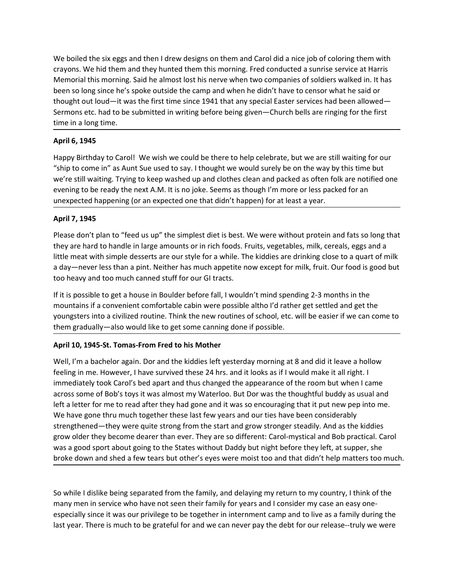We boiled the six eggs and then I drew designs on them and Carol did a nice job of coloring them with<br>crayons. We hid them and they hunted them this morning. Fred conducted a sunrise service at Harris<br>Memorial this morning We boiled the six eggs and then I drew designs on them and Carol did a nice job of coloring them with<br>crayons. We hid them and they hunted them this morning. Fred conducted a sunrise service at Harris<br>Memorial this morning We boiled the six eggs and then I drew designs on them and Carol did a nice job of coloring them with<br>crayons. We hid them and they hunted them this morning. Fred conducted a sunrise service at Harris<br>Memorial this morning We boiled the six eggs and then I drew designs on them and Carol did a nice job of coloring them with<br>crayons. We hid them and they hunted them this morning. Fred conducted a sunrise service at Harris<br>Memorial this morning We boiled the six eggs and then I drew designs on them and Carol did a nice job of coloring them with<br>crayons. We hid them and they hunted them this morning. Fred conducted a surrise service at Harris<br>Memorial this morning We boiled the six eggs and then I drew designs on them and Carol did a nice job of coloring them with<br>crayons. We hid them and they hunded them this morning. Fred conducted a sunrise service at Harris<br>Memorial this morning We boiled the six eggs and then I drew designs on them and Carol did a nice job of colond the compositions. We hid them and they hunted them this morning. Fred conducted a sunrise self-<br>Memorial this morning. Said he almos We boiled the six eggs and then I drew designs on them and Carol did a nice job crayons. We hid them and they hunted them this morning. Fred conducted a sunn<br>Memorial this morning. Said he almost lost his nerve when two co We boiled the six eggs and then I drew designs on them and Carol did a nice job of coloring them with<br>crayons. We hid them and they hunted them this morning. Fred conducted a sunrise service at Harris<br>Memorial this morning We boiled the six eggs and then I drew designs on them and Carol did a nice job of coloring them with<br>crayons. We hid them and they hunted them this morning. Fred conducted a surrise service at Harris<br>Memorial this morning We boiled the six eggs and then I drew designs on them and Carol did a nice job of coloring them with<br>crayons. We hid them and they hunted them this morning. Fed conducted a surrise service at Harris<br>Memorial this morning. We boiled the six eggs and then I drew designs on them and Carol did a nice job of coloring them with<br>crayons. We hid them and they hunted them this morning. Fred conducted a surrise service at Harris<br>Memorial this morning We boiled the six eggs and then I drew designs on them and Carol did a nice job of coloring them with<br>crayons. We hid them and they hunted them this morning. Fred conducted a sunrise service at Harris<br>Memorial this morning We boiled the six eggs and then I drew designs on them and Carol did a nice job crayons. We hid them and they hunted them this morning. Fred conducted a sum<br>Memorial this morning. Said he almost lost his nerve when two com We boiled the six eggs and then I drew designs on them and Carol did a nice job of coloring them with<br>crayons. We hid them and they hunted them this morning. Fred conducted a sunrise service at Harris<br>Memorial this morning ve to mue sox eggs and other in triew testigns of the mind can be under the bandle in the proposition of the hand they hunted them this morning. Fred conducted a surrise service at Harris Memorial this morning. Said he alm Little meat with simple desserts are our this moning. I ret wontworded a summe server at unany interest are to the mean of the destination of the single period of the camp and when he didn't have to censor what he said or

wellow and this morning, salure amoves user in the wellow the mean of the said or been so long since he's spoke outside the camp and when he didn't have to censor what he said or thought out loud—it was the first time sinc been so toong smore are spote bouse or te camp and writter to much caree to census or tracts. This payabout and the much cannot cannot cannot cannot cannot cannot the signific for the first time in a long time.<br> **April 6,** Sermons etc. had to be submitted in writing before being given—Church bells are ringing for the first<br>time in a long time.<br>**April 6, 1945**<br>Happy Birthday to Carol! We wish we could be there to help celebrate, but we are st time in a long time.<br>
Happy Birthday to Caroll. We wish we could be there to help celebrate, but we are still waiting for our<br>
"Ship to come in" as Aunt Sue used to say. I thought twe would surely be on the way by this tim April 6, 1945<br>
Happy Birthday to Carol! We wish we could be there to help celebrate, but we are still waiting for our<br>
"ship to come in" as Aunt Sue used to say. I thought we would surely be on the way by this time but<br>
we April 6, 1943<br>Happy Birthday to Caroll We wish we could be there to help celebrate, but we are still waiting for our<br>"ship to come in" as Aunt Sue used to say. I thought we would surely be on the way by this time but<br>we're

mappy uniting to calibit it and the was we countered to the ended to the ended to the seal with the properties the search with the properties the search with the properties the search with the properties the properties tha

we're still waiting. Trying to keep washed up and dothes clean and packed as often folk are notified one<br>evening to be ready the next A.M. It is no joke. Seems as though I'm more or less packed for an<br>unexpected happening evening to be ready the next A.M. It is no joke. Seems as though I'm more or less packed for an<br>unexpected happening (or an expected one that didn't happen) for at least a year.<br>Please don't plan to "feed us up" the simple unexpected happening (or an expected one that didn't happen) for at least a year.<br> **April 7, 1945**<br>
Please don't plan to "feed us up" the simplest diet is best. We were without protein and fats so long that<br>
they are hard **April 7, 1945**<br>Please don't plan to "feed us up" the simplest diet is best. We were without protein and fats so long that<br>they are hard to handle in large amounts or in rich foods. Fruits, vegetables, milk, cereals, eggs **PPINT 7, 1993**<br>Please don't plan to "feed us up" the simplest diet is best. We were without protein and fats so long that<br>they are hard to handle in large amounts or in rich foods. Fruits, vegetables, milk, cereals, eggs Please don't plan to "feed us up" the simplest diet is best. We were without protein and fats so long that<br>they are hard to handle in large amounts or in rich foods. Fruits, vegetables, milik, crereals, eggs and a<br>tiltle m they are hard to handle in large amounts or in rich foods. Fruits, vegetables, milk, cereals, eggs and a<br>little meat with simple deserts are our style for a while. The kiddles are drinking close to a quart of milk<br>it die a little meat with simple desserts are our style for a while. The kiddies are drinking close to a quart of milk<br>to heavy-mever less than a pint. Nelther has much appettle now except for milk, fruit. Our food is good but<br>to h a day—never less than a pint. Neither has much appetite now except for milk, fruit. Our food is good but<br>too heavy and too much canned stuff for our GI tracts.<br>His it possible to get a house in Boulder before fall, I would too heavy and too much canned stuff for our GI tracts.<br>If it is possible to get a house in Boulder before fall, I wouldn't mind spending 2-3 months in the<br>mountains if a conveniert confortable cabin were poosible altho'd c nountains in a convertent combined bath were possible and or or assume that the respected and get the particular products and the separated from gradually—also would like to get some canning done if possible.<br>April 10, 194 yourgases muto a crenne to ment with the new rounds or saturo, tec. will be easter it we can connect to the gradually-also would like to get some canning done if possible.<br>
April 10, 1945-St. Tomas-From Fred to his Mother<br> the migratually —also would like to get some caming uone in possible.<br>Well, I'm a bachelor again. Dor and the kiddies left yesterday morning at 8 and did it leave a hollow<br>Well, I'm a bachelor again. Dor and the kiddies le April 10, 1945-St. Tomas-From Fred to his Mother<br>Well, I'm a bachelor again. Dor and the kiddies left yesterday morning at 8 and did it leave a hollow<br>Heeling in me. However, I have survived these 24 hss. and it looks as i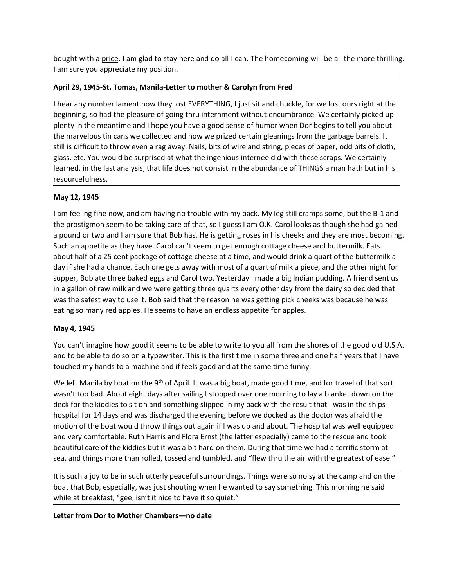bought with a <u>price</u>. I am glad to stay here and do all I can. The homecoming will be all the more thrilling.<br>
I am sure you appreciate my position.<br> **April 29, 1945-St. Tomas, Manila-Letter to mother & Carolyn from Fred** 

bought with a <u>price</u>. I am glad to stay here and do all I can. The homecoming will be all the more thrill<br>
I am sure you appreciate my position.<br> **April 29, 1945-St. Tomas, Manila-Letter to mother & Carolyn from Fred**<br>
I bought with a <u>price</u>. I am glad to stay here and do all I can. The homecoming will be all the more thrilling.<br>
1 am sure you appreciate my position.<br> **April 29, 1945-St. Tomas, Manila-Letter to mother & Carolyn from Fred** bought with a <u>price</u>. I am glad to stay here and do all I can. The homecoming will be all the more thrilling.<br>
I am sure you appreciate my position.<br> **April 29, 1945-St. Tomas, Manila-Letter to mother & Carolyn from Fred** bought with a <u>price</u>. I am glad to stay here and do all I can. The homecoming will be all the more thrilling.<br> **April 29, 1945-St. Tomas, Manila-Letter to mother & Carolyn from Fred**<br>
I hear any number lament how they los bought with a <u>price</u>. I am glad to stay here and do all I can. The homecoming will be all the more thrilling.<br> **April 29, 1945-St. Tomas, Manila-Letter to mother & Carolyn from Fred**<br>
I hear any number lament how they los bought with a <u>price</u>. I am glad to stay here and do all I can. The homecoming will be all the more thrilling.<br>I am sure you appreciate my position.<br>**April 29, 1945-St. Tomas, Manila-Letter to mother & Carolyn from Fred**<br>I still is difficult of throw even a rag away. Nails, bits of wire abundance of THINGs a man the bits of the more throw even a paper and the more throw even a paper and the more throw they lost EVERYTHING, I just sit and chu bought with a <u>price</u>, I am glad to stay here and do all I can. The homecoming will be all the more thrilling.<br>
J am sure you appreciate my position.<br> **April 29, 1945-St. Tomas, Manila-Letter to mother & Carolyn from Fred** bought with a <u>price</u>. I am glad to stay here and do all I can. The homecoming will be all the more thrilling.<br> **April 29, 1945-St. Tomas, Manila-Letter to mother & Carolyn from Fred**<br>
I hear any number lament how they los resourcefulness. bought with a <u>price</u>. I am glad to stay here and do all I can. The homecoming will I<br>am sure you appreciate my position.<br> **April 29, 1945-St. Tomas, Manila-Letter to mother & Carolyn from Fred**<br>
I hear any number lament h bought with a <u>price</u>. I am glad to stay here and do all I can. The homecoming will be all the more thrilling.<br>I am sure you appreciate my position.<br>**April 29, 1945-St. Tomas, Manila-Letter to mother & Carolyn from Fred**<br>I bought with a <u>price</u>. I am glad to stay here and do all I can. The homecoming will be all the more thrilling.<br>
I am sure you appreciate my position.<br> **April 29, 1945-St. Tomas, Manila-Letter to mother & Carolyn from Fred** bought with a <u>price</u>. I am glad to stay here and do all I can. The homecoming will be all the more thrilling.<br> **April 29, 1945-St. Tomas, Manila-Letter to mother & Carolyn from Fred**<br>
I hear any number lament how they los

book an any out all am sure that Bob has. He's getting roses in the Carolection is a sure you appectate my position.<br> **April 29, 1945-5t. Tomas, Manila-Letter to mother & Carolyn from Fred**<br>
thear any number lament how the ram sine you appletione my position.<br> **April 29, 1945-St. Tomas, Manila Letter to mother & Carolyn from Fred**<br>
thear any number lament how they lost EVERYTHING, I just sit and chuckle, for we lost ours right at the<br>
beginn April 29, 1945-St. Tomas, Manila-Letter to mother & Carolyn from Fred<br>
Ihear any number lament how they lost EVERYTHING, I just sit and chuckle, for we lost ours right at the<br>
beginning, so had the pleasure of going thu in I hear any number lament how they lost EVERYTHING, I just sit and chuckle, for we lost ours right at the beginning, so had the pleasure of going thru internment without encumbrance. We certainly picked up plenty in the mea in ear any number lament how they lost EVERYTHINNG, Just sit and chuckle, for we lost our sright at the dairy and the beat our sit and the beat our state of points the mean three perturbing plenting in the mean time and I beginning, so had the pleasure of going thru interminent without encumbrance. We certainly picked up<br>then y in the marvelous tin cans we collected and how we prized certain gleanings from the garbage barrels. It<br>the marvel plenty in the meantime and thope you have a good sense of humor when Dor begans to tell you about<br>the marvelous tin cans we collected and how we prized certain gleanings from the garbage barrels. It<br>still is difficult to t still is difficult to throw even a rag away. Nails, bits of wire and string, pieces of p.<br>glass, etc. You would be surprised at what the ingenious internee did with these se<br>learned, in the last analysis, that life does no Feasy, etc., 100 wouto use supprised as wat the megentions interesting that the short is the short is the standysis, that life does not consist in the abundance of THINGS a man hath but in his resourcefulness.<br>
May 12, 194 resourcefulness.<br> **May 12, 1945**<br> **May 12, 1945**<br> **May 12, 1945**<br> **May 12, 1945**<br> **May 12, 1945**<br> **May 12, 1945**<br> **May 12, 1945**<br>
an feeling fine now, and am having no trouble with my back. My leg still cramps some, but th textooceromess.<br>
May 12, 1945<br>
If am freeling fine now, and am having no trouble with my back. My leg still cramps some, but the B-1 and<br>
the prostigmon seem to be taking care of that, so I guess I am O.K. Carol looks as WHY 12, 1943<br>
Nam feeling fine now, and am having no trouble with my back. My leg still cramps some, but the B-1 and<br>
the prostigmon seem to be taking care of that, so I guess I am O.K. Carol looks as though she had gained I am feeling fine now, and am having no trouble with my back. My leg still cramps some, but the B-1 and<br>the prostigmon seen to be taking care of that, so I guess I am O.K. Carol looks as though she had gained<br>apound or two the prostigmon seem to be taking care of that, so I guess I am O.K. Carol looks as though she had gained<br>a pound or two and I am sure that Bob has. He is getting roses in his cheeks and they are most becoming.<br>Such an appe a pound or two and I am sure that Bob has. He is getting roses in his cheeks and they are most becoming.<br>Subout an appetite as they have. Carol can't seem to get enough cottage cheese and buttermilk. East<br>subout half of a

Such an appetite as they have. Carol can't seem to get enough cottage cheese and buttermilk a about haif of a 25 cent package of cottage cheese at a time, and would drink a quar of the buttermilk a about haif of a 25 cent about half of a 25 cent package of cottage cheese at a time, and would drink a quart of the buttermilk a<br>day if she had a chance. Each one gets away with most of a quart of milk a piece, and the other night for<br>supper, Bob day if she had a chance. Each one gets away with most of a quart of milk a piece, and the other night for in a gallon of raw milk and we were getting three quarts every other day ion date three basics us polon to the three supper, Bob ate three baked eggs and Carol two. Vesterday I made a big Indian pudding. A friend sent us<br>in a gallon of raw milk and we were getting three quarts every other day from the dairy so decided that<br>was the safest In a genuro I raw wind wind we were getuing unter quaractery oncer une y nurure learn the vast the safest way to use it. Bob said that the reason he was getting pick cheeks was because he was eating so many red apples. He was us easies way to use it. bous and the least in a medial is applied to reason the system spin and the sepacing processes was because ite was entired to display a 1945<br>
You can't imagine how good it seems to bave an endl earing so intary reu apples. The seems to nave arrendies appetite for apples.<br>
May 4, 1945<br>
You can't imagine how good it seems to be able to write to you all from the shores of the good old U.S.A.<br>
You can't imagine how g They  $\gamma$ ,  $L \rightarrow L \rightarrow L$ <br>
You can't imagine how good it seems to be able to write to you all from the shores of the good old U.S.A,<br>
You can't imagine how good it seems to be able for statine in some three and one half years